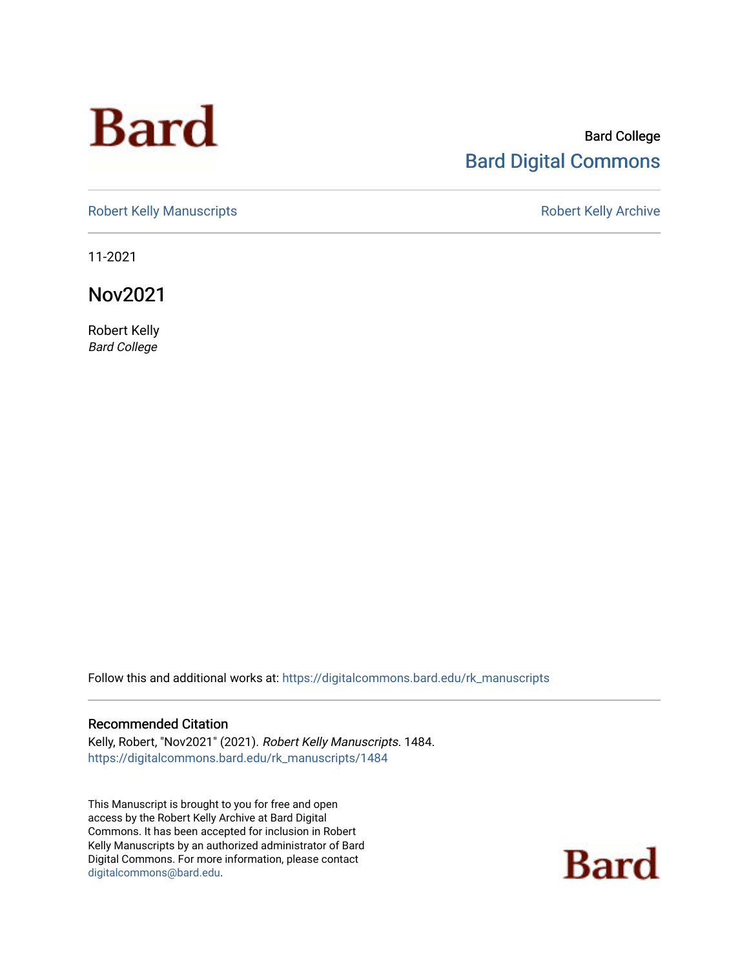# **Bard**

#### Bard College [Bard Digital Commons](https://digitalcommons.bard.edu/)

[Robert Kelly Manuscripts](https://digitalcommons.bard.edu/rk_manuscripts) **Robert Kelly Archive** 

11-2021

Nov2021

Robert Kelly Bard College

Follow this and additional works at: [https://digitalcommons.bard.edu/rk\\_manuscripts](https://digitalcommons.bard.edu/rk_manuscripts?utm_source=digitalcommons.bard.edu%2Frk_manuscripts%2F1484&utm_medium=PDF&utm_campaign=PDFCoverPages) 

#### Recommended Citation

Kelly, Robert, "Nov2021" (2021). Robert Kelly Manuscripts. 1484. [https://digitalcommons.bard.edu/rk\\_manuscripts/1484](https://digitalcommons.bard.edu/rk_manuscripts/1484?utm_source=digitalcommons.bard.edu%2Frk_manuscripts%2F1484&utm_medium=PDF&utm_campaign=PDFCoverPages)

This Manuscript is brought to you for free and open access by the Robert Kelly Archive at Bard Digital Commons. It has been accepted for inclusion in Robert Kelly Manuscripts by an authorized administrator of Bard Digital Commons. For more information, please contact [digitalcommons@bard.edu](mailto:digitalcommons@bard.edu).

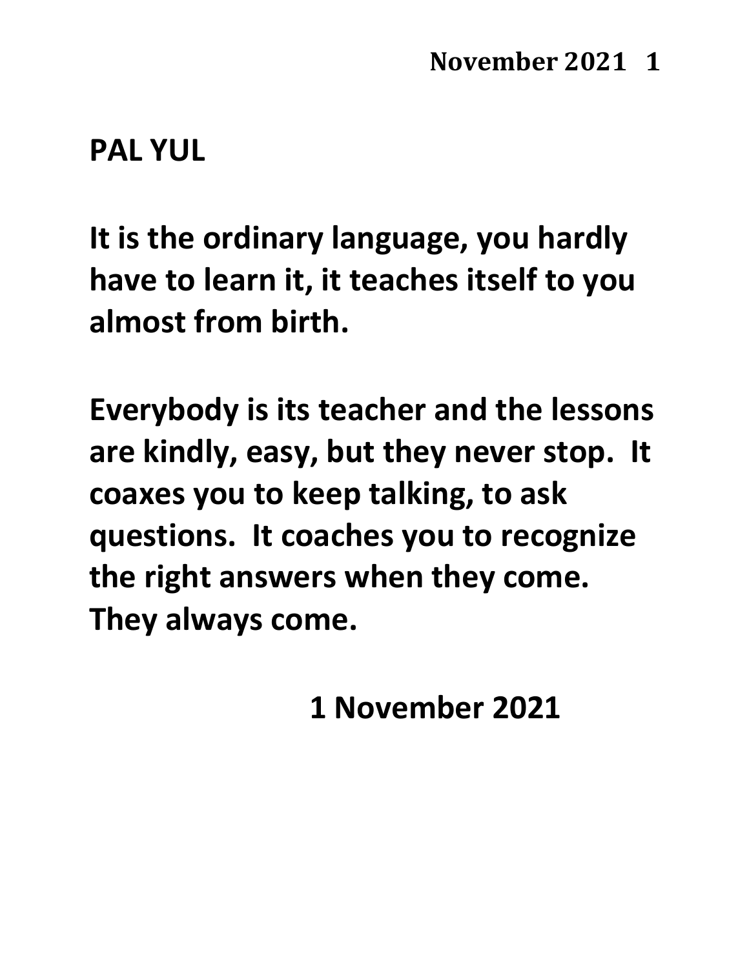**PAL YUL**

**It is the ordinary language, you hardly have to learn it, it teaches itself to you almost from birth.** 

**Everybody is its teacher and the lessons are kindly, easy, but they never stop. It coaxes you to keep talking, to ask questions. It coaches you to recognize the right answers when they come. They always come.**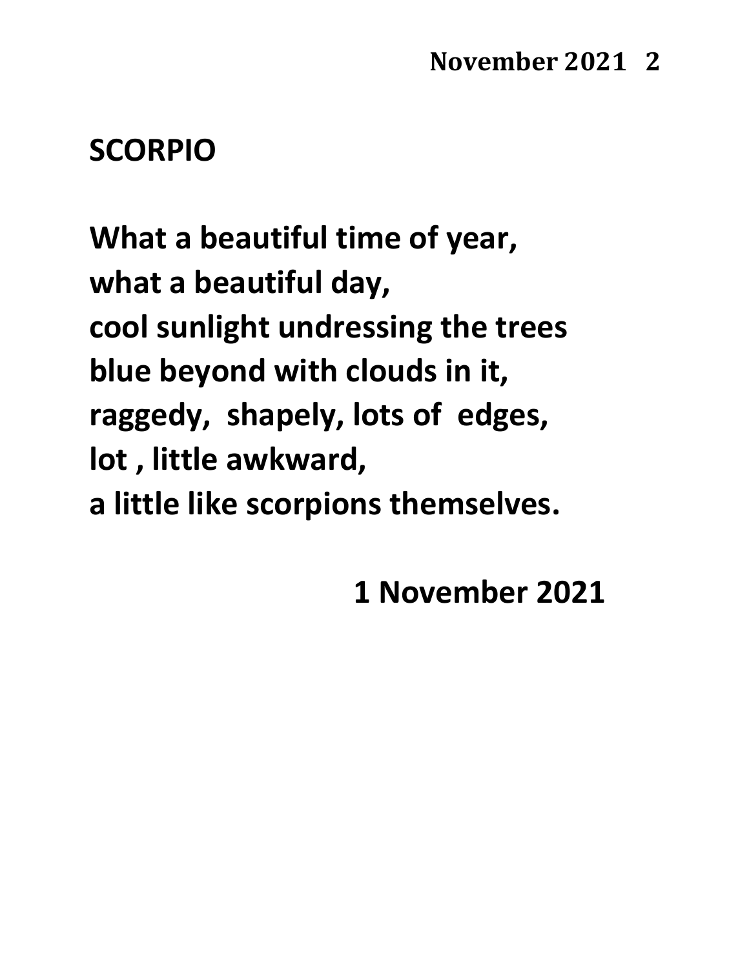## **SCORPIO**

**What a beautiful time of year, what a beautiful day, cool sunlight undressing the trees blue beyond with clouds in it, raggedy, shapely, lots of edges, lot , little awkward, a little like scorpions themselves.**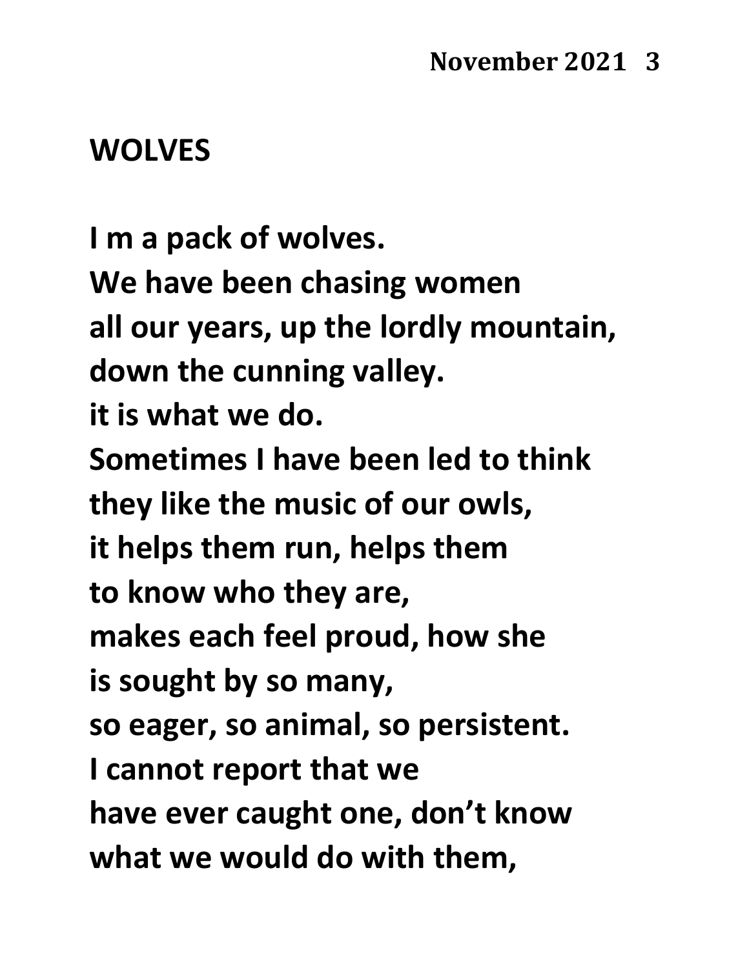#### **WOLVES**

**I m a pack of wolves. We have been chasing women all our years, up the lordly mountain, down the cunning valley. it is what we do. Sometimes I have been led to think they like the music of our owls, it helps them run, helps them to know who they are, makes each feel proud, how she is sought by so many, so eager, so animal, so persistent. I cannot report that we have ever caught one, don't know what we would do with them,**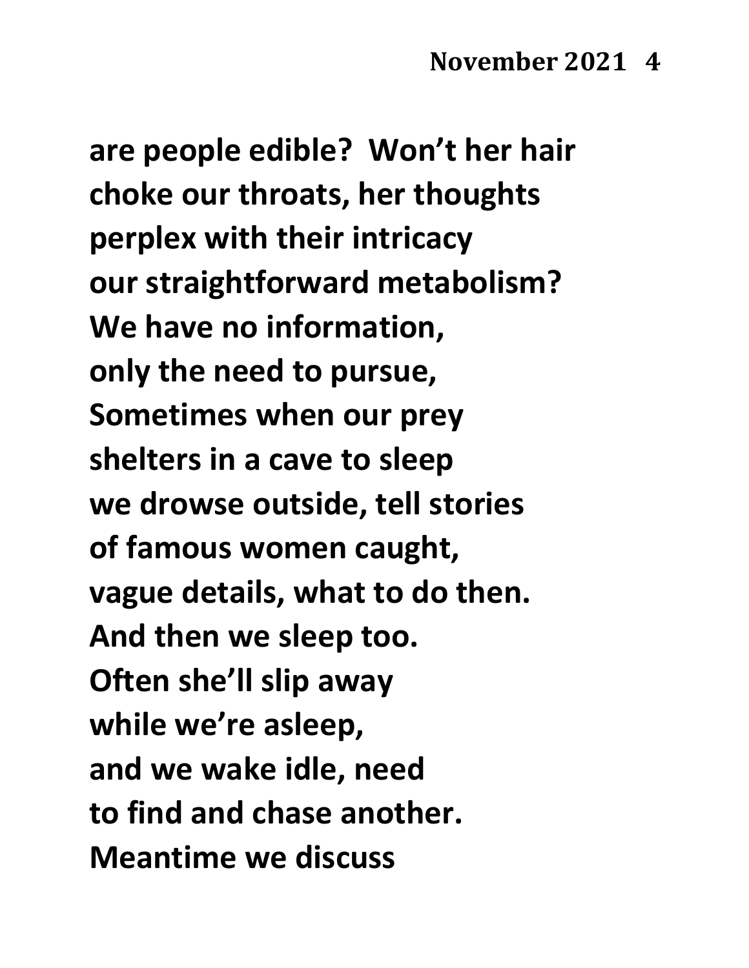**are people edible? Won't her hair choke our throats, her thoughts perplex with their intricacy our straightforward metabolism? We have no information, only the need to pursue, Sometimes when our prey shelters in a cave to sleep we drowse outside, tell stories of famous women caught, vague details, what to do then. And then we sleep too. Often she'll slip away while we're asleep, and we wake idle, need to find and chase another. Meantime we discuss**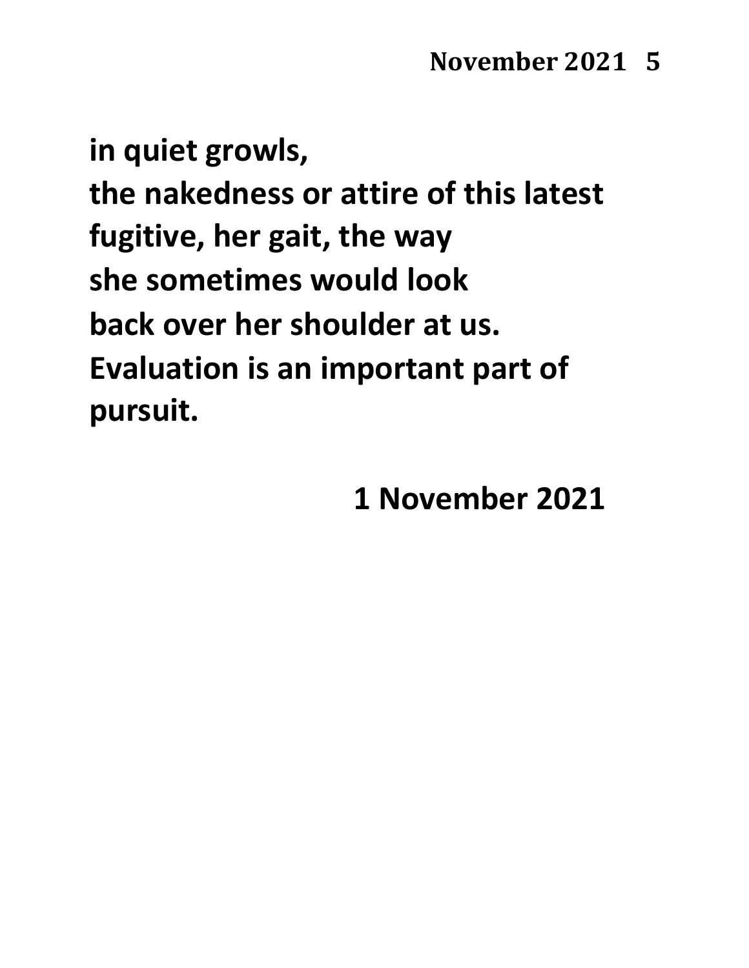**in quiet growls, the nakedness or attire of this latest fugitive, her gait, the way she sometimes would look back over her shoulder at us. Evaluation is an important part of pursuit.**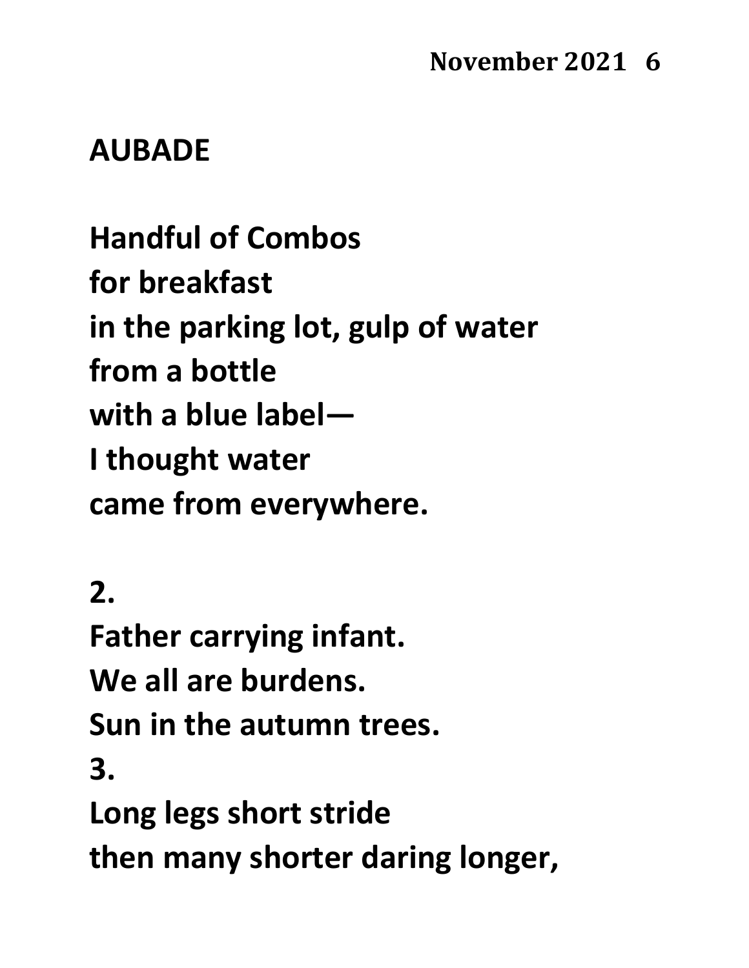## **AUBADE**

**Handful of Combos for breakfast in the parking lot, gulp of water from a bottle with a blue label— I thought water came from everywhere.**

### **2.**

**Father carrying infant. We all are burdens. Sun in the autumn trees. 3. Long legs short stride then many shorter daring longer,**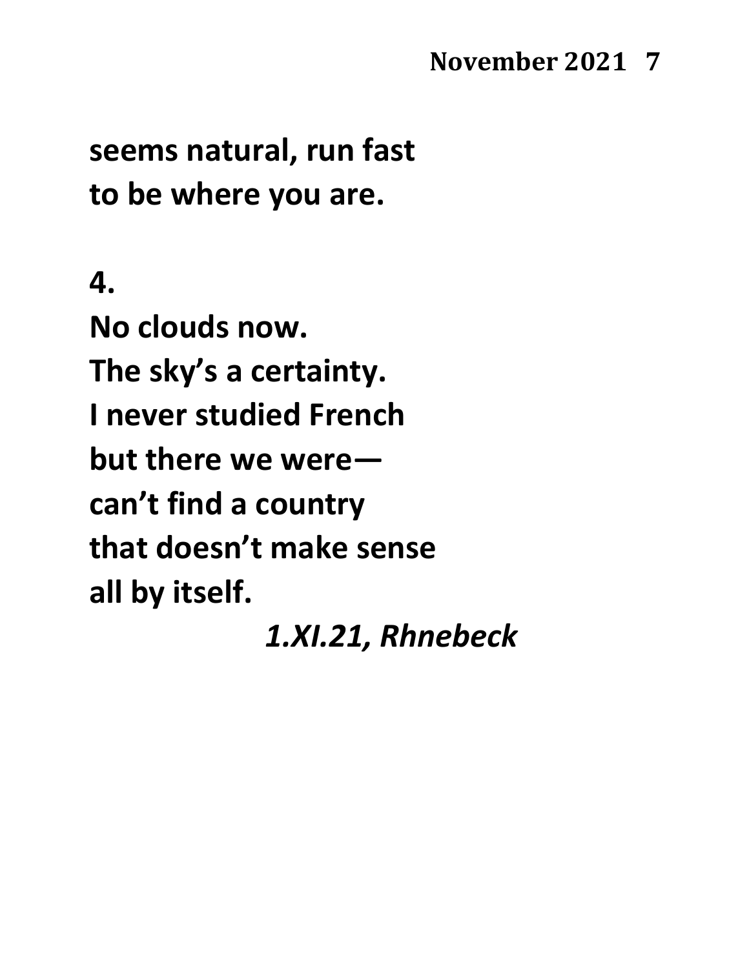# **seems natural, run fast**

**to be where you are.**

**4.**

**No clouds now. The sky's a certainty. I never studied French but there we were can't find a country that doesn't make sense all by itself.**

*1.XI.21, Rhnebeck*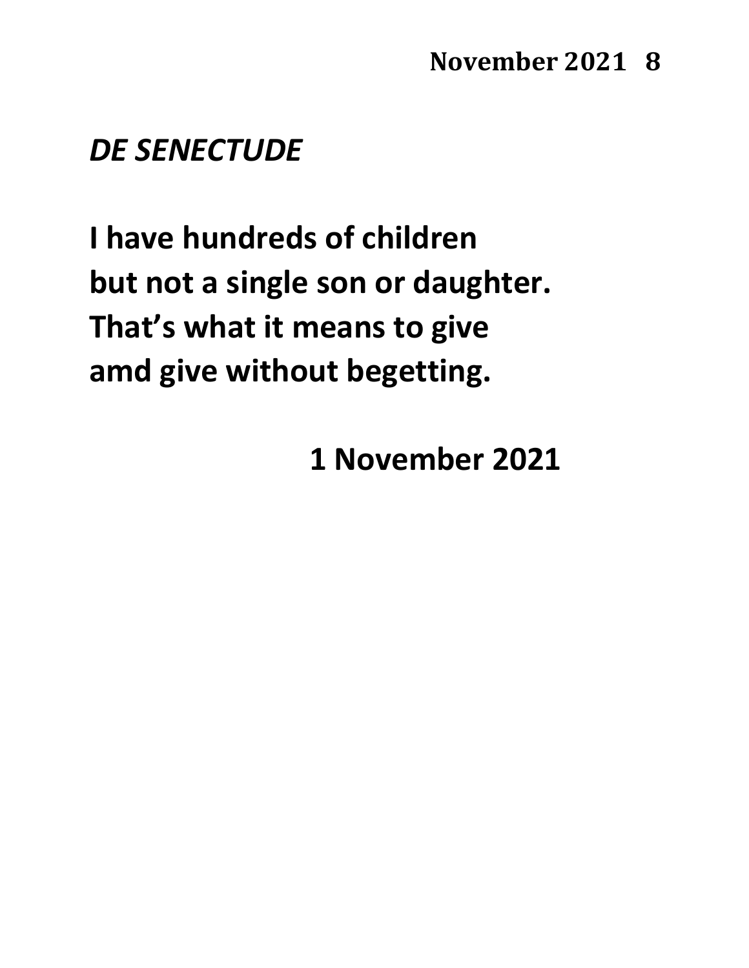### *DE SENECTUDE*

**I have hundreds of children but not a single son or daughter. That's what it means to give amd give without begetting.**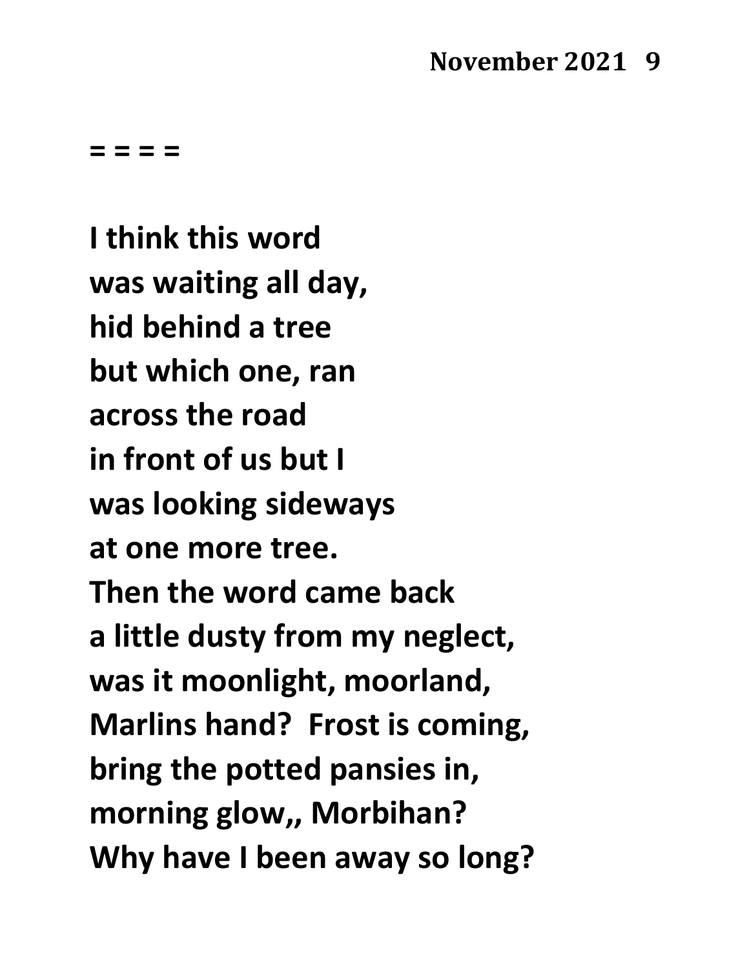**= = = =**

**I think this word was waiting all day, hid behind a tree but which one, ran across the road in front of us but I was looking sideways at one more tree. Then the word came back a little dusty from my neglect, was it moonlight, moorland, Marlins hand? Frost is coming, bring the potted pansies in, morning glow,, Morbihan? Why have I been away so long?**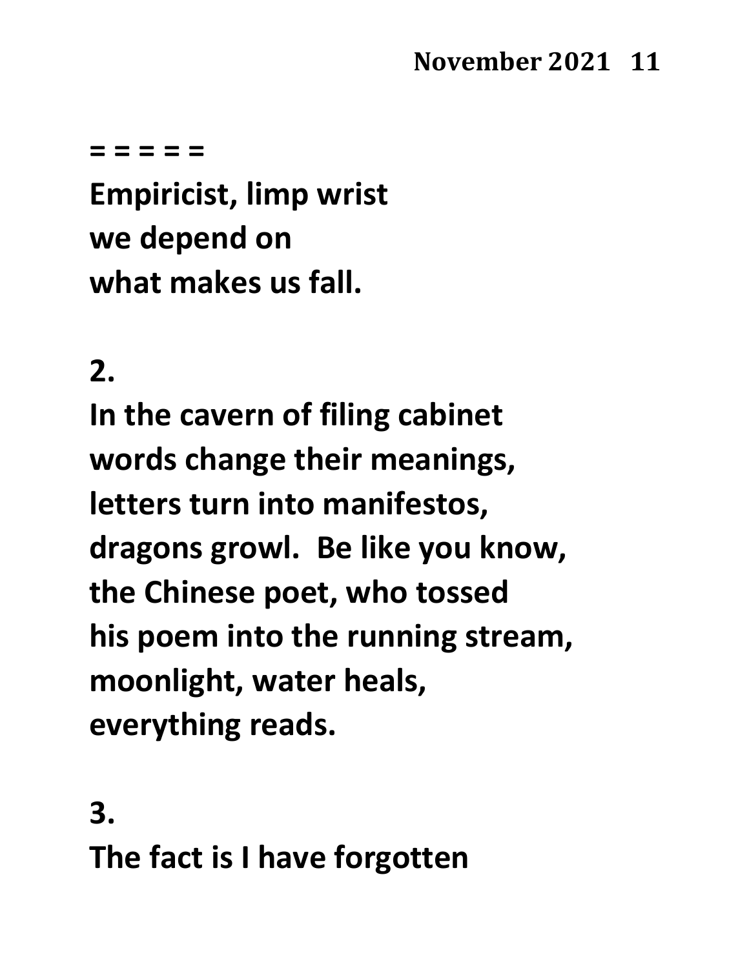**= = = = =**

**Empiricist, limp wrist we depend on what makes us fall.**

**2.**

**In the cavern of filing cabinet words change their meanings, letters turn into manifestos, dragons growl. Be like you know, the Chinese poet, who tossed his poem into the running stream, moonlight, water heals, everything reads.**

**3. The fact is I have forgotten**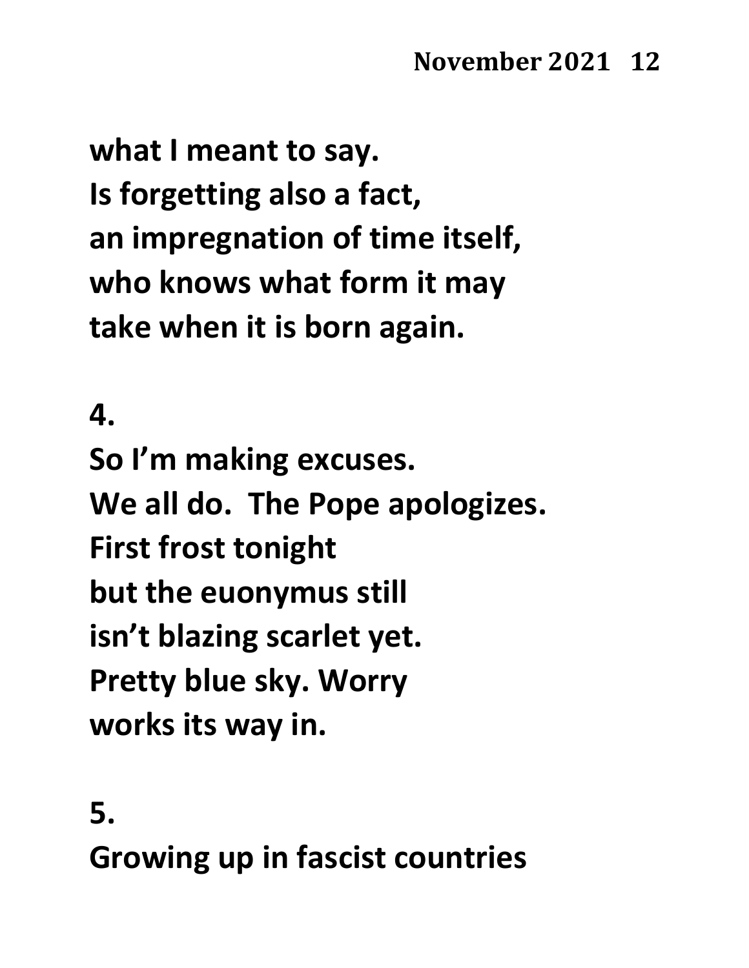**what I meant to say. Is forgetting also a fact, an impregnation of time itself, who knows what form it may take when it is born again.**

**4.**

**So I'm making excuses. We all do. The Pope apologizes. First frost tonight but the euonymus still isn't blazing scarlet yet. Pretty blue sky. Worry works its way in.**

**5.**

**Growing up in fascist countries**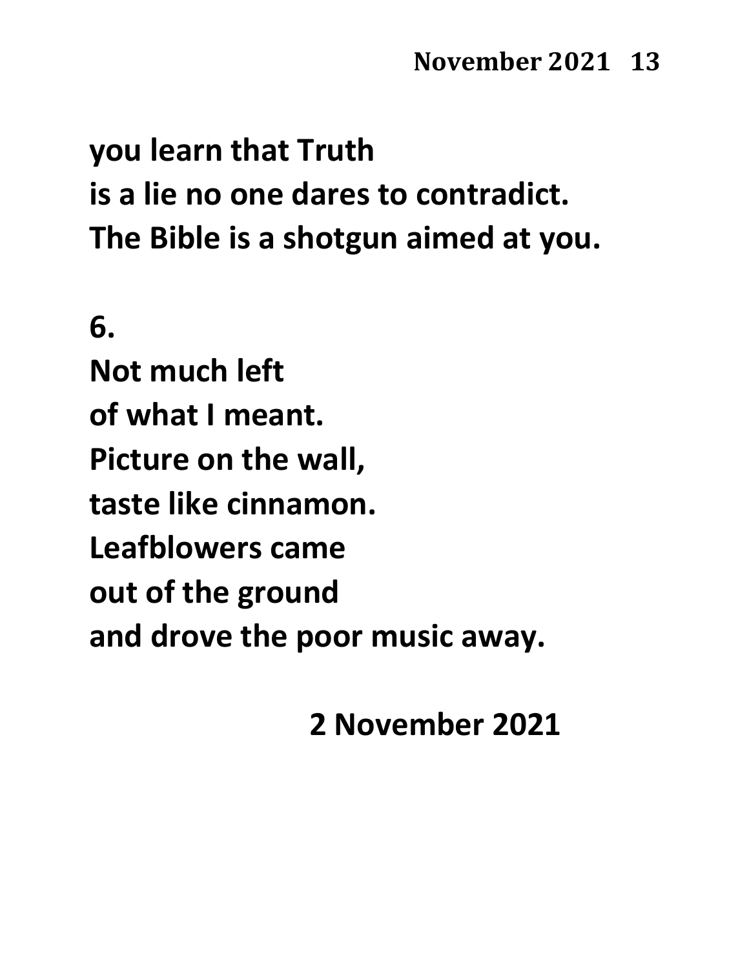## **you learn that Truth is a lie no one dares to contradict. The Bible is a shotgun aimed at you.**

**6.**

**Not much left of what I meant. Picture on the wall, taste like cinnamon. Leafblowers came out of the ground and drove the poor music away.**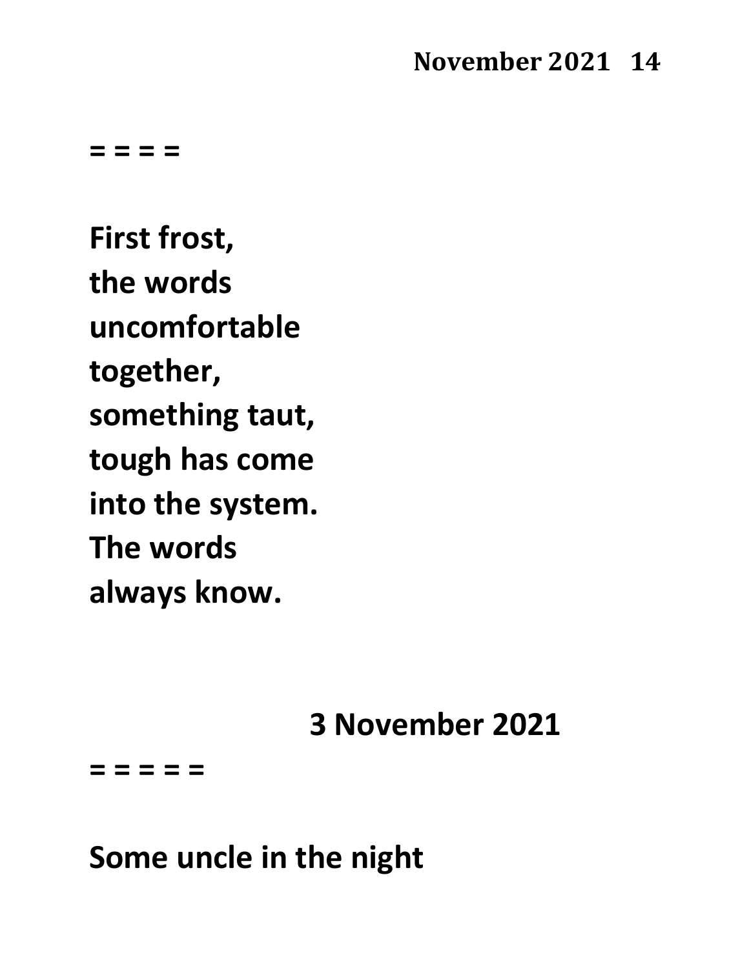**= = = =**

**First frost, the words uncomfortable together, something taut, tough has come into the system. The words always know.**

## **3 November 2021**

**= = = = =**

## **Some uncle in the night**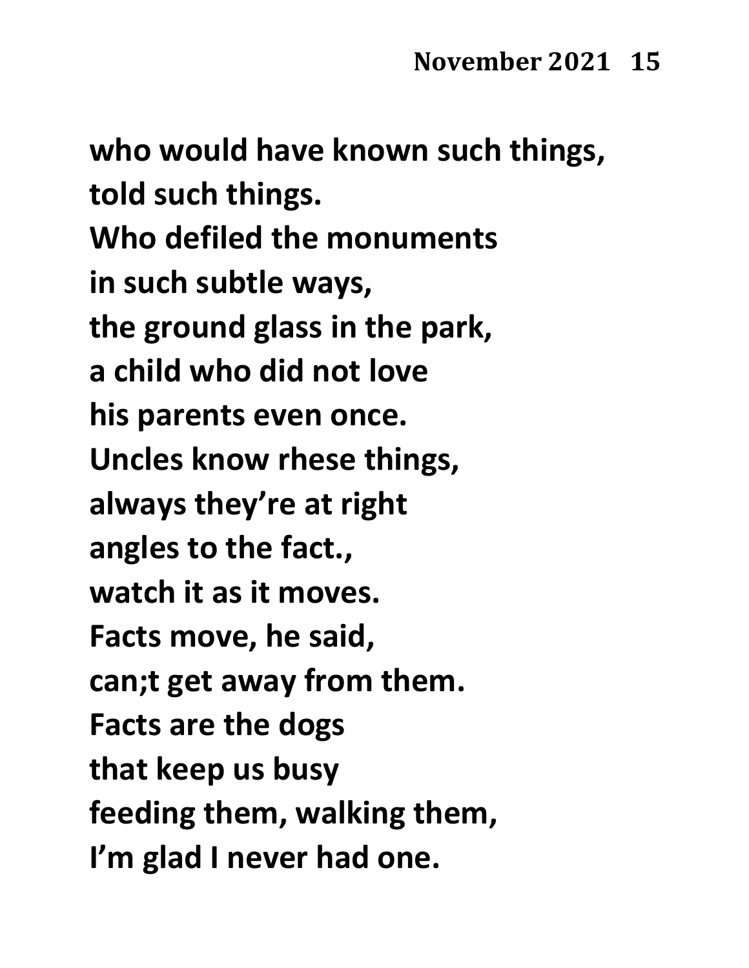**who would have known such things, told such things. Who defiled the monuments in such subtle ways, the ground glass in the park, a child who did not love his parents even once. Uncles know rhese things, always they're at right angles to the fact., watch it as it moves. Facts move, he said, can;t get away from them. Facts are the dogs that keep us busy feeding them, walking them, I'm glad I never had one.**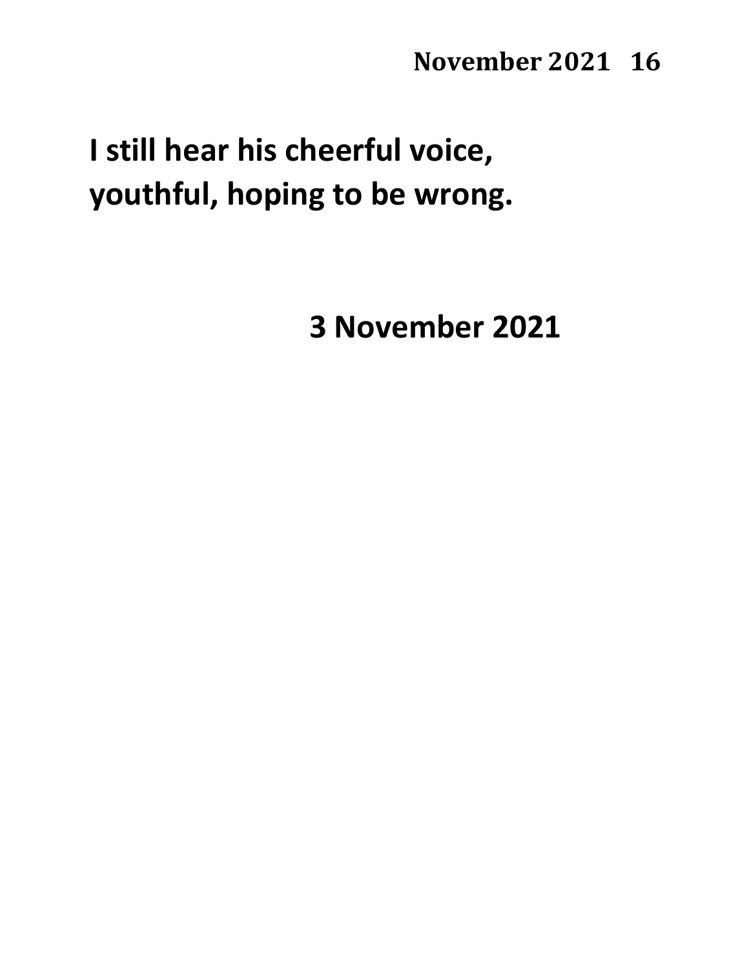## **I still hear his cheerful voice, youthful, hoping to be wrong.**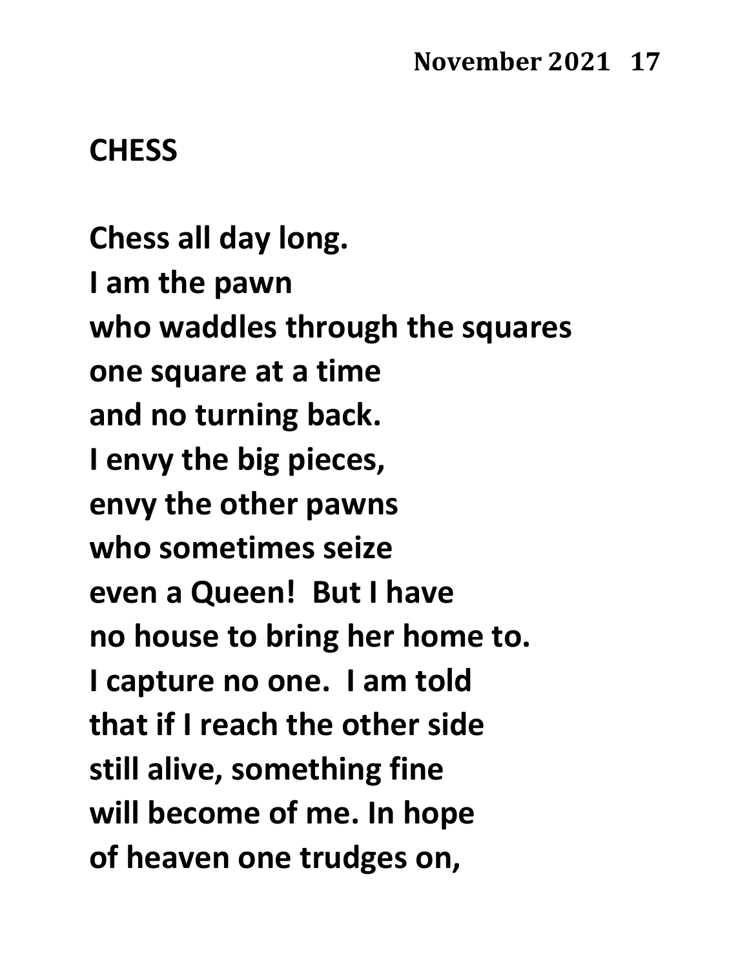## **CHESS**

**Chess all day long. I am the pawn who waddles through the squares one square at a time and no turning back. I envy the big pieces, envy the other pawns who sometimes seize even a Queen! But I have no house to bring her home to. I capture no one. I am told that if I reach the other side still alive, something fine will become of me. In hope of heaven one trudges on,**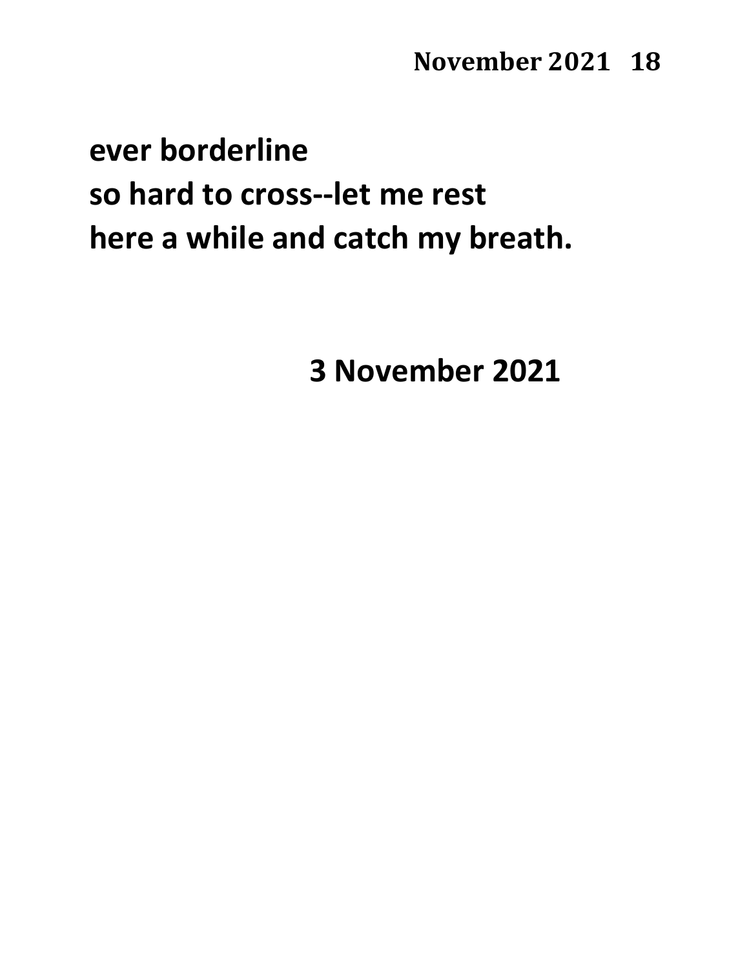# **ever borderline so hard to cross--let me rest here a while and catch my breath.**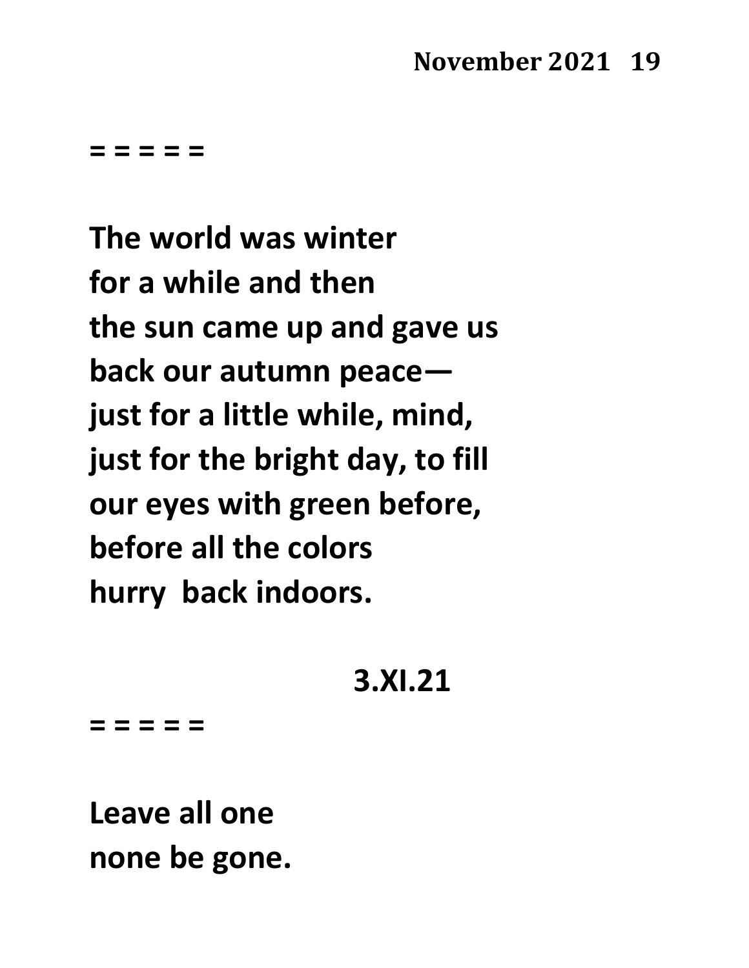**= = = = =**

**The world was winter for a while and then the sun came up and gave us back our autumn peace just for a little while, mind, just for the bright day, to fill our eyes with green before, before all the colors hurry back indoors.**

## **3.XI.21**

**= = = = =**

**Leave all one none be gone.**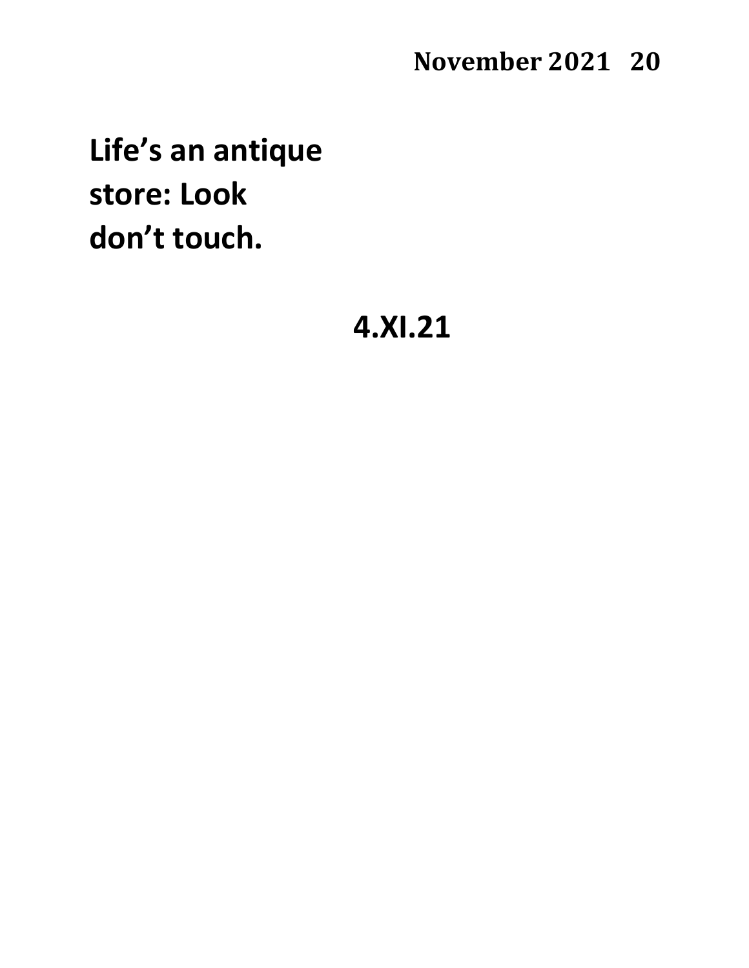**Life's an antique store: Look don't touch.**

## **4.XI.21**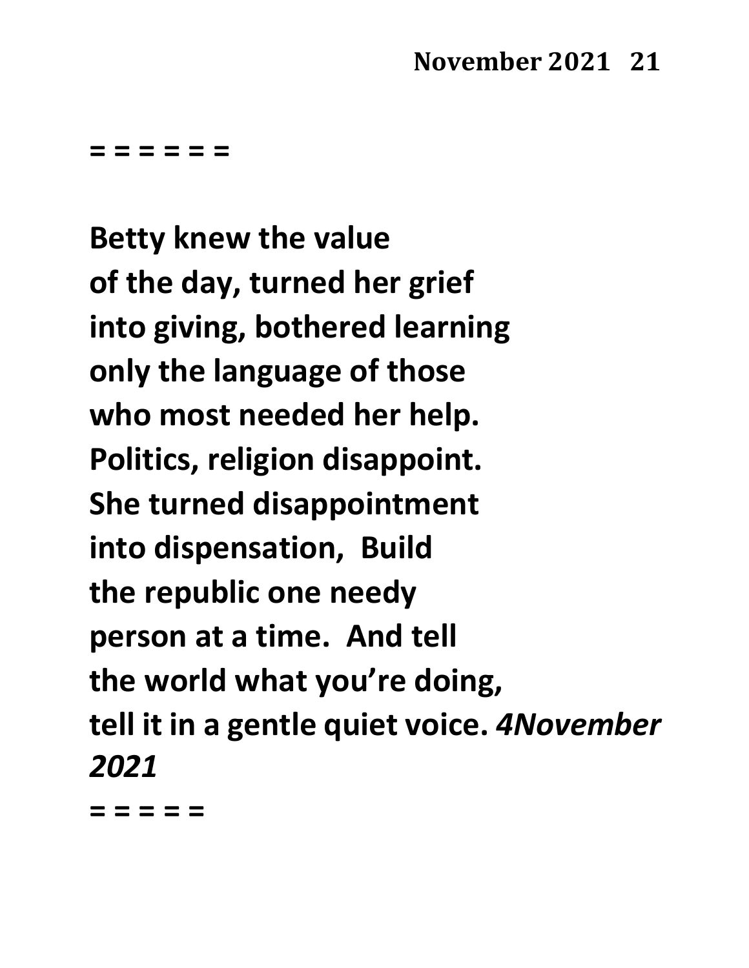**= = = = = =**

**Betty knew the value of the day, turned her grief into giving, bothered learning only the language of those who most needed her help. Politics, religion disappoint. She turned disappointment into dispensation, Build the republic one needy person at a time. And tell the world what you're doing, tell it in a gentle quiet voice.** *4November 2021*

**= = = = =**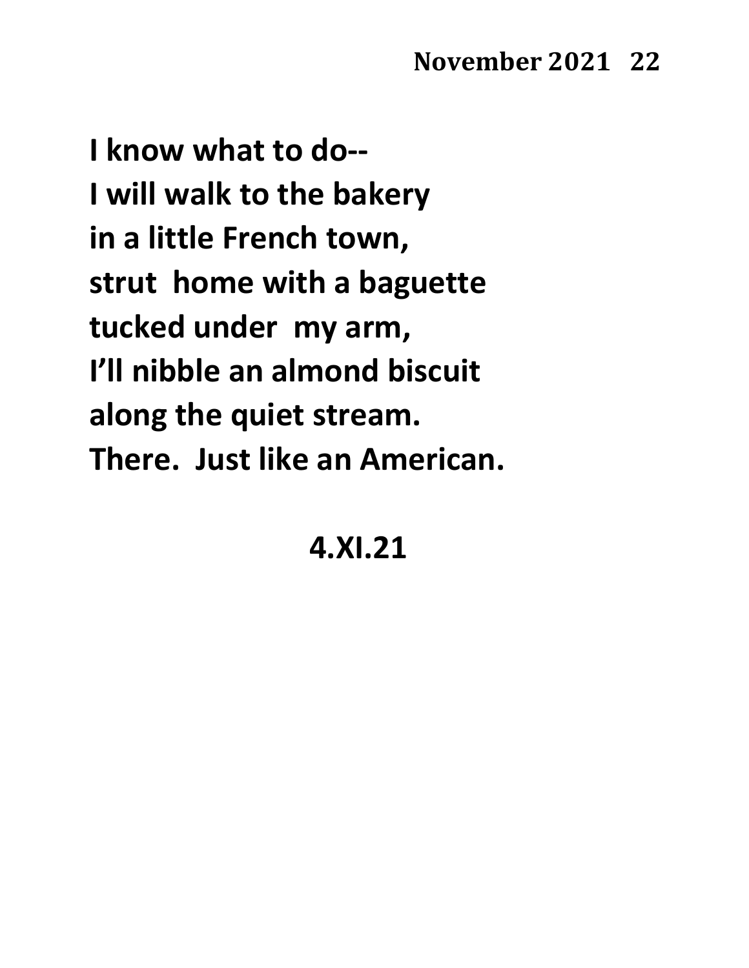**I know what to do-- I will walk to the bakery in a little French town, strut home with a baguette tucked under my arm, I'll nibble an almond biscuit along the quiet stream. There. Just like an American.**

## **4.XI.21**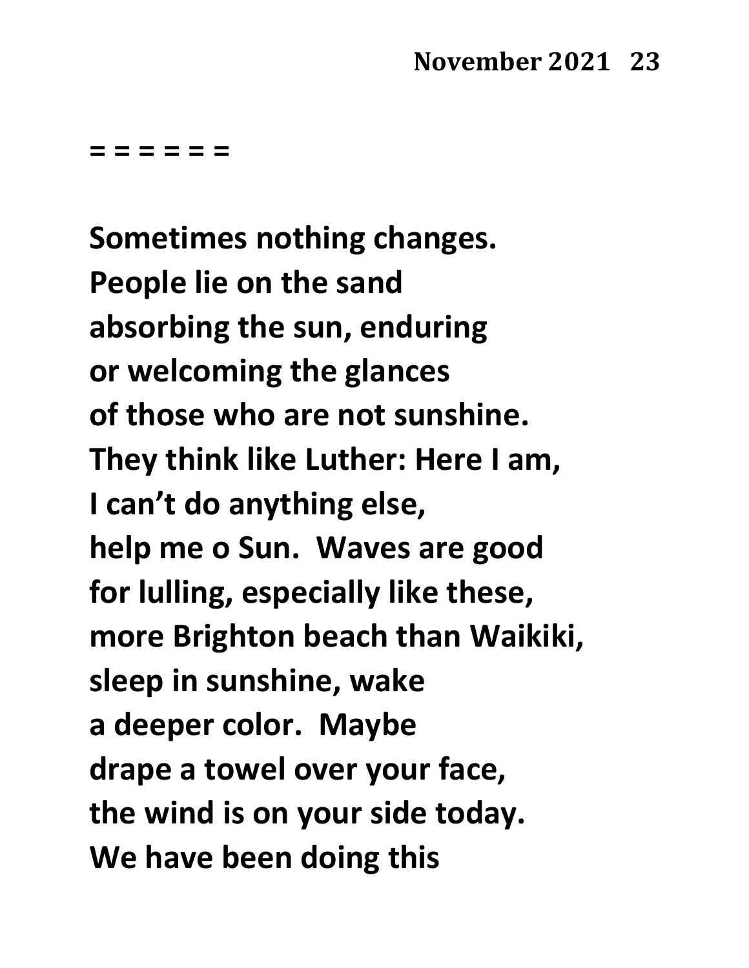**= = = = = =**

**Sometimes nothing changes. People lie on the sand absorbing the sun, enduring or welcoming the glances of those who are not sunshine. They think like Luther: Here I am, I can't do anything else, help me o Sun. Waves are good for lulling, especially like these, more Brighton beach than Waikiki, sleep in sunshine, wake a deeper color. Maybe drape a towel over your face, the wind is on your side today. We have been doing this**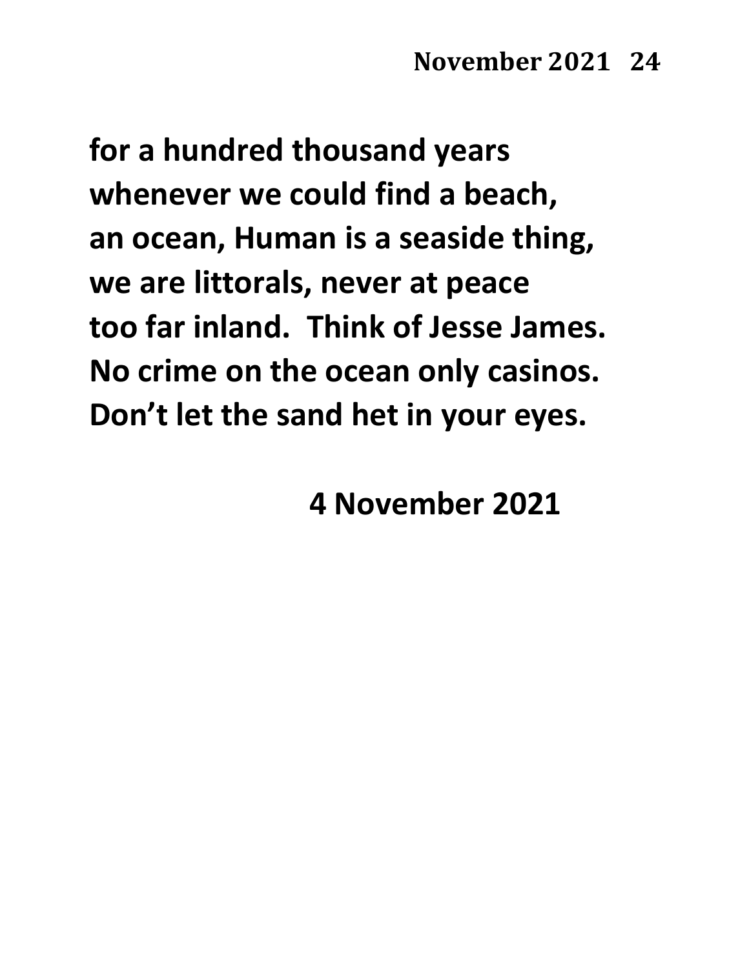**for a hundred thousand years whenever we could find a beach, an ocean, Human is a seaside thing, we are littorals, never at peace too far inland. Think of Jesse James. No crime on the ocean only casinos. Don't let the sand het in your eyes.**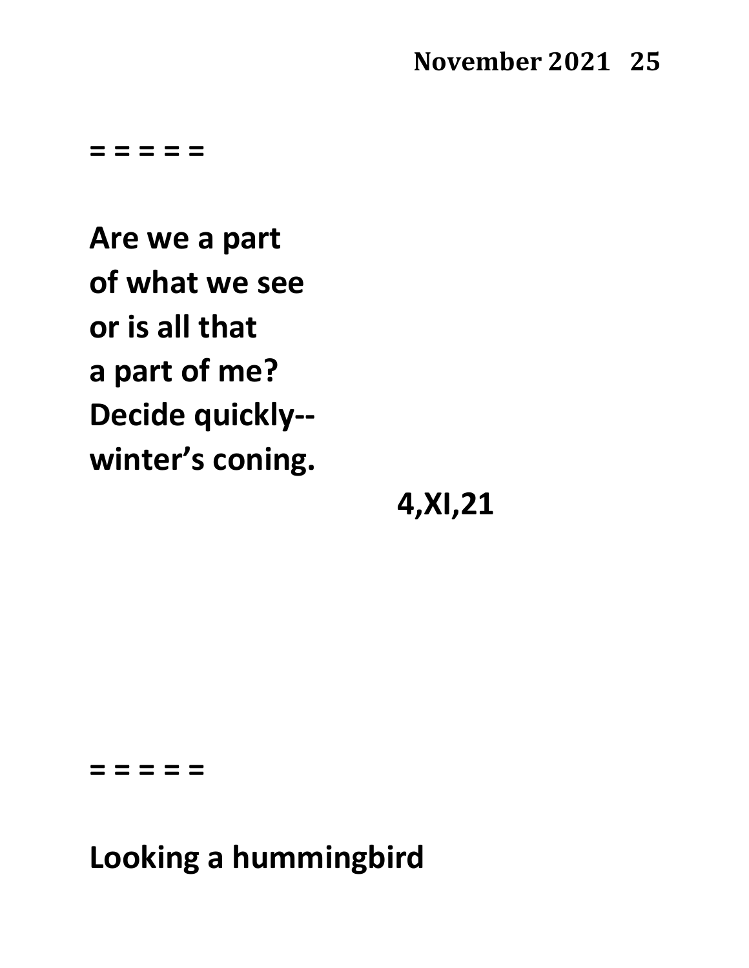**= = = = =**

**Are we a part of what we see or is all that a part of me? Decide quickly- winter's coning.**

**4,XI,21**

**= = = = =**

**Looking a hummingbird**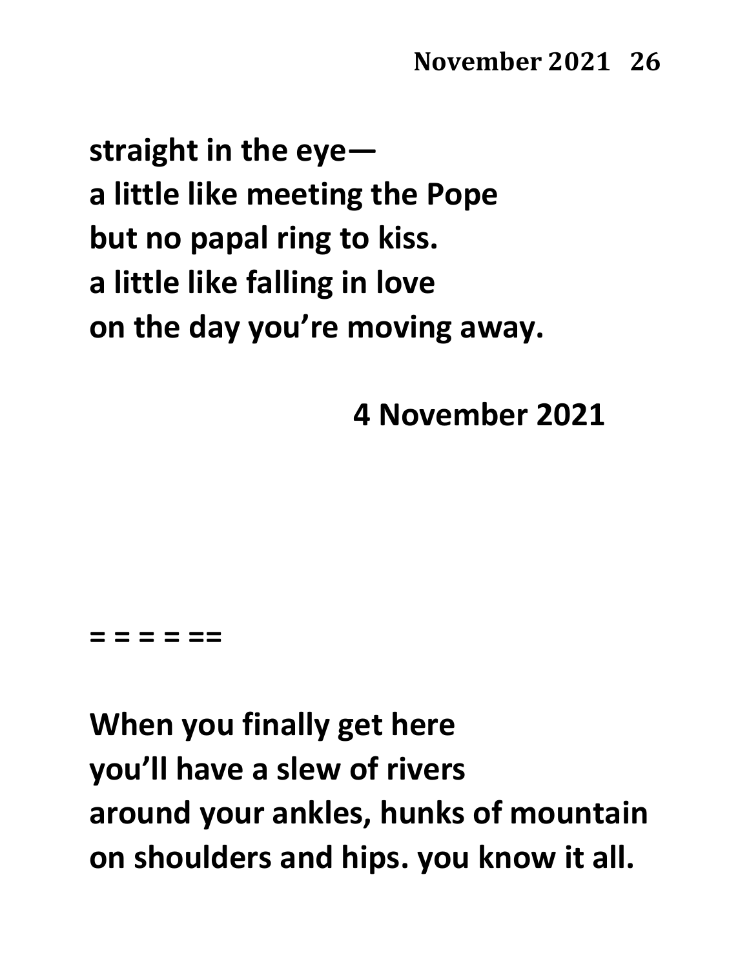**straight in the eye a little like meeting the Pope but no papal ring to kiss. a little like falling in love on the day you're moving away.**

**4 November 2021**

#### **= = = = ==**

**When you finally get here you'll have a slew of rivers around your ankles, hunks of mountain on shoulders and hips. you know it all.**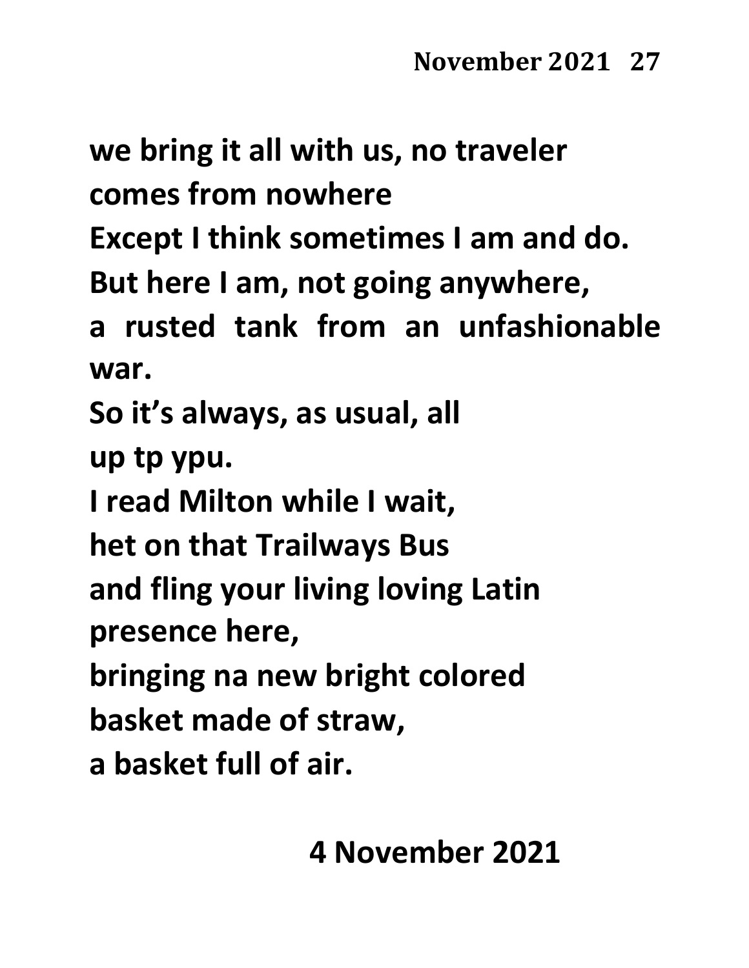**we bring it all with us, no traveler comes from nowhere**

**Except I think sometimes I am and do.**

**But here I am, not going anywhere,**

**a rusted tank from an unfashionable war.**

**So it's always, as usual, all**

**up tp ypu.**

**I read Milton while I wait,**

**het on that Trailways Bus** 

**and fling your living loving Latin presence here,**

**bringing na new bright colored**

**basket made of straw,**

**a basket full of air.**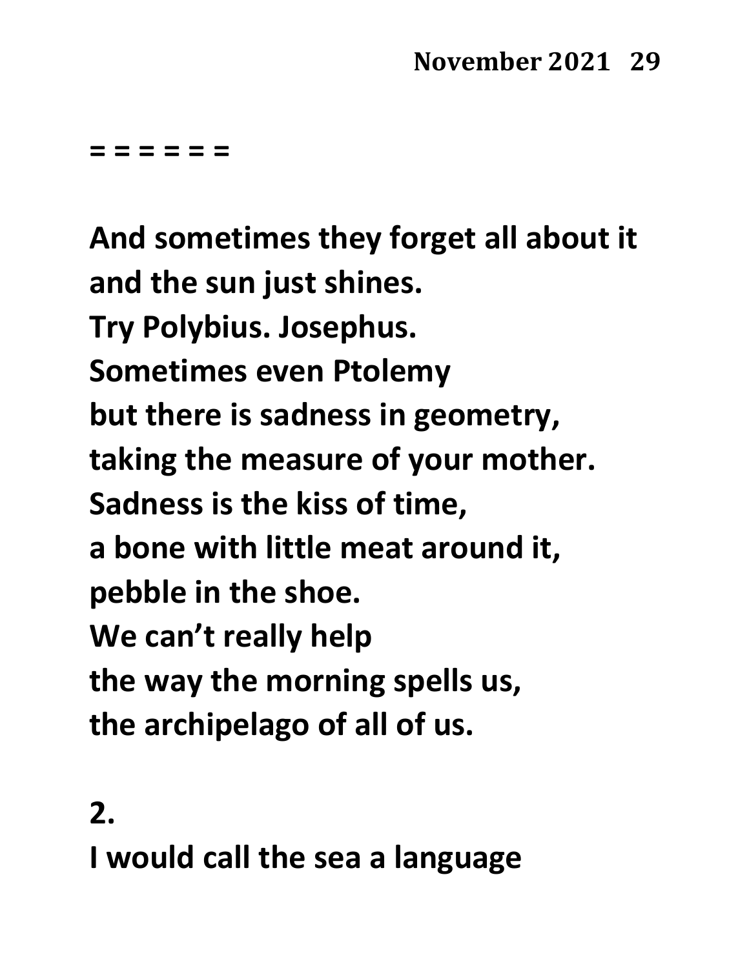**= = = = = =**

**And sometimes they forget all about it and the sun just shines. Try Polybius. Josephus. Sometimes even Ptolemy but there is sadness in geometry, taking the measure of your mother. Sadness is the kiss of time, a bone with little meat around it, pebble in the shoe. We can't really help the way the morning spells us, the archipelago of all of us.**

## **2.**

**I would call the sea a language**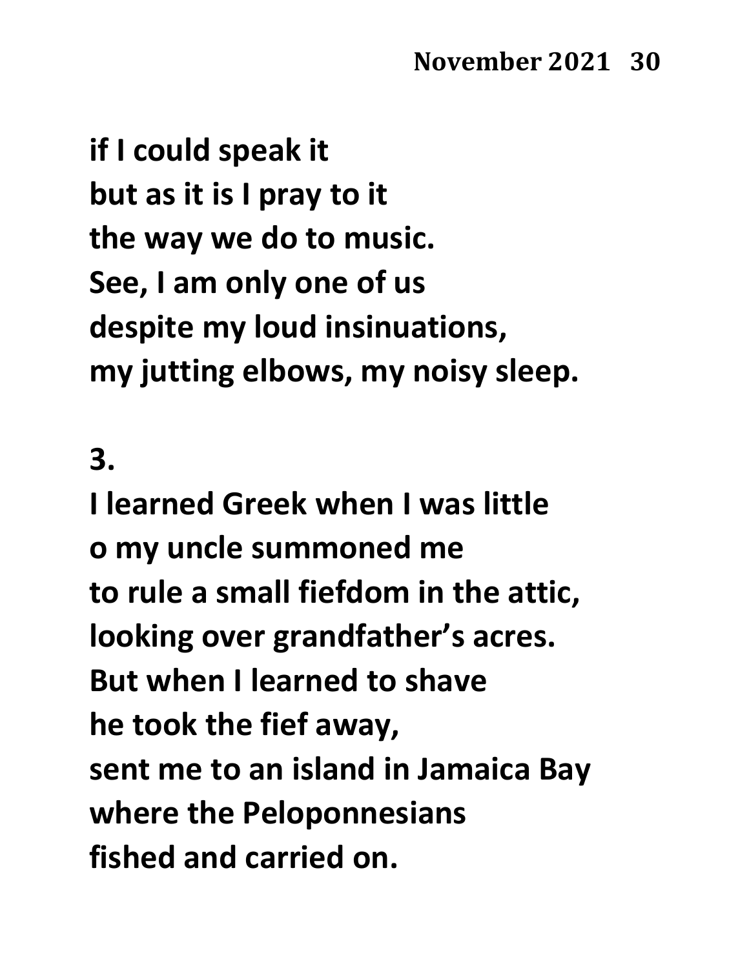**if I could speak it but as it is I pray to it the way we do to music. See, I am only one of us despite my loud insinuations, my jutting elbows, my noisy sleep.**

## **3.**

**I learned Greek when I was little o my uncle summoned me to rule a small fiefdom in the attic, looking over grandfather's acres. But when I learned to shave he took the fief away, sent me to an island in Jamaica Bay where the Peloponnesians fished and carried on.**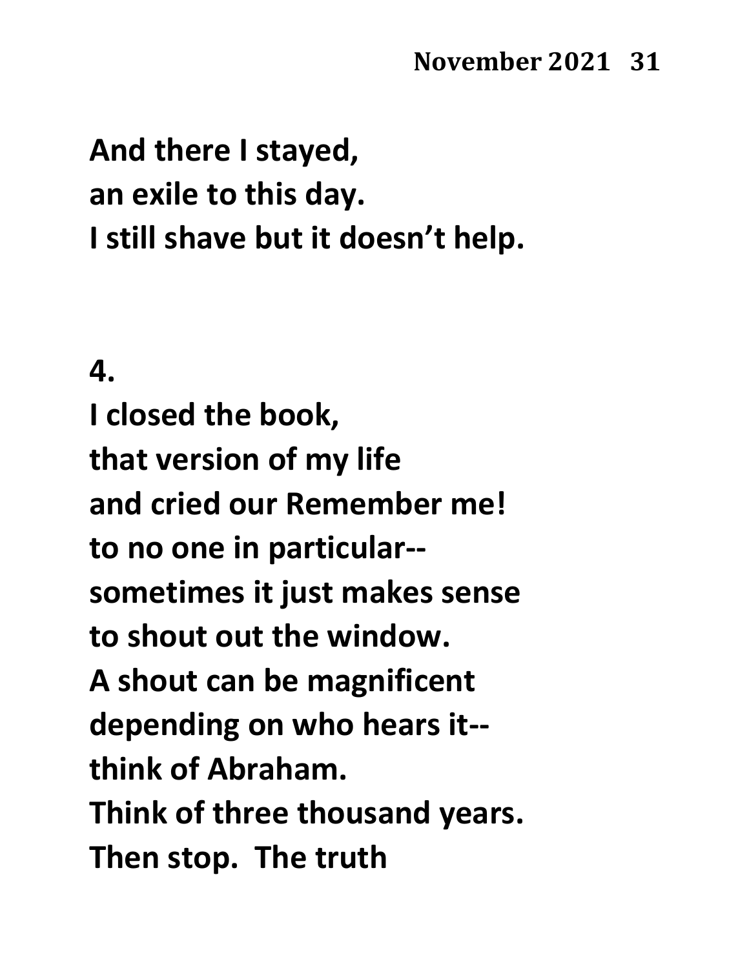## **And there I stayed, an exile to this day. I still shave but it doesn't help.**

#### **4.**

**I closed the book, that version of my life and cried our Remember me! to no one in particular- sometimes it just makes sense to shout out the window. A shout can be magnificent depending on who hears it- think of Abraham. Think of three thousand years. Then stop. The truth**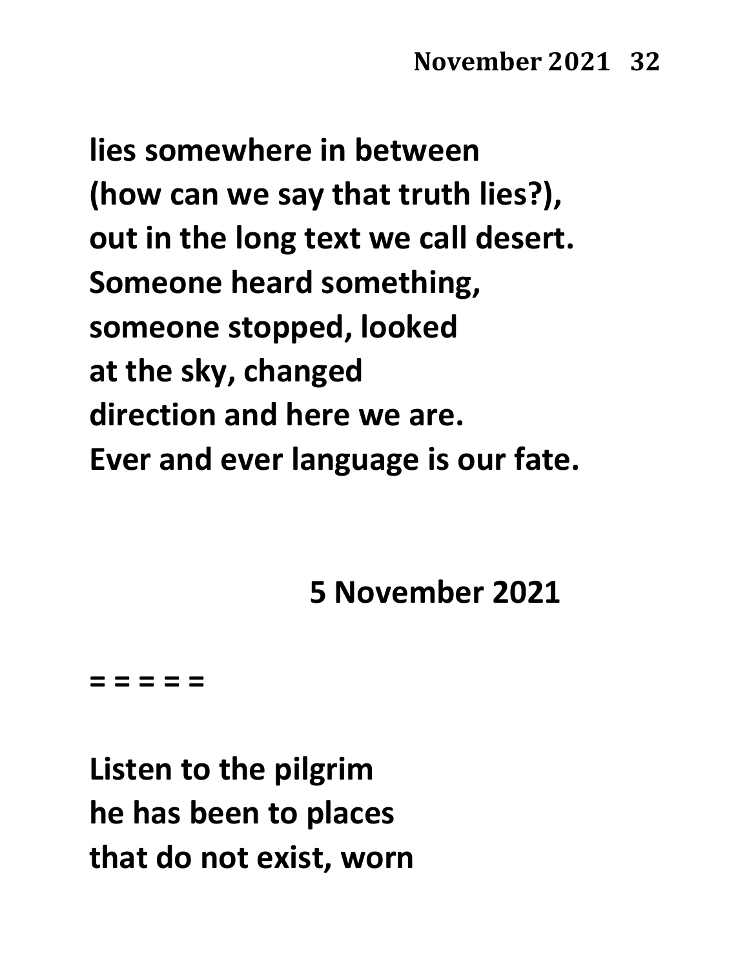**lies somewhere in between (how can we say that truth lies?), out in the long text we call desert. Someone heard something, someone stopped, looked at the sky, changed direction and here we are. Ever and ever language is our fate.**

**5 November 2021**

**= = = = =**

**Listen to the pilgrim he has been to places that do not exist, worn**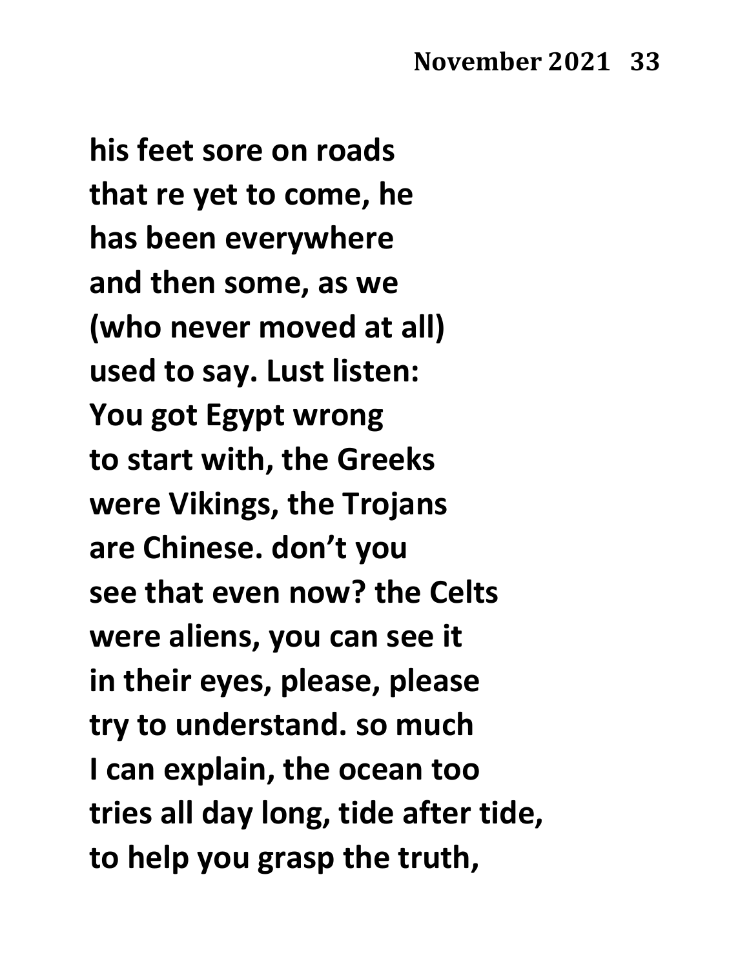**his feet sore on roads that re yet to come, he has been everywhere and then some, as we (who never moved at all) used to say. Lust listen: You got Egypt wrong to start with, the Greeks were Vikings, the Trojans are Chinese. don't you see that even now? the Celts were aliens, you can see it in their eyes, please, please try to understand. so much I can explain, the ocean too tries all day long, tide after tide, to help you grasp the truth,**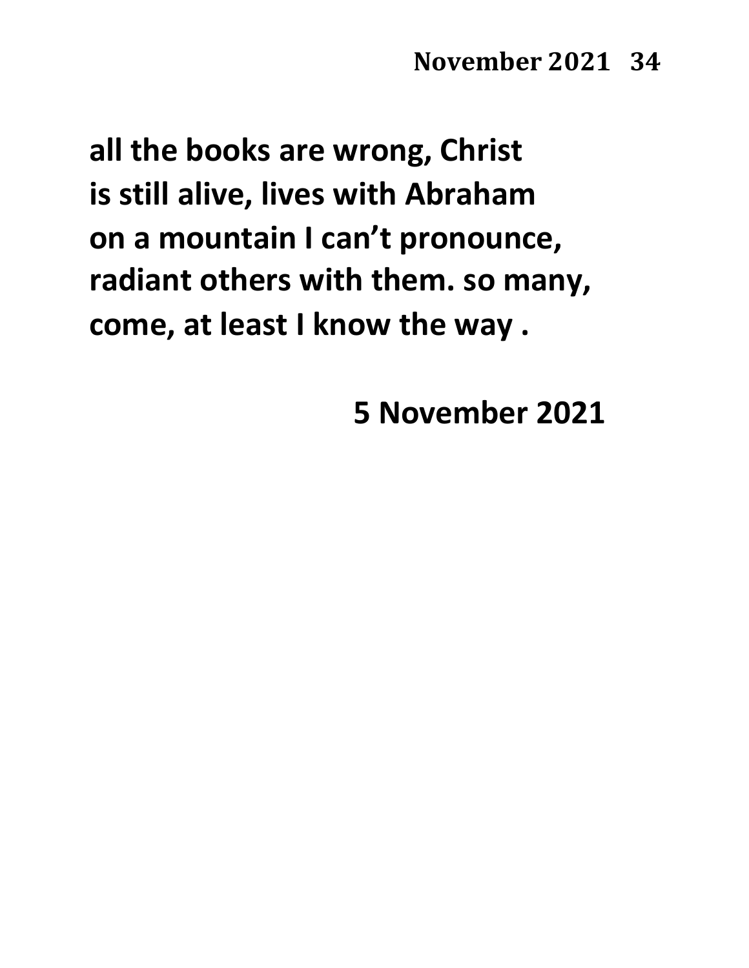**all the books are wrong, Christ is still alive, lives with Abraham on a mountain I can't pronounce, radiant others with them. so many, come, at least I know the way .**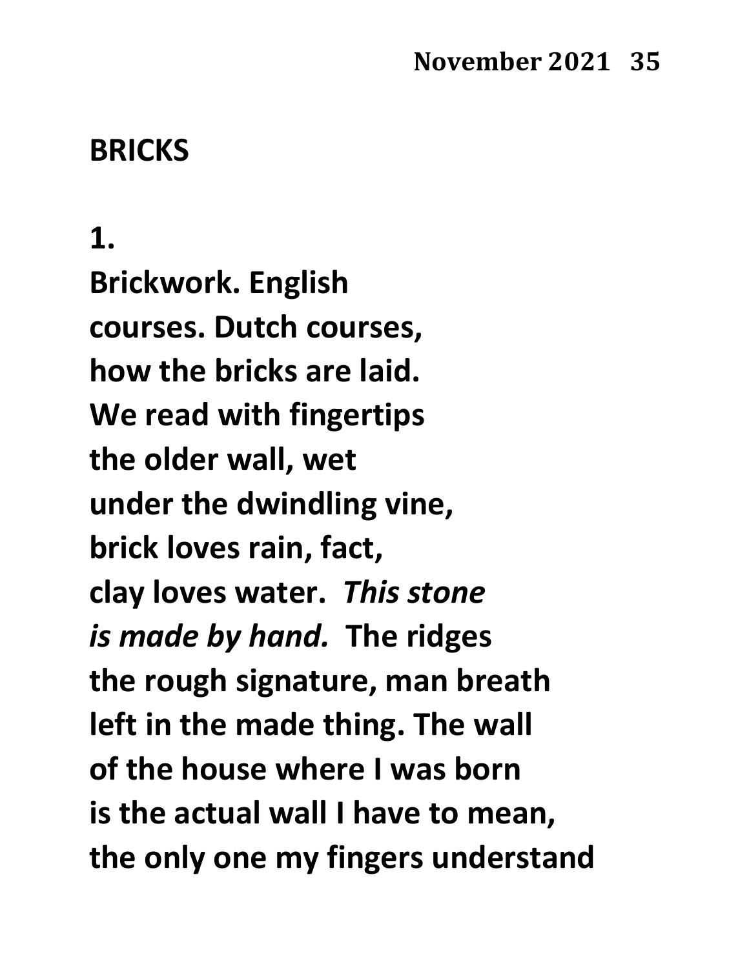## **BRICKS**

**1.**

**Brickwork. English courses. Dutch courses, how the bricks are laid. We read with fingertips the older wall, wet under the dwindling vine, brick loves rain, fact, clay loves water.** *This stone is made by hand.* **The ridges the rough signature, man breath left in the made thing. The wall of the house where I was born is the actual wall I have to mean, the only one my fingers understand**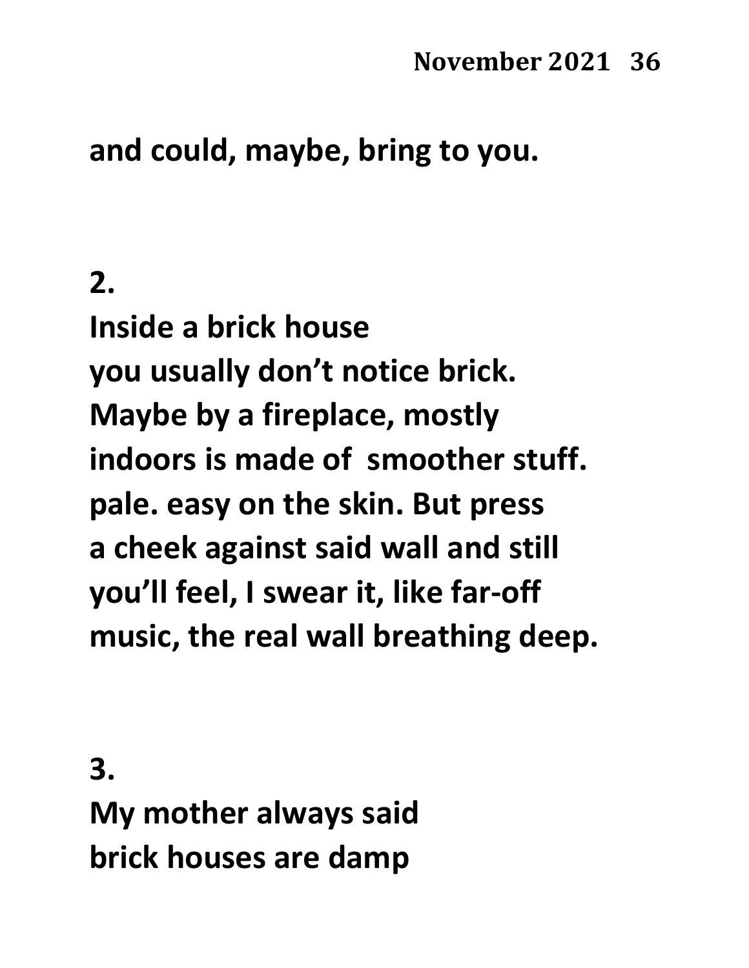### **and could, maybe, bring to you.**

### **2.**

**Inside a brick house you usually don't notice brick. Maybe by a fireplace, mostly indoors is made of smoother stuff. pale. easy on the skin. But press a cheek against said wall and still you'll feel, I swear it, like far-off music, the real wall breathing deep.**

**3. My mother always said brick houses are damp**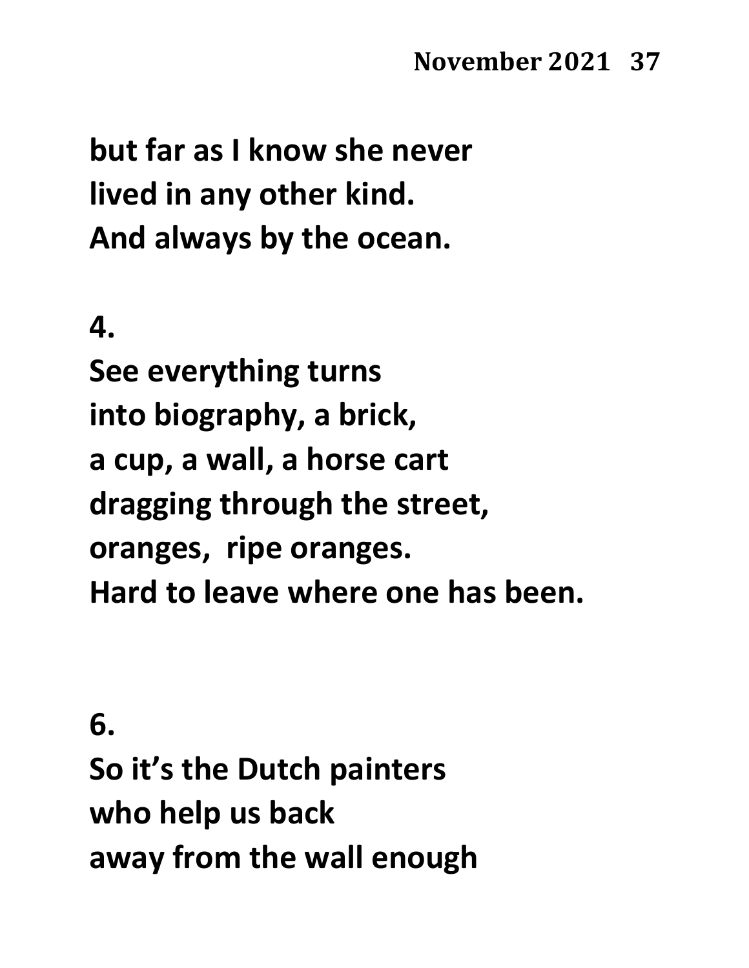**but far as I know she never lived in any other kind. And always by the ocean.**

#### **4.**

**See everything turns into biography, a brick, a cup, a wall, a horse cart dragging through the street, oranges, ripe oranges. Hard to leave where one has been.**

#### **6.**

**So it's the Dutch painters who help us back away from the wall enough**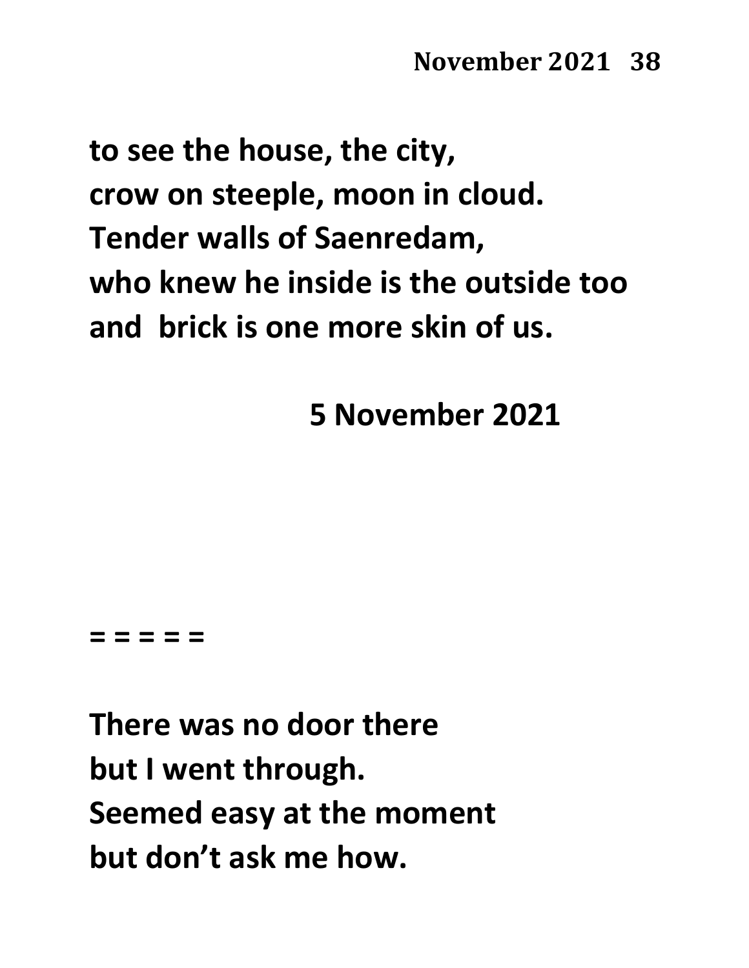**to see the house, the city, crow on steeple, moon in cloud. Tender walls of Saenredam, who knew he inside is the outside too and brick is one more skin of us.**

# **5 November 2021**

#### **= = = = =**

**There was no door there but I went through. Seemed easy at the moment but don't ask me how.**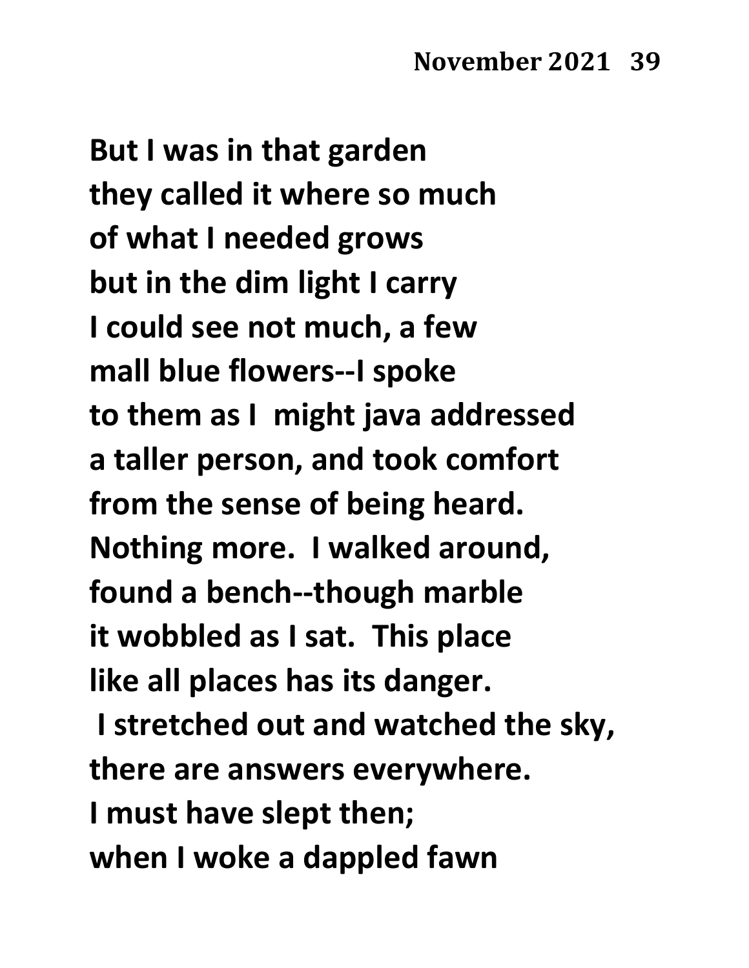**But I was in that garden they called it where so much of what I needed grows but in the dim light I carry I could see not much, a few mall blue flowers--I spoke to them as I might java addressed a taller person, and took comfort from the sense of being heard. Nothing more. I walked around, found a bench--though marble it wobbled as I sat. This place like all places has its danger. I stretched out and watched the sky, there are answers everywhere. I must have slept then; when I woke a dappled fawn**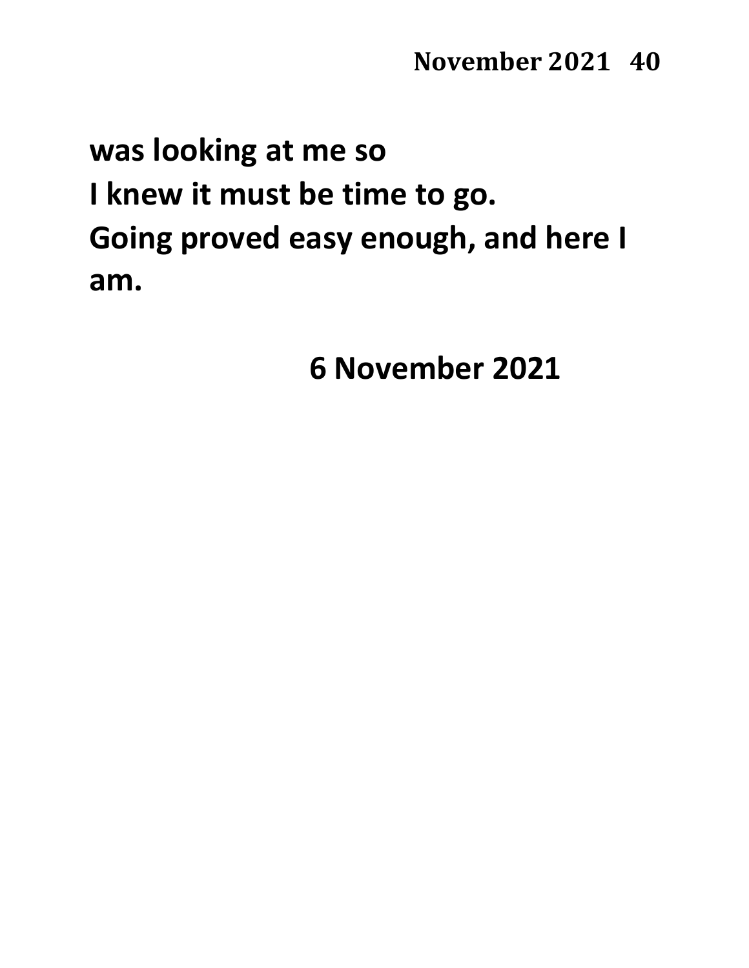**was looking at me so I knew it must be time to go. Going proved easy enough, and here I am.**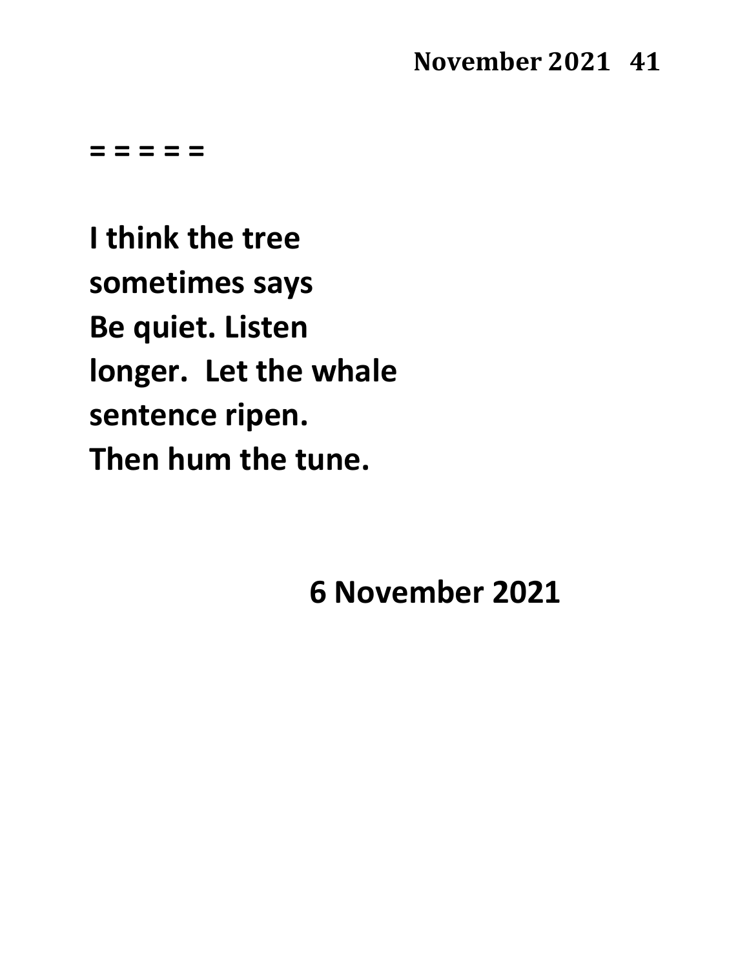**= = = = =** 

**I think the tree sometimes says Be quiet. Listen longer. Let the whale sentence ripen. Then hum the tune.**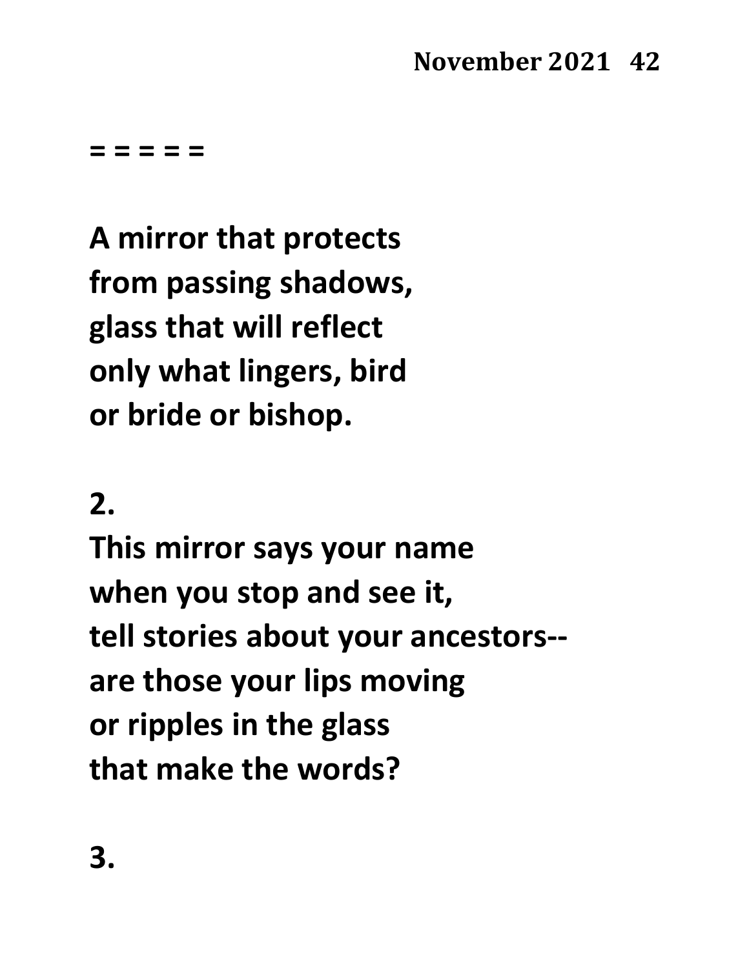**= = = = =**

**A mirror that protects from passing shadows, glass that will reflect only what lingers, bird or bride or bishop.**

# **2.**

**This mirror says your name when you stop and see it, tell stories about your ancestors- are those your lips moving or ripples in the glass that make the words?**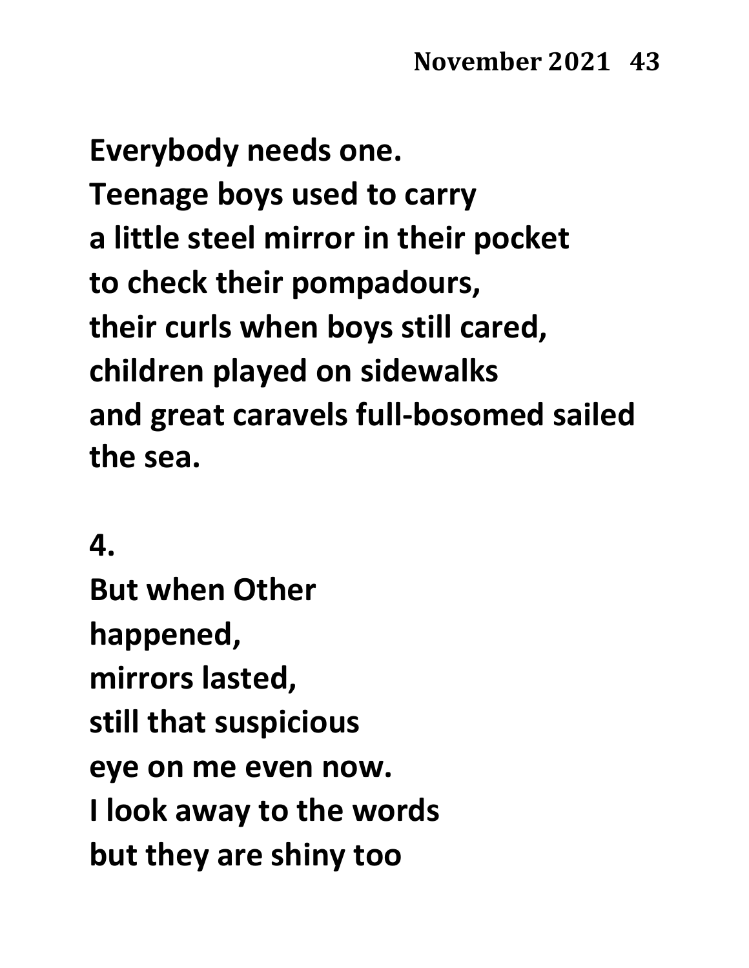**Everybody needs one. Teenage boys used to carry a little steel mirror in their pocket to check their pompadours, their curls when boys still cared, children played on sidewalks and great caravels full-bosomed sailed the sea.**

**4.**

**But when Other happened, mirrors lasted, still that suspicious eye on me even now. I look away to the words but they are shiny too**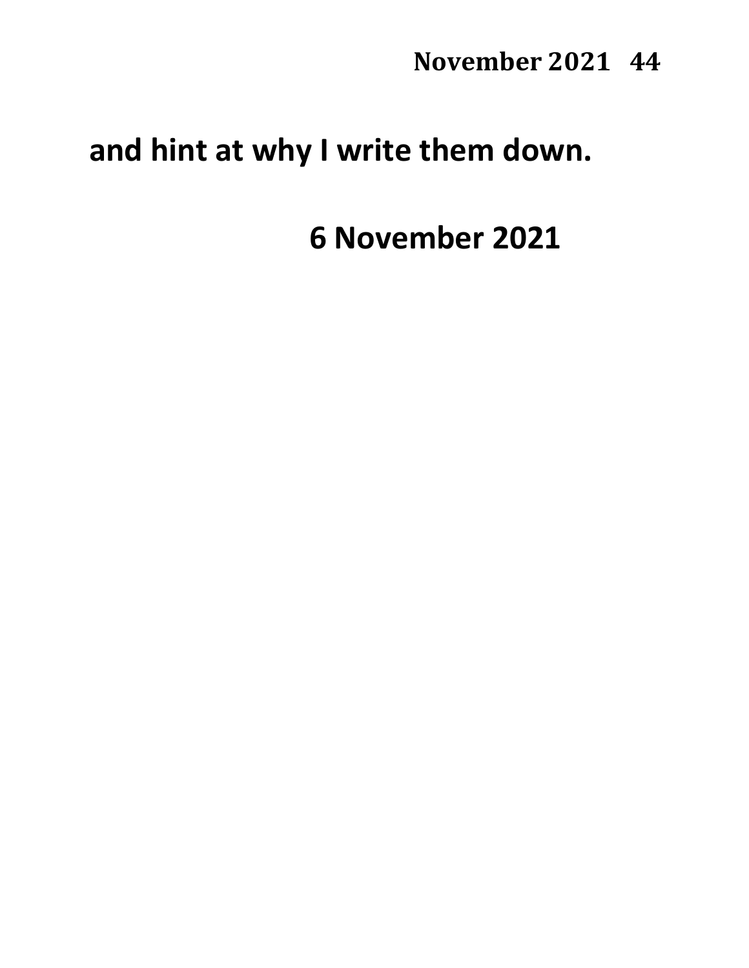### **and hint at why I write them down.**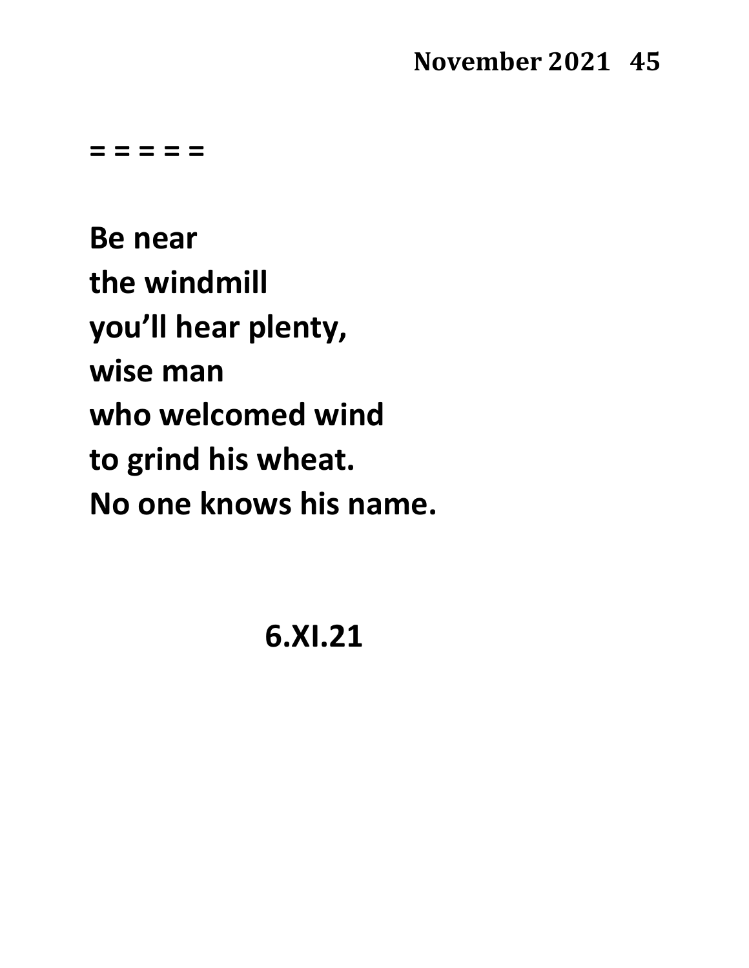**= = = = =**

**Be near the windmill you'll hear plenty, wise man who welcomed wind to grind his wheat. No one knows his name.**

**6.XI.21**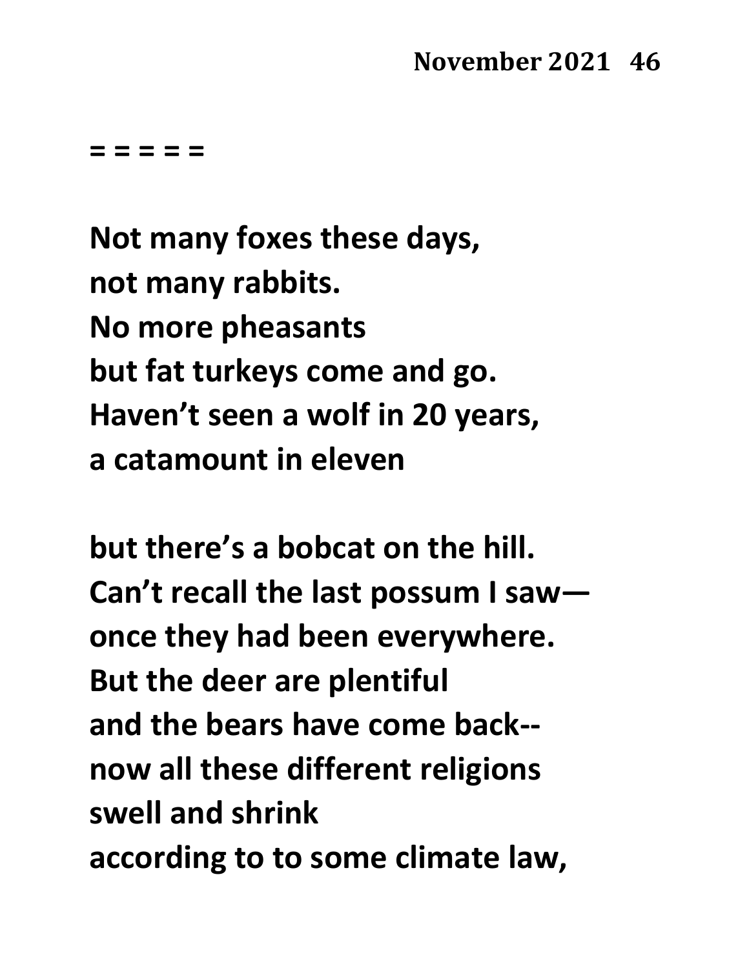**= = = = =**

**Not many foxes these days, not many rabbits. No more pheasants but fat turkeys come and go. Haven't seen a wolf in 20 years, a catamount in eleven**

**but there's a bobcat on the hill. Can't recall the last possum I saw once they had been everywhere. But the deer are plentiful and the bears have come back- now all these different religions swell and shrink according to to some climate law,**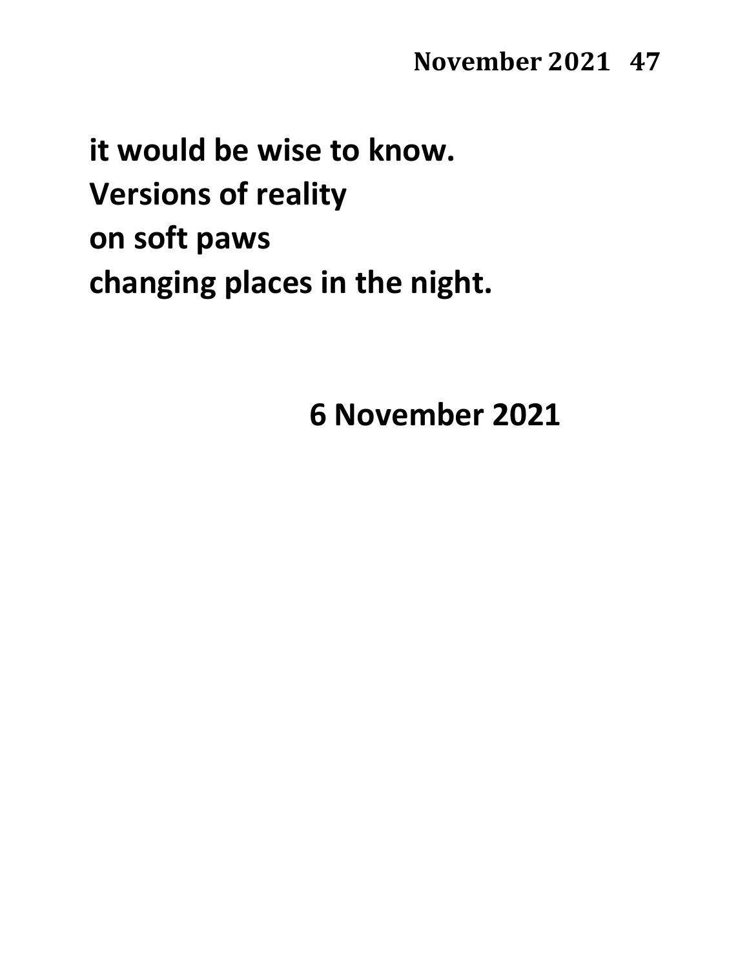**it would be wise to know. Versions of reality on soft paws changing places in the night.**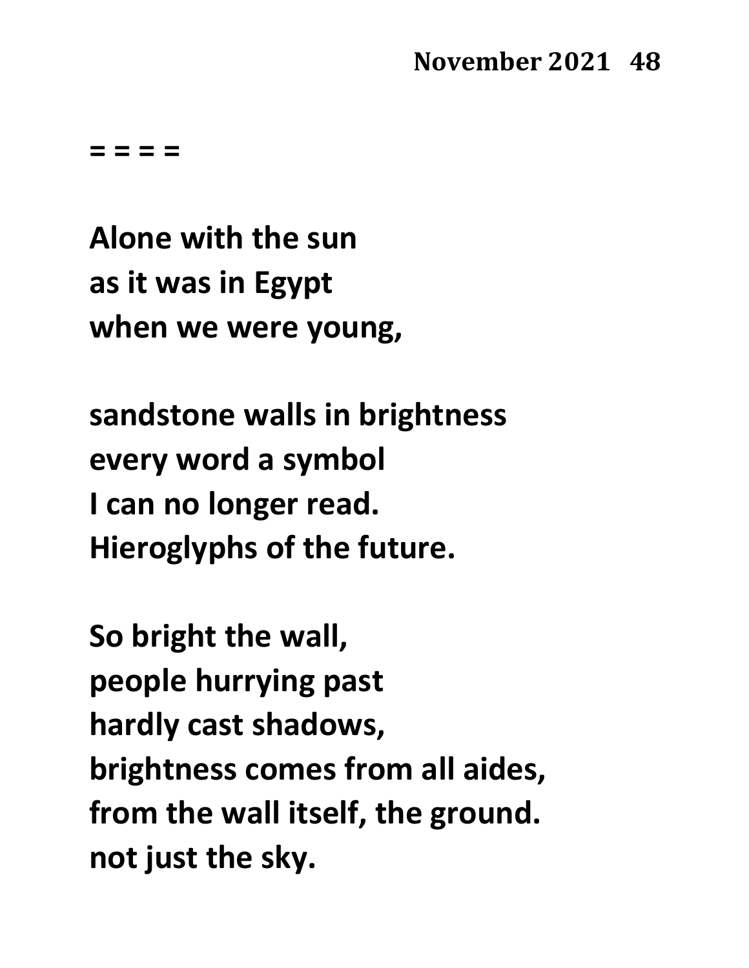**= = = =**

**Alone with the sun as it was in Egypt when we were young,**

**sandstone walls in brightness every word a symbol I can no longer read. Hieroglyphs of the future.**

**So bright the wall, people hurrying past hardly cast shadows, brightness comes from all aides, from the wall itself, the ground. not just the sky.**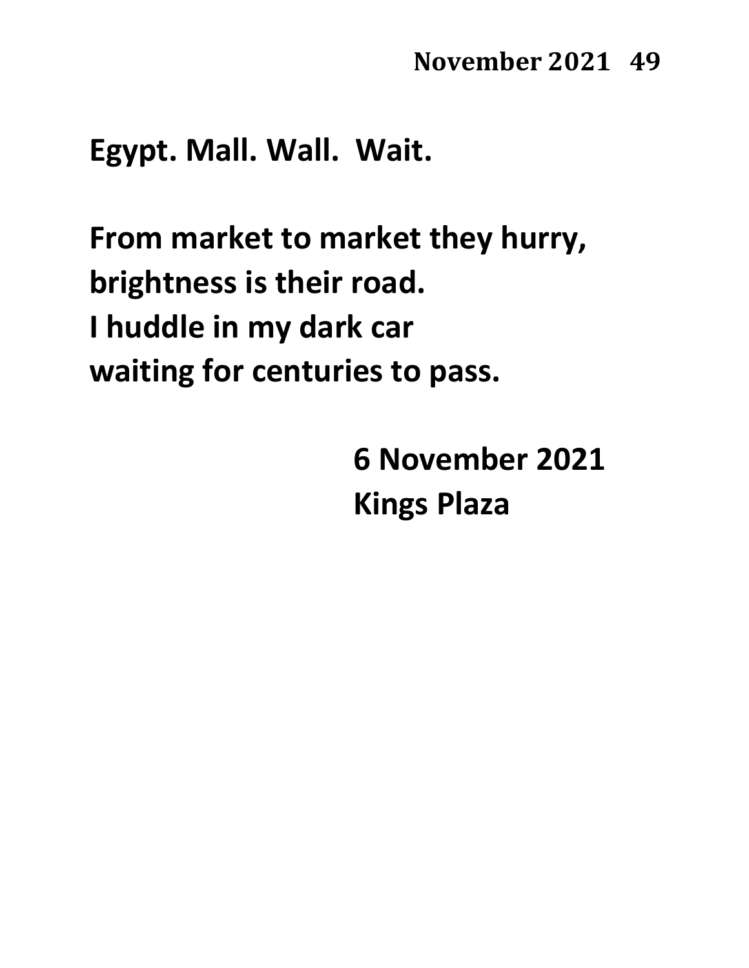**Egypt. Mall. Wall. Wait.**

**From market to market they hurry, brightness is their road. I huddle in my dark car waiting for centuries to pass.**

> **6 November 2021 Kings Plaza**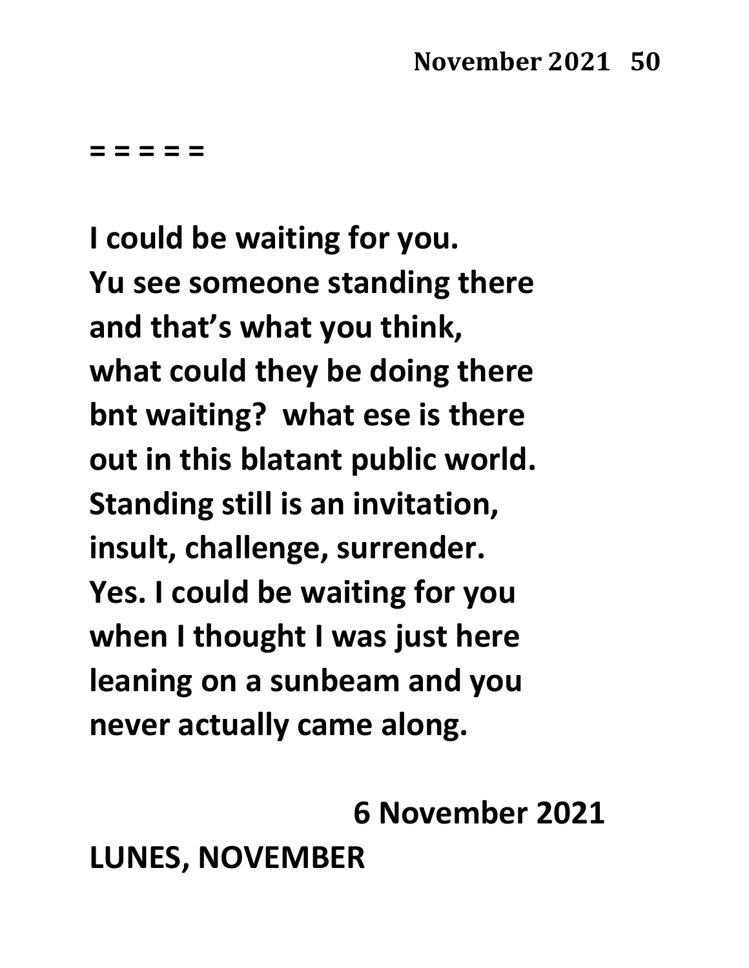**= = = = =**

**I could be waiting for you. Yu see someone standing there and that's what you think, what could they be doing there bnt waiting? what ese is there out in this blatant public world. Standing still is an invitation, insult, challenge, surrender. Yes. I could be waiting for you when I thought I was just here leaning on a sunbeam and you never actually came along.**

**6 November 2021**

**LUNES, NOVEMBER**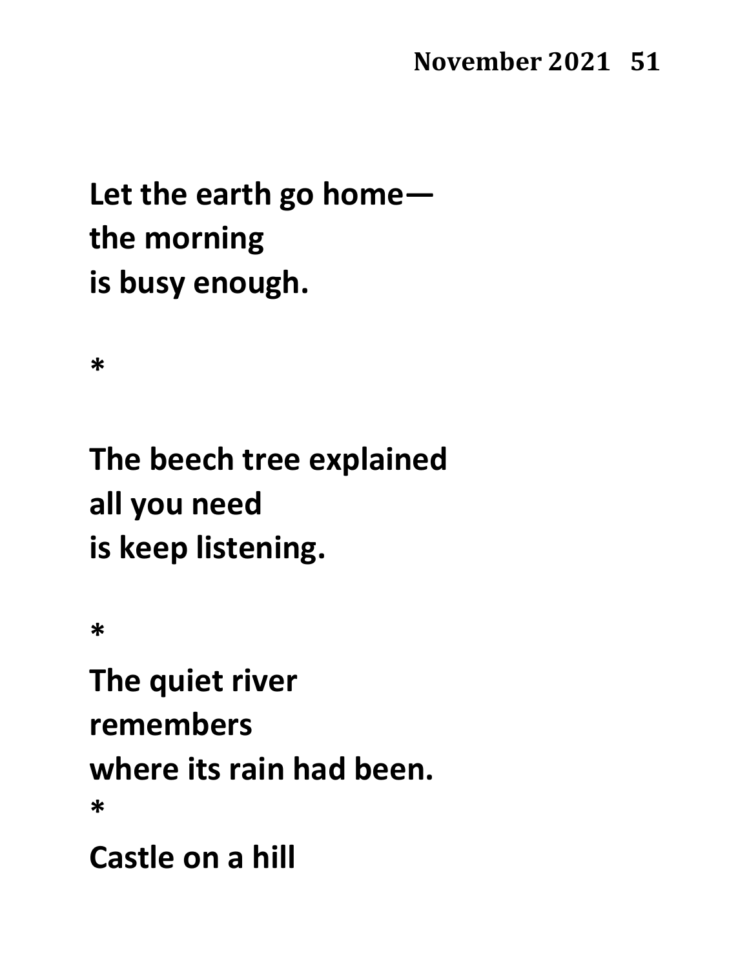# **Let the earth go home the morning is busy enough.**

**\***

# **The beech tree explained all you need is keep listening.**

**\***

**The quiet river remembers where its rain had been. \***

**Castle on a hill**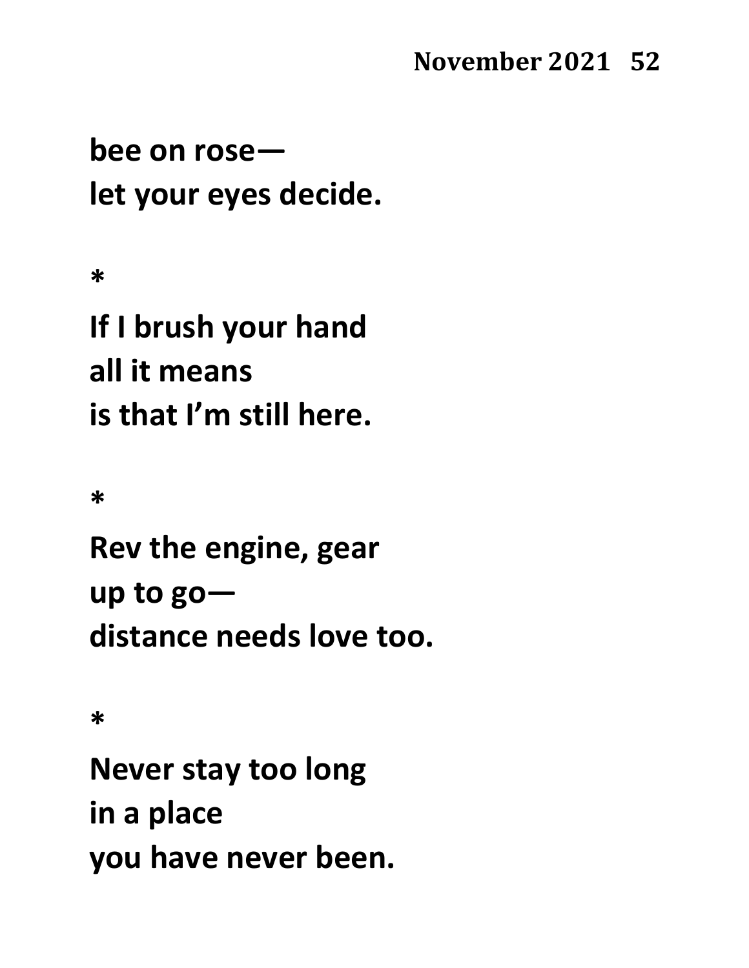# **bee on rose let your eyes decide.**

**\***

**If I brush your hand all it means is that I'm still here.**

**\***

**Rev the engine, gear up to go distance needs love too.**

**\***

**Never stay too long in a place you have never been.**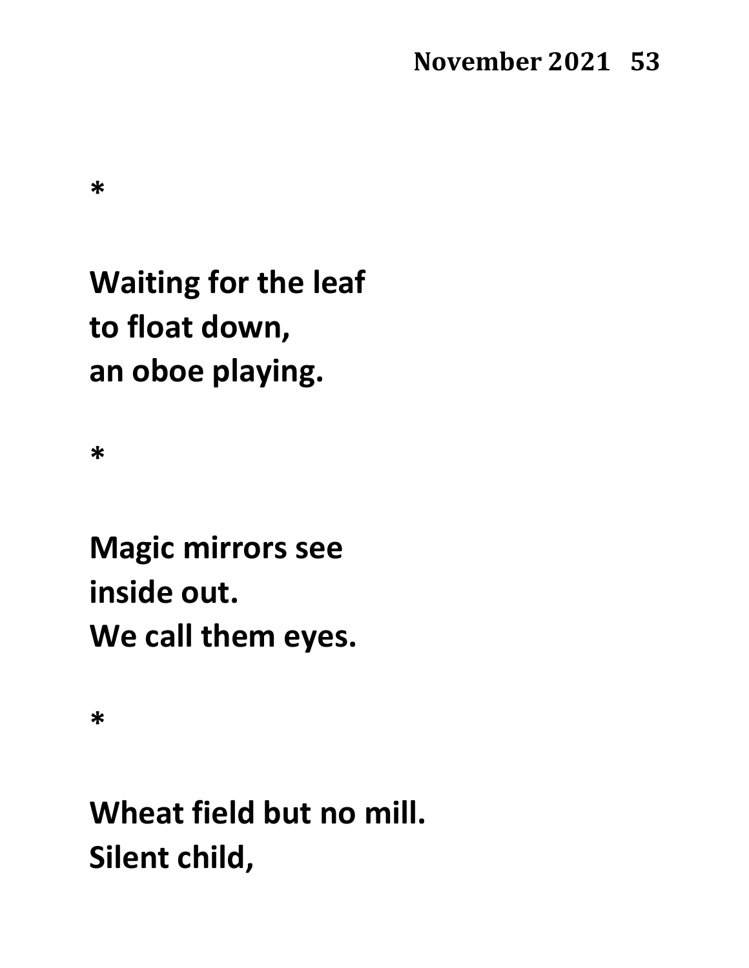**\***

# **Waiting for the leaf to float down, an oboe playing.**

**\***

# **Magic mirrors see inside out. We call them eyes.**

**\***

# **Wheat field but no mill. Silent child,**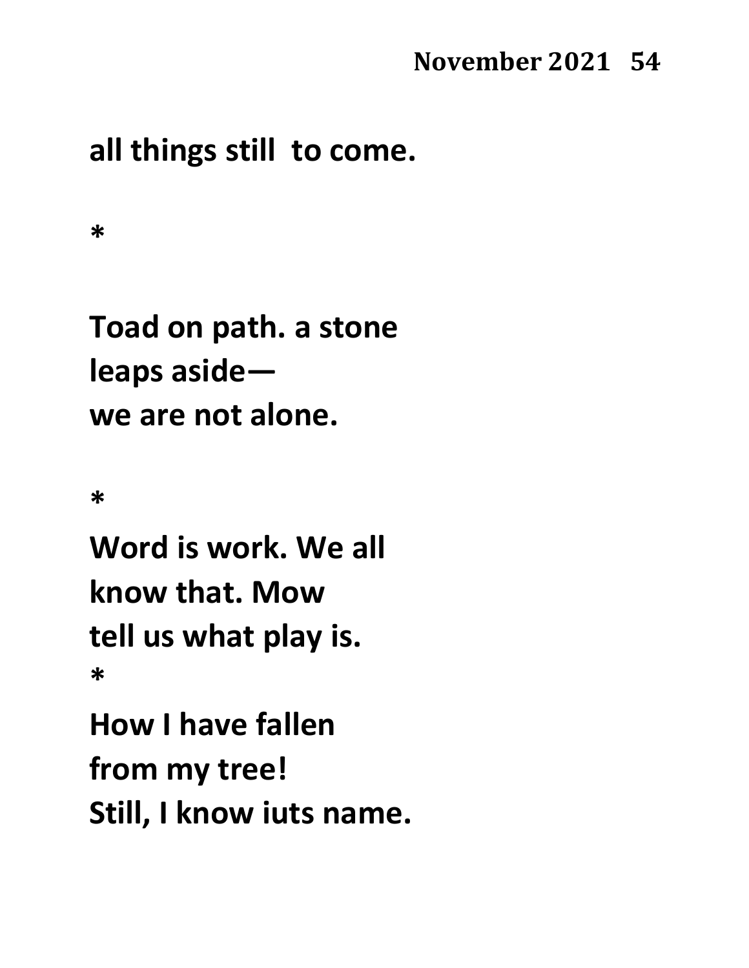### **all things still to come.**

**\***

**Toad on path. a stone leaps aside we are not alone.**

**\***

**Word is work. We all know that. Mow tell us what play is. \***

**How I have fallen from my tree! Still, I know iuts name.**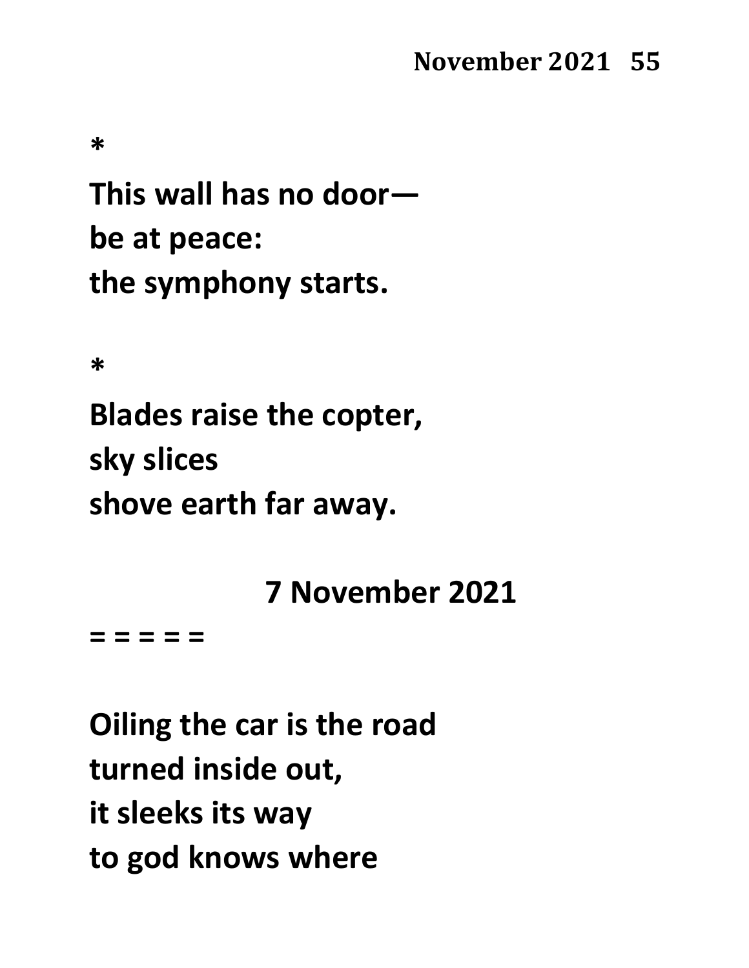**\***

# **This wall has no door be at peace: the symphony starts.**

**\***

**Blades raise the copter, sky slices shove earth far away.**

**7 November 2021**

**= = = = =**

**Oiling the car is the road turned inside out, it sleeks its way to god knows where**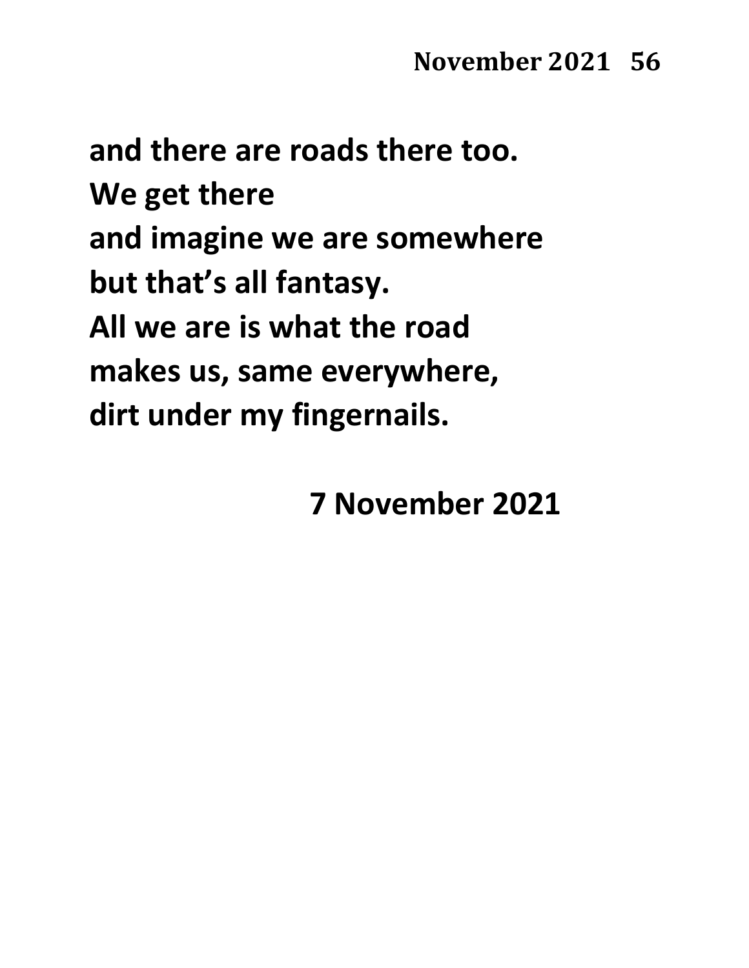**and there are roads there too. We get there and imagine we are somewhere but that's all fantasy. All we are is what the road makes us, same everywhere, dirt under my fingernails.**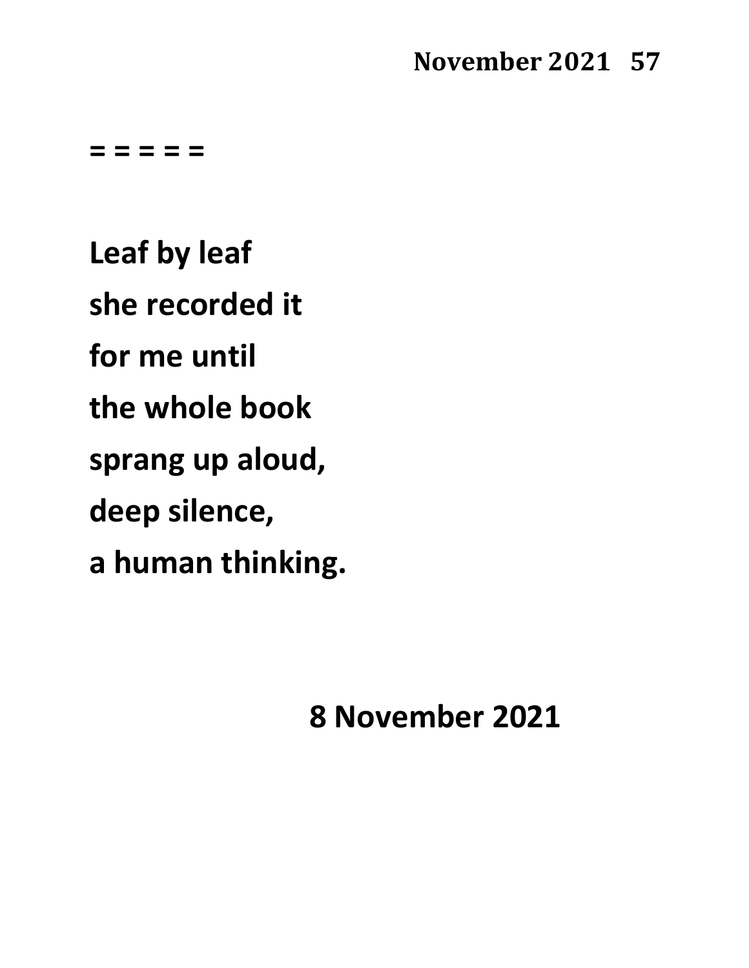**= = = = =**

**Leaf by leaf she recorded it for me until the whole book sprang up aloud, deep silence, a human thinking.**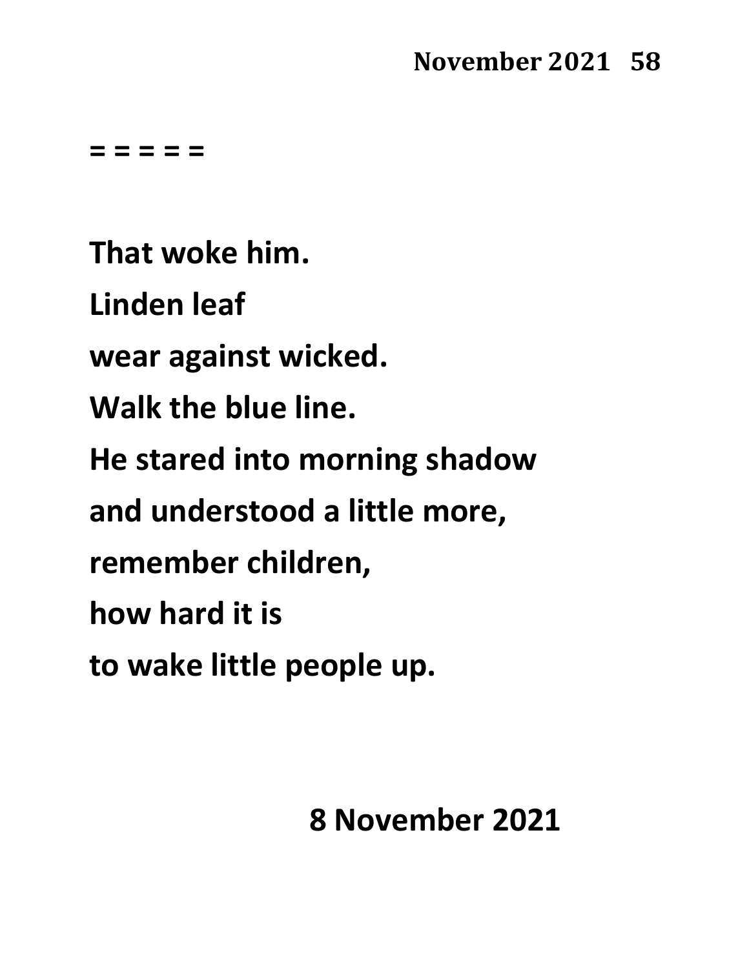**= = = = =**

**That woke him. Linden leaf wear against wicked. Walk the blue line. He stared into morning shadow and understood a little more, remember children, how hard it is to wake little people up.**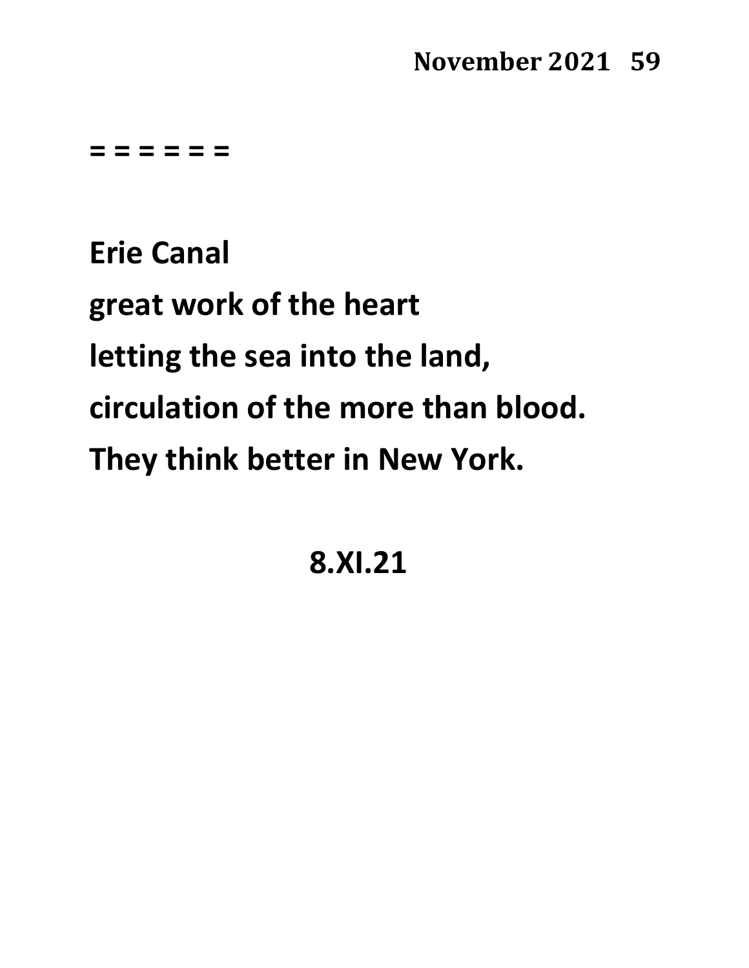**= = = = = =**

**Erie Canal great work of the heart letting the sea into the land, circulation of the more than blood. They think better in New York.**

**8.XI.21**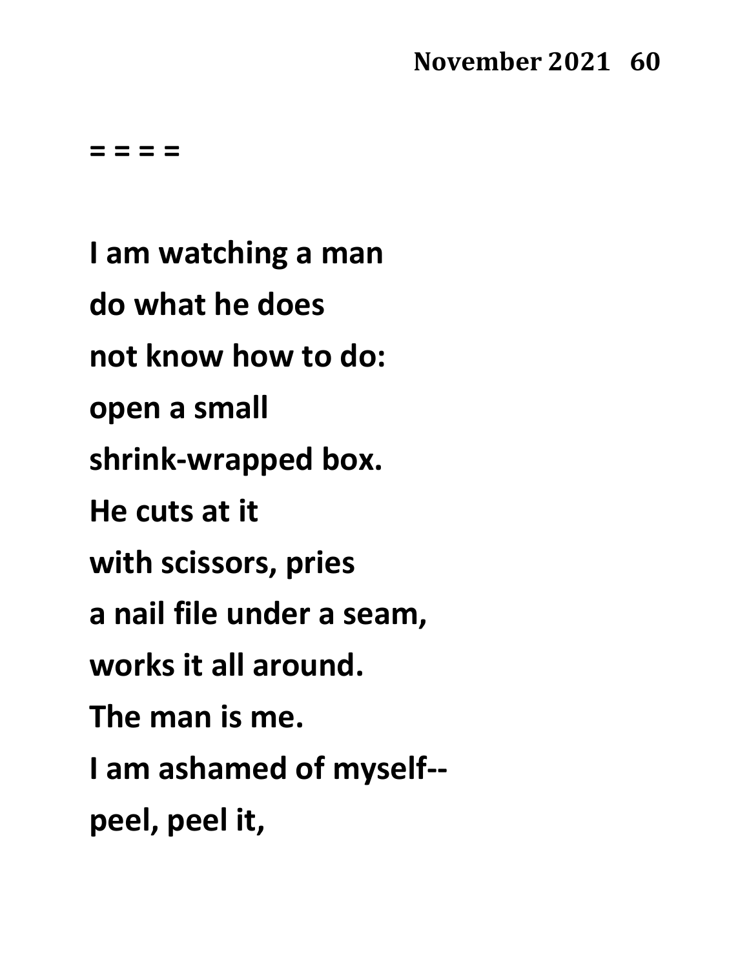**= = = =**

**I am watching a man do what he does not know how to do: open a small shrink-wrapped box. He cuts at it with scissors, pries a nail file under a seam, works it all around. The man is me. I am ashamed of myself- peel, peel it,**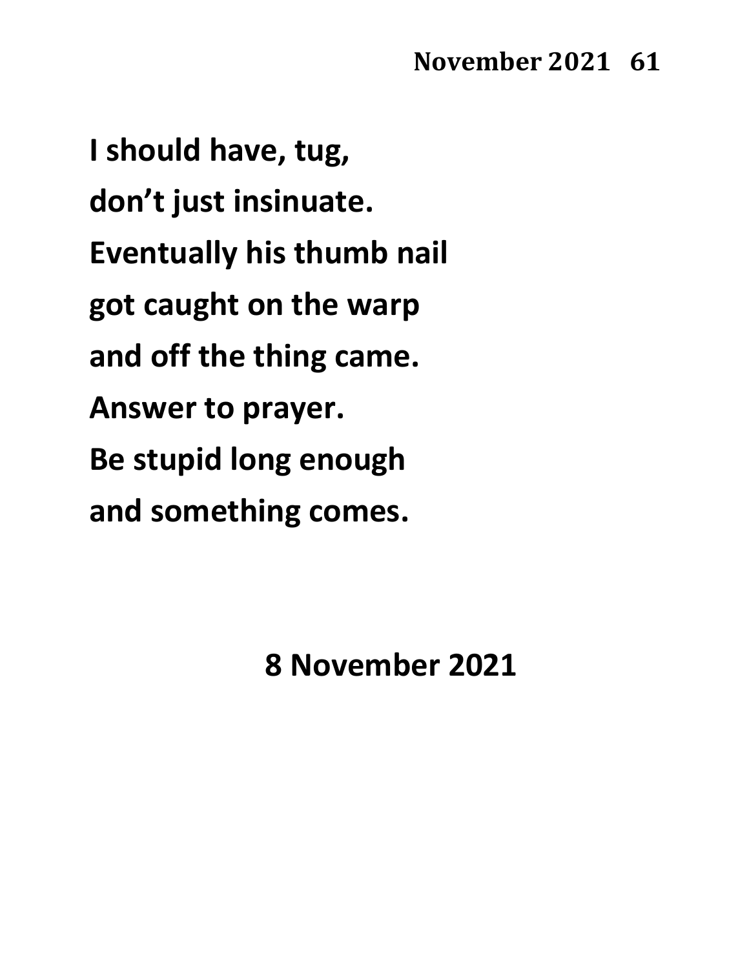**I should have, tug, don't just insinuate. Eventually his thumb nail got caught on the warp and off the thing came. Answer to prayer. Be stupid long enough and something comes.**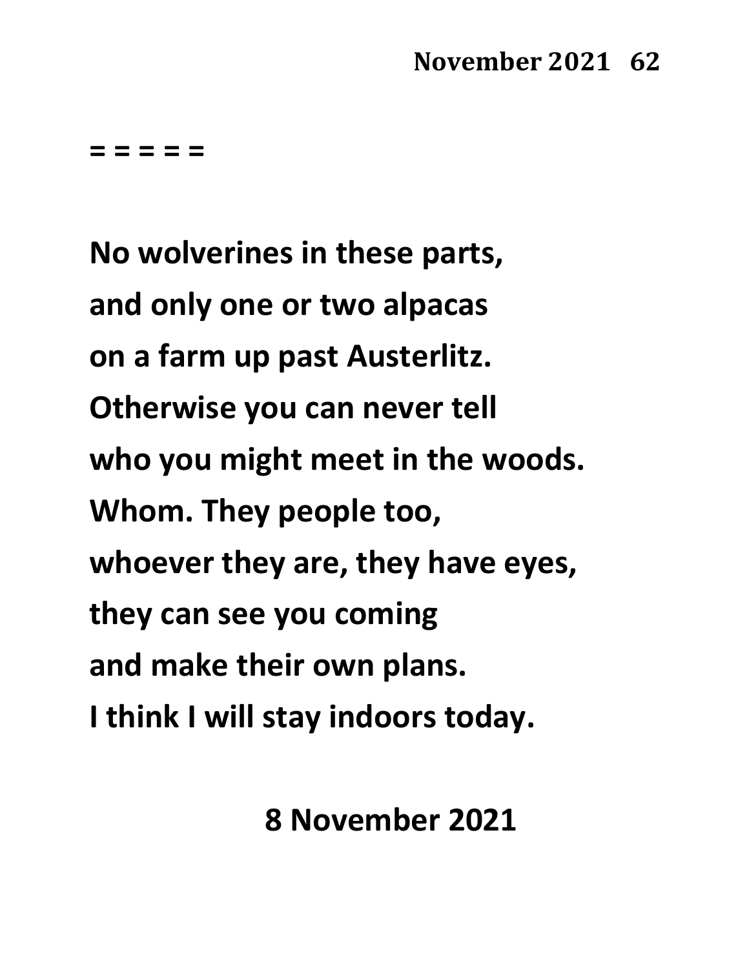**= = = = =**

**No wolverines in these parts, and only one or two alpacas on a farm up past Austerlitz. Otherwise you can never tell who you might meet in the woods. Whom. They people too, whoever they are, they have eyes, they can see you coming and make their own plans. I think I will stay indoors today.**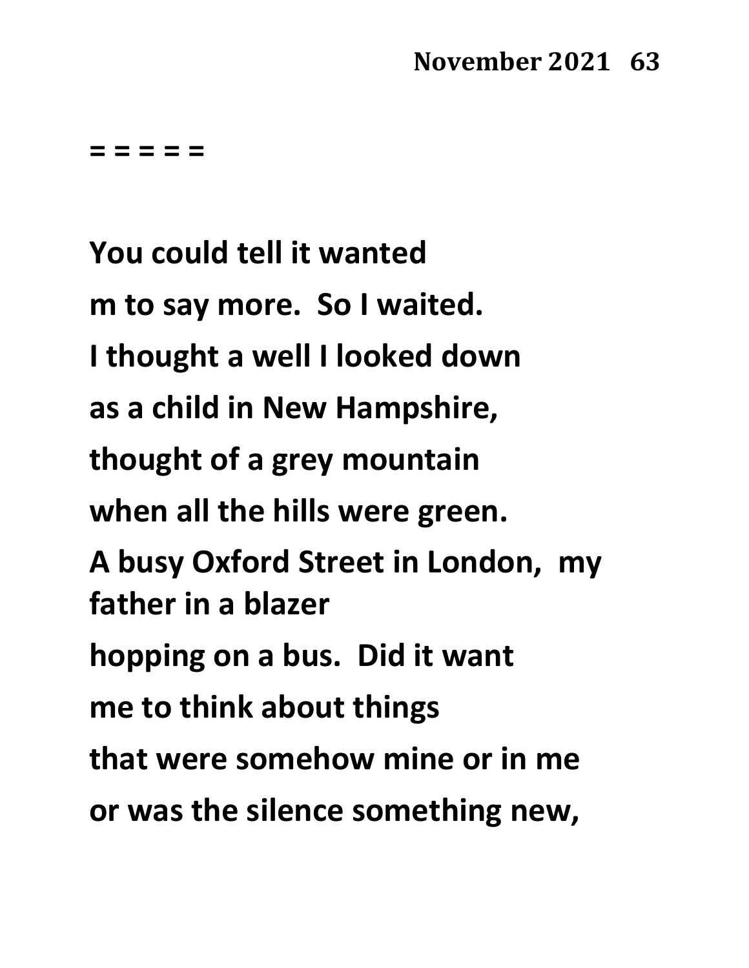**= = = = =**

**You could tell it wanted m to say more. So I waited. I thought a well I looked down as a child in New Hampshire, thought of a grey mountain when all the hills were green. A busy Oxford Street in London, my father in a blazer hopping on a bus. Did it want me to think about things that were somehow mine or in me or was the silence something new,**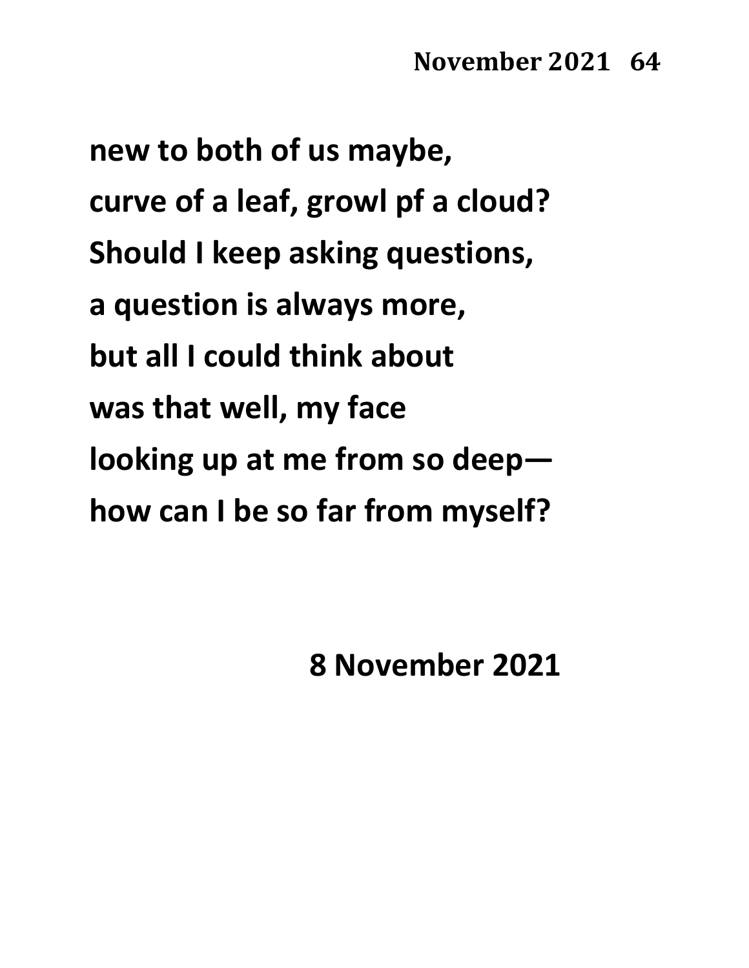**new to both of us maybe, curve of a leaf, growl pf a cloud? Should I keep asking questions, a question is always more, but all I could think about was that well, my face looking up at me from so deep how can I be so far from myself?**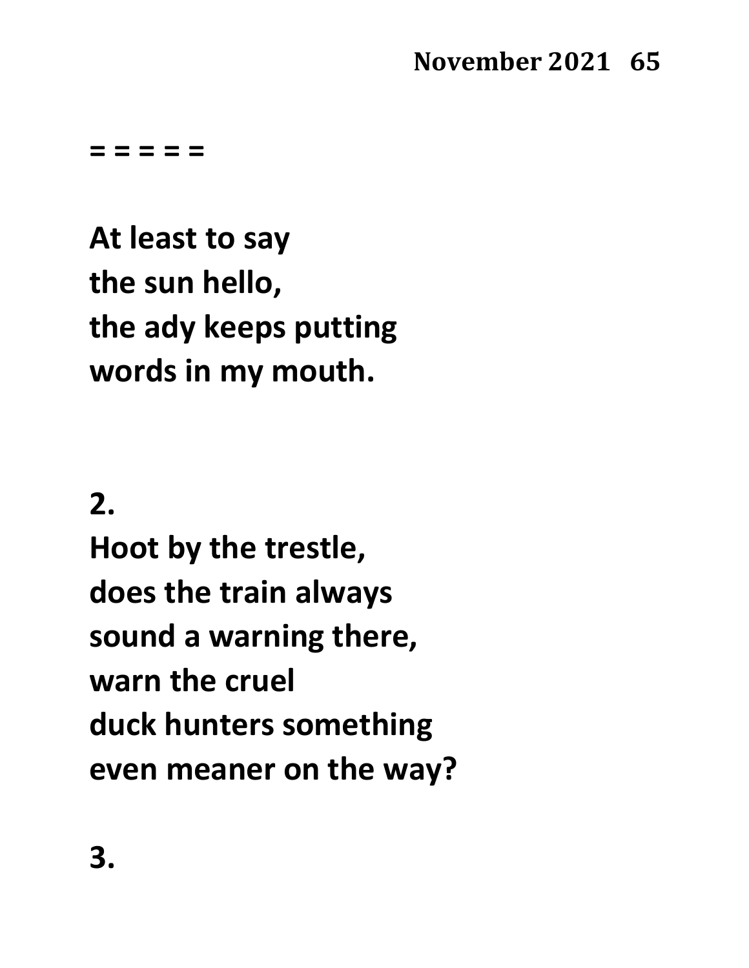**= = = = =**

**At least to say the sun hello, the ady keeps putting words in my mouth.**

### **2.**

**Hoot by the trestle, does the train always sound a warning there, warn the cruel duck hunters something even meaner on the way?**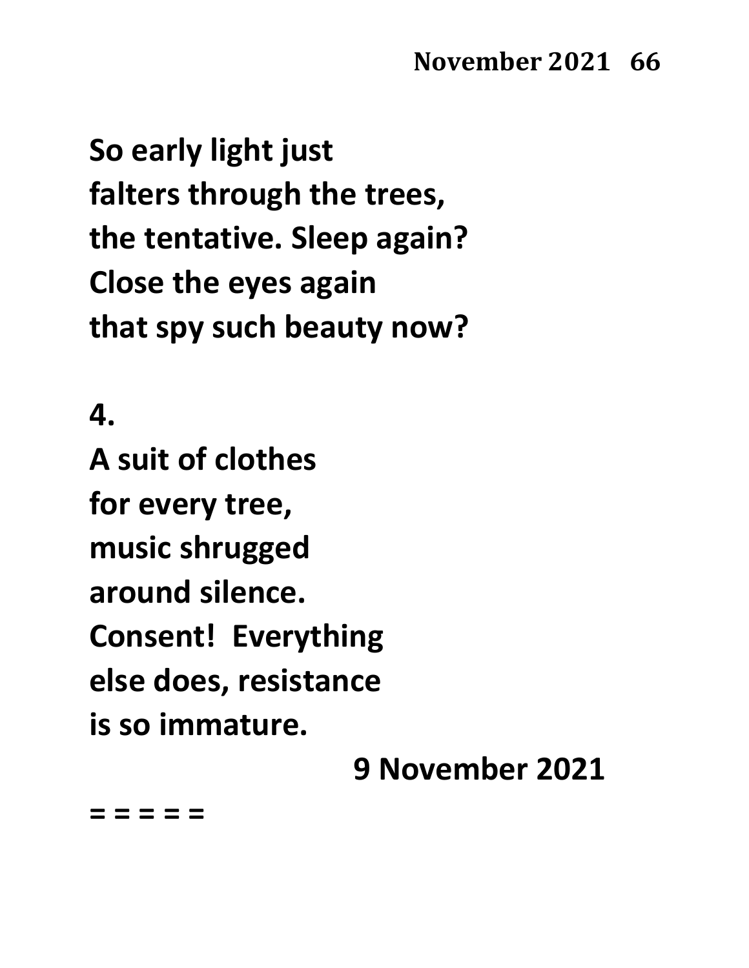**So early light just falters through the trees, the tentative. Sleep again? Close the eyes again that spy such beauty now?**

**4.**

**A suit of clothes for every tree, music shrugged around silence. Consent! Everything else does, resistance is so immature.**

**9 November 2021**

**= = = = =**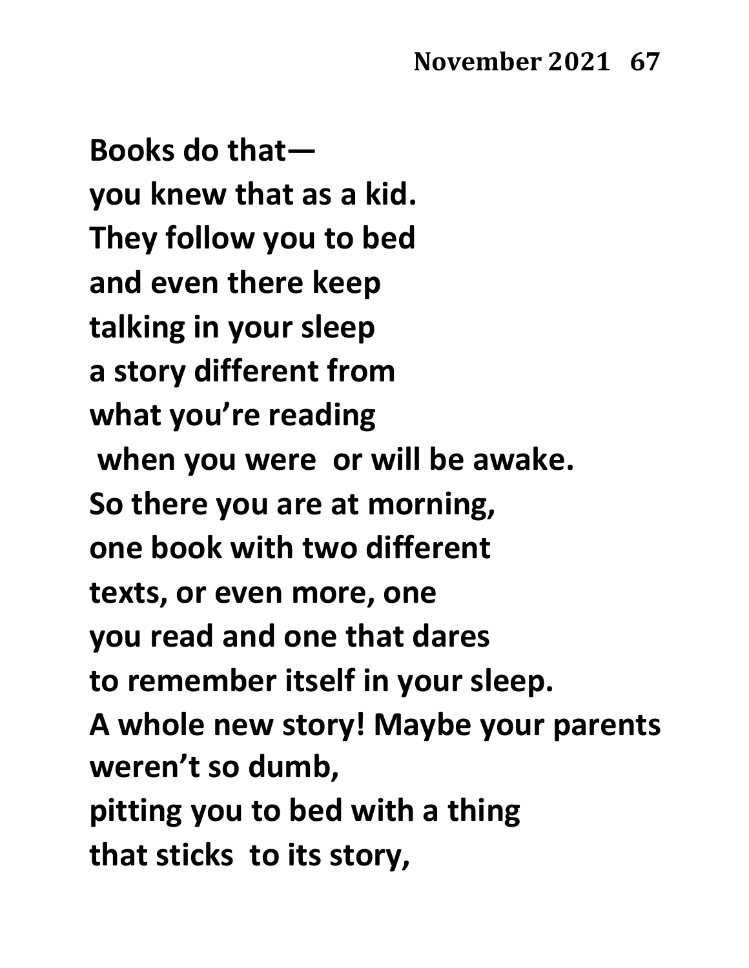**Books do that you knew that as a kid. They follow you to bed and even there keep talking in your sleep a story different from what you're reading when you were or will be awake. So there you are at morning, one book with two different texts, or even more, one you read and one that dares to remember itself in your sleep. A whole new story! Maybe your parents weren't so dumb, pitting you to bed with a thing that sticks to its story,**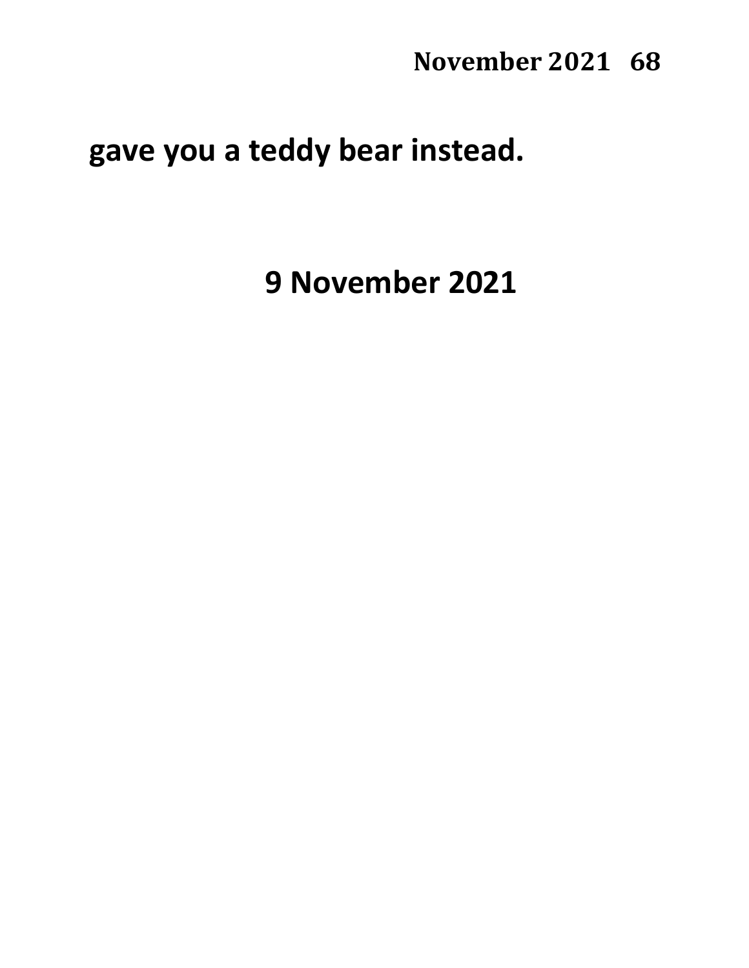### **gave you a teddy bear instead.**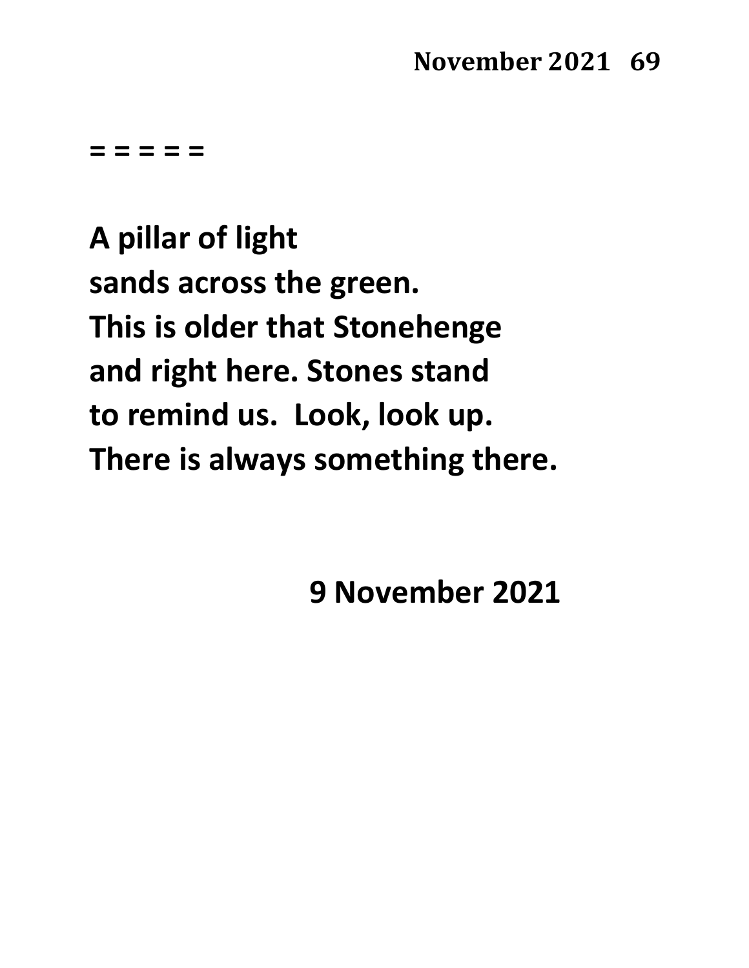**= = = = =**

**A pillar of light sands across the green. This is older that Stonehenge and right here. Stones stand to remind us. Look, look up. There is always something there.**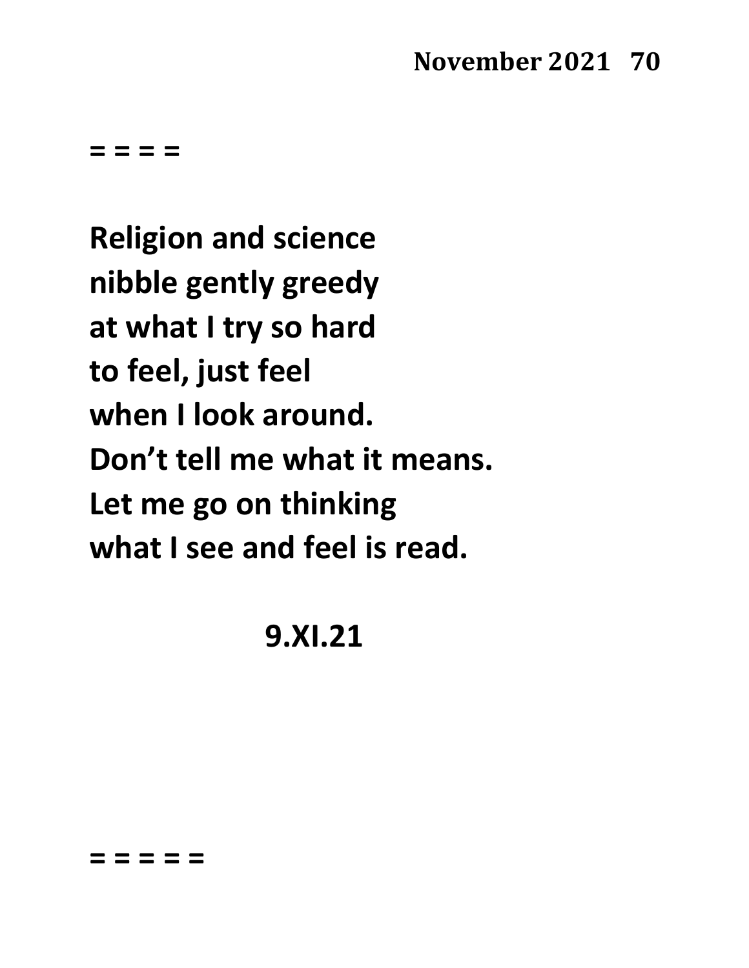**= = = =**

**Religion and science nibble gently greedy at what I try so hard to feel, just feel when I look around. Don't tell me what it means. Let me go on thinking what I see and feel is read.**

**9.XI.21**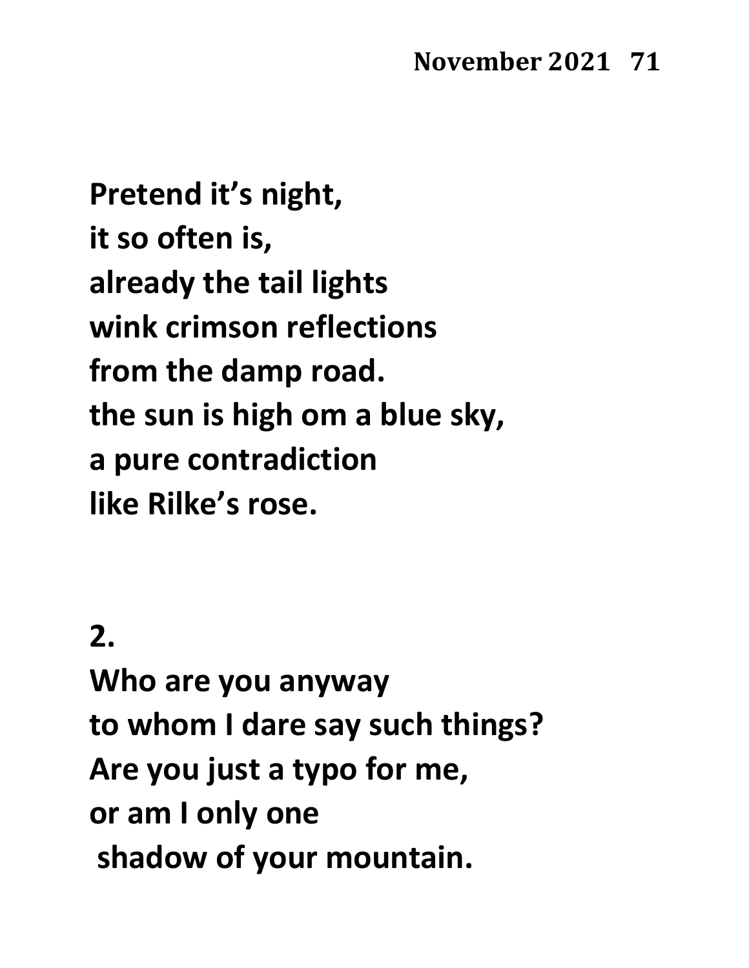**Pretend it's night, it so often is, already the tail lights wink crimson reflections from the damp road. the sun is high om a blue sky, a pure contradiction like Rilke's rose.**

### **2.**

**Who are you anyway to whom I dare say such things? Are you just a typo for me, or am I only one shadow of your mountain.**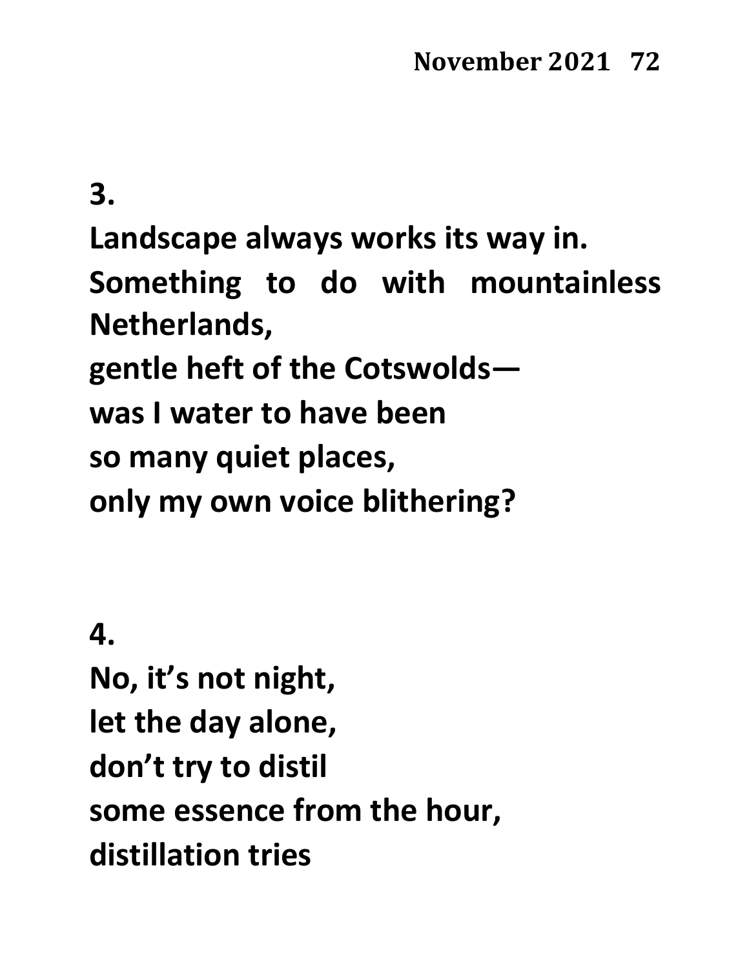#### **3.**

**Landscape always works its way in. Something to do with mountainless Netherlands, gentle heft of the Cotswolds was I water to have been so many quiet places, only my own voice blithering?**

#### **4.**

**No, it's not night, let the day alone, don't try to distil some essence from the hour, distillation tries**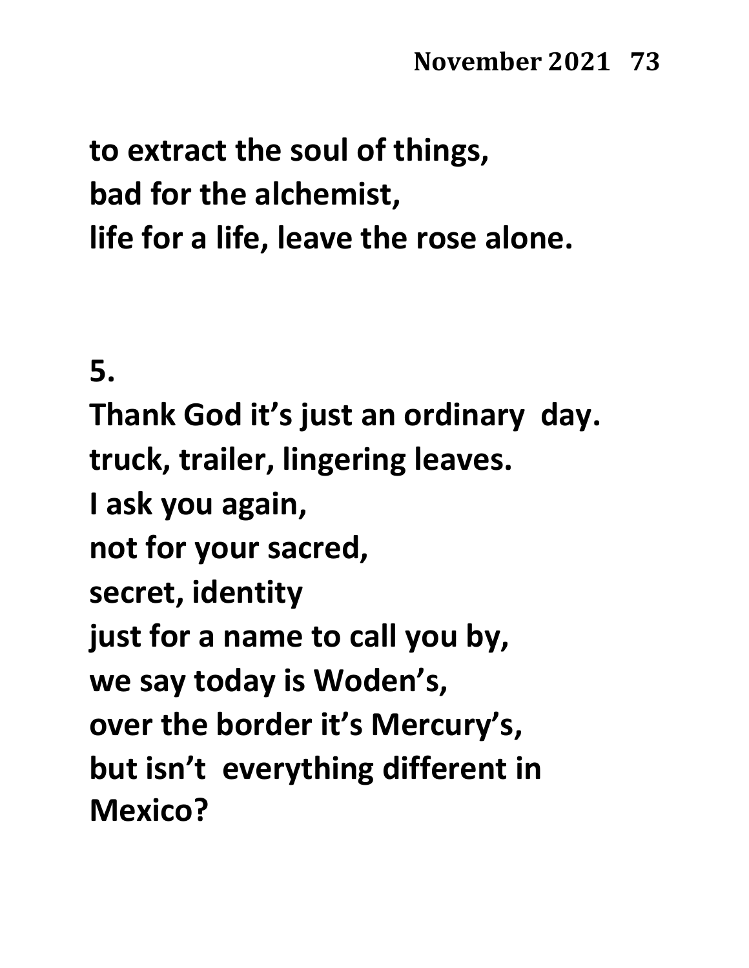**to extract the soul of things, bad for the alchemist, life for a life, leave the rose alone.**

**5.**

**Thank God it's just an ordinary day. truck, trailer, lingering leaves. I ask you again, not for your sacred, secret, identity just for a name to call you by, we say today is Woden's, over the border it's Mercury's, but isn't everything different in Mexico?**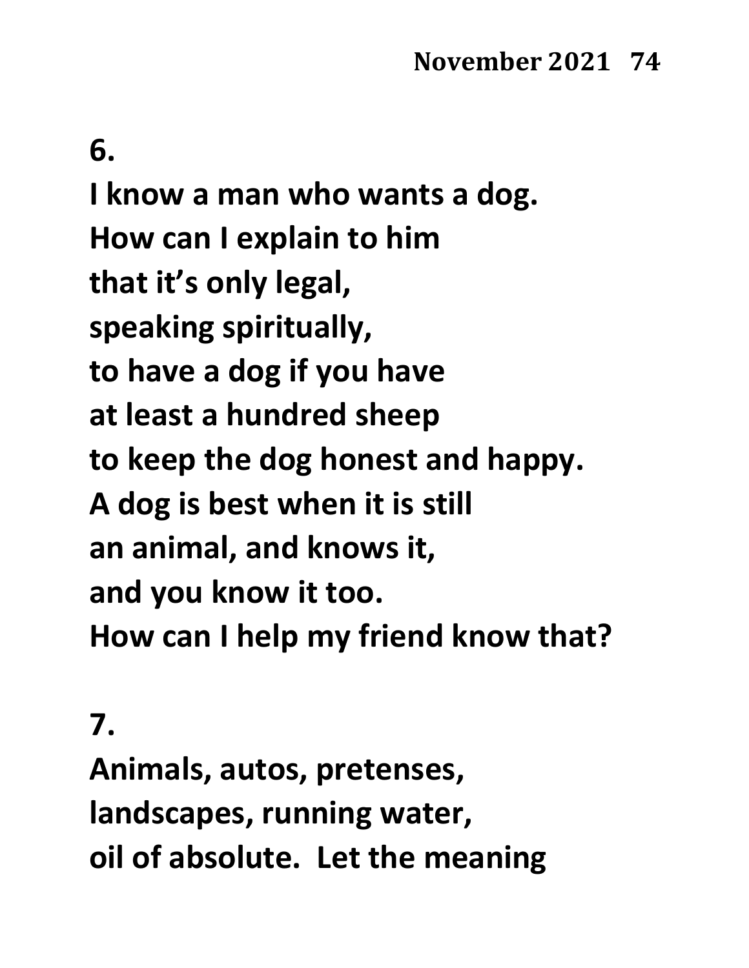#### **6.**

**I know a man who wants a dog. How can I explain to him that it's only legal, speaking spiritually, to have a dog if you have at least a hundred sheep to keep the dog honest and happy. A dog is best when it is still an animal, and knows it, and you know it too. How can I help my friend know that?**

#### **7.**

**Animals, autos, pretenses, landscapes, running water, oil of absolute. Let the meaning**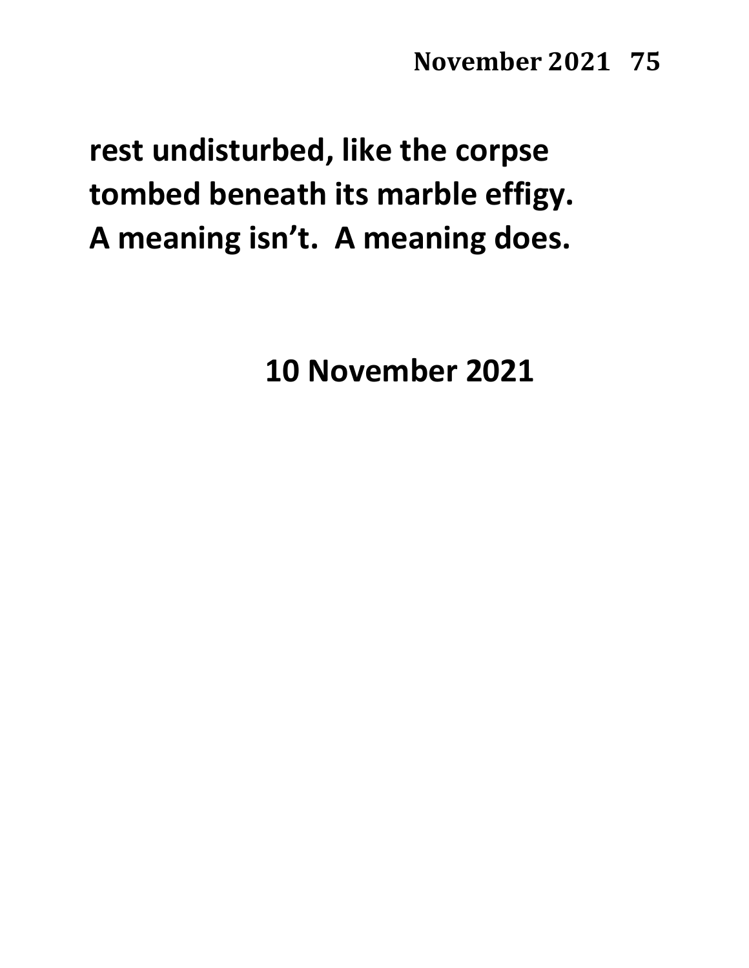## **rest undisturbed, like the corpse tombed beneath its marble effigy. A meaning isn't. A meaning does.**

**10 November 2021**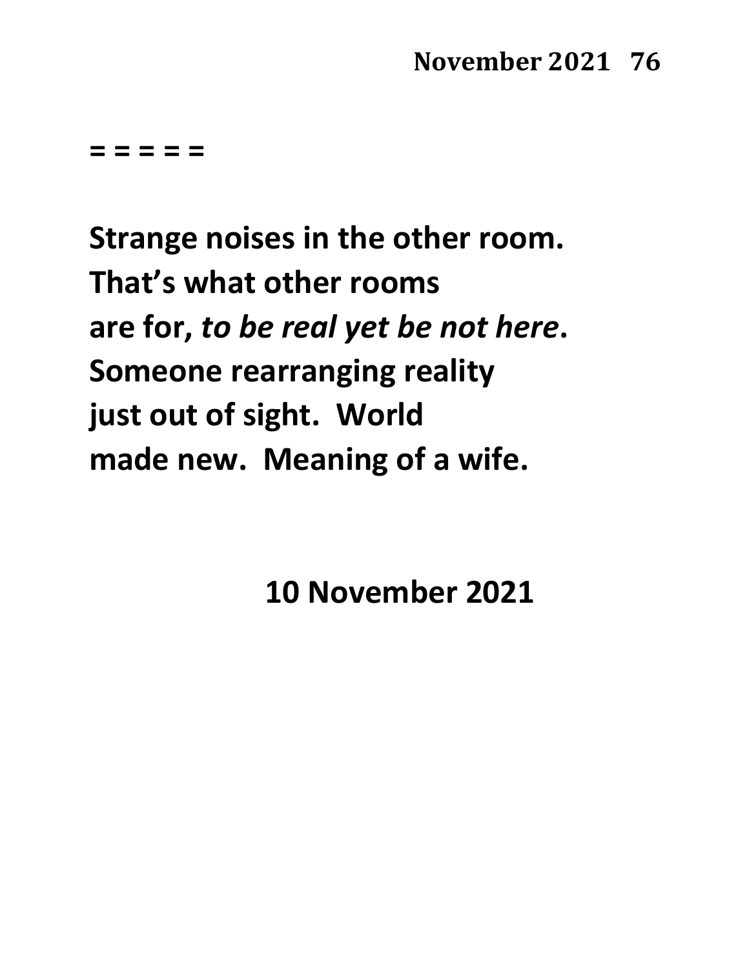#### **November 2021 76**

**= = = = =**

**Strange noises in the other room. That's what other rooms are for,** *to be real yet be not here***. Someone rearranging reality just out of sight. World made new. Meaning of a wife.**

**10 November 2021**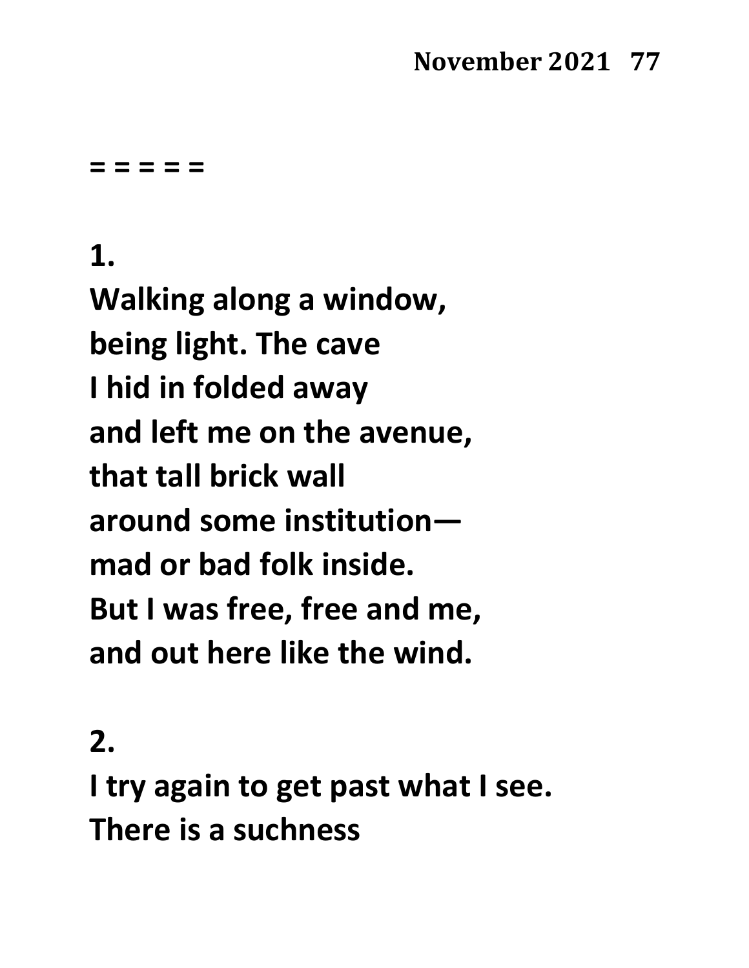#### **November 2021 77**

**= = = = =**

## **1.**

**Walking along a window, being light. The cave I hid in folded away and left me on the avenue, that tall brick wall around some institution mad or bad folk inside. But I was free, free and me, and out here like the wind.**

## **2.**

**I try again to get past what I see. There is a suchness**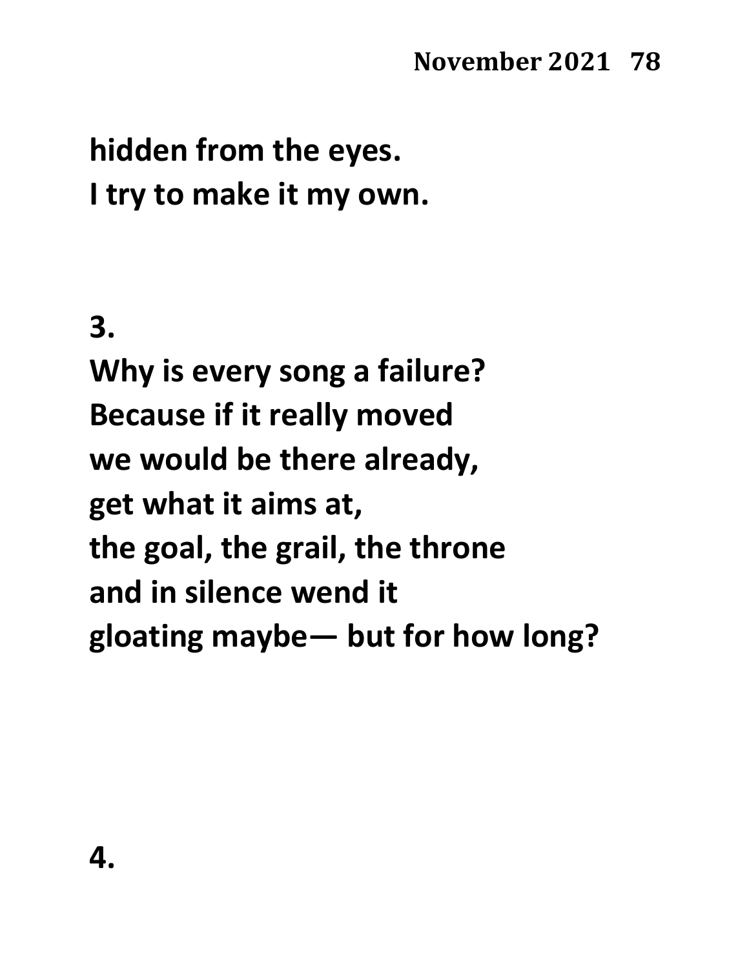## **hidden from the eyes. I try to make it my own.**

**3.**

**Why is every song a failure? Because if it really moved we would be there already, get what it aims at, the goal, the grail, the throne and in silence wend it gloating maybe— but for how long?**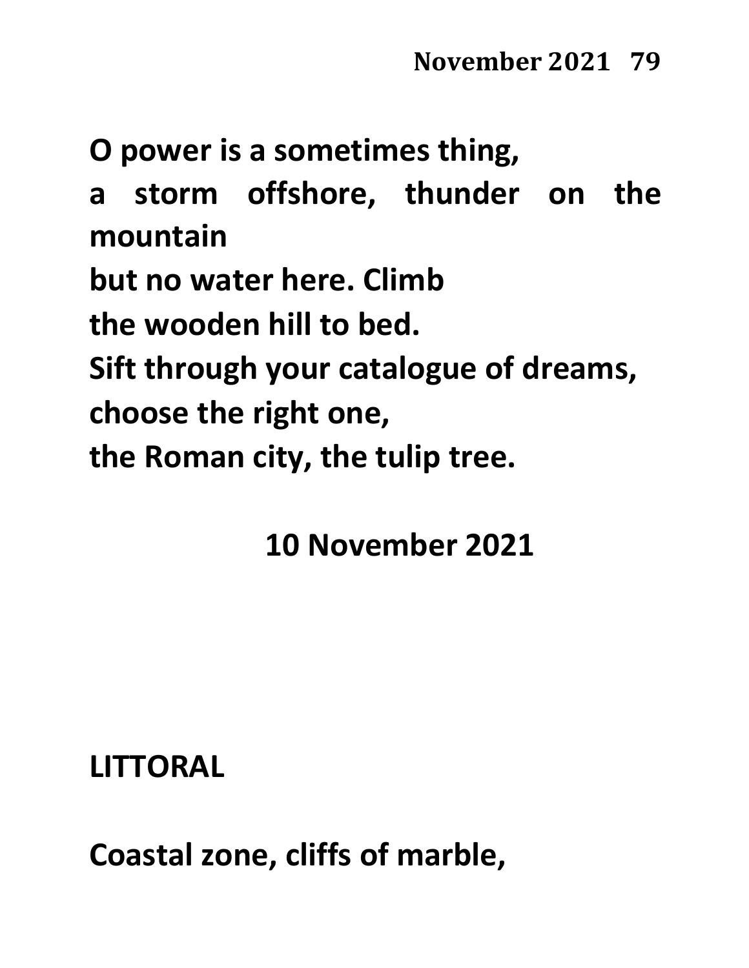**O power is a sometimes thing, a storm offshore, thunder on the mountain but no water here. Climb the wooden hill to bed. Sift through your catalogue of dreams, choose the right one, the Roman city, the tulip tree.**

## **10 November 2021**

**LITTORAL**

**Coastal zone, cliffs of marble,**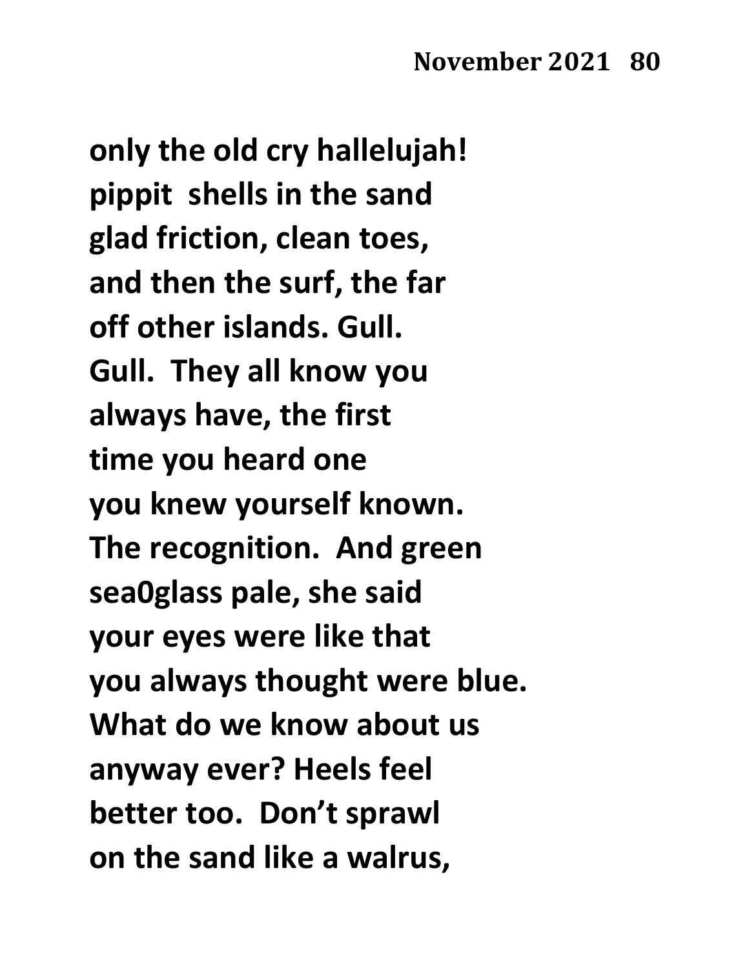**only the old cry hallelujah! pippit shells in the sand glad friction, clean toes, and then the surf, the far off other islands. Gull. Gull. They all know you always have, the first time you heard one you knew yourself known. The recognition. And green sea0glass pale, she said your eyes were like that you always thought were blue. What do we know about us anyway ever? Heels feel better too. Don't sprawl on the sand like a walrus,**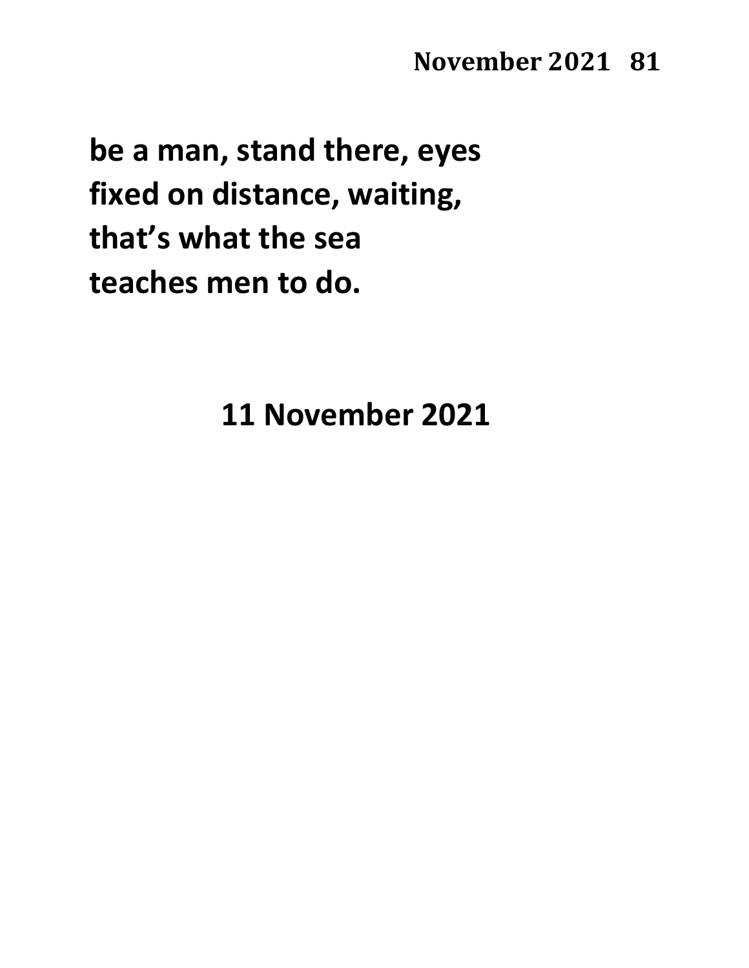**November 2021 81**

**be a man, stand there, eyes fixed on distance, waiting, that's what the sea teaches men to do.**

**11 November 2021**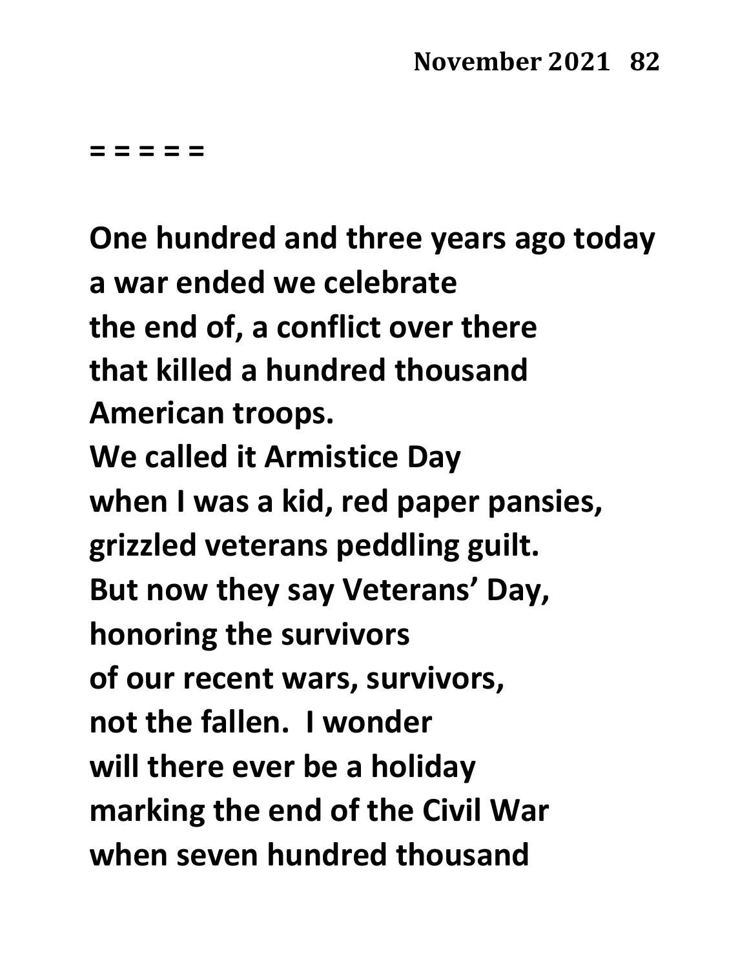**= = = = =**

**One hundred and three years ago today a war ended we celebrate the end of, a conflict over there that killed a hundred thousand American troops. We called it Armistice Day when I was a kid, red paper pansies, grizzled veterans peddling guilt. But now they say Veterans' Day, honoring the survivors of our recent wars, survivors, not the fallen. I wonder will there ever be a holiday marking the end of the Civil War when seven hundred thousand**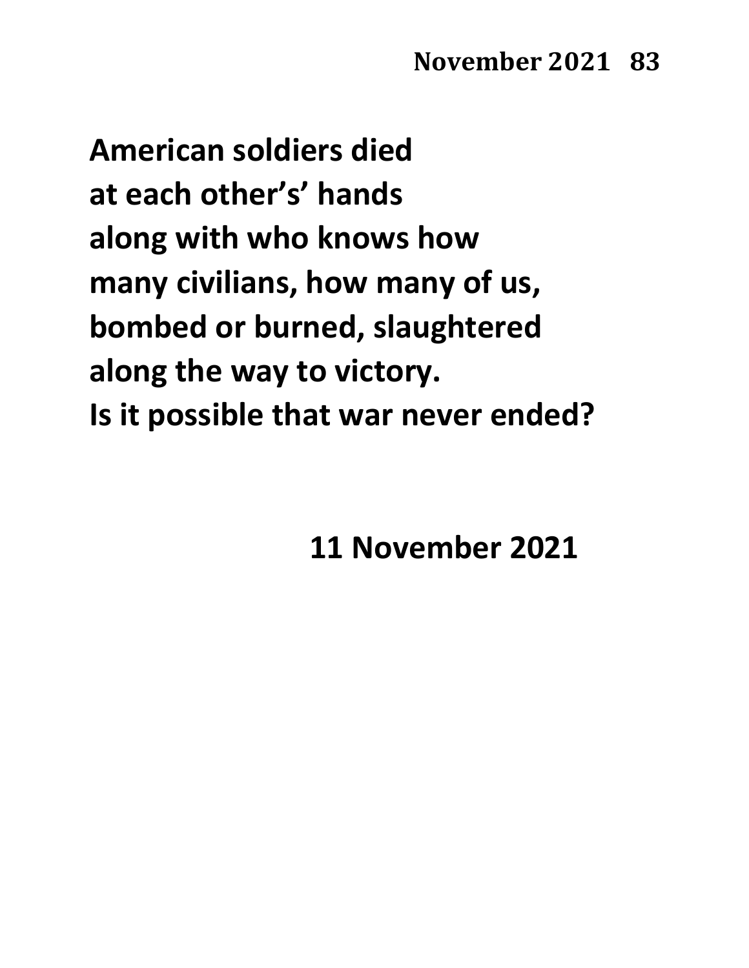**American soldiers died at each other's' hands along with who knows how many civilians, how many of us, bombed or burned, slaughtered along the way to victory. Is it possible that war never ended?**

**11 November 2021**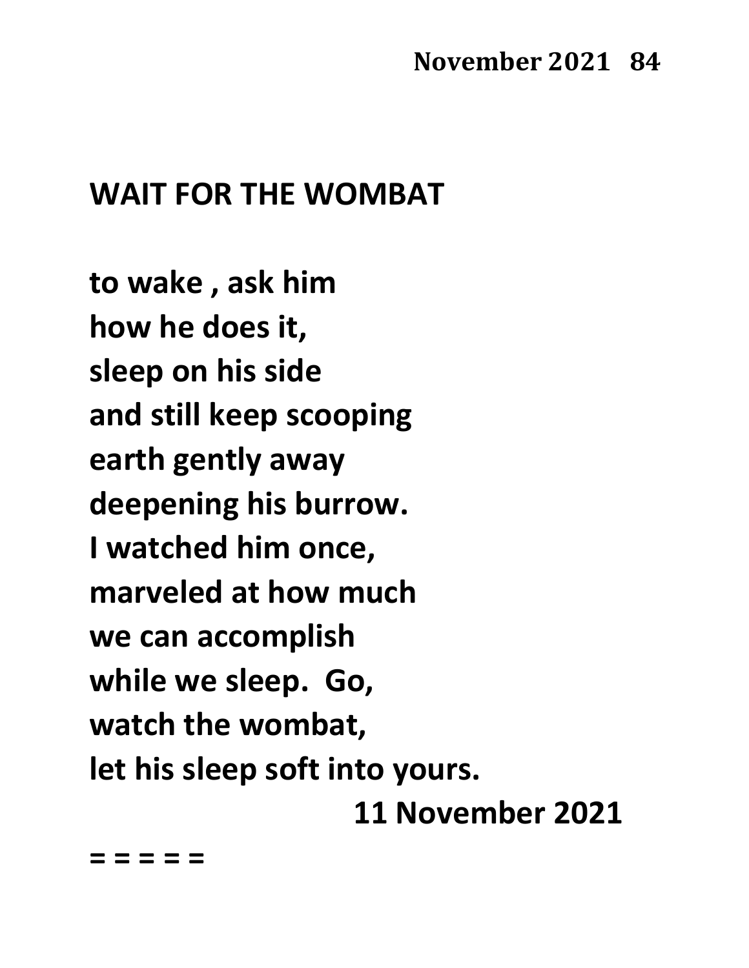## **WAIT FOR THE WOMBAT**

**to wake , ask him how he does it, sleep on his side and still keep scooping earth gently away deepening his burrow. I watched him once, marveled at how much we can accomplish while we sleep. Go, watch the wombat, let his sleep soft into yours.**

**11 November 2021**

**= = = = =**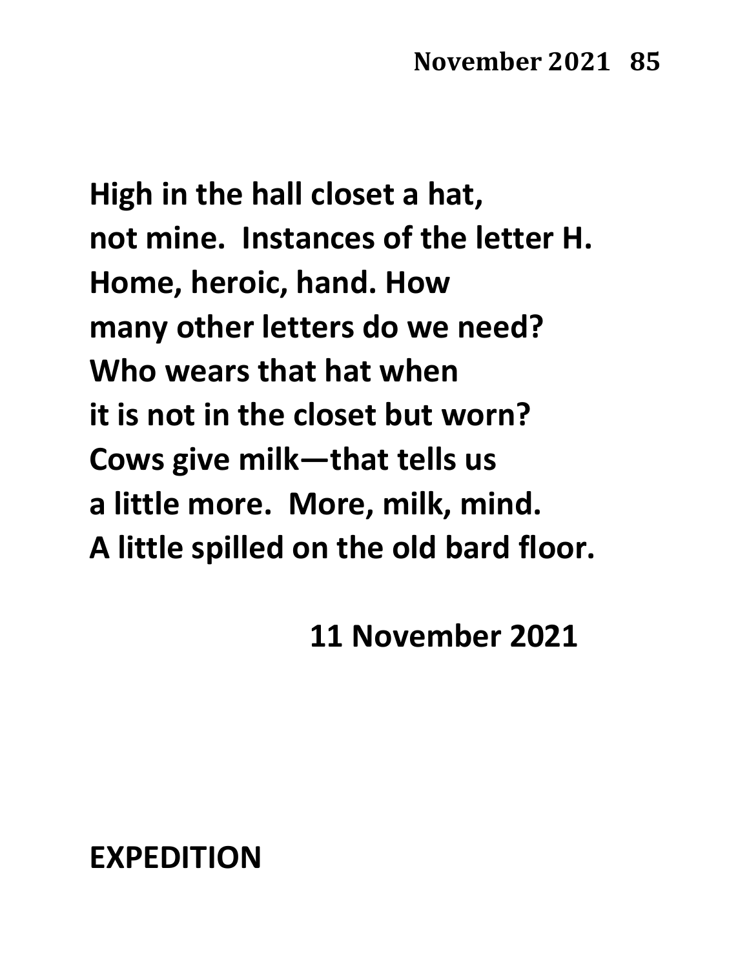**High in the hall closet a hat, not mine. Instances of the letter H. Home, heroic, hand. How many other letters do we need? Who wears that hat when it is not in the closet but worn? Cows give milk—that tells us a little more. More, milk, mind. A little spilled on the old bard floor.**

**11 November 2021**

## **EXPEDITION**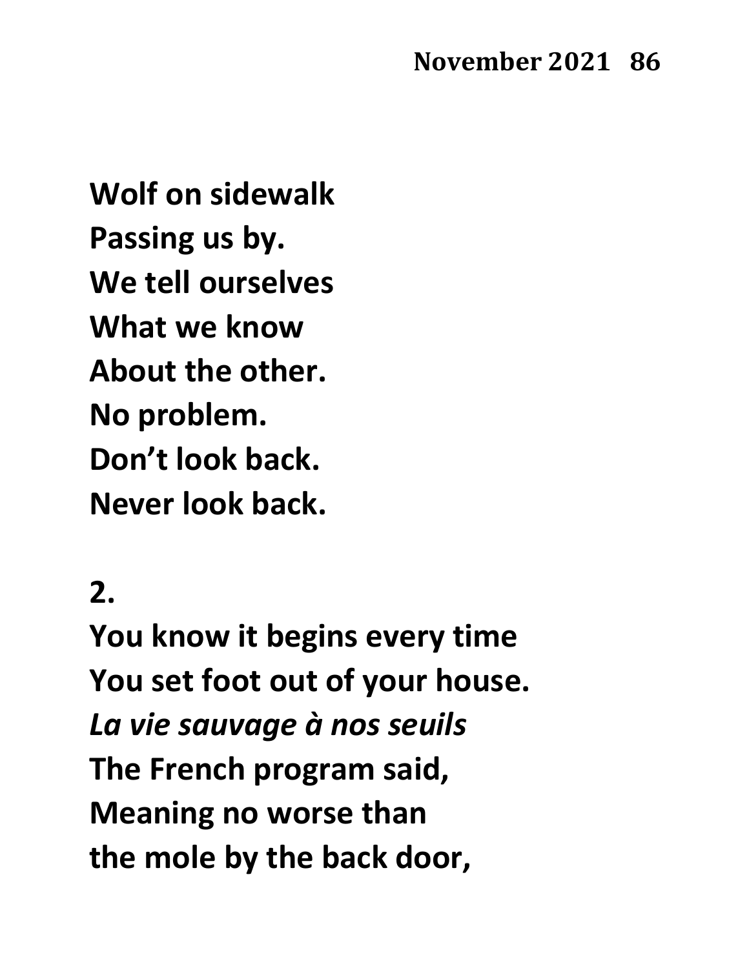**Wolf on sidewalk Passing us by. We tell ourselves What we know About the other. No problem. Don't look back. Never look back.**

#### **2.**

**You know it begins every time You set foot out of your house.** *La vie sauvage à nos seuils* **The French program said, Meaning no worse than the mole by the back door,**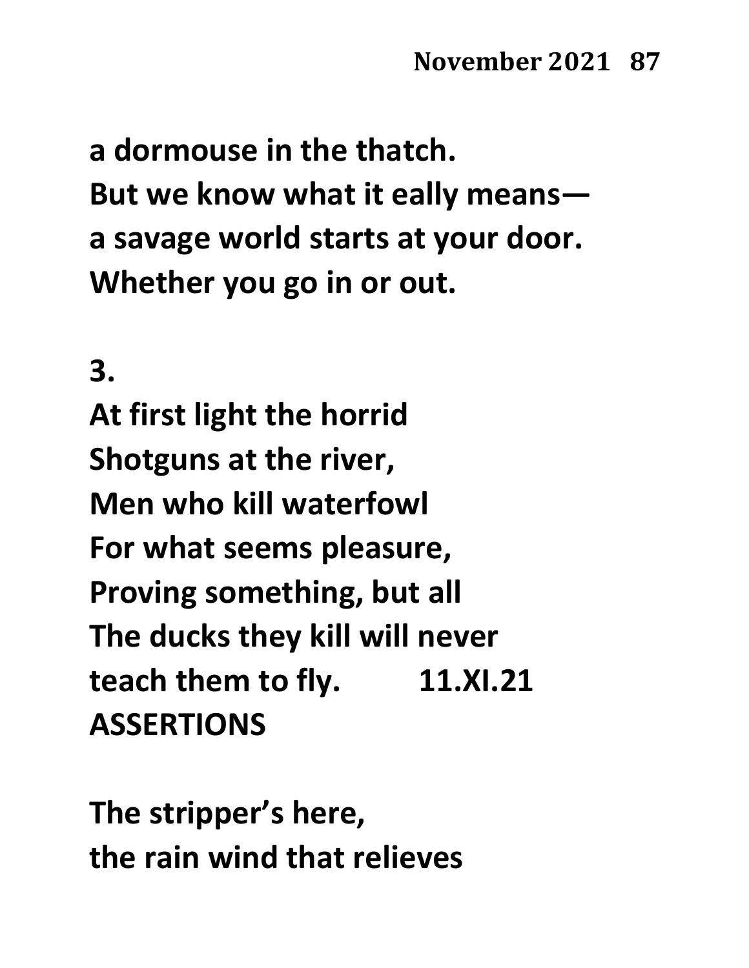**a dormouse in the thatch. But we know what it eally means a savage world starts at your door. Whether you go in or out.**

**3.**

**At first light the horrid Shotguns at the river, Men who kill waterfowl For what seems pleasure, Proving something, but all The ducks they kill will never teach them to fly. 11.XI.21 ASSERTIONS**

**The stripper's here, the rain wind that relieves**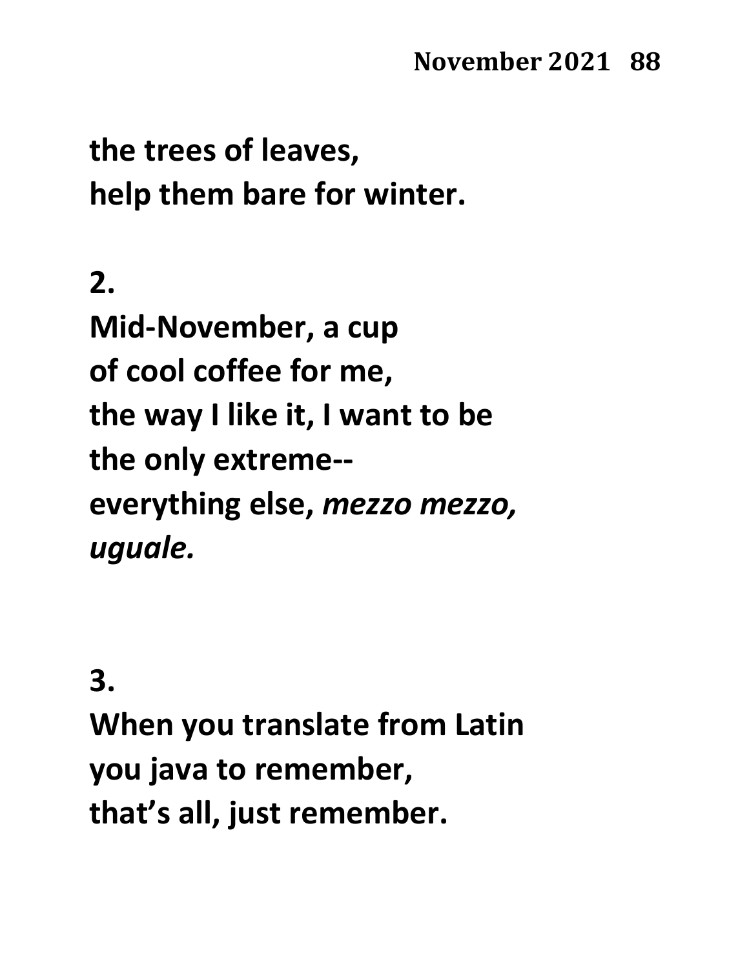**the trees of leaves, help them bare for winter.**

**2. Mid-November, a cup of cool coffee for me, the way I like it, I want to be the only extreme- everything else,** *mezzo mezzo, uguale.*

**3.**

**When you translate from Latin you java to remember, that's all, just remember.**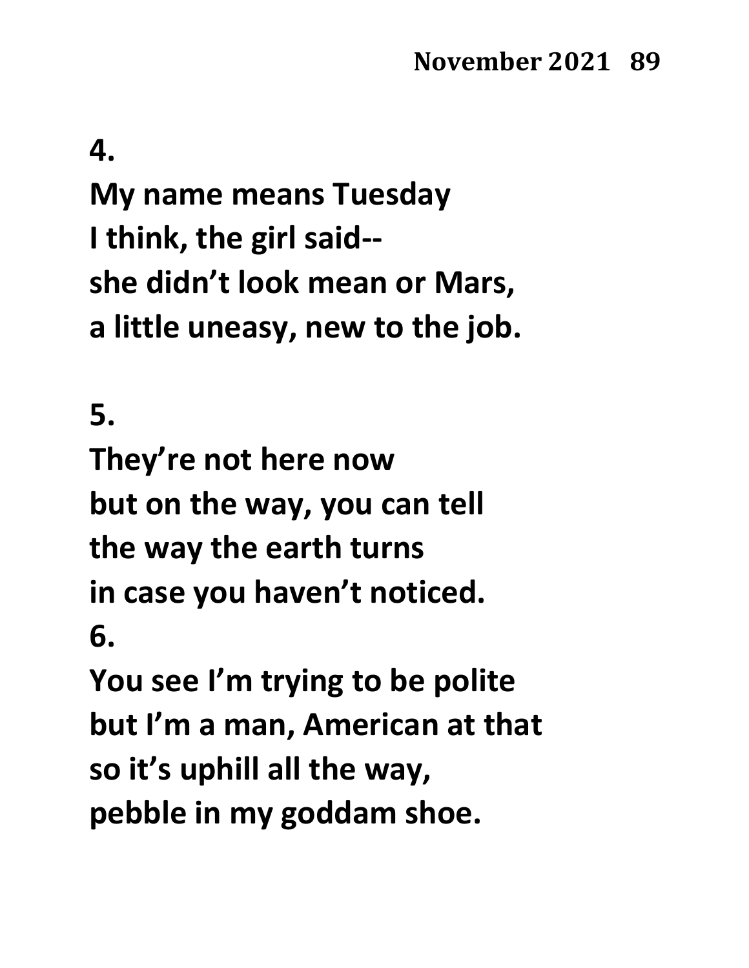**4.**

**My name means Tuesday I think, the girl said- she didn't look mean or Mars, a little uneasy, new to the job.**

**5.**

**They're not here now but on the way, you can tell the way the earth turns in case you haven't noticed. 6.**

**You see I'm trying to be polite but I'm a man, American at that so it's uphill all the way, pebble in my goddam shoe.**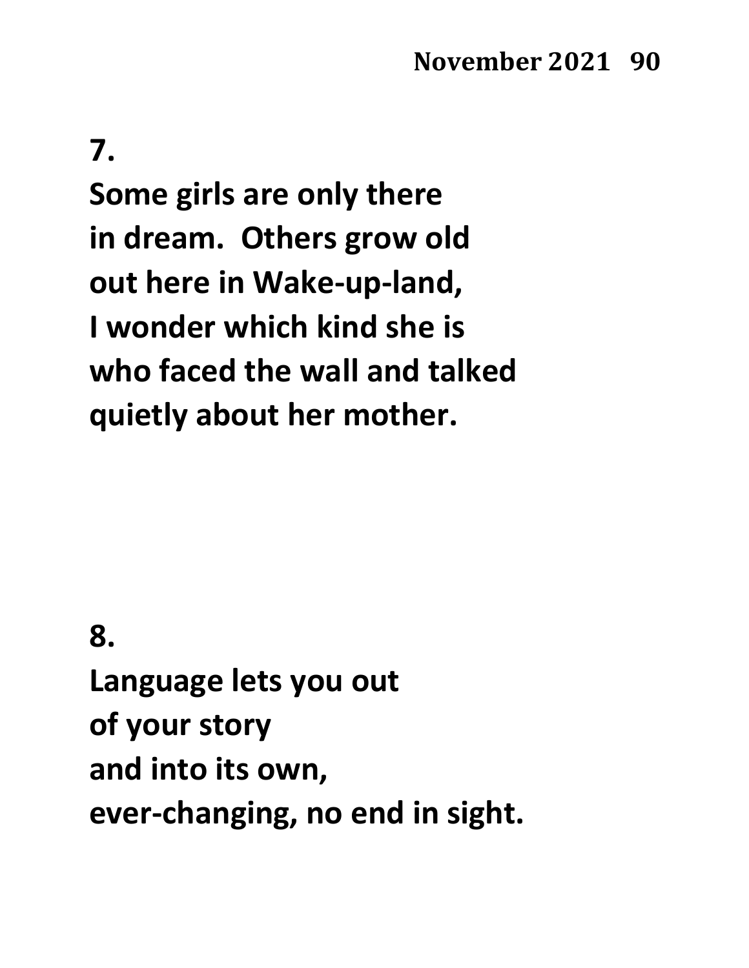## **7.**

**Some girls are only there in dream. Others grow old out here in Wake-up-land, I wonder which kind she is who faced the wall and talked quietly about her mother.**

**8. Language lets you out of your story and into its own, ever-changing, no end in sight.**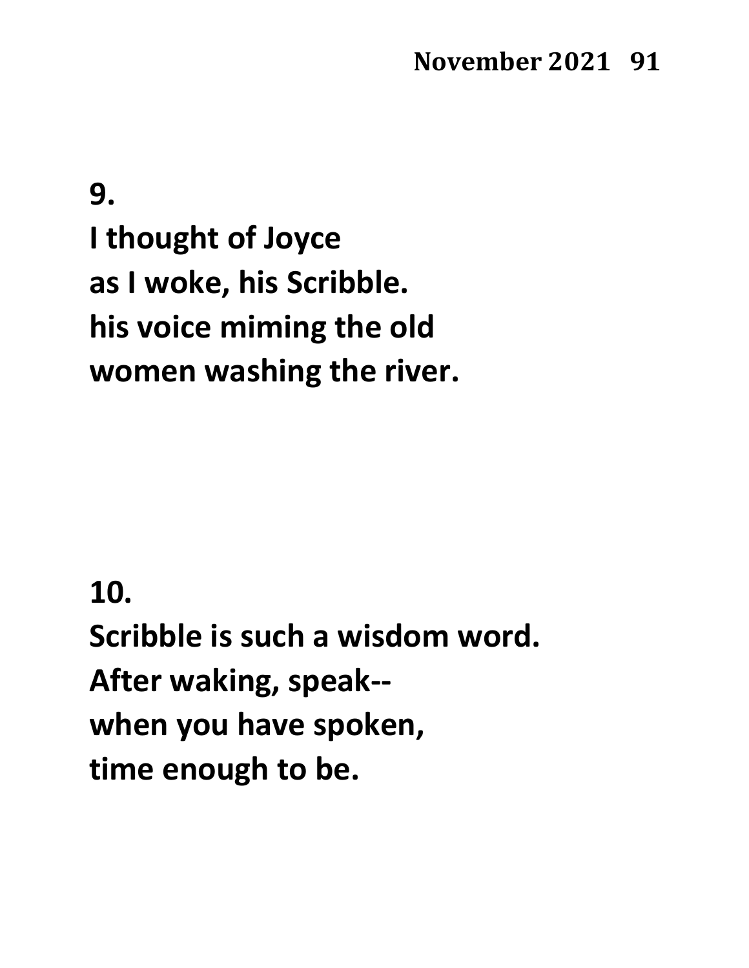#### **November 2021 91**

**9. I thought of Joyce as I woke, his Scribble. his voice miming the old women washing the river.**

## **10.**

**Scribble is such a wisdom word. After waking, speak- when you have spoken, time enough to be.**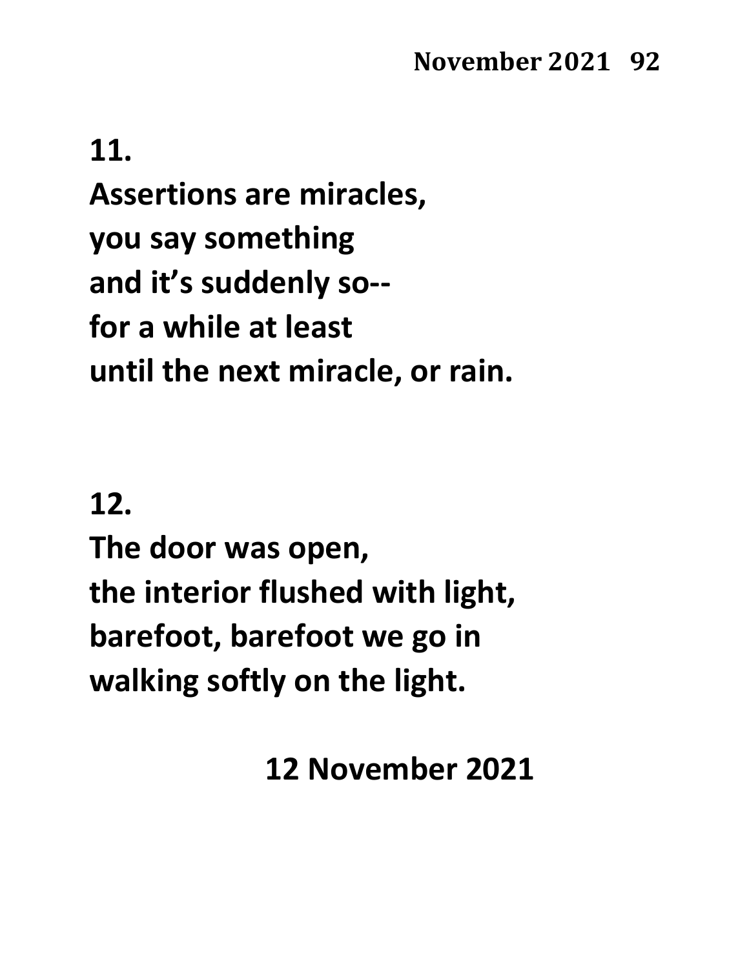**11. Assertions are miracles, you say something and it's suddenly so- for a while at least until the next miracle, or rain.**

## **12.**

**The door was open, the interior flushed with light, barefoot, barefoot we go in walking softly on the light.**

**12 November 2021**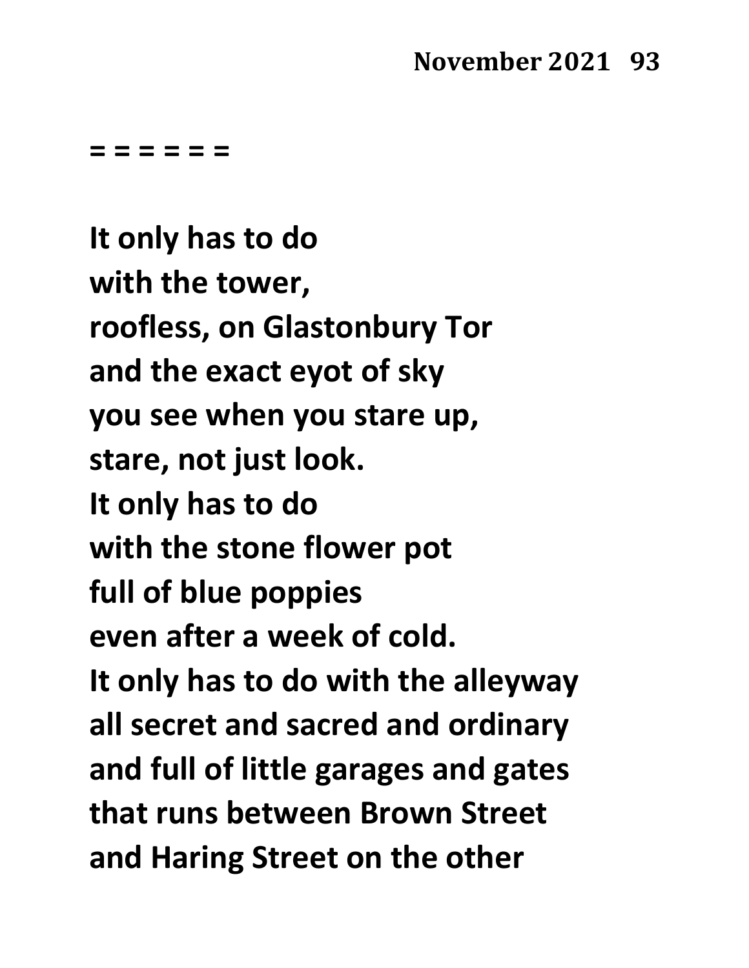**= = = = = =**

**It only has to do with the tower, roofless, on Glastonbury Tor and the exact eyot of sky you see when you stare up, stare, not just look. It only has to do with the stone flower pot full of blue poppies even after a week of cold. It only has to do with the alleyway all secret and sacred and ordinary and full of little garages and gates that runs between Brown Street and Haring Street on the other**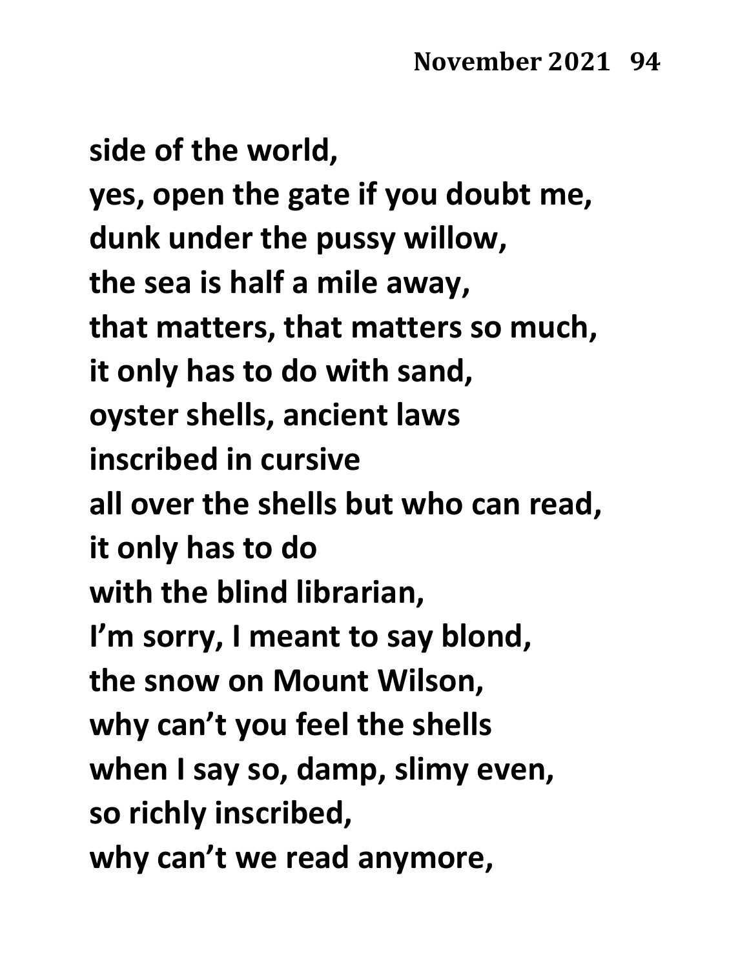**side of the world, yes, open the gate if you doubt me, dunk under the pussy willow, the sea is half a mile away, that matters, that matters so much, it only has to do with sand, oyster shells, ancient laws inscribed in cursive all over the shells but who can read, it only has to do with the blind librarian, I'm sorry, I meant to say blond, the snow on Mount Wilson, why can't you feel the shells when I say so, damp, slimy even, so richly inscribed, why can't we read anymore,**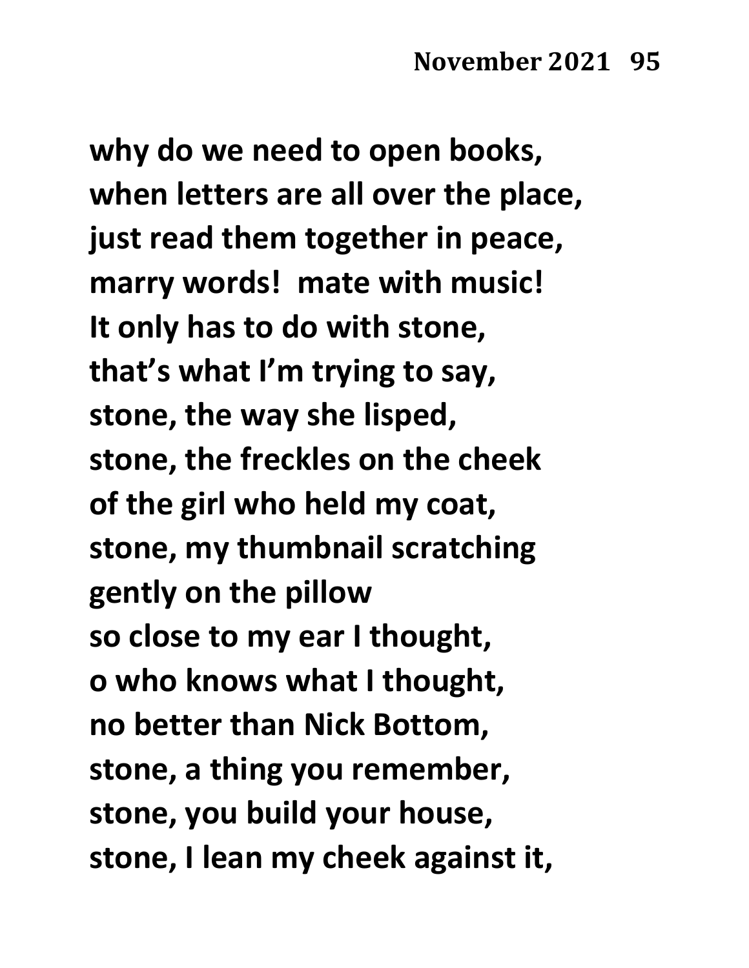**why do we need to open books, when letters are all over the place, just read them together in peace, marry words! mate with music! It only has to do with stone, that's what I'm trying to say, stone, the way she lisped, stone, the freckles on the cheek of the girl who held my coat, stone, my thumbnail scratching gently on the pillow so close to my ear I thought, o who knows what I thought, no better than Nick Bottom, stone, a thing you remember, stone, you build your house, stone, I lean my cheek against it,**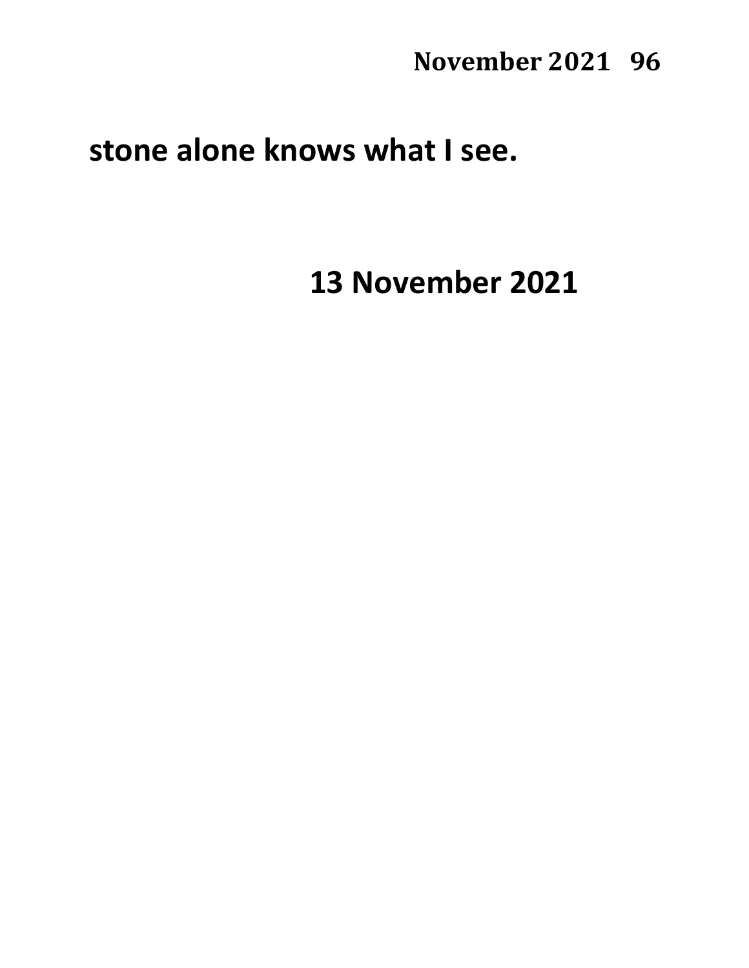#### **November 2021 96**

## **stone alone knows what I see.**

**13 November 2021**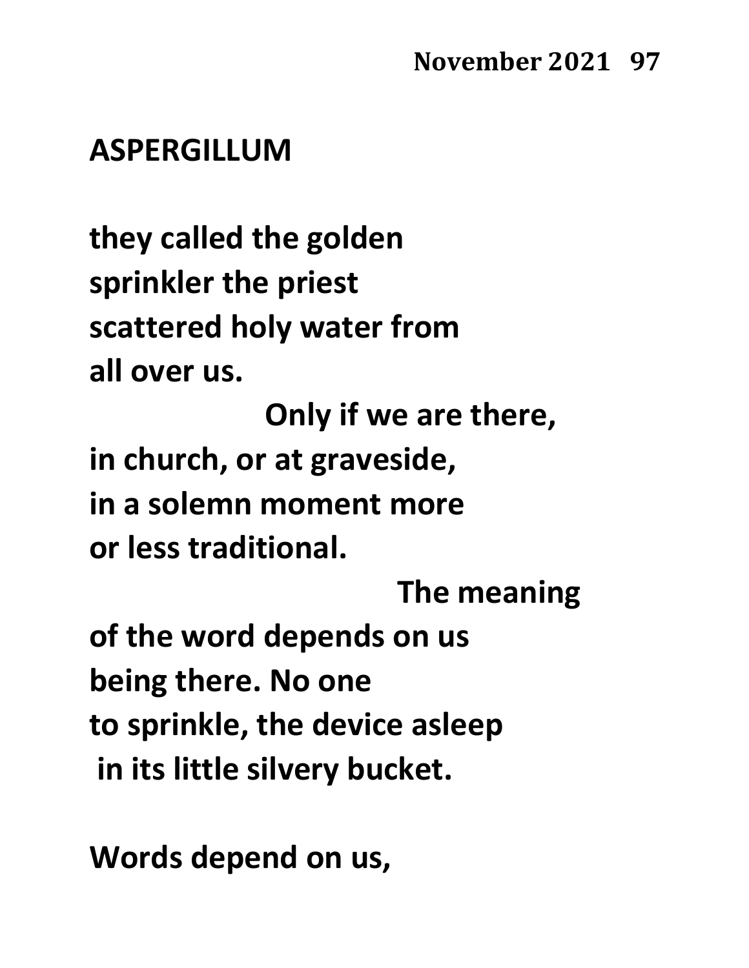## **ASPERGILLUM**

**they called the golden sprinkler the priest scattered holy water from all over us.** 

**Only if we are there, in church, or at graveside, in a solemn moment more or less traditional.** 

**The meaning**

**of the word depends on us being there. No one to sprinkle, the device asleep in its little silvery bucket.**

**Words depend on us,**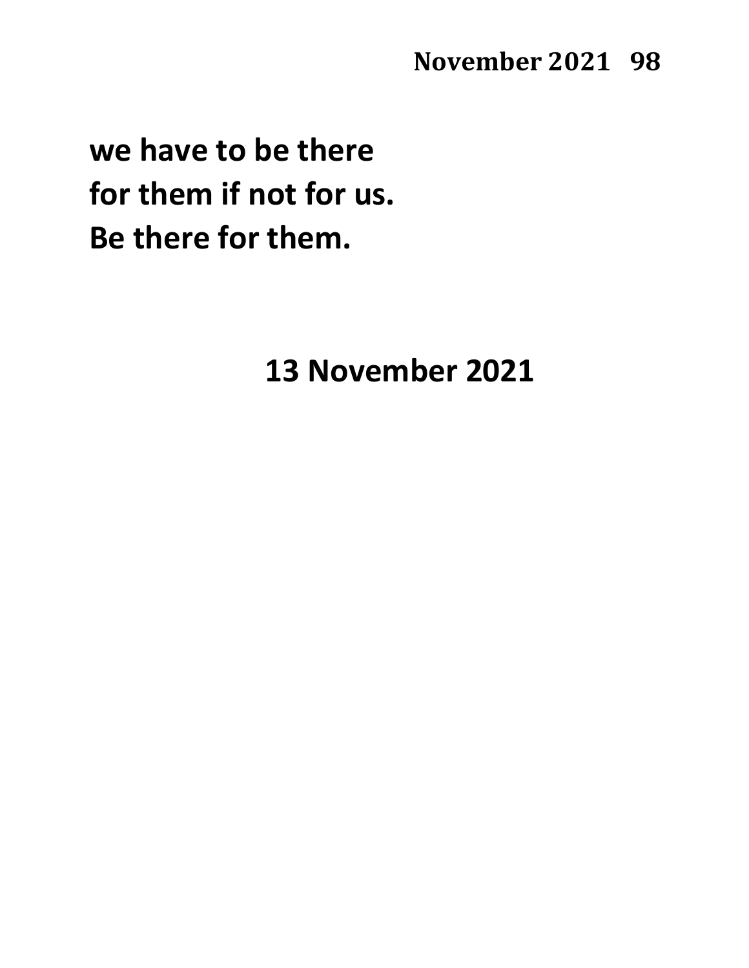**November 2021 98**

**we have to be there for them if not for us. Be there for them.**

**13 November 2021**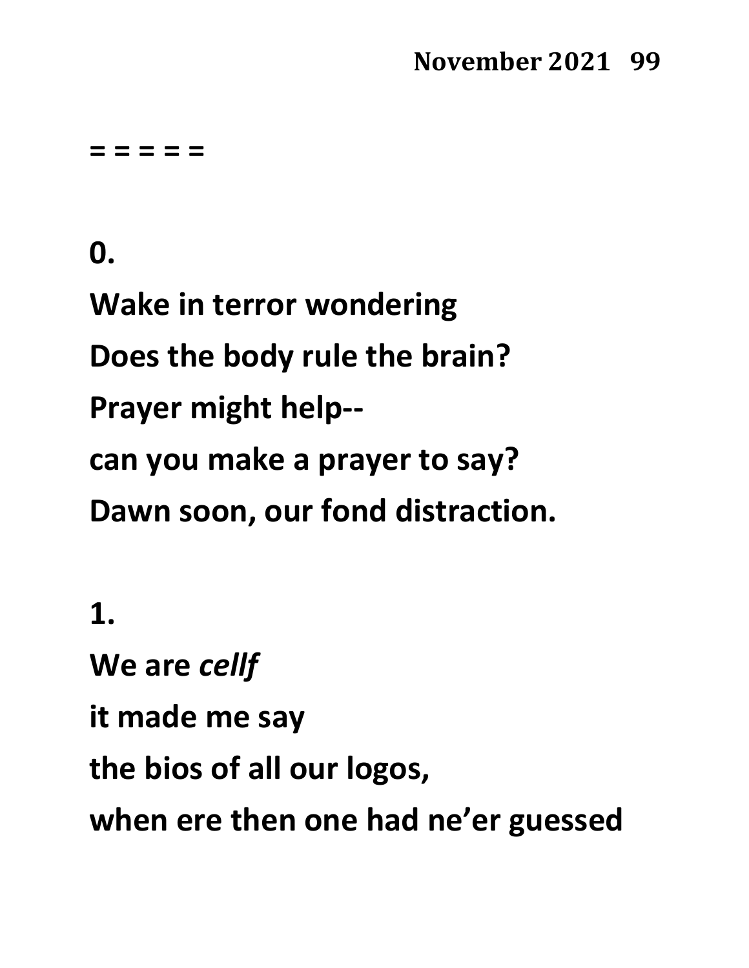#### **November 2021 99**

**= = = = =**

**0.**

**Wake in terror wondering Does the body rule the brain? Prayer might help- can you make a prayer to say? Dawn soon, our fond distraction.**

**1.**

**We are** *cellf*

**it made me say**

**the bios of all our logos,**

**when ere then one had ne'er guessed**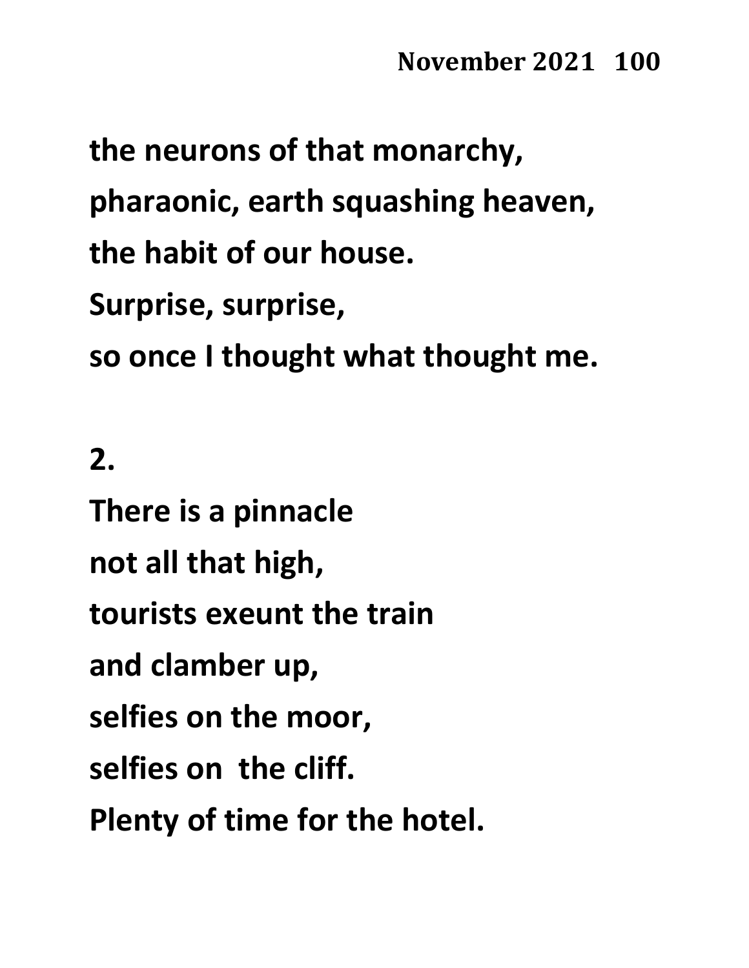**the neurons of that monarchy, pharaonic, earth squashing heaven, the habit of our house. Surprise, surprise,**

**so once I thought what thought me.**

#### **2.**

**There is a pinnacle not all that high, tourists exeunt the train and clamber up, selfies on the moor, selfies on the cliff. Plenty of time for the hotel.**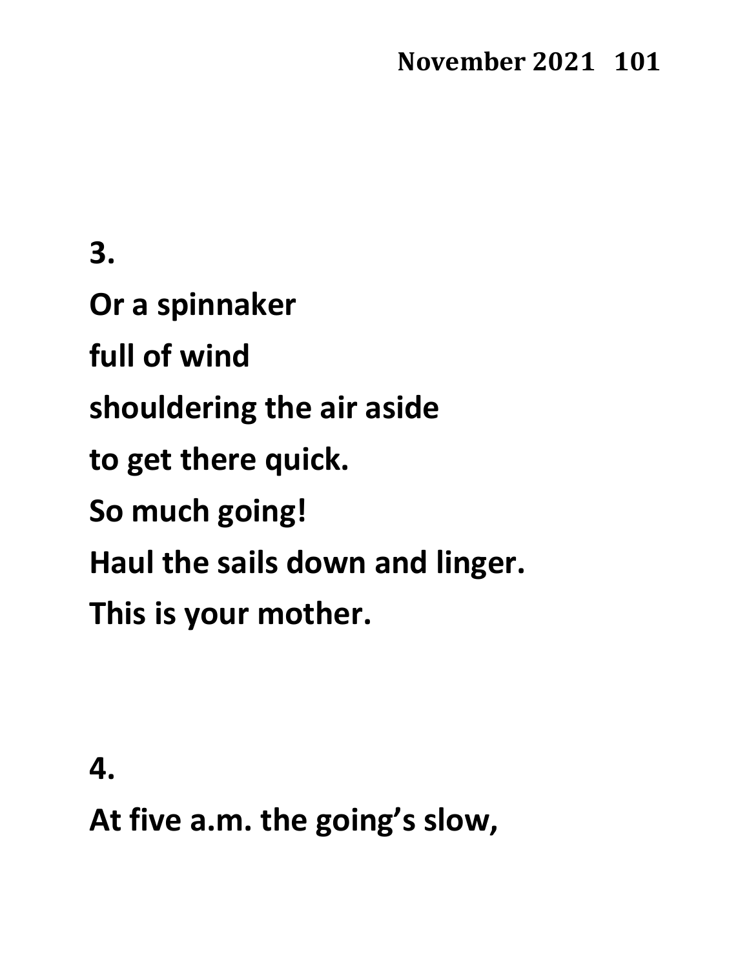**3. Or a spinnaker full of wind shouldering the air aside to get there quick. So much going! Haul the sails down and linger. This is your mother.**

**4.**

**At five a.m. the going's slow,**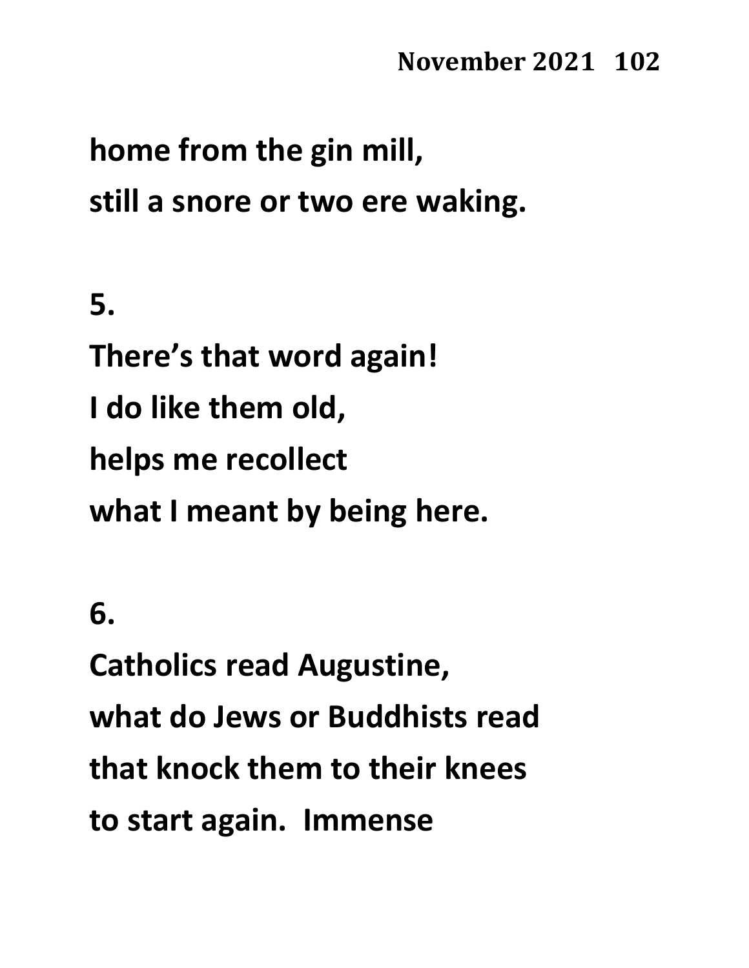# **home from the gin mill, still a snore or two ere waking.**

**5.**

**There's that word again! I do like them old, helps me recollect what I meant by being here.**

**6.**

**Catholics read Augustine, what do Jews or Buddhists read that knock them to their knees to start again. Immense**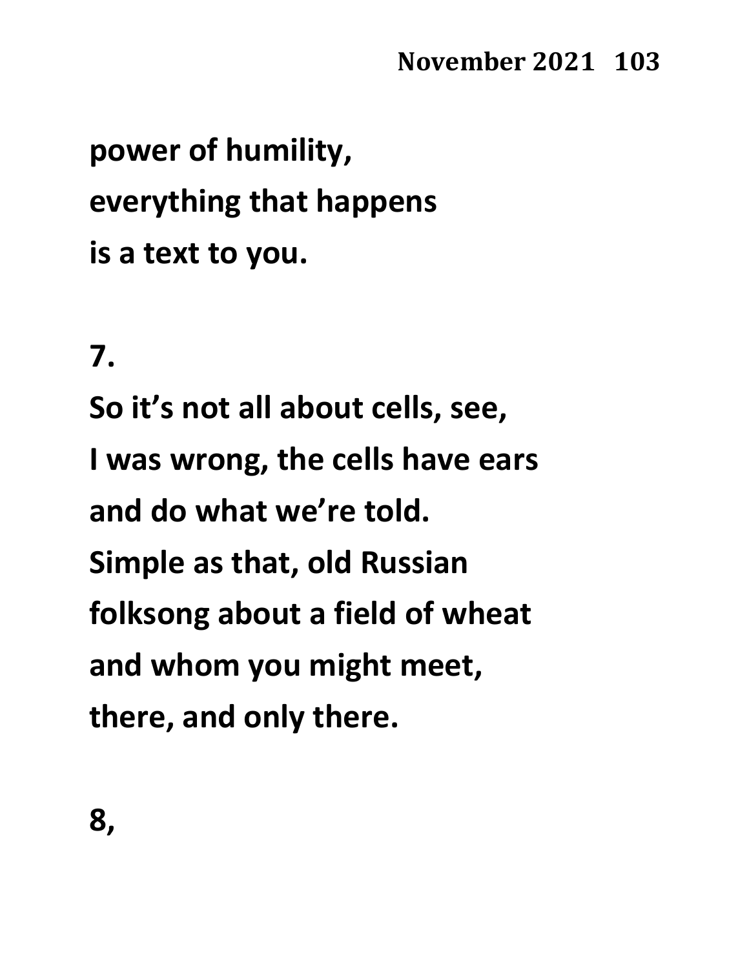# **power of humility, everything that happens is a text to you.**

**7.**

**So it's not all about cells, see, I was wrong, the cells have ears and do what we're told. Simple as that, old Russian folksong about a field of wheat and whom you might meet, there, and only there.**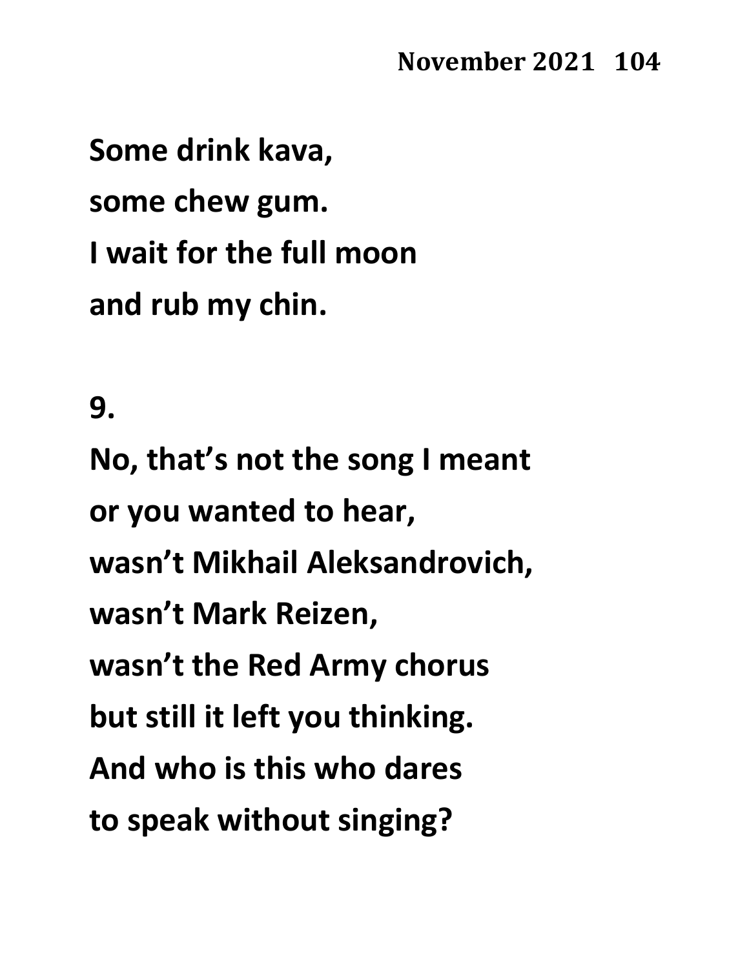**Some drink kava, some chew gum. I wait for the full moon and rub my chin.**

**9.**

**No, that's not the song I meant or you wanted to hear, wasn't Mikhail Aleksandrovich, wasn't Mark Reizen, wasn't the Red Army chorus but still it left you thinking. And who is this who dares to speak without singing?**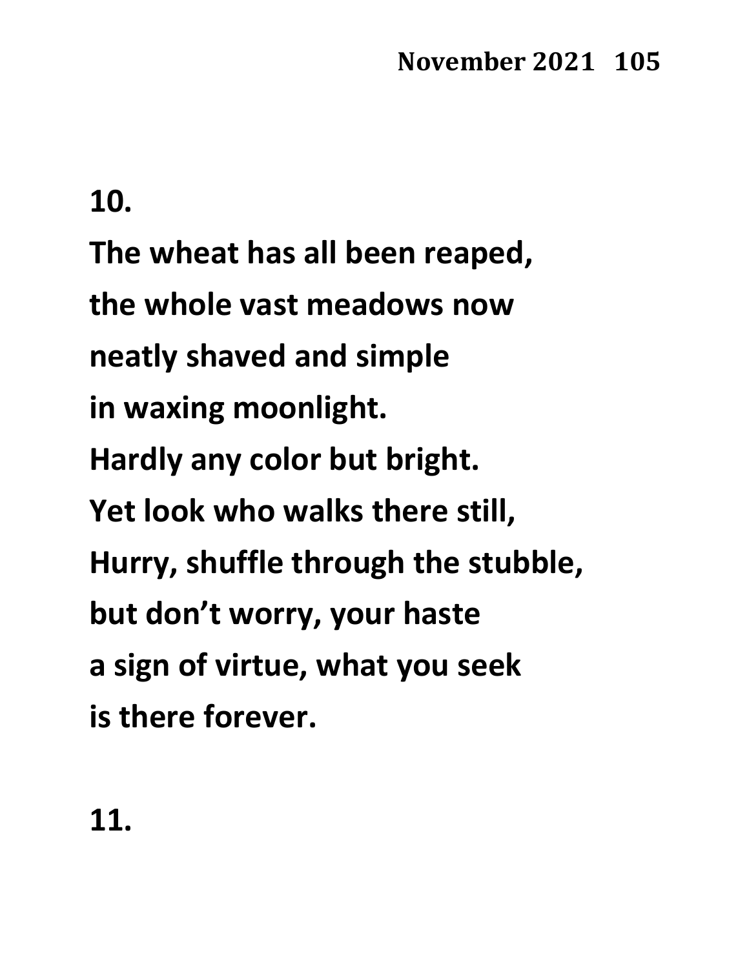## **10.**

**The wheat has all been reaped, the whole vast meadows now neatly shaved and simple in waxing moonlight. Hardly any color but bright. Yet look who walks there still, Hurry, shuffle through the stubble, but don't worry, your haste a sign of virtue, what you seek is there forever.**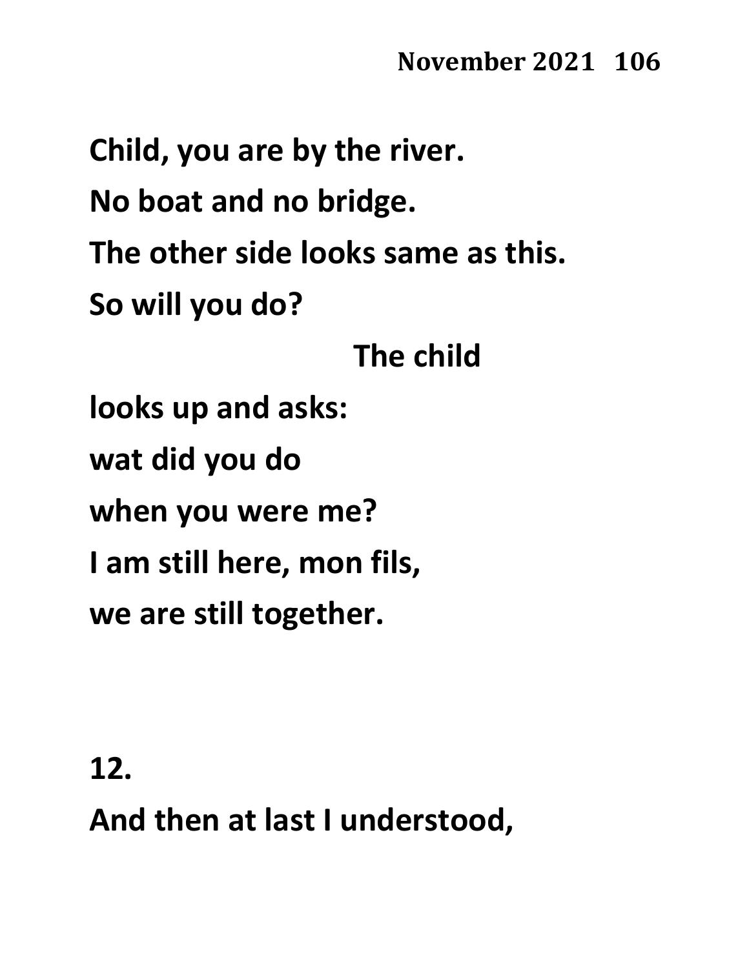**Child, you are by the river. No boat and no bridge. The other side looks same as this. So will you do? The child looks up and asks: wat did you do when you were me? I am still here, mon fils, we are still together.**

**12.**

**And then at last I understood,**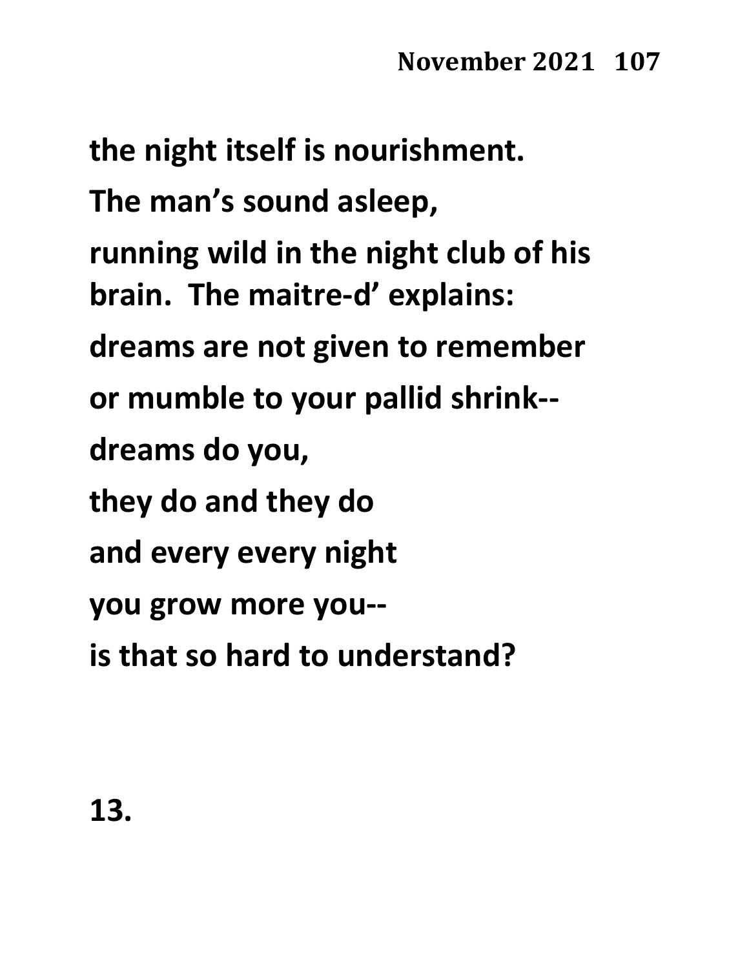**the night itself is nourishment. The man's sound asleep, running wild in the night club of his brain. The maitre-d' explains: dreams are not given to remember or mumble to your pallid shrink- dreams do you, they do and they do and every every night you grow more you- is that so hard to understand?**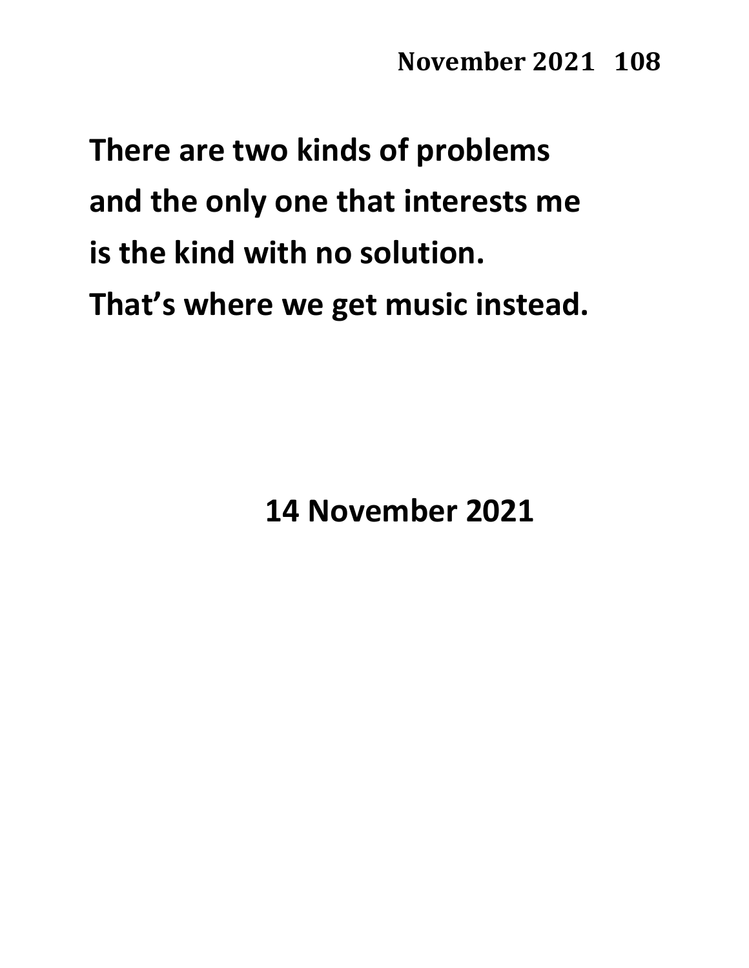**There are two kinds of problems and the only one that interests me is the kind with no solution. That's where we get music instead.**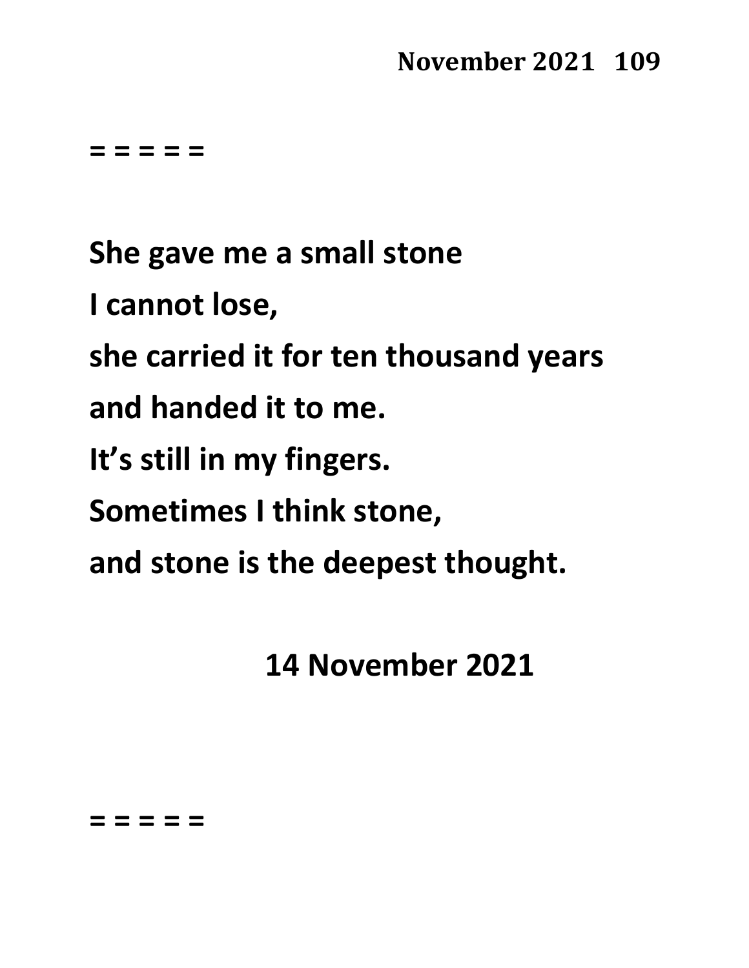**= = = = =**

### **She gave me a small stone**

**I cannot lose,**

**she carried it for ten thousand years**

**and handed it to me.** 

**It's still in my fingers.**

**Sometimes I think stone,**

**and stone is the deepest thought.**

**14 November 2021**

**= = = = =**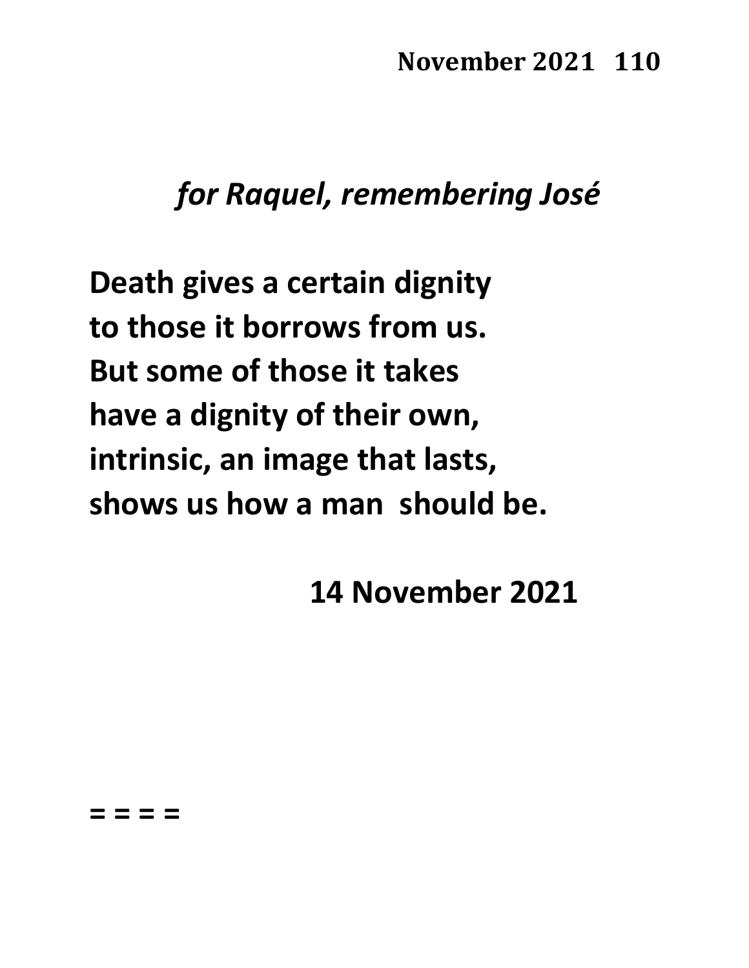### *for Raquel, remembering José*

**Death gives a certain dignity to those it borrows from us. But some of those it takes have a dignity of their own, intrinsic, an image that lasts, shows us how a man should be.**

**14 November 2021**

**= = = =**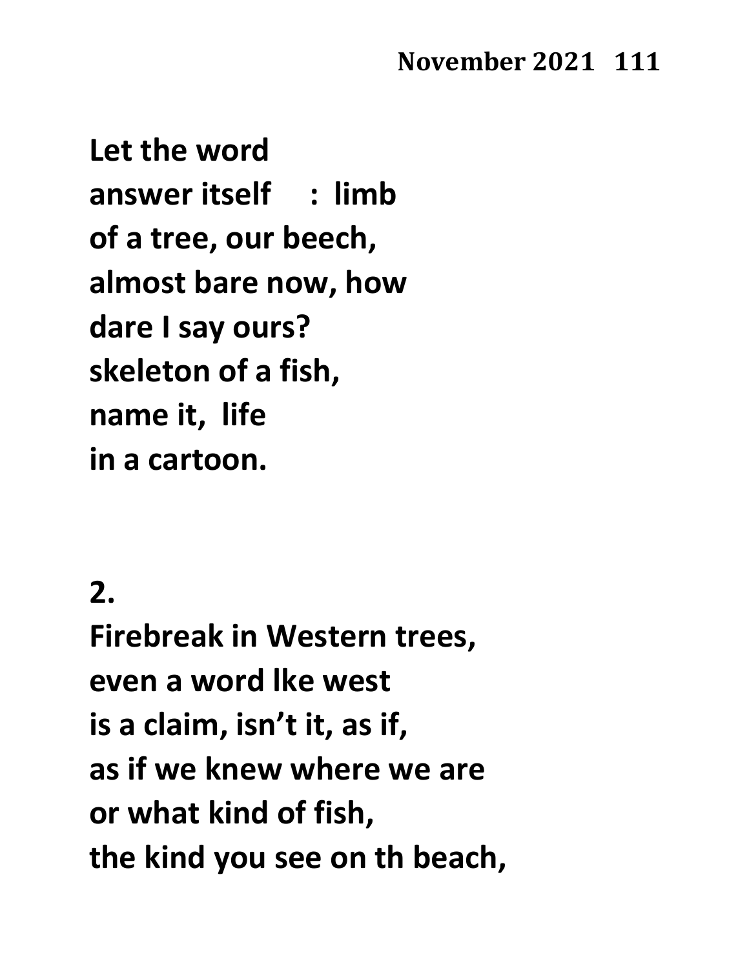**Let the word answer itself : limb of a tree, our beech, almost bare now, how dare I say ours? skeleton of a fish, name it, life in a cartoon.**

### **2.**

**Firebreak in Western trees, even a word lke west is a claim, isn't it, as if, as if we knew where we are or what kind of fish, the kind you see on th beach,**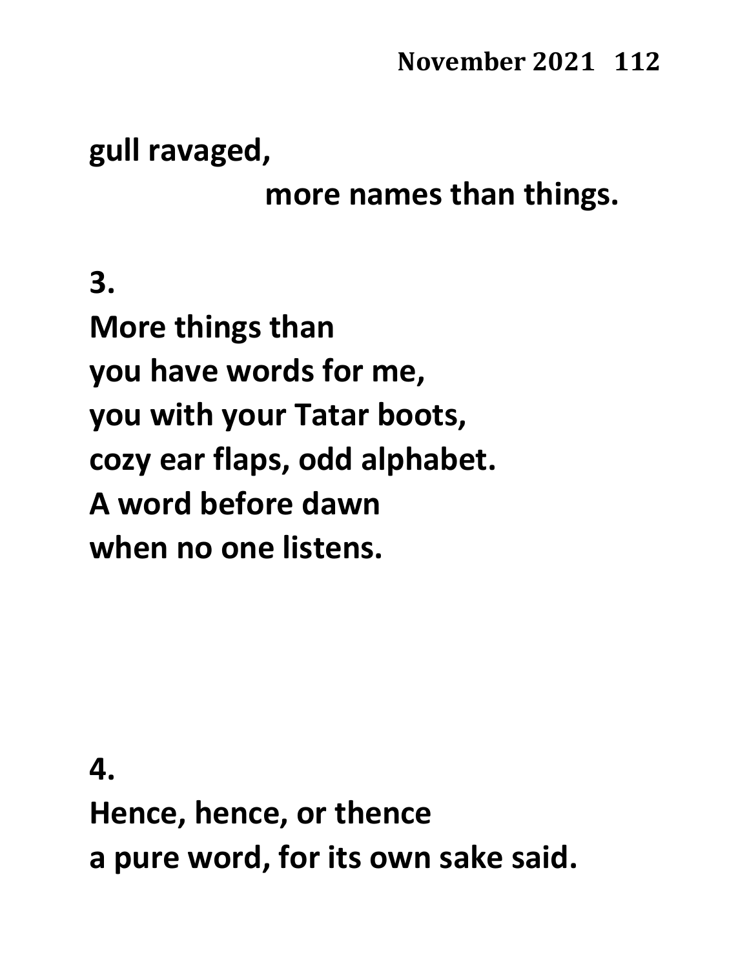### **gull ravaged,**

### **more names than things.**

**3.**

**More things than you have words for me, you with your Tatar boots, cozy ear flaps, odd alphabet. A word before dawn when no one listens.**

**4.**

**Hence, hence, or thence a pure word, for its own sake said.**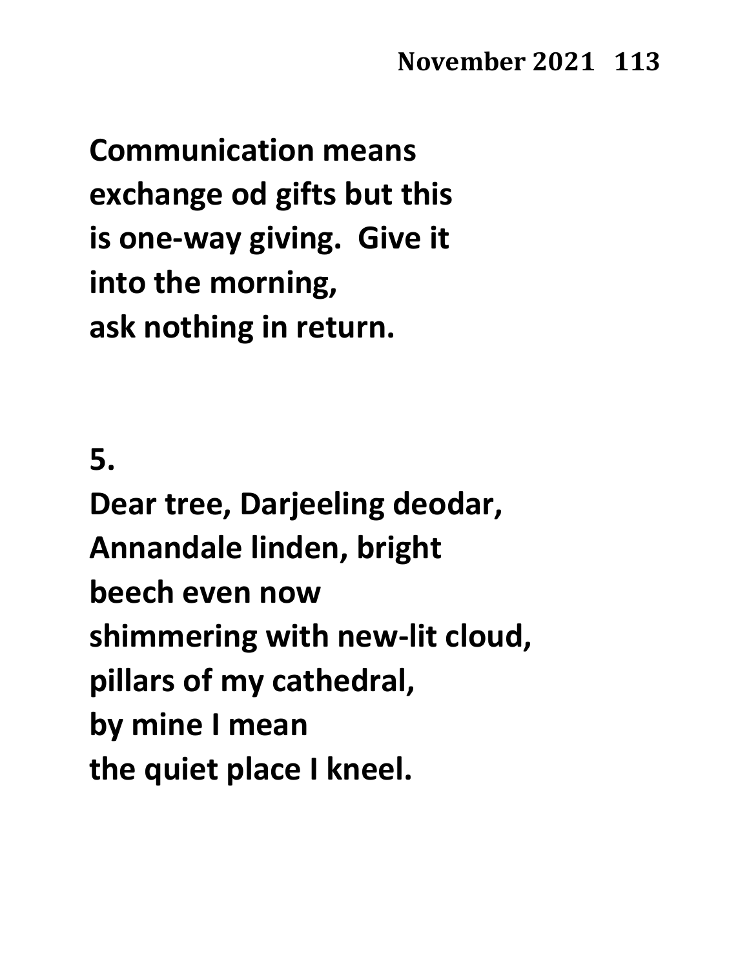**Communication means exchange od gifts but this is one-way giving. Give it into the morning, ask nothing in return.**

### **5.**

**Dear tree, Darjeeling deodar, Annandale linden, bright beech even now shimmering with new-lit cloud, pillars of my cathedral, by mine I mean the quiet place I kneel.**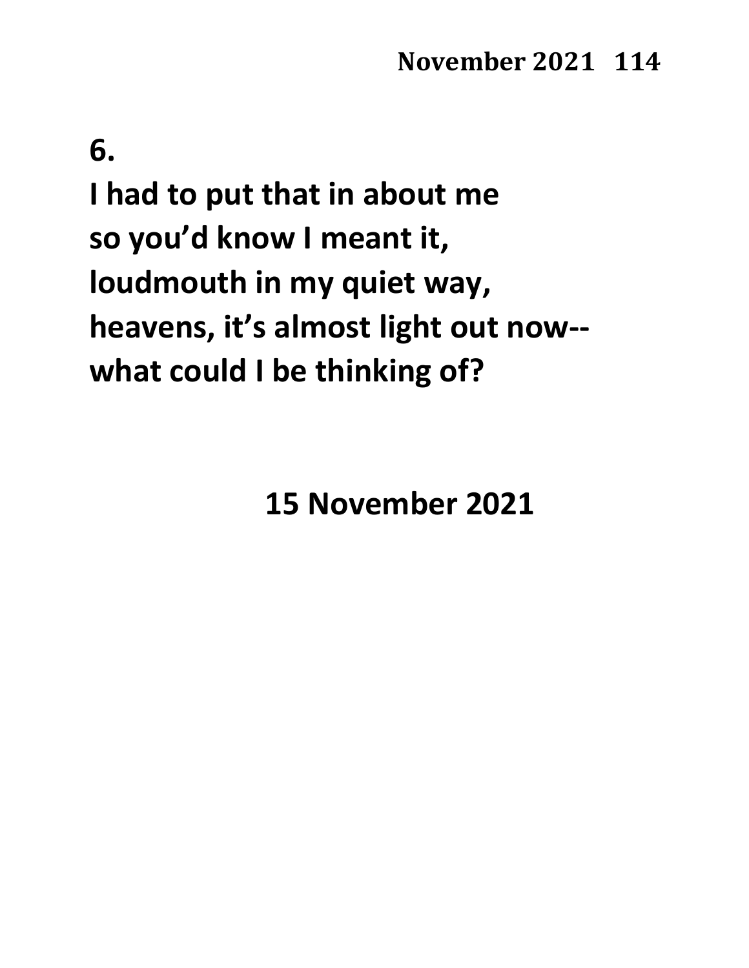**6.**

**I had to put that in about me so you'd know I meant it, loudmouth in my quiet way, heavens, it's almost light out now- what could I be thinking of?**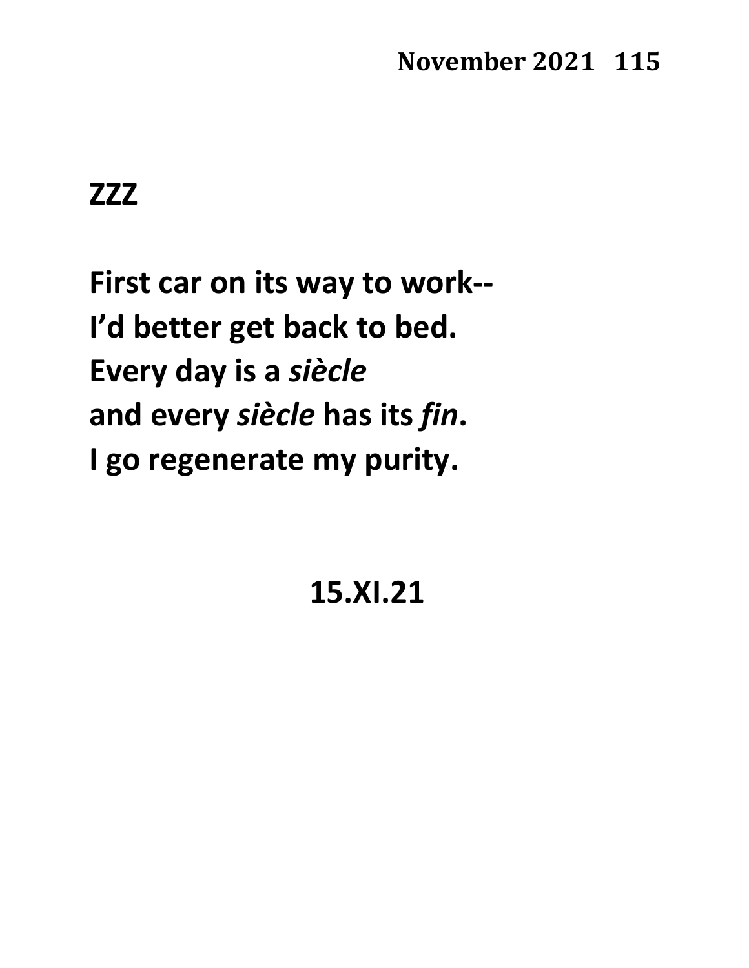### **ZZZ**

**First car on its way to work-- I'd better get back to bed. Every day is a** *siècle* **and every** *siècle* **has its** *fin***. I go regenerate my purity.**

### **15.XI.21**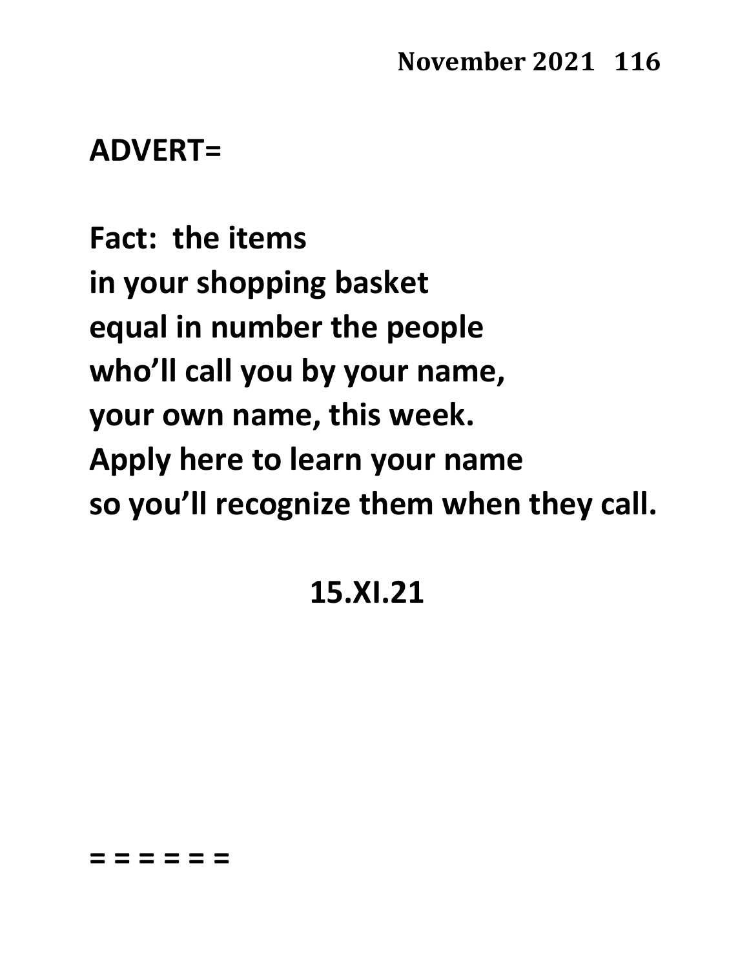### **ADVERT=**

**Fact: the items in your shopping basket equal in number the people who'll call you by your name, your own name, this week. Apply here to learn your name so you'll recognize them when they call.**

### **15.XI.21**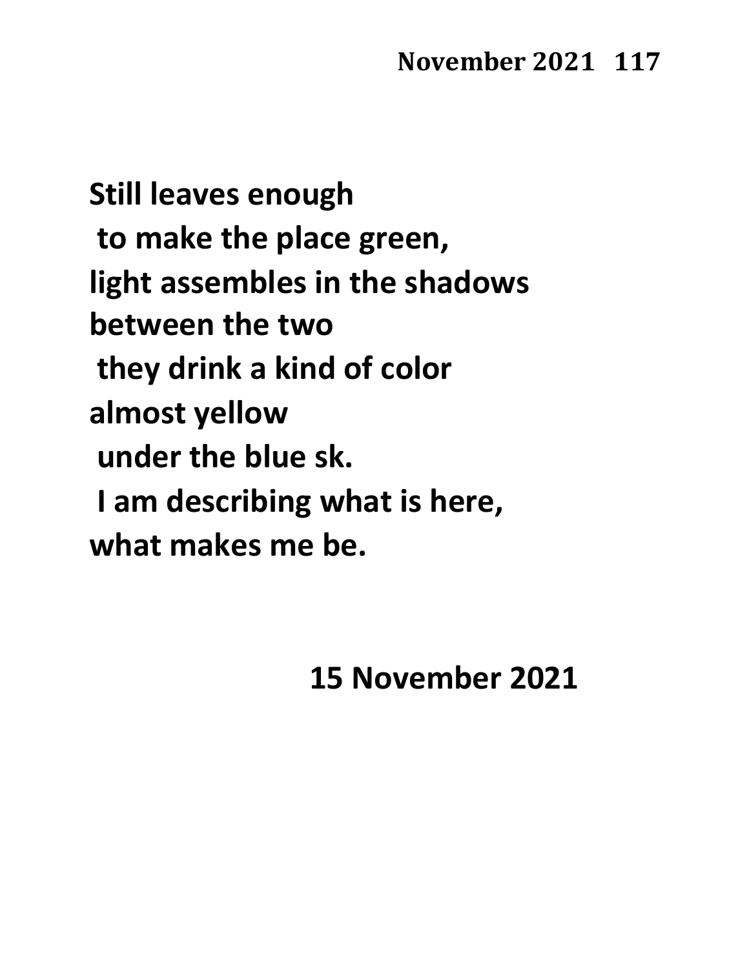**Still leaves enough to make the place green, light assembles in the shadows between the two they drink a kind of color almost yellow under the blue sk. I am describing what is here, what makes me be.**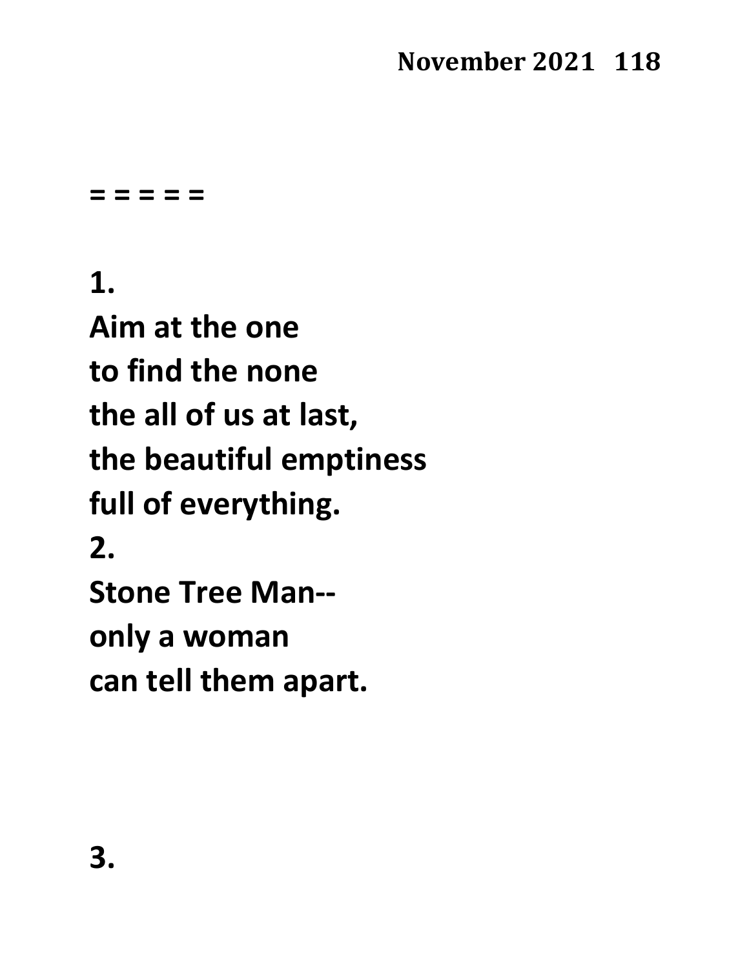**1. Aim at the one to find the none the all of us at last, the beautiful emptiness full of everything. 2. Stone Tree Man- only a woman can tell them apart.**

**= = = = =**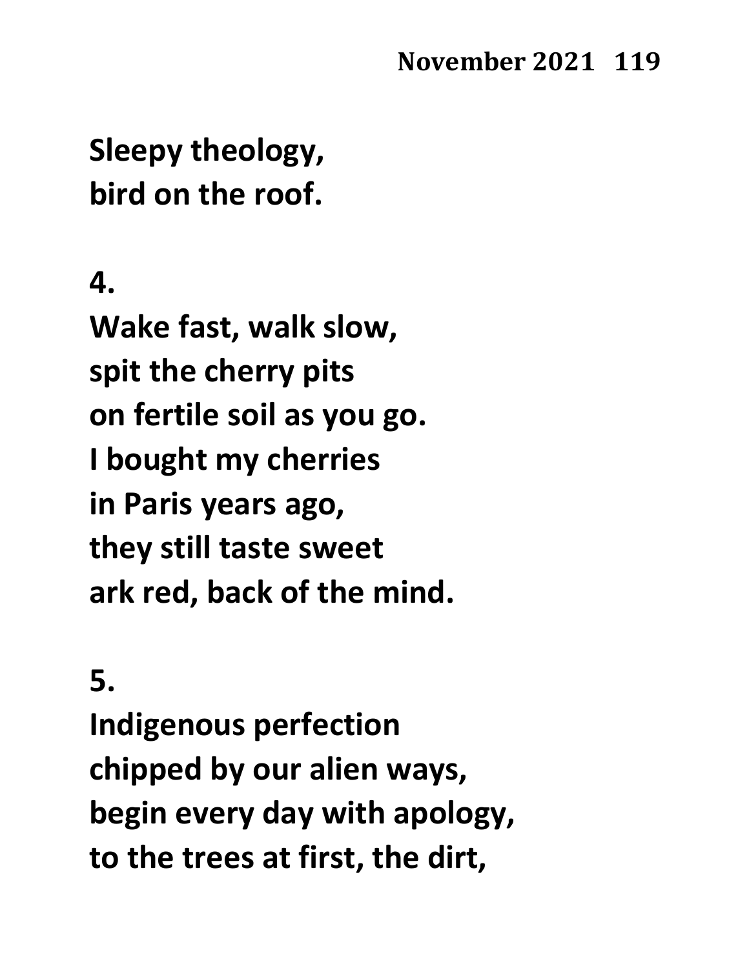### **Sleepy theology, bird on the roof.**

#### **4.**

**Wake fast, walk slow, spit the cherry pits on fertile soil as you go. I bought my cherries in Paris years ago, they still taste sweet ark red, back of the mind.**

### **5.**

**Indigenous perfection chipped by our alien ways, begin every day with apology, to the trees at first, the dirt,**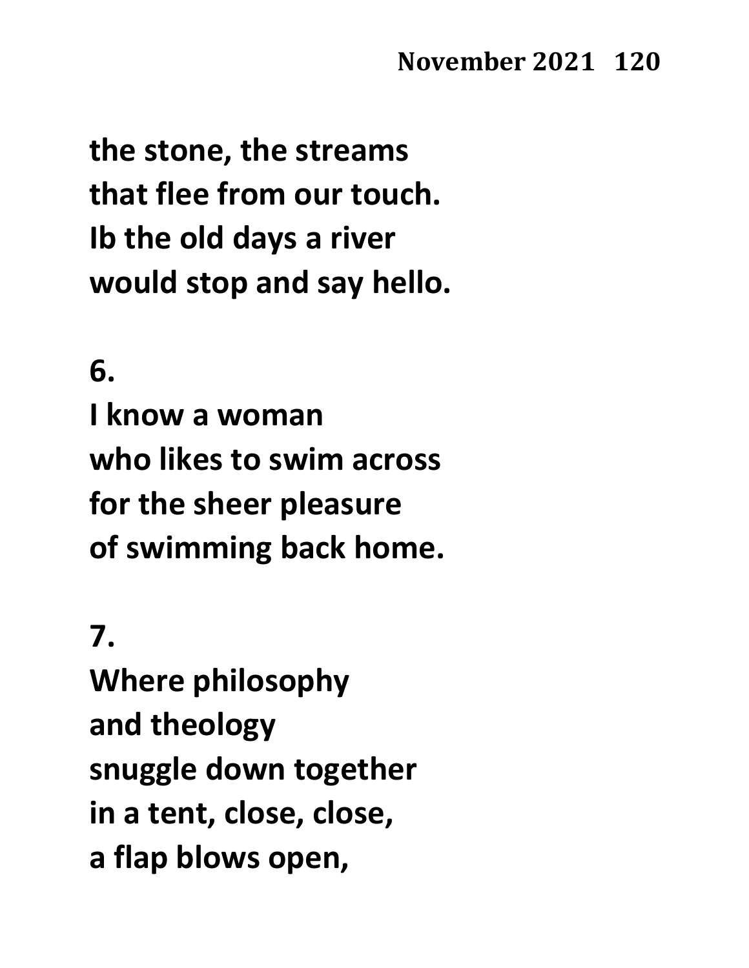**the stone, the streams that flee from our touch. Ib the old days a river would stop and say hello.**

**6.**

**I know a woman who likes to swim across for the sheer pleasure of swimming back home.**

**7.**

**Where philosophy and theology snuggle down together in a tent, close, close, a flap blows open,**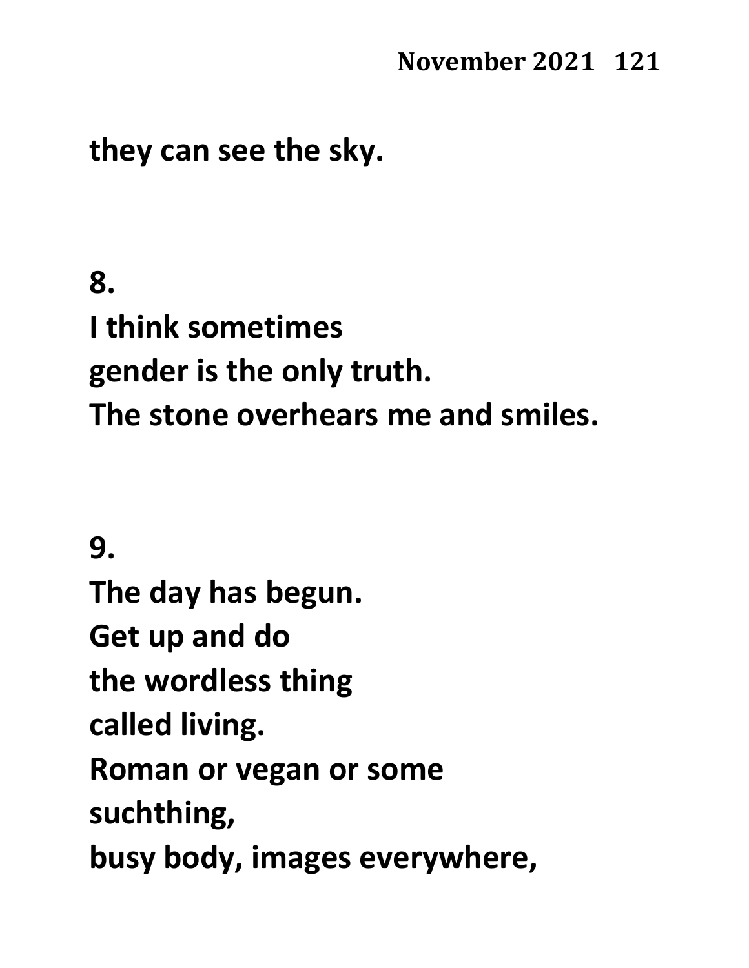### **they can see the sky.**

# **8. I think sometimes gender is the only truth. The stone overhears me and smiles.**

**9. The day has begun. Get up and do the wordless thing called living. Roman or vegan or some suchthing, busy body, images everywhere,**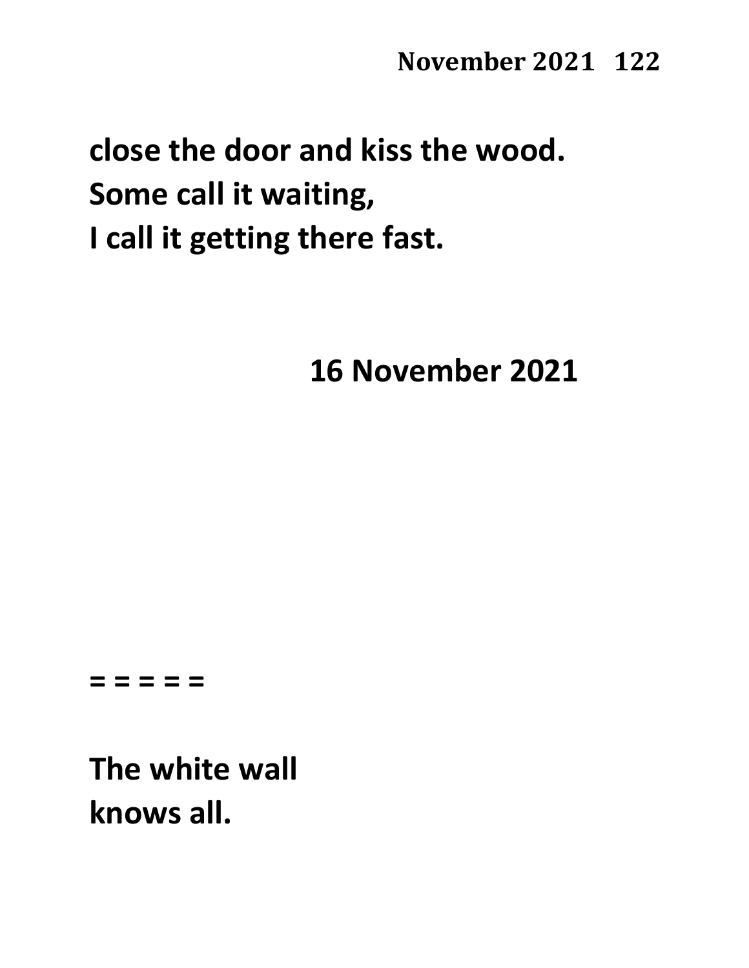# **close the door and kiss the wood. Some call it waiting, I call it getting there fast.**

**16 November 2021**

**= = = = =**

**The white wall knows all.**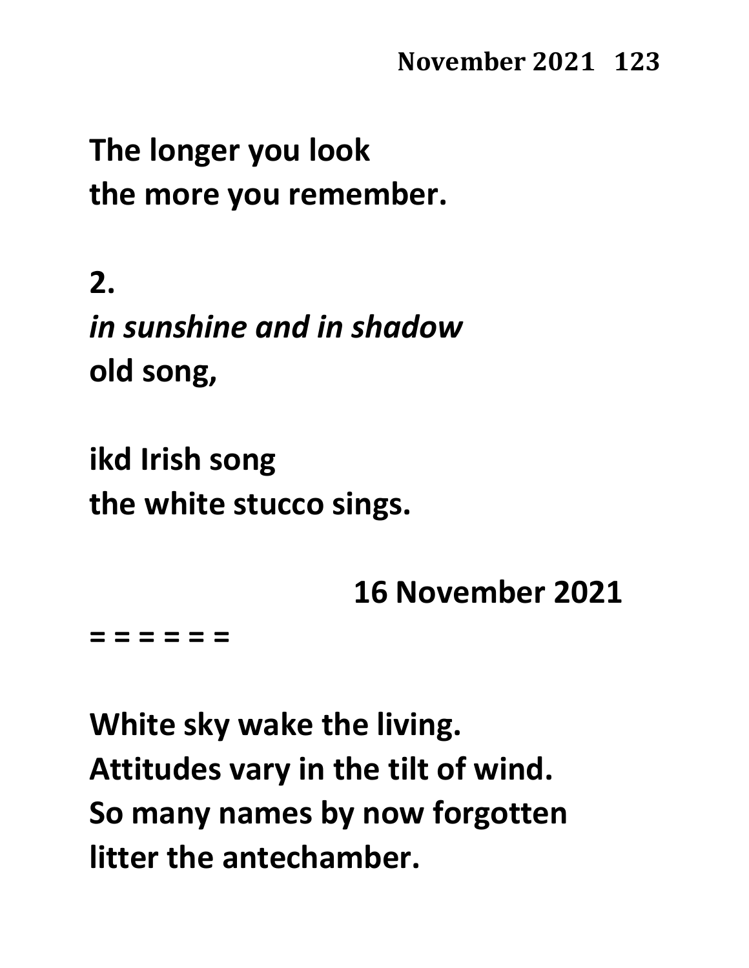## **The longer you look the more you remember.**

**2.** *in sunshine and in shadow* **old song,**

**ikd Irish song the white stucco sings.**

**16 November 2021**

**= = = = = =**

**White sky wake the living. Attitudes vary in the tilt of wind. So many names by now forgotten litter the antechamber.**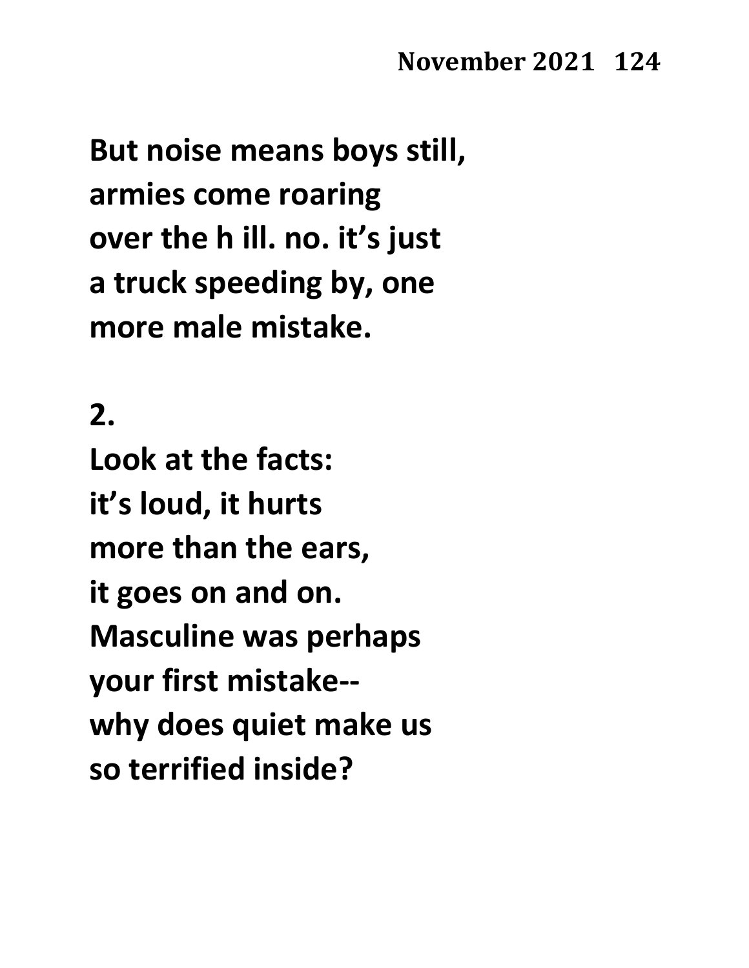**But noise means boys still, armies come roaring over the h ill. no. it's just a truck speeding by, one more male mistake.**

#### **2.**

**Look at the facts: it's loud, it hurts more than the ears, it goes on and on. Masculine was perhaps your first mistake- why does quiet make us so terrified inside?**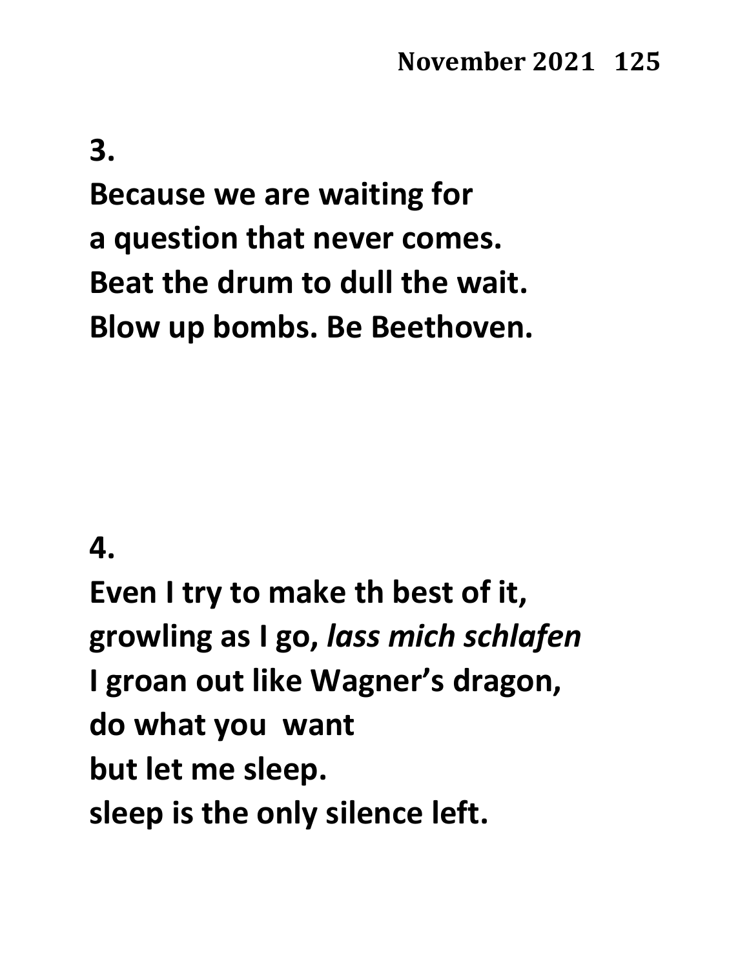**3.**

**Because we are waiting for a question that never comes. Beat the drum to dull the wait. Blow up bombs. Be Beethoven.**

**4.**

**Even I try to make th best of it, growling as I go,** *lass mich schlafen* **I groan out like Wagner's dragon, do what you want but let me sleep. sleep is the only silence left.**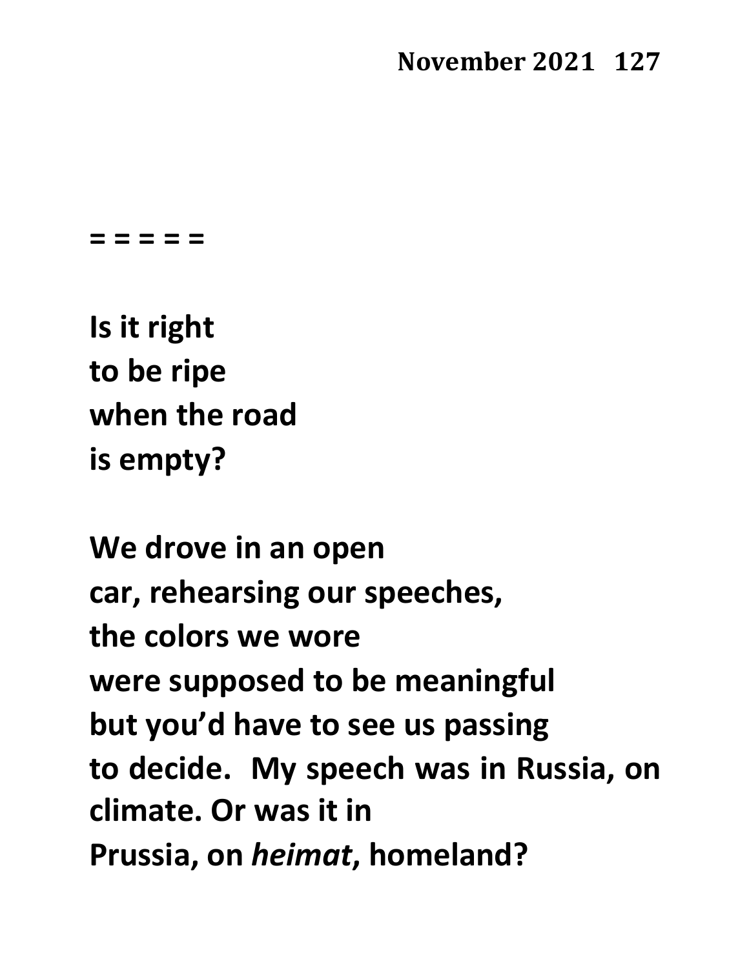#### **= = = = =**

**Is it right to be ripe when the road is empty?**

**We drove in an open car, rehearsing our speeches, the colors we wore were supposed to be meaningful but you'd have to see us passing to decide. My speech was in Russia, on climate. Or was it in Prussia, on** *heimat***, homeland?**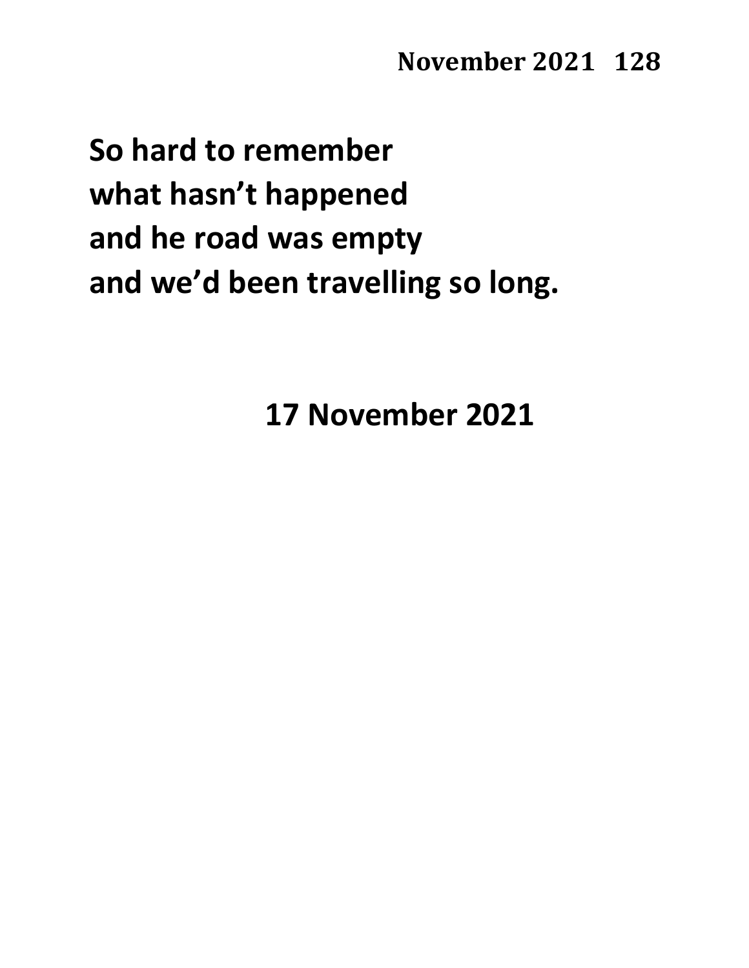**So hard to remember what hasn't happened and he road was empty and we'd been travelling so long.**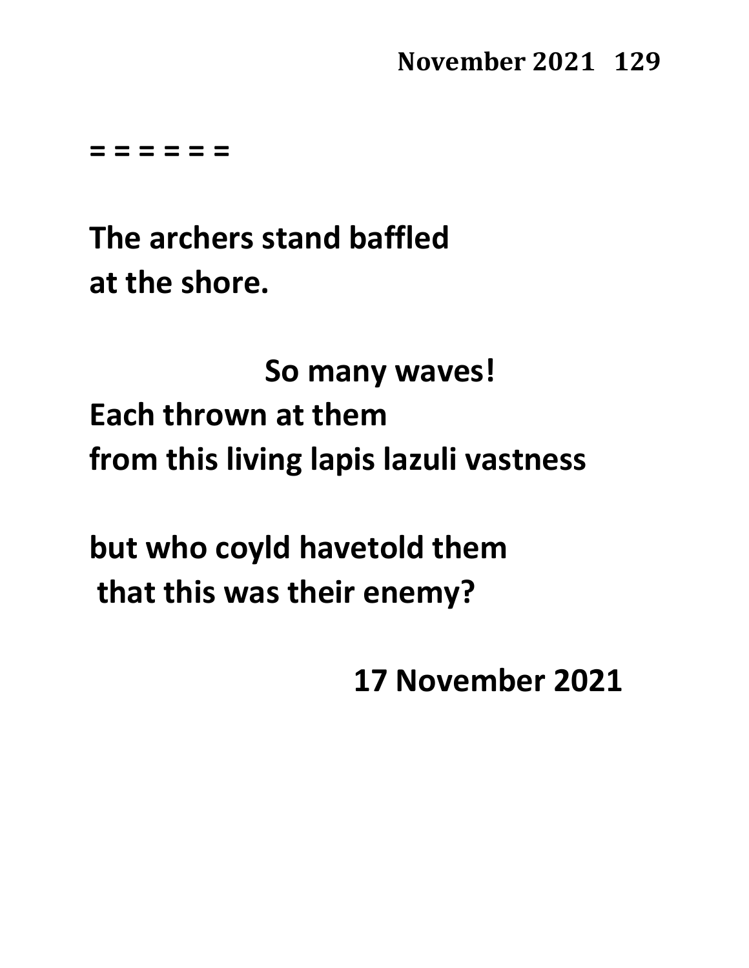**= = = = = =**

## **The archers stand baffled at the shore.**

# **So many waves! Each thrown at them from this living lapis lazuli vastness**

**but who coyld havetold them that this was their enemy?**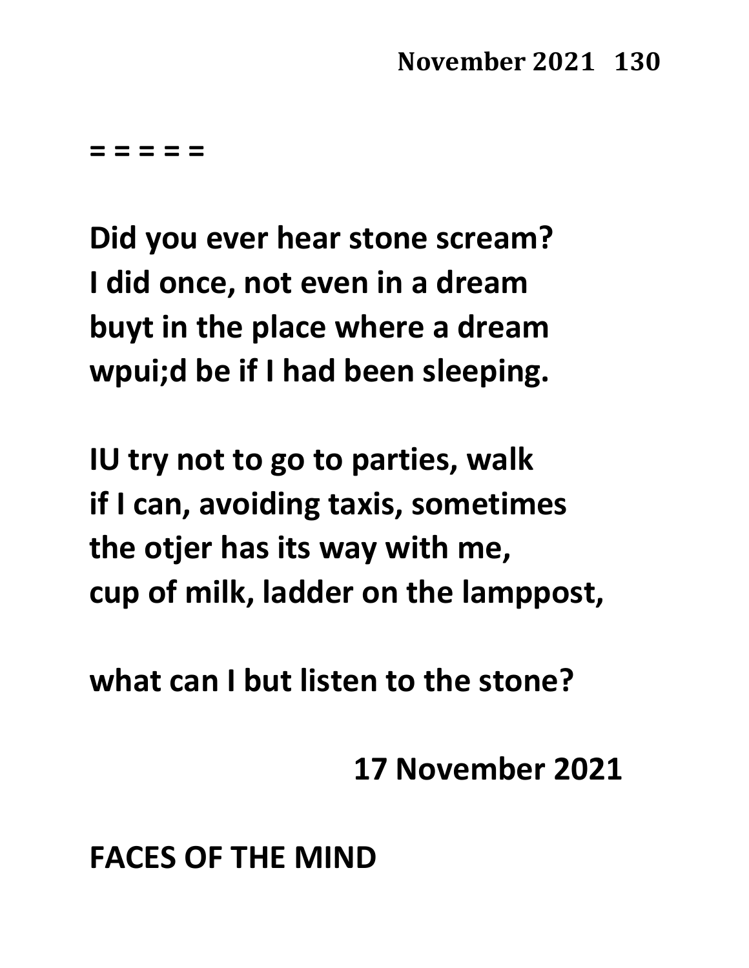**= = = = =**

**Did you ever hear stone scream? I did once, not even in a dream buyt in the place where a dream wpui;d be if I had been sleeping.**

**IU try not to go to parties, walk if I can, avoiding taxis, sometimes the otjer has its way with me, cup of milk, ladder on the lamppost,**

**what can I but listen to the stone?**

**17 November 2021**

**FACES OF THE MIND**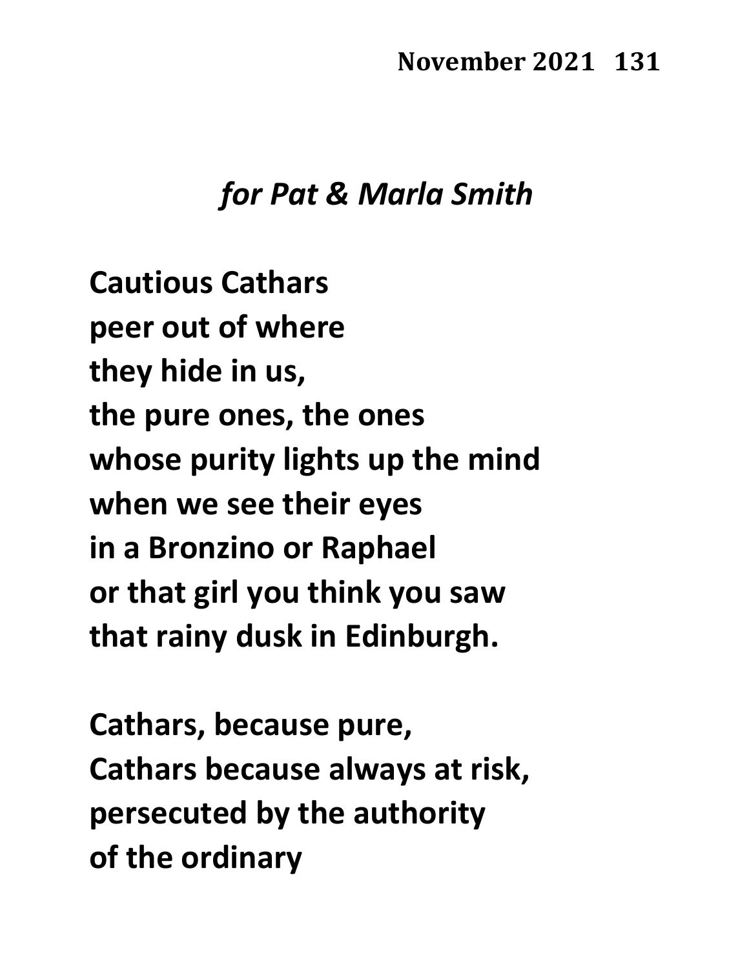### *for Pat & Marla Smith*

**Cautious Cathars peer out of where they hide in us, the pure ones, the ones whose purity lights up the mind when we see their eyes in a Bronzino or Raphael or that girl you think you saw that rainy dusk in Edinburgh.**

**Cathars, because pure, Cathars because always at risk, persecuted by the authority of the ordinary**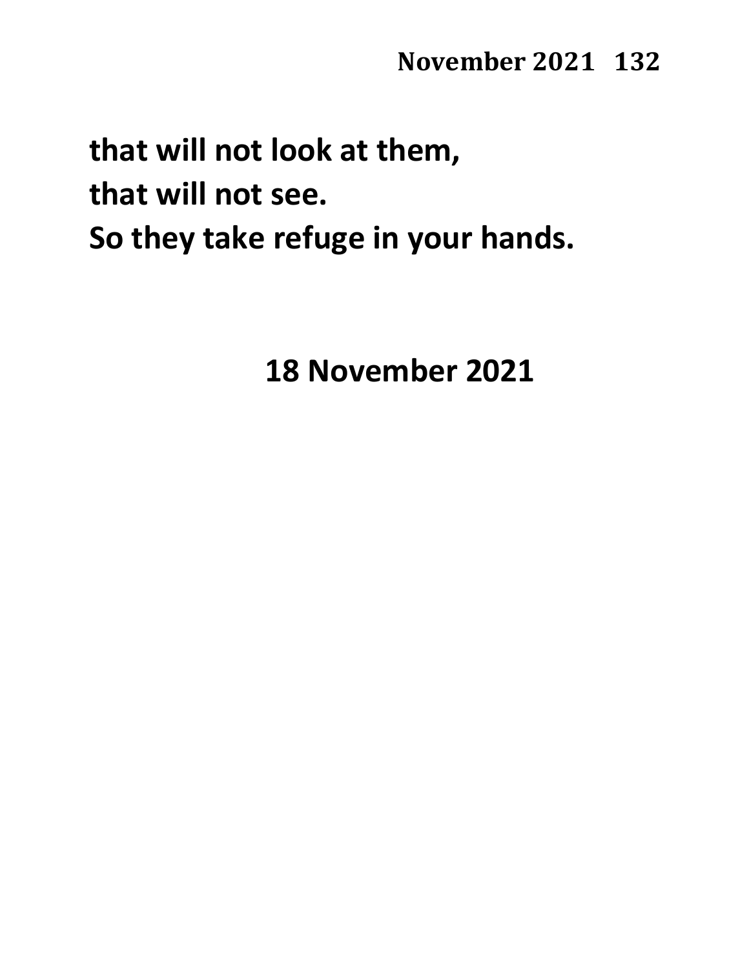# **that will not look at them, that will not see. So they take refuge in your hands.**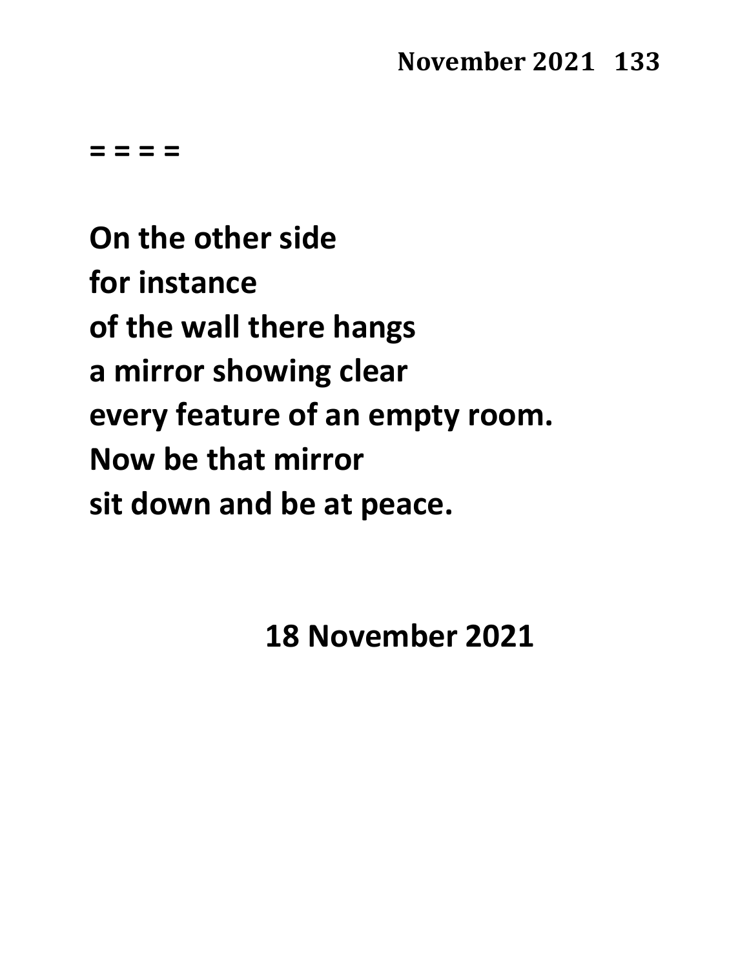**= = = =**

**On the other side for instance of the wall there hangs a mirror showing clear every feature of an empty room. Now be that mirror sit down and be at peace.**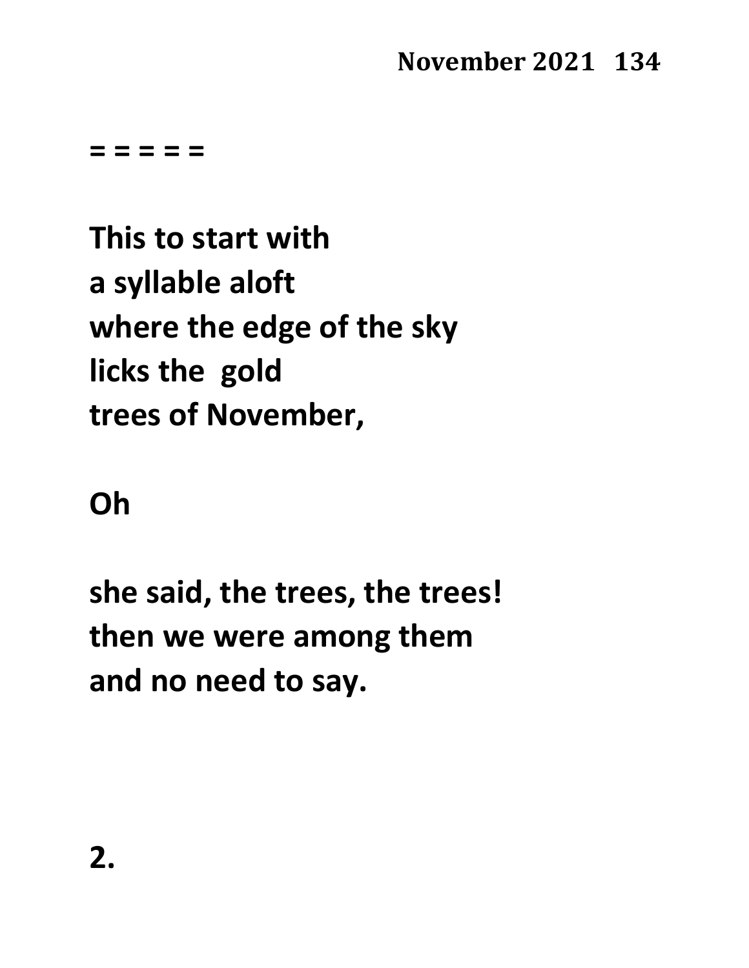**= = = = =**

**This to start with a syllable aloft where the edge of the sky licks the gold trees of November,**

### **Oh**

**she said, the trees, the trees! then we were among them and no need to say.**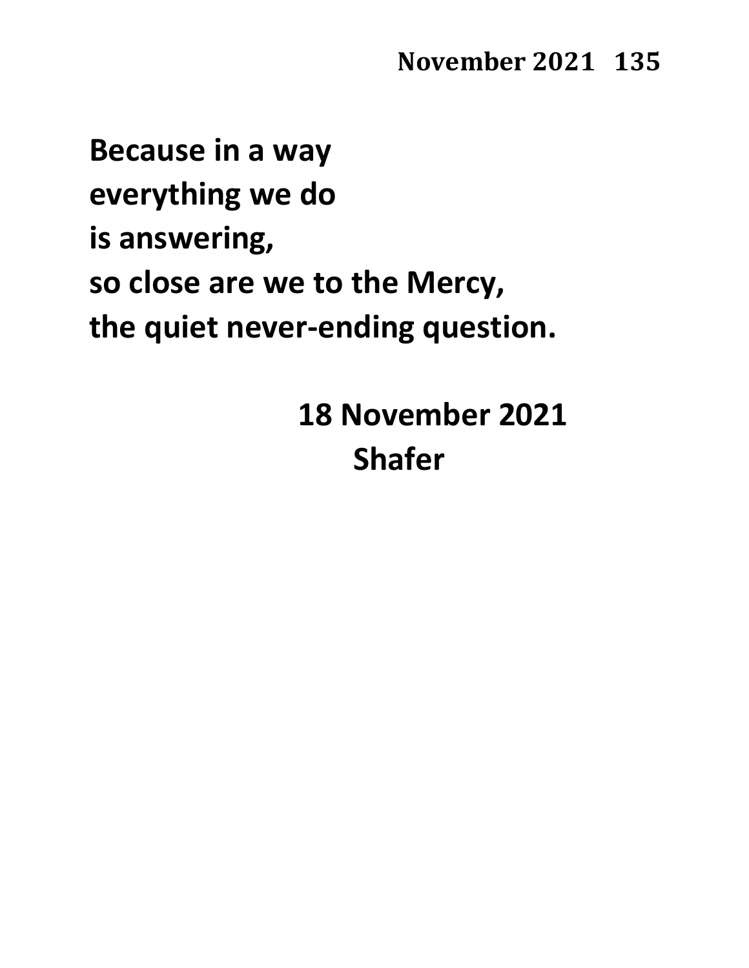**Because in a way everything we do is answering, so close are we to the Mercy, the quiet never-ending question.**

# **18 November 2021 Shafer**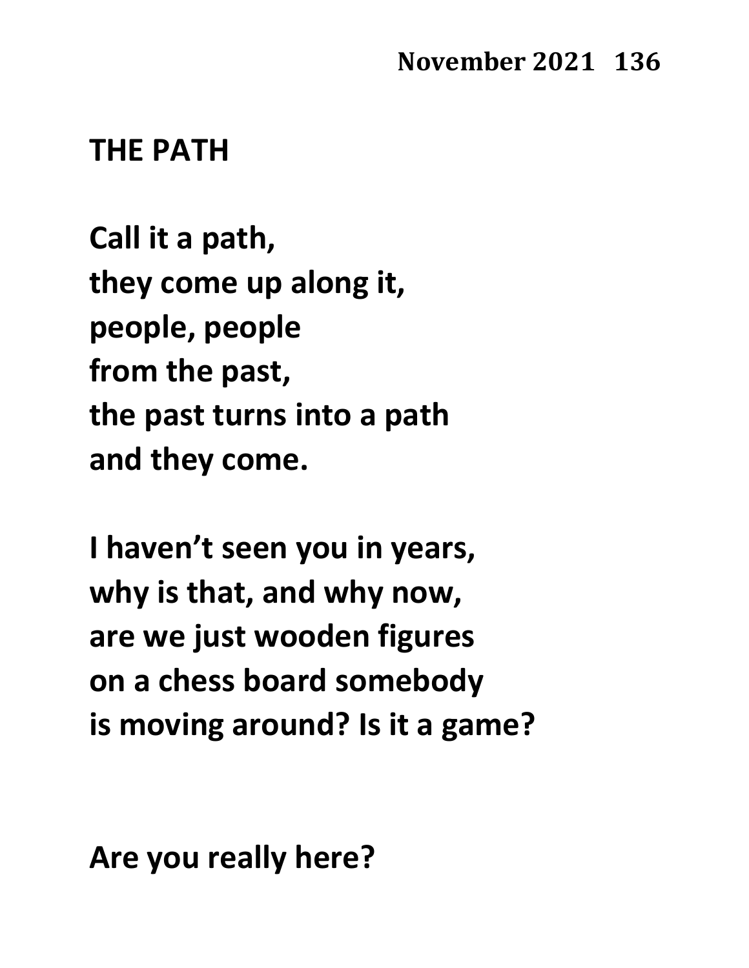### **THE PATH**

**Call it a path, they come up along it, people, people from the past, the past turns into a path and they come.**

**I haven't seen you in years, why is that, and why now, are we just wooden figures on a chess board somebody is moving around? Is it a game?**

**Are you really here?**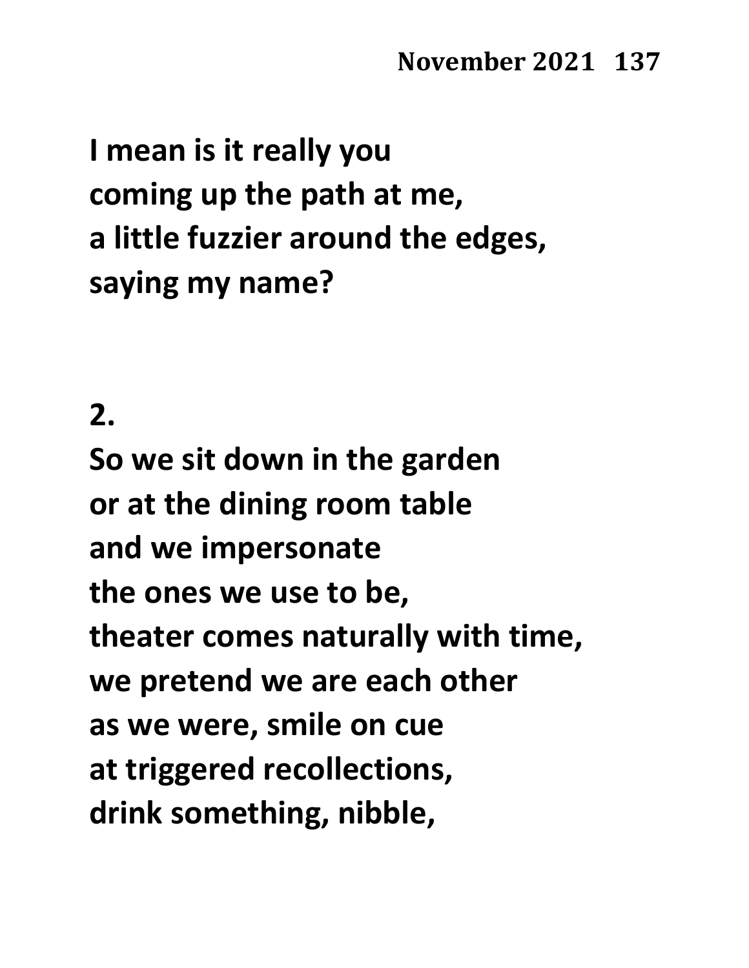**I mean is it really you coming up the path at me, a little fuzzier around the edges, saying my name?**

**2.**

**So we sit down in the garden or at the dining room table and we impersonate the ones we use to be, theater comes naturally with time, we pretend we are each other as we were, smile on cue at triggered recollections, drink something, nibble,**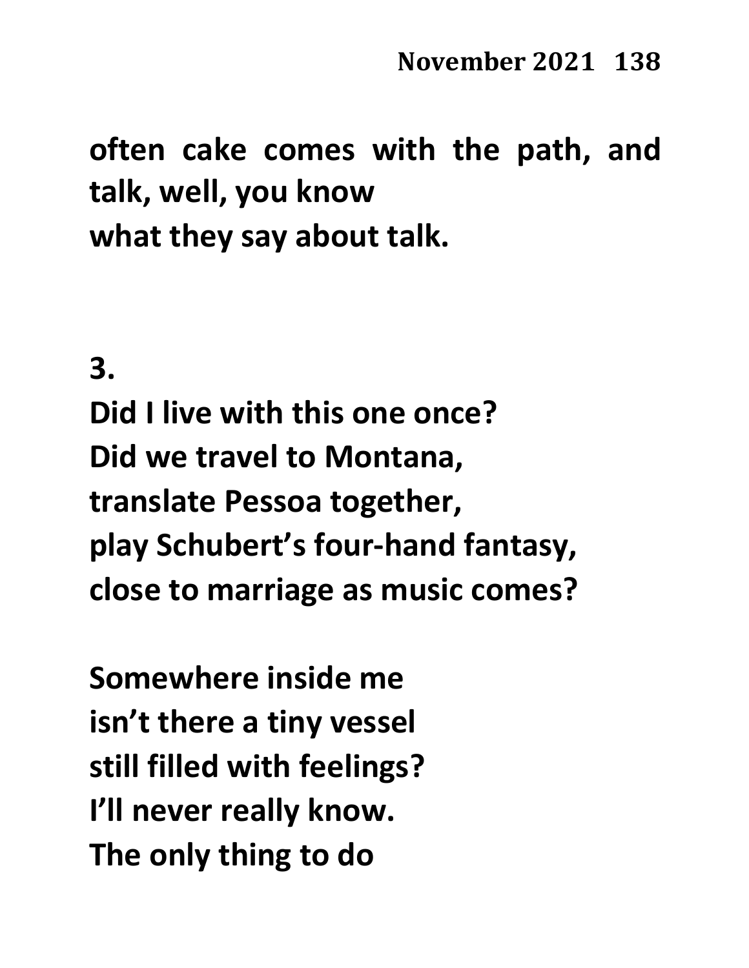**often cake comes with the path, and talk, well, you know what they say about talk.**

**3.**

**Did I live with this one once? Did we travel to Montana, translate Pessoa together, play Schubert's four-hand fantasy, close to marriage as music comes?**

**Somewhere inside me isn't there a tiny vessel still filled with feelings? I'll never really know. The only thing to do**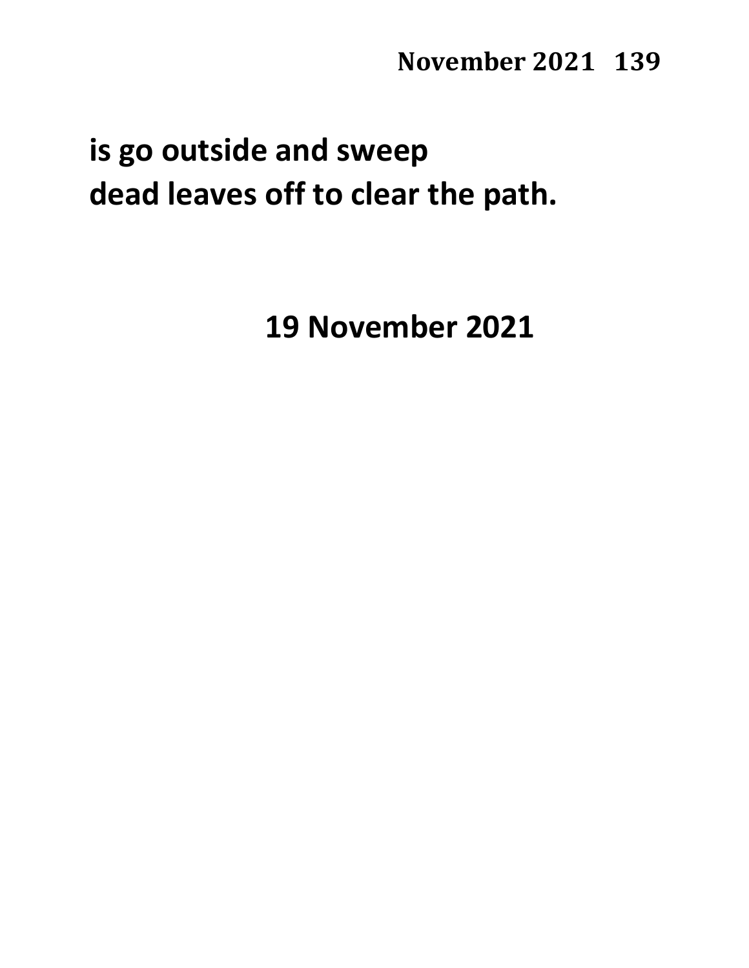# **is go outside and sweep dead leaves off to clear the path.**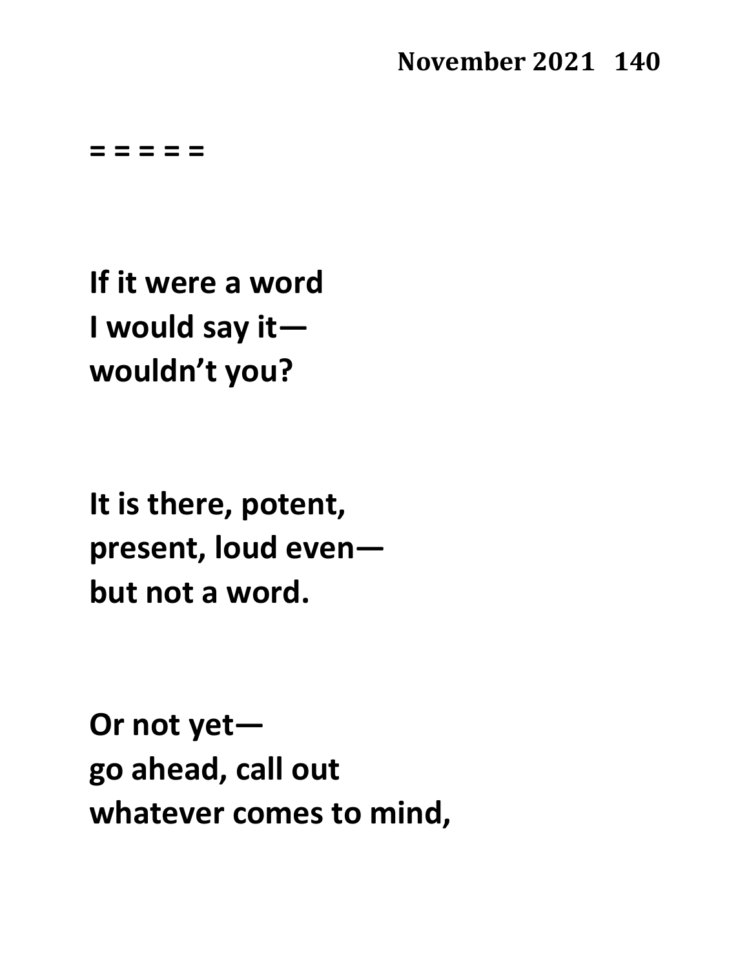**= = = = =**

**If it were a word I would say it wouldn't you?**

**It is there, potent, present, loud even but not a word.**

**Or not yet go ahead, call out whatever comes to mind,**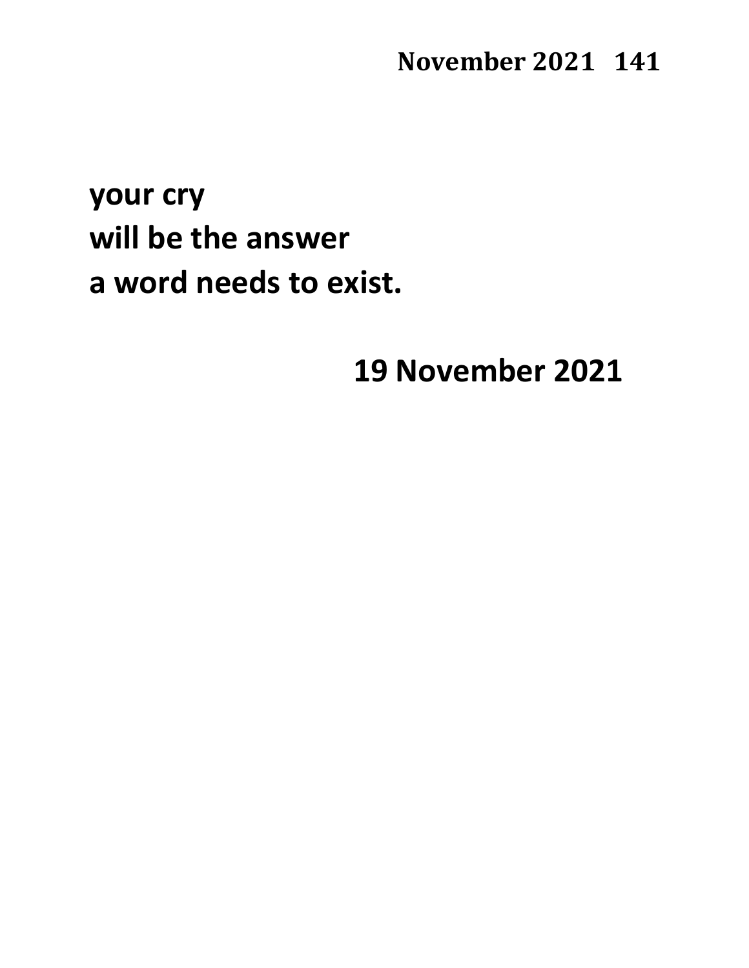## **your cry will be the answer a word needs to exist.**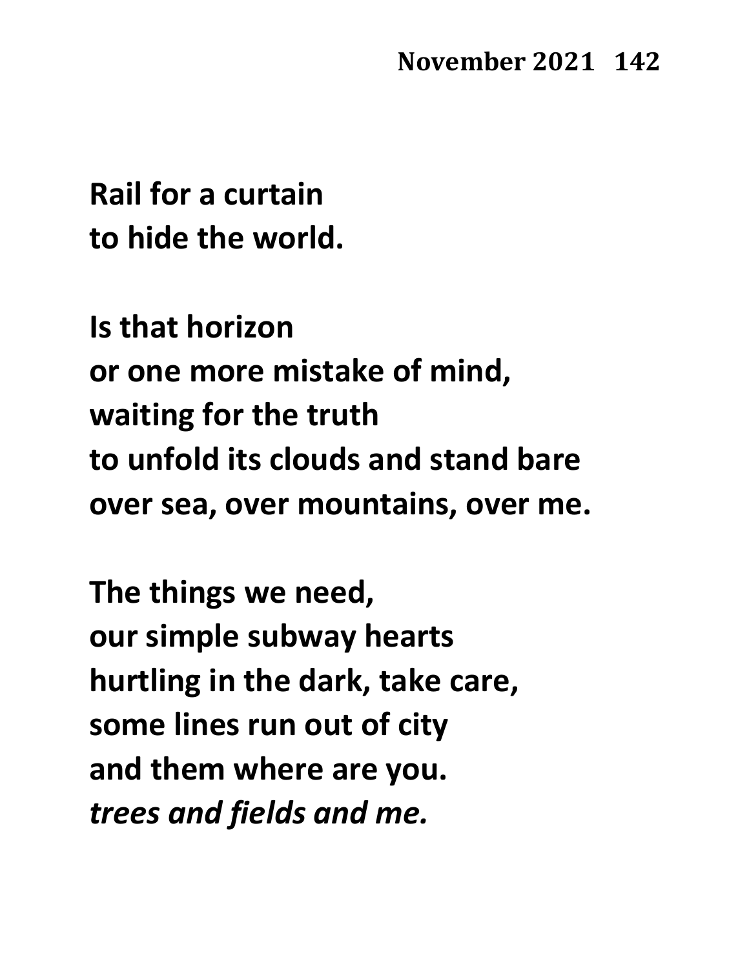**Rail for a curtain to hide the world.**

**Is that horizon or one more mistake of mind, waiting for the truth to unfold its clouds and stand bare over sea, over mountains, over me.**

**The things we need, our simple subway hearts hurtling in the dark, take care, some lines run out of city and them where are you.** *trees and fields and me.*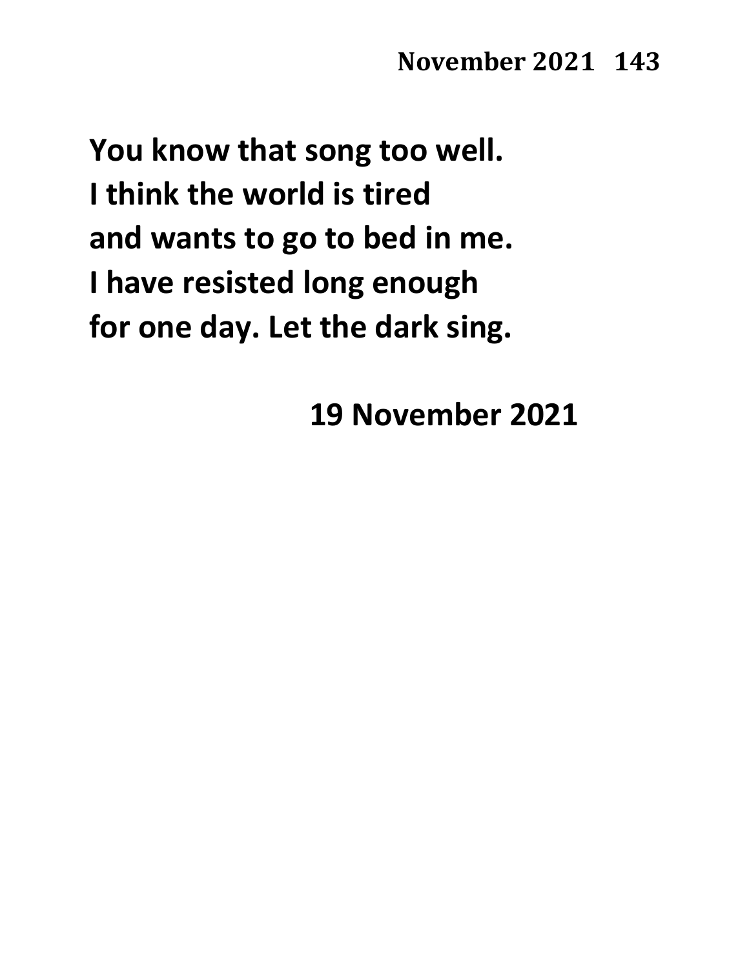**You know that song too well. I think the world is tired and wants to go to bed in me. I have resisted long enough for one day. Let the dark sing.**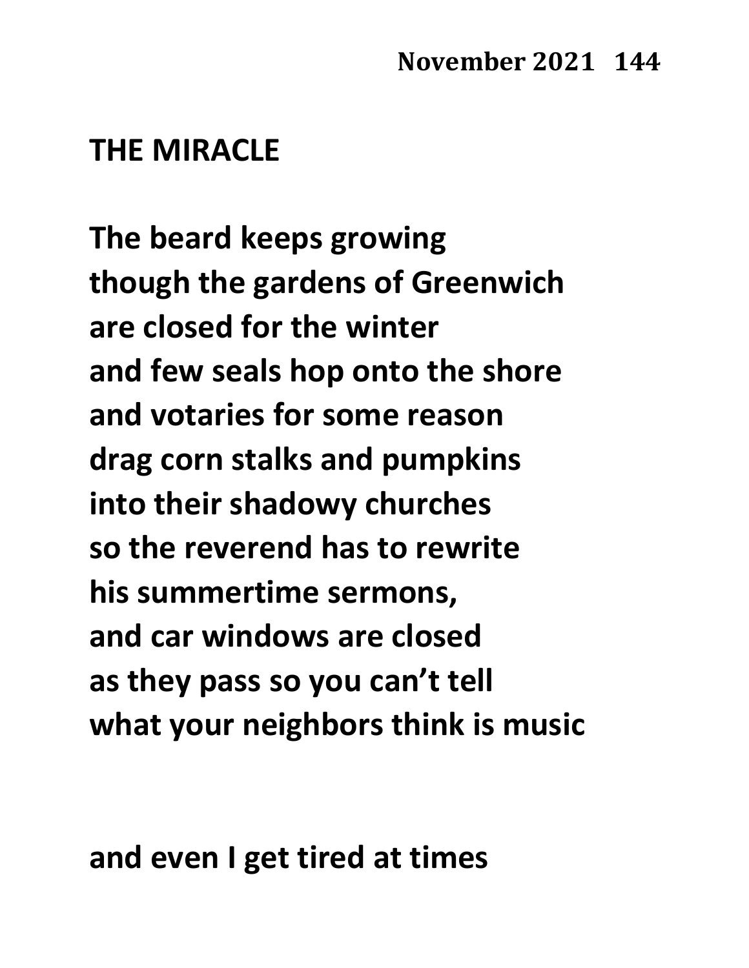## **THE MIRACLE**

**The beard keeps growing though the gardens of Greenwich are closed for the winter and few seals hop onto the shore and votaries for some reason drag corn stalks and pumpkins into their shadowy churches so the reverend has to rewrite his summertime sermons, and car windows are closed as they pass so you can't tell what your neighbors think is music**

**and even I get tired at times**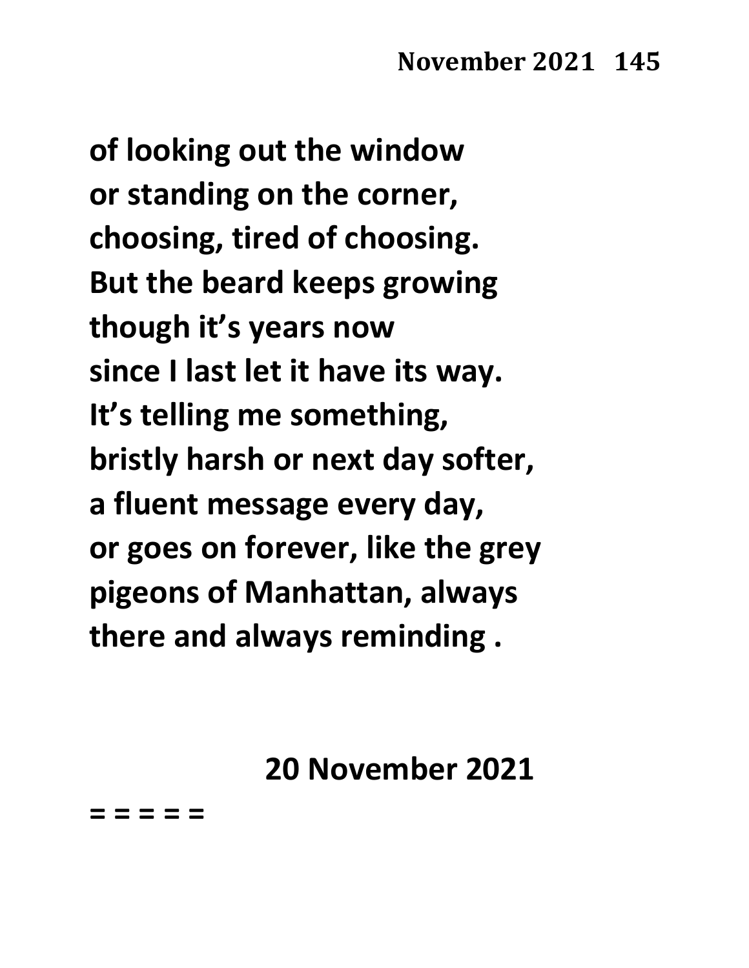**of looking out the window or standing on the corner, choosing, tired of choosing. But the beard keeps growing though it's years now since I last let it have its way. It's telling me something, bristly harsh or next day softer, a fluent message every day, or goes on forever, like the grey pigeons of Manhattan, always there and always reminding .**

**20 November 2021**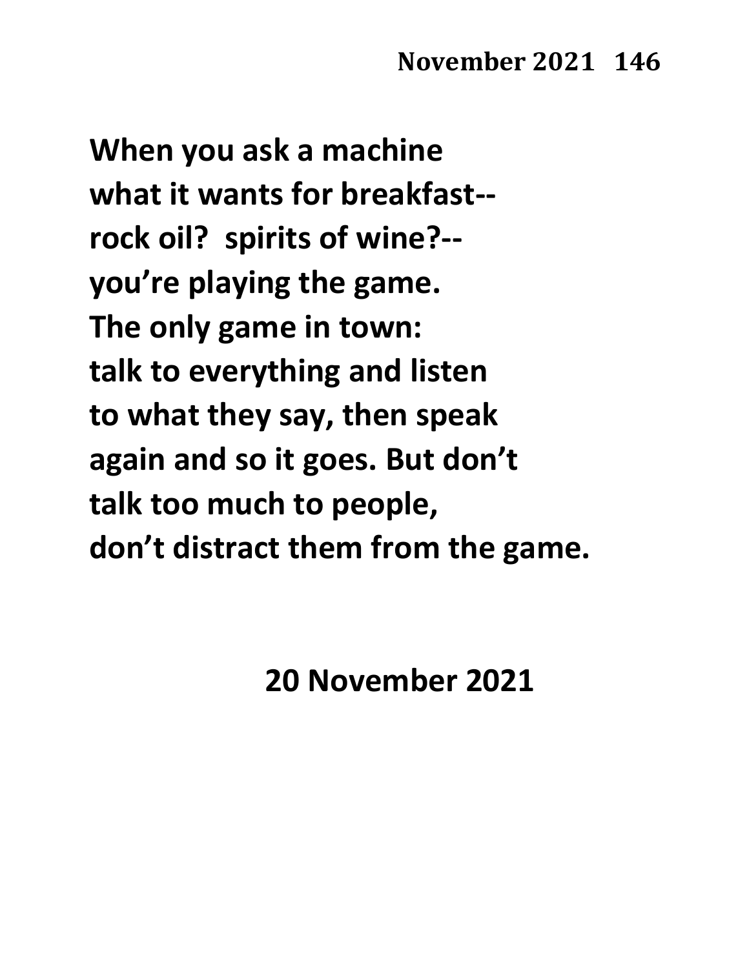**When you ask a machine what it wants for breakfast- rock oil? spirits of wine?- you're playing the game. The only game in town: talk to everything and listen to what they say, then speak again and so it goes. But don't talk too much to people, don't distract them from the game.**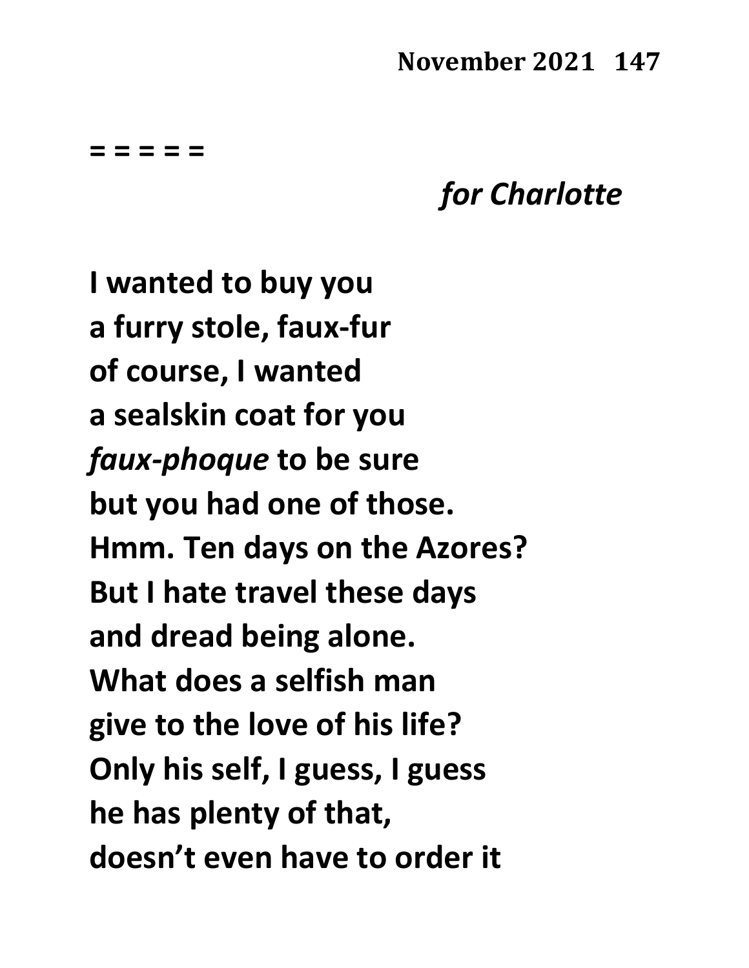**November 2021 147**

**= = = = =**

# *for Charlotte*

**I wanted to buy you a furry stole, faux-fur of course, I wanted a sealskin coat for you** *faux-phoque* **to be sure but you had one of those. Hmm. Ten days on the Azores? But I hate travel these days and dread being alone. What does a selfish man give to the love of his life? Only his self, I guess, I guess he has plenty of that, doesn't even have to order it**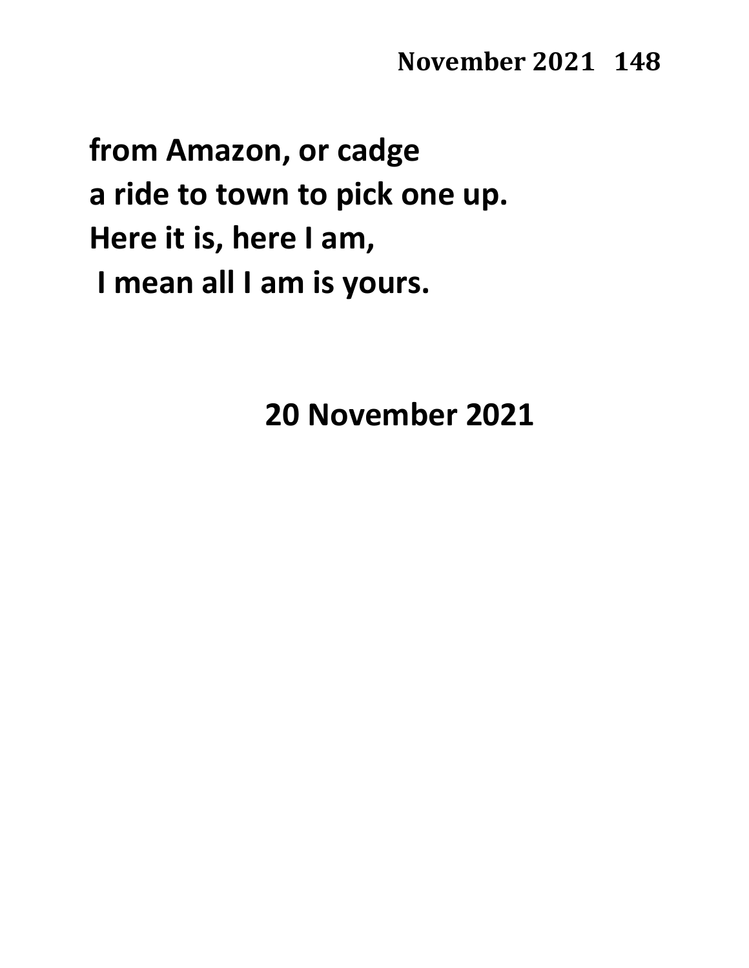**November 2021 148**

**from Amazon, or cadge a ride to town to pick one up. Here it is, here I am, I mean all I am is yours.**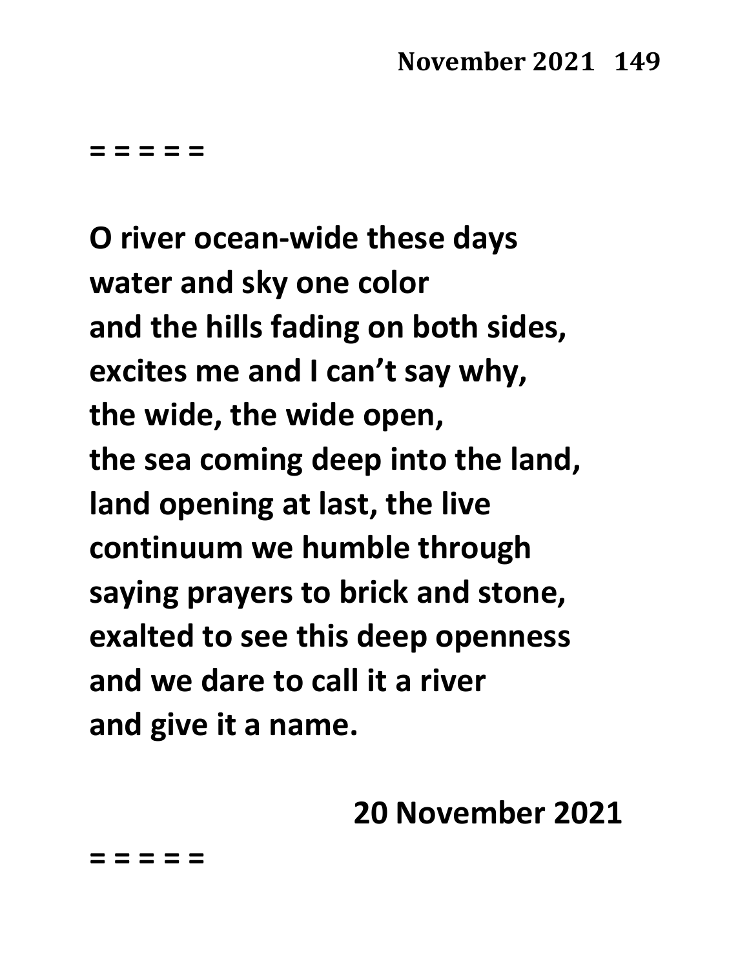**= = = = =**

**O river ocean-wide these days water and sky one color and the hills fading on both sides, excites me and I can't say why, the wide, the wide open, the sea coming deep into the land, land opening at last, the live continuum we humble through saying prayers to brick and stone, exalted to see this deep openness and we dare to call it a river and give it a name.**

# **20 November 2021**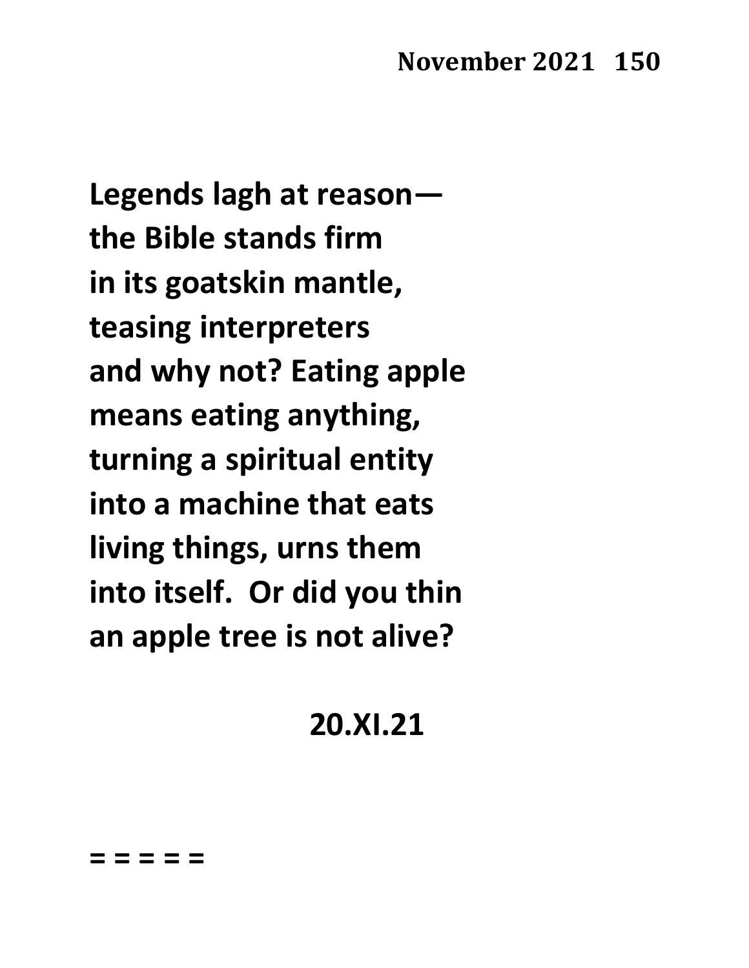**Legends lagh at reason the Bible stands firm in its goatskin mantle, teasing interpreters and why not? Eating apple means eating anything, turning a spiritual entity into a machine that eats living things, urns them into itself. Or did you thin an apple tree is not alive?**

**20.XI.21**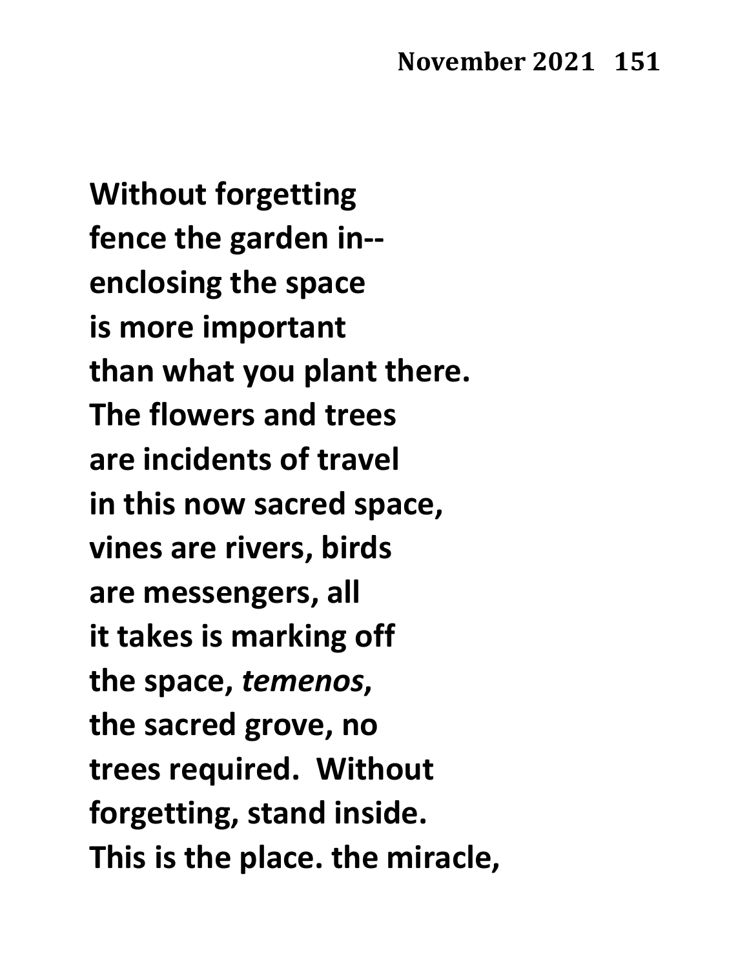**Without forgetting fence the garden in- enclosing the space is more important than what you plant there. The flowers and trees are incidents of travel in this now sacred space, vines are rivers, birds are messengers, all it takes is marking off the space,** *temenos***, the sacred grove, no trees required. Without forgetting, stand inside. This is the place. the miracle,**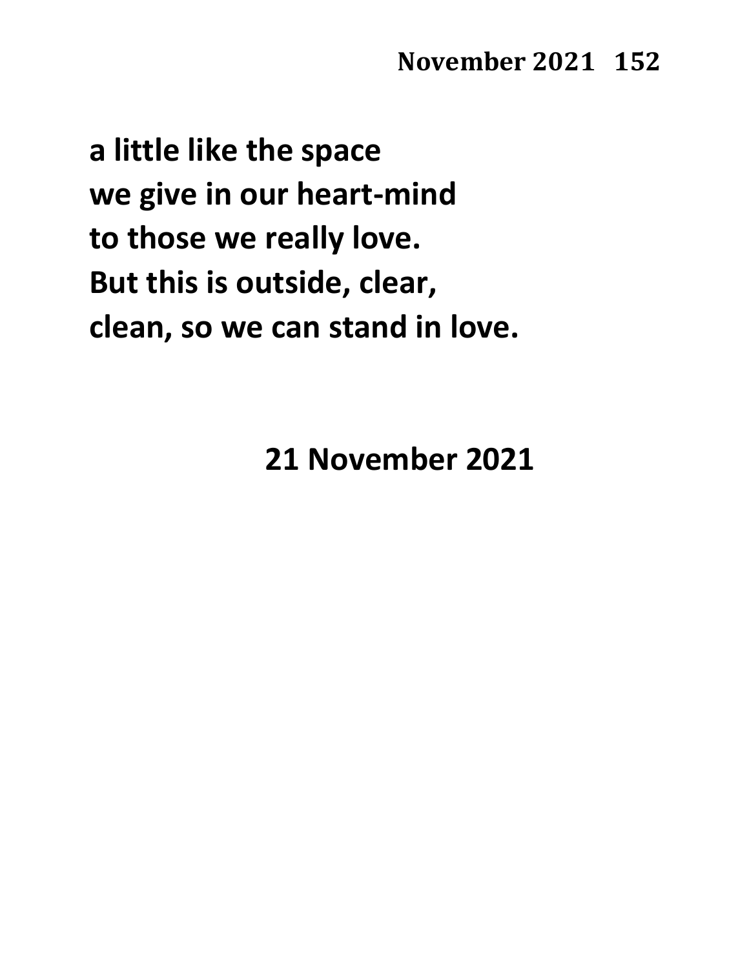**November 2021 152**

**a little like the space we give in our heart-mind to those we really love. But this is outside, clear, clean, so we can stand in love.**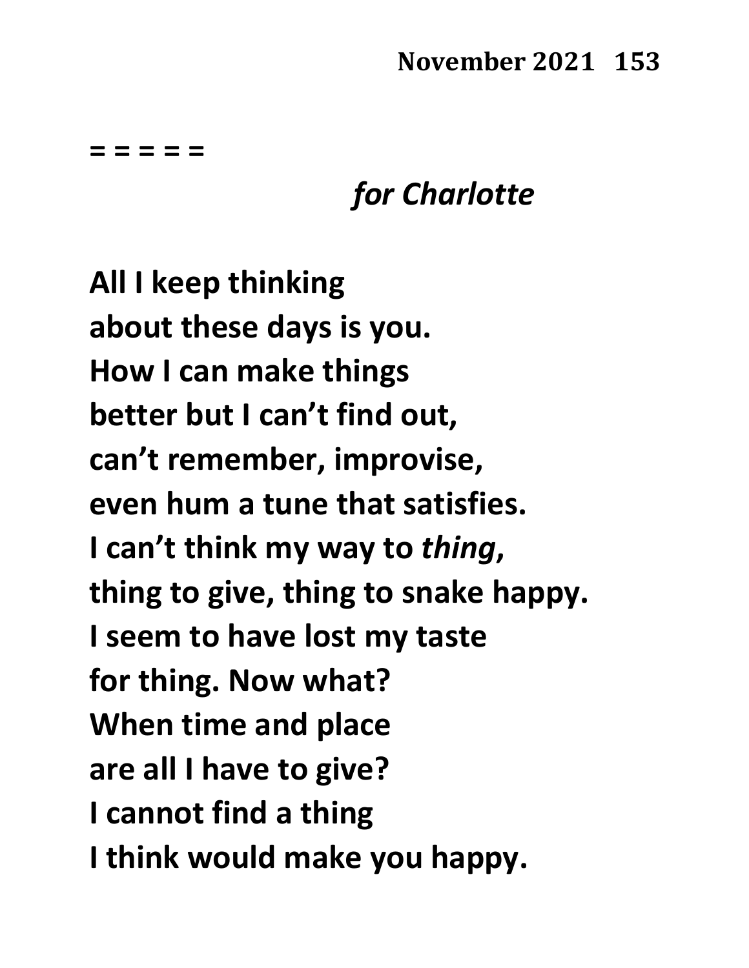**= = = = =**

# *for Charlotte*

**All I keep thinking about these days is you. How I can make things better but I can't find out, can't remember, improvise, even hum a tune that satisfies. I can't think my way to** *thing***, thing to give, thing to snake happy. I seem to have lost my taste for thing. Now what? When time and place are all I have to give? I cannot find a thing I think would make you happy.**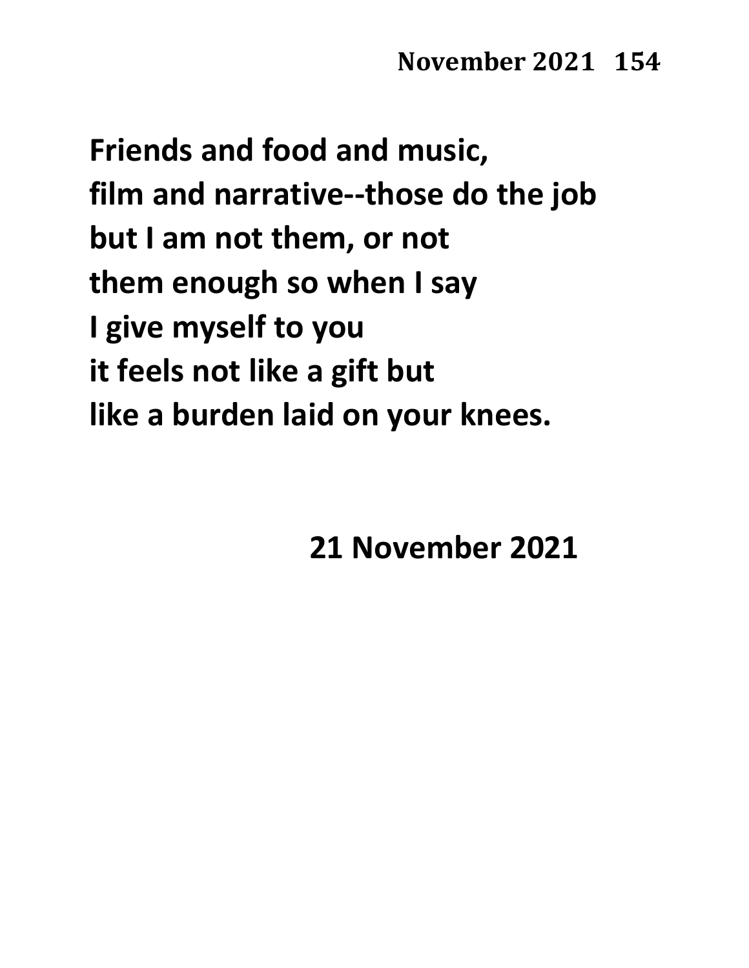**Friends and food and music, film and narrative--those do the job but I am not them, or not them enough so when I say I give myself to you it feels not like a gift but like a burden laid on your knees.**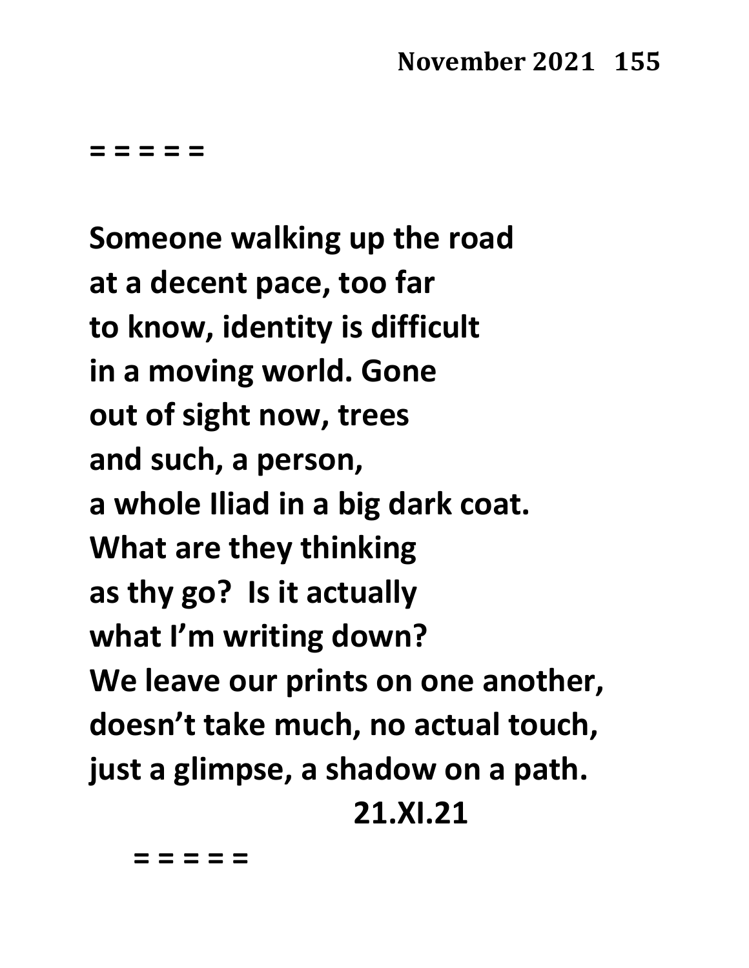**= = = = =**

**Someone walking up the road at a decent pace, too far to know, identity is difficult in a moving world. Gone out of sight now, trees and such, a person, a whole Iliad in a big dark coat. What are they thinking as thy go? Is it actually what I'm writing down? We leave our prints on one another, doesn't take much, no actual touch, just a glimpse, a shadow on a path. 21.XI.21**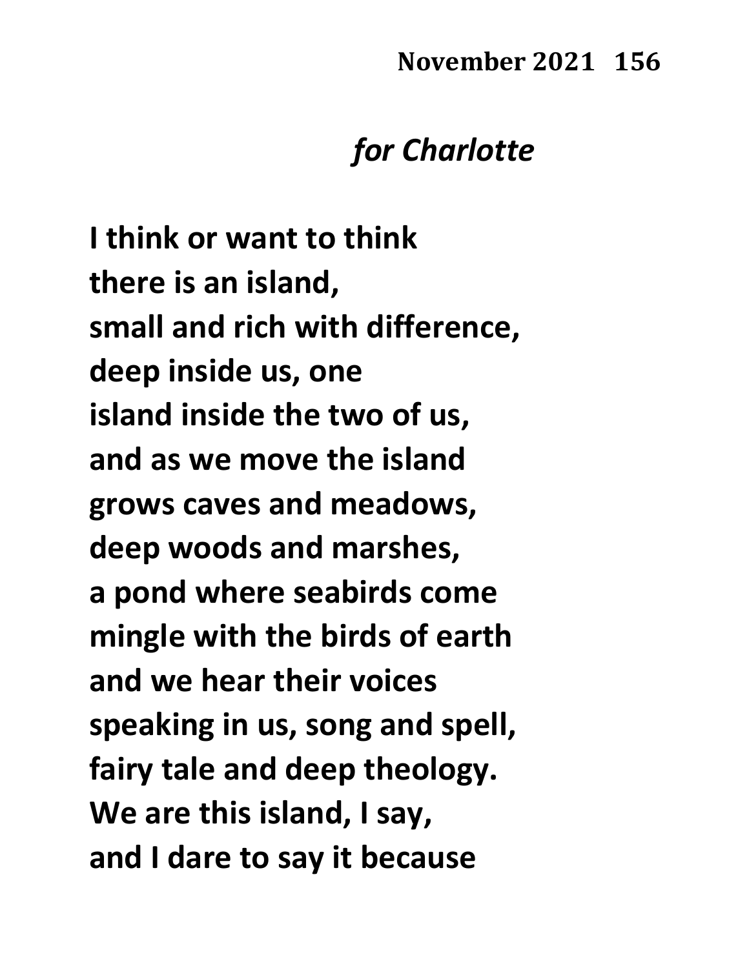# *for Charlotte*

**I think or want to think there is an island, small and rich with difference, deep inside us, one island inside the two of us, and as we move the island grows caves and meadows, deep woods and marshes, a pond where seabirds come mingle with the birds of earth and we hear their voices speaking in us, song and spell, fairy tale and deep theology. We are this island, I say, and I dare to say it because**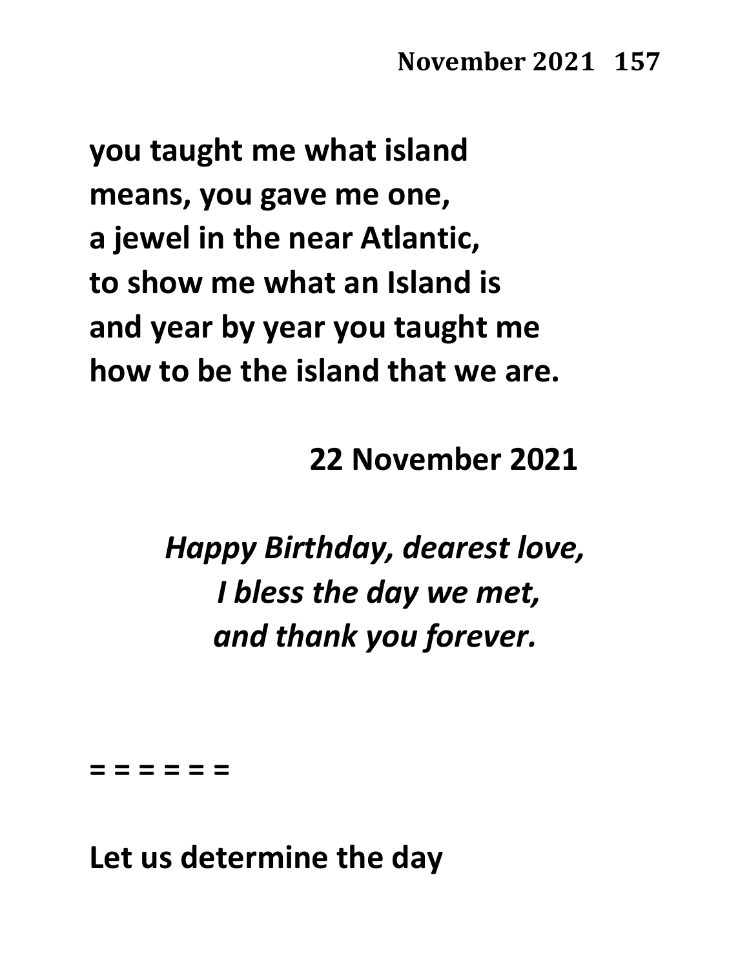**you taught me what island means, you gave me one, a jewel in the near Atlantic, to show me what an Island is and year by year you taught me how to be the island that we are.**

## **22 November 2021**

*Happy Birthday, dearest love, I bless the day we met, and thank you forever.*

**= = = = = =**

**Let us determine the day**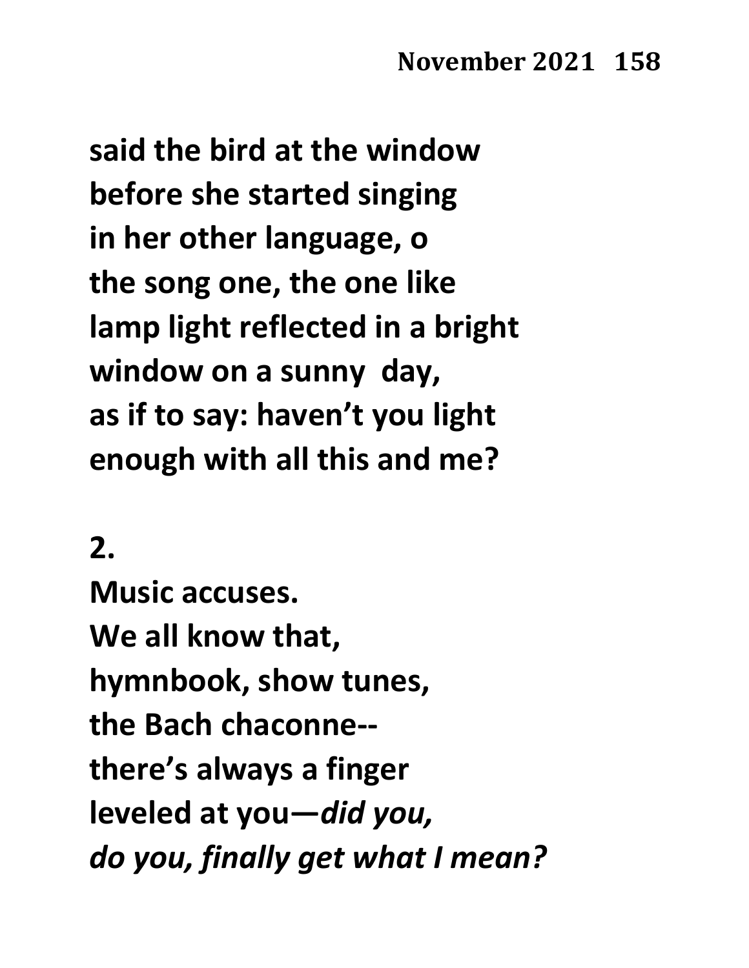**said the bird at the window before she started singing in her other language, o the song one, the one like lamp light reflected in a bright window on a sunny day, as if to say: haven't you light enough with all this and me?**

## **2.**

**Music accuses. We all know that, hymnbook, show tunes, the Bach chaconne- there's always a finger leveled at you—***did you, do you, finally get what I mean?*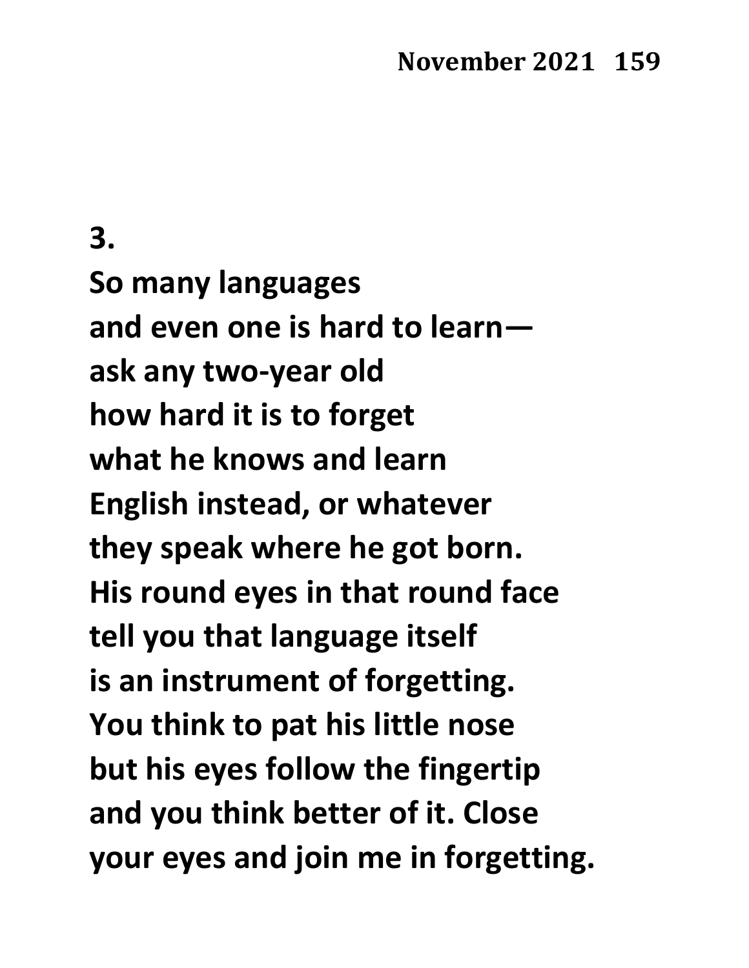**3. So many languages and even one is hard to learn ask any two-year old how hard it is to forget what he knows and learn English instead, or whatever they speak where he got born. His round eyes in that round face tell you that language itself is an instrument of forgetting. You think to pat his little nose but his eyes follow the fingertip and you think better of it. Close your eyes and join me in forgetting.**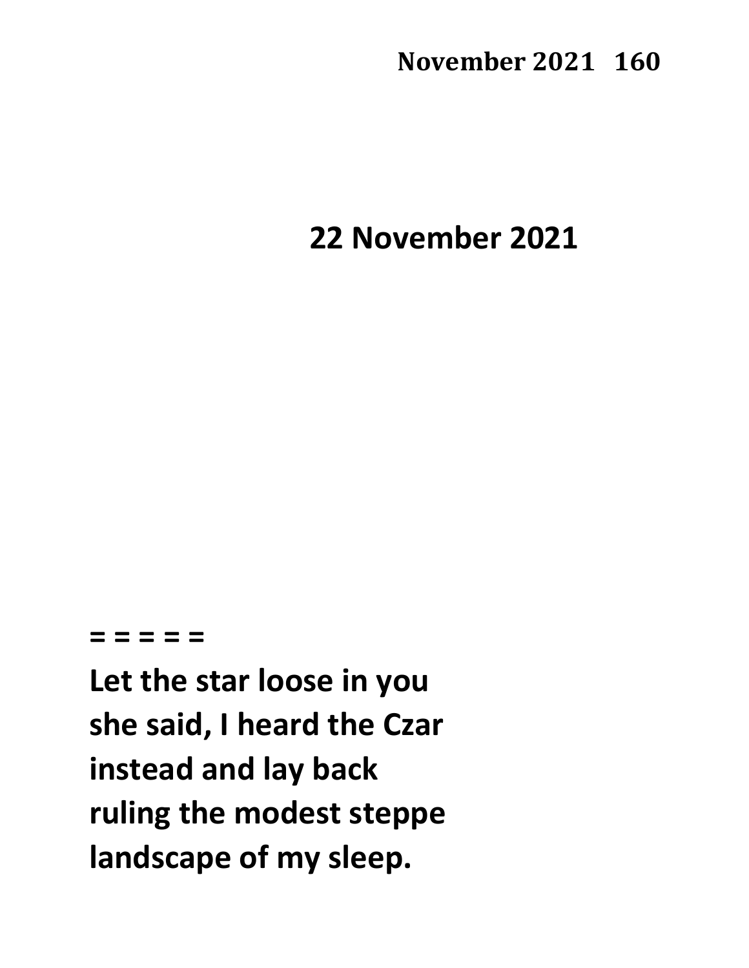### **November 2021 160**

# **22 November 2021**

### **= = = = =**

**Let the star loose in you she said, I heard the Czar instead and lay back ruling the modest steppe landscape of my sleep.**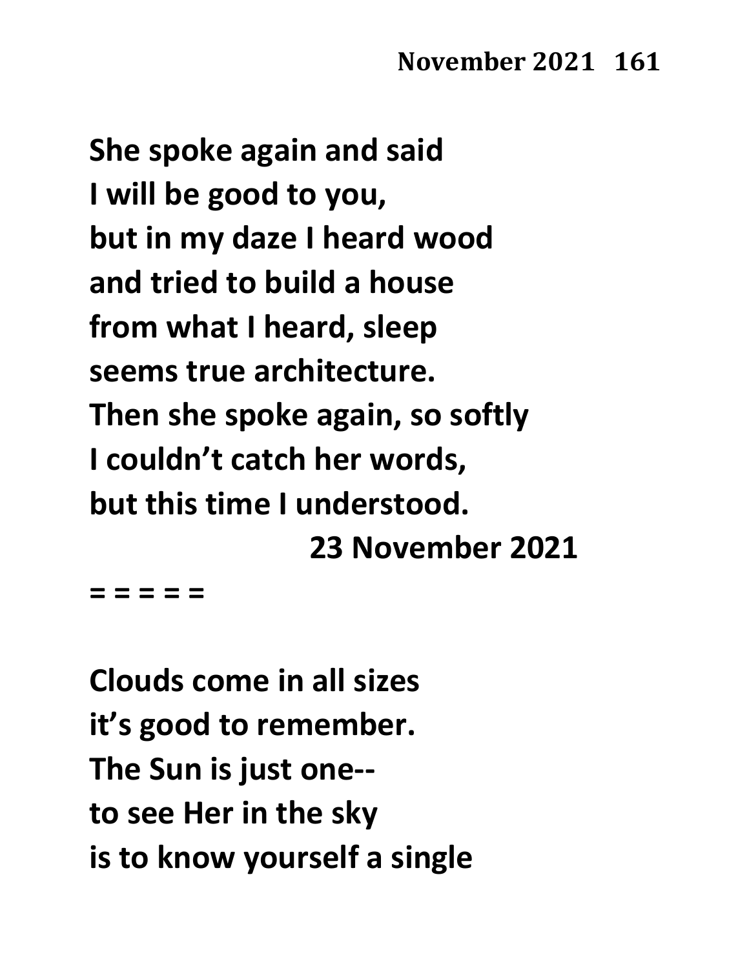**She spoke again and said I will be good to you, but in my daze I heard wood and tried to build a house from what I heard, sleep seems true architecture. Then she spoke again, so softly I couldn't catch her words, but this time I understood. 23 November 2021**

**= = = = =**

**Clouds come in all sizes it's good to remember. The Sun is just one- to see Her in the sky is to know yourself a single**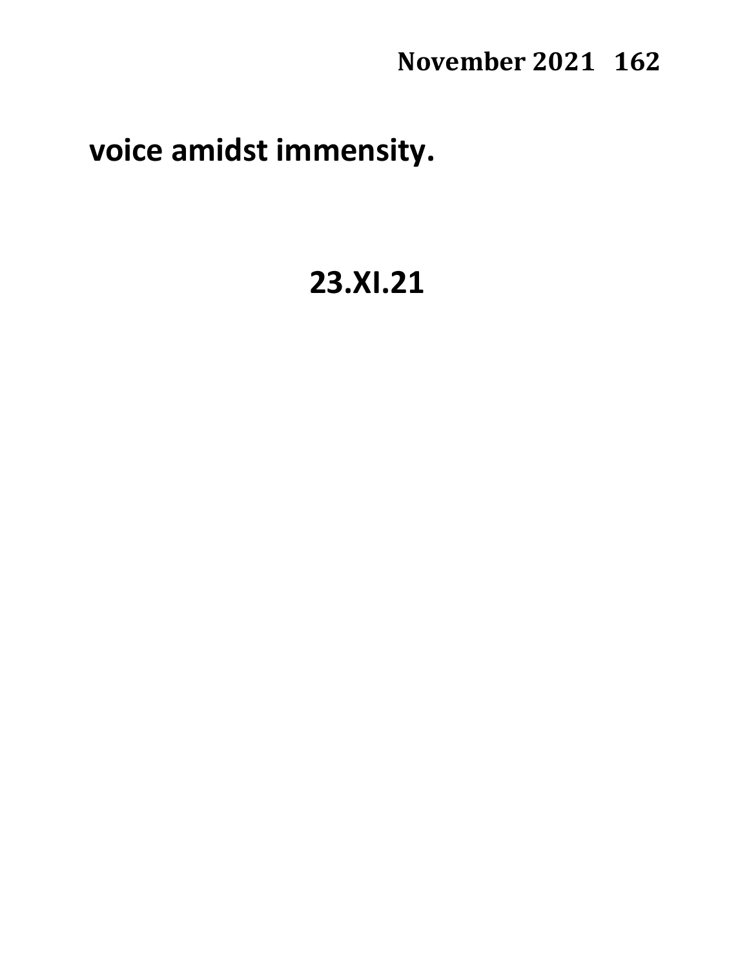## **November 2021 162**

# **voice amidst immensity.**

## **23.XI.21**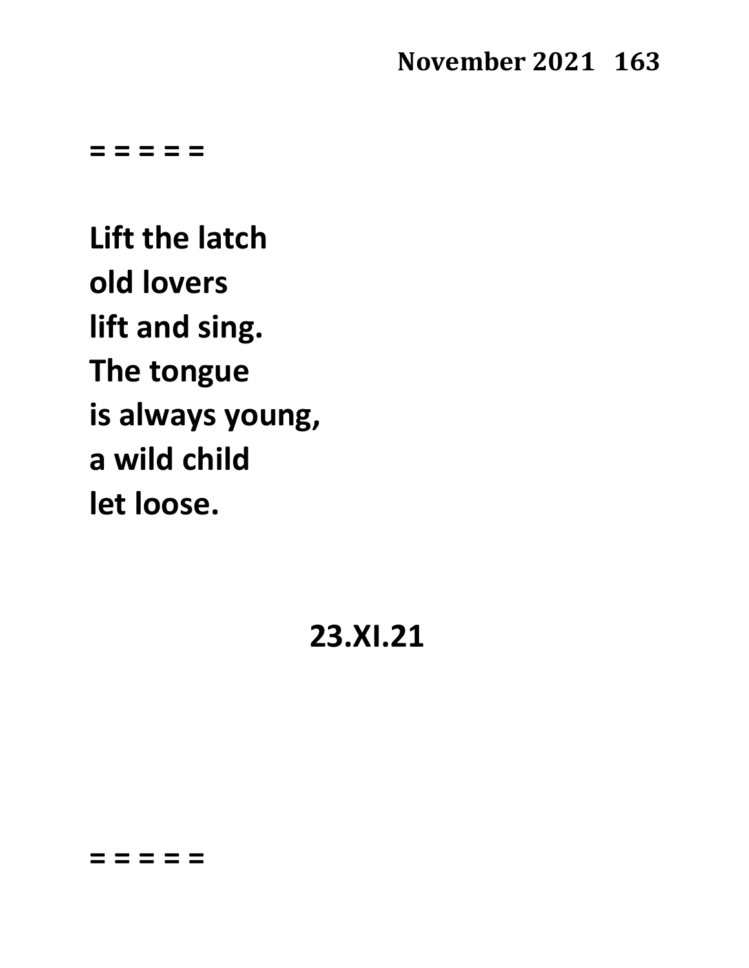## **November 2021 163**

**= = = = =**

**Lift the latch old lovers lift and sing. The tongue is always young, a wild child let loose.**

## **23.XI.21**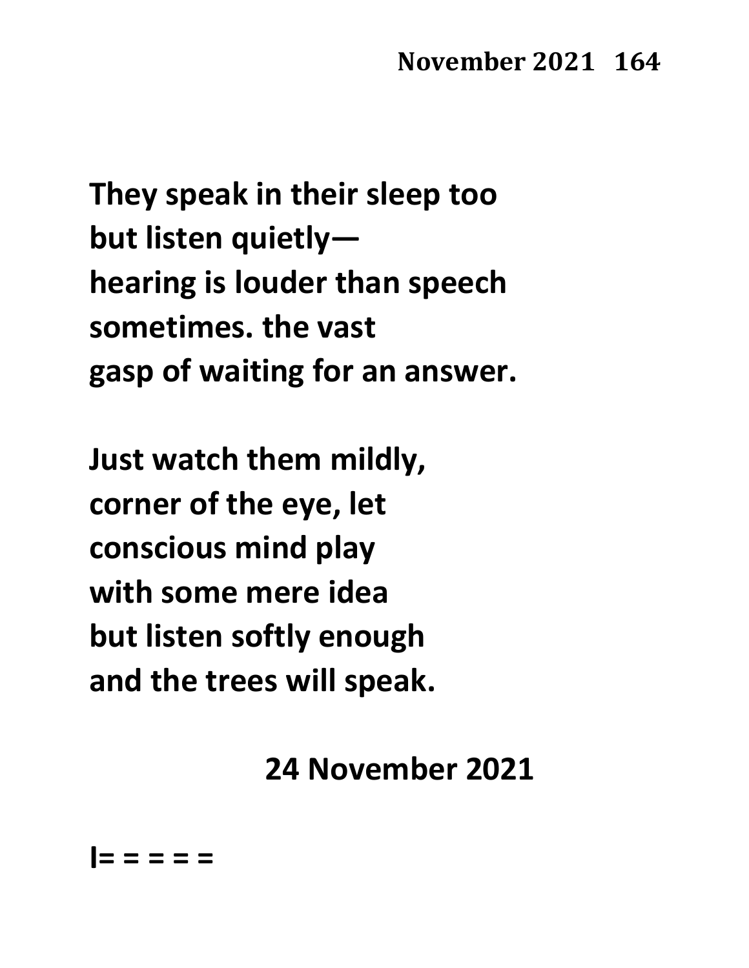**They speak in their sleep too but listen quietly hearing is louder than speech sometimes. the vast gasp of waiting for an answer.**

**Just watch them mildly, corner of the eye, let conscious mind play with some mere idea but listen softly enough and the trees will speak.**

**24 November 2021**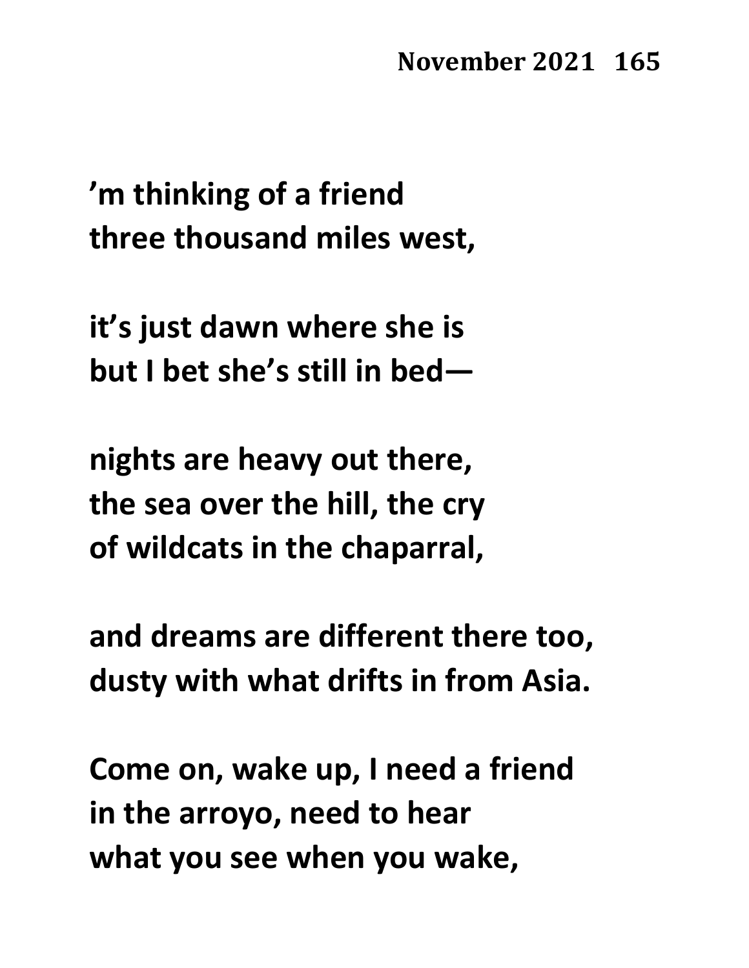**'m thinking of a friend three thousand miles west,**

**it's just dawn where she is but I bet she's still in bed—**

**nights are heavy out there, the sea over the hill, the cry of wildcats in the chaparral,**

**and dreams are different there too, dusty with what drifts in from Asia.**

**Come on, wake up, I need a friend in the arroyo, need to hear what you see when you wake,**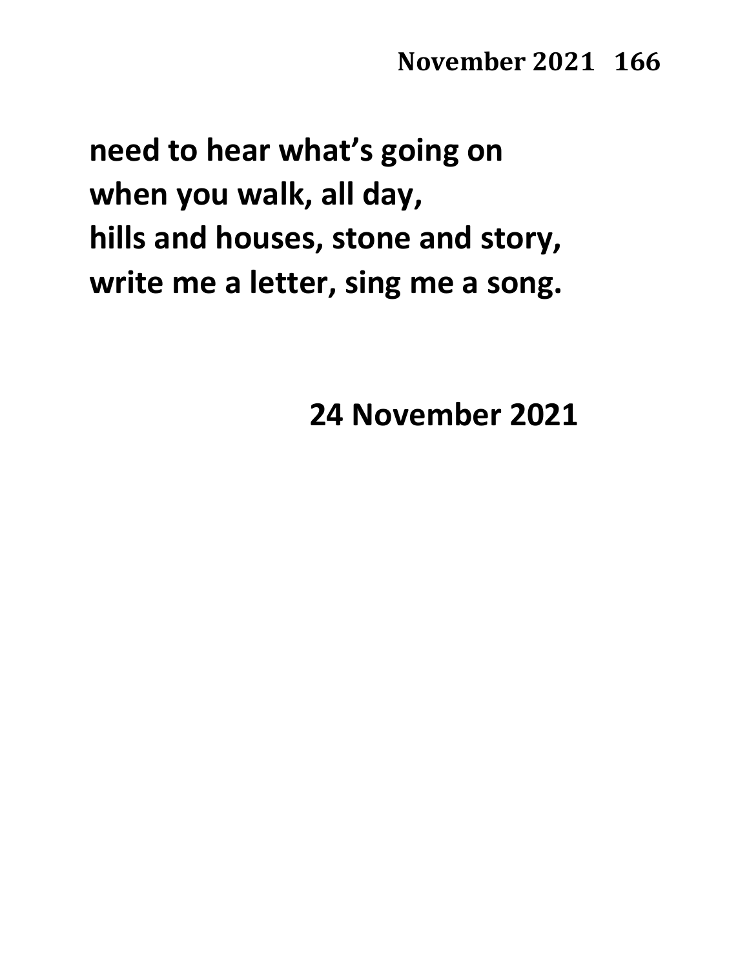**November 2021 166**

**need to hear what's going on when you walk, all day, hills and houses, stone and story, write me a letter, sing me a song.**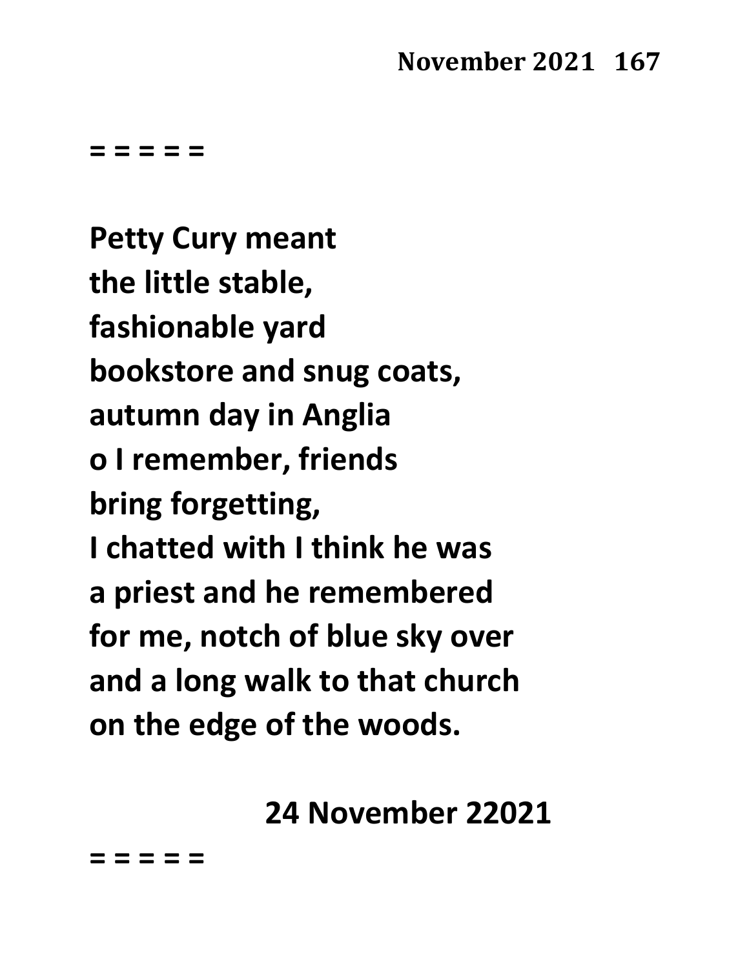**= = = = =**

**Petty Cury meant the little stable, fashionable yard bookstore and snug coats, autumn day in Anglia o I remember, friends bring forgetting, I chatted with I think he was a priest and he remembered for me, notch of blue sky over and a long walk to that church on the edge of the woods.**

**24 November 22021**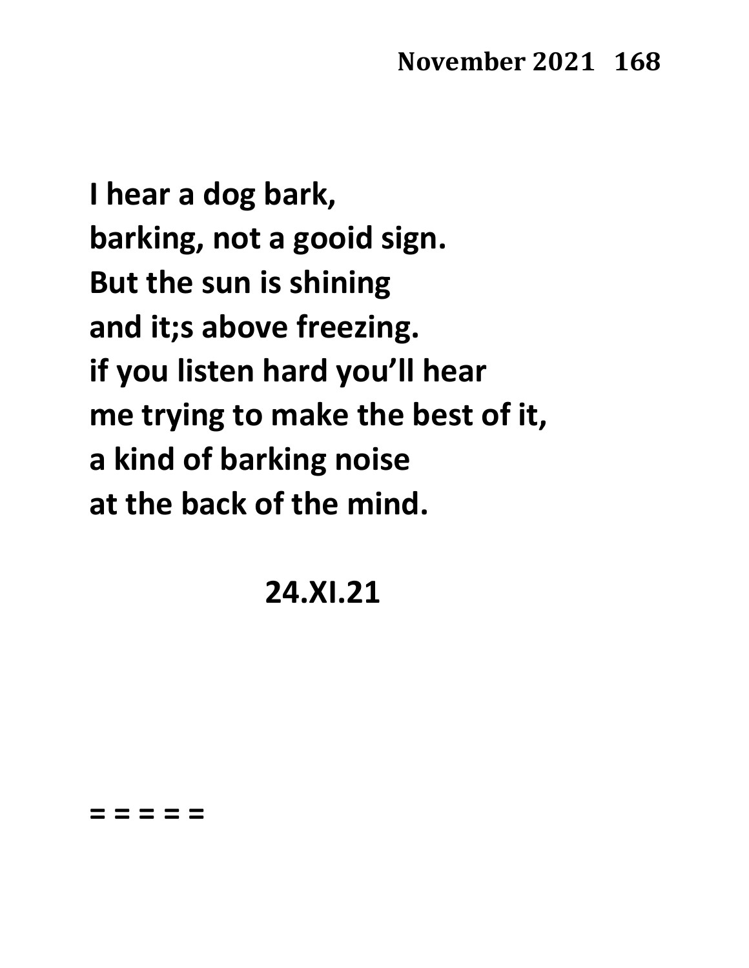**I hear a dog bark, barking, not a gooid sign. But the sun is shining and it;s above freezing. if you listen hard you'll hear me trying to make the best of it, a kind of barking noise at the back of the mind.**

## **24.XI.21**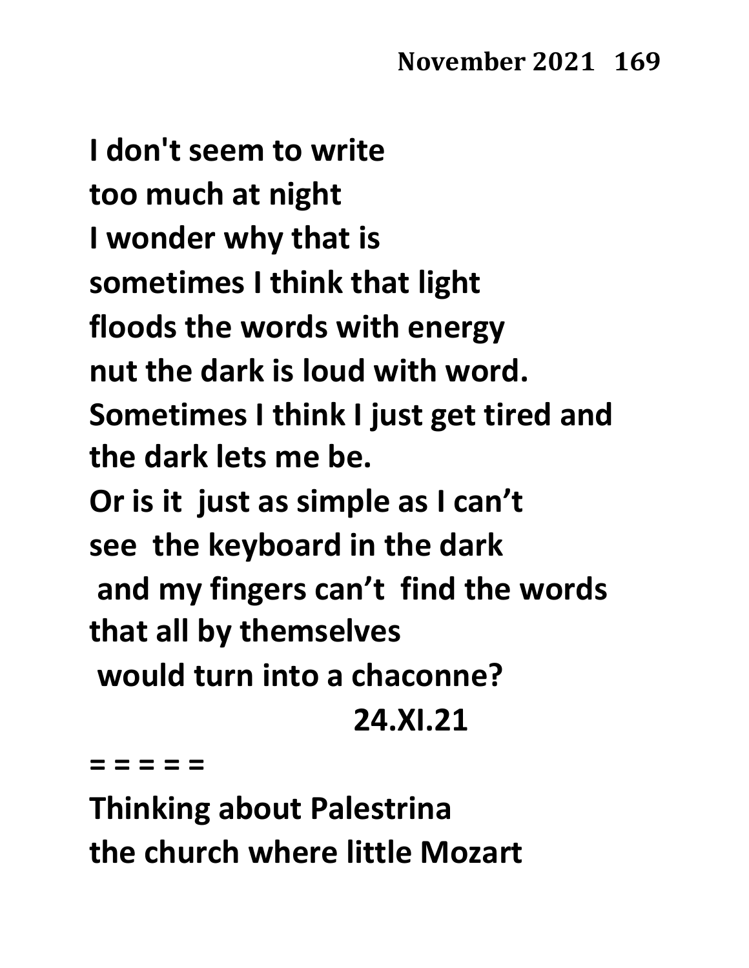**I don't seem to write too much at night I wonder why that is sometimes I think that light floods the words with energy nut the dark is loud with word. Sometimes I think I just get tired and the dark lets me be. Or is it just as simple as I can't see the keyboard in the dark and my fingers can't find the words that all by themselves would turn into a chaconne? 24.XI.21**

**= = = = =**

**Thinking about Palestrina the church where little Mozart**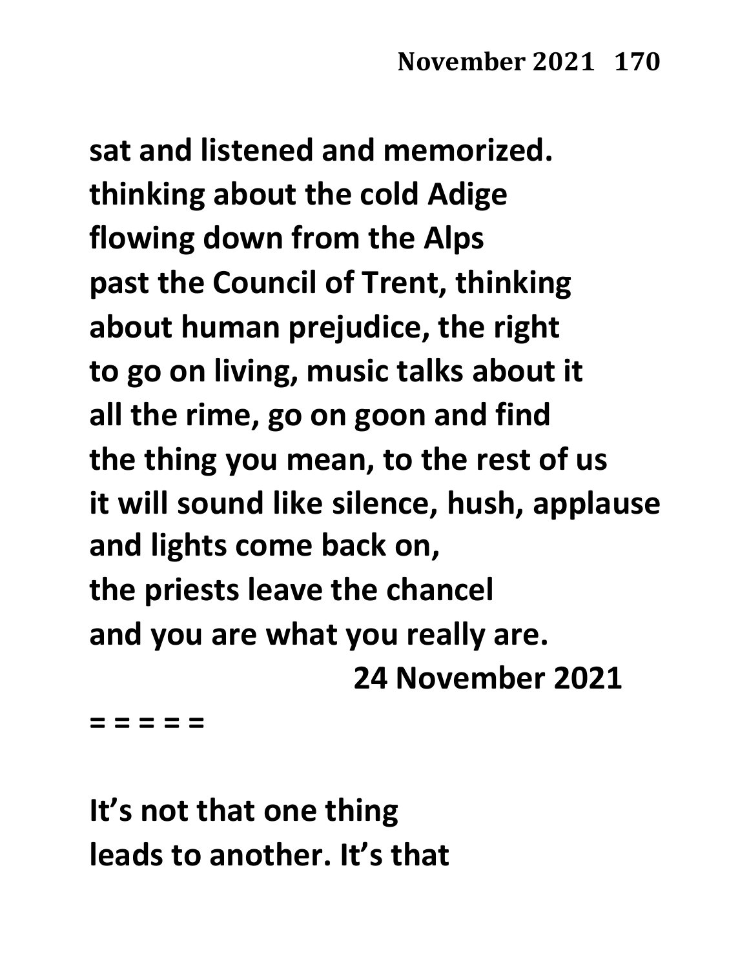**sat and listened and memorized. thinking about the cold Adige flowing down from the Alps past the Council of Trent, thinking about human prejudice, the right to go on living, music talks about it all the rime, go on goon and find the thing you mean, to the rest of us it will sound like silence, hush, applause and lights come back on, the priests leave the chancel and you are what you really are.**

**24 November 2021**

**= = = = =**

**It's not that one thing leads to another. It's that**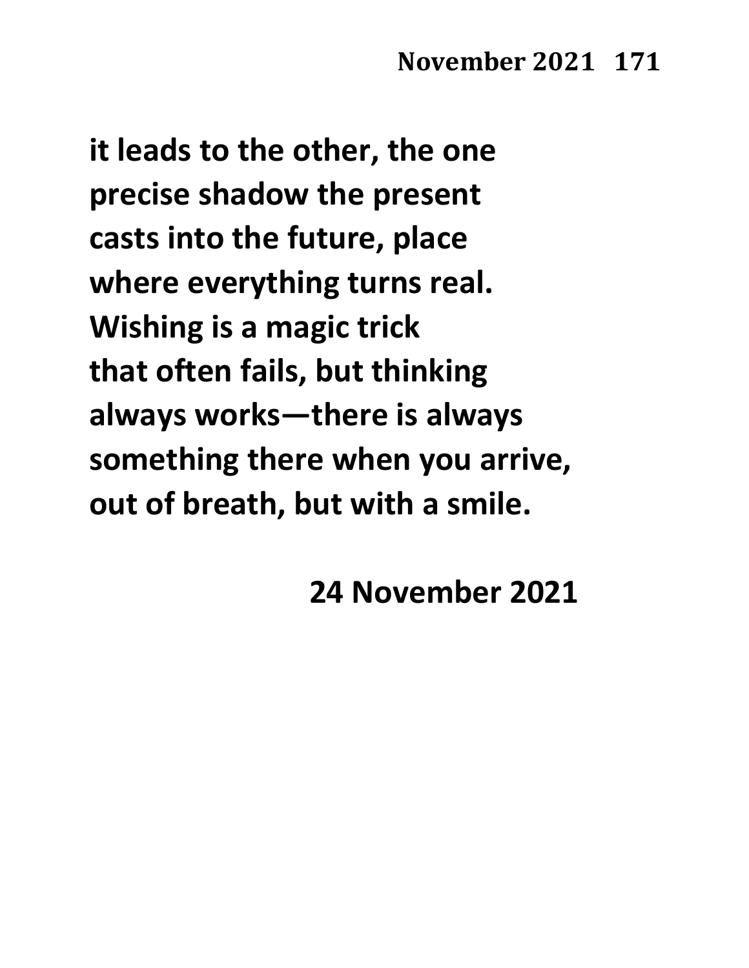**it leads to the other, the one precise shadow the present casts into the future, place where everything turns real. Wishing is a magic trick that often fails, but thinking always works—there is always something there when you arrive, out of breath, but with a smile.**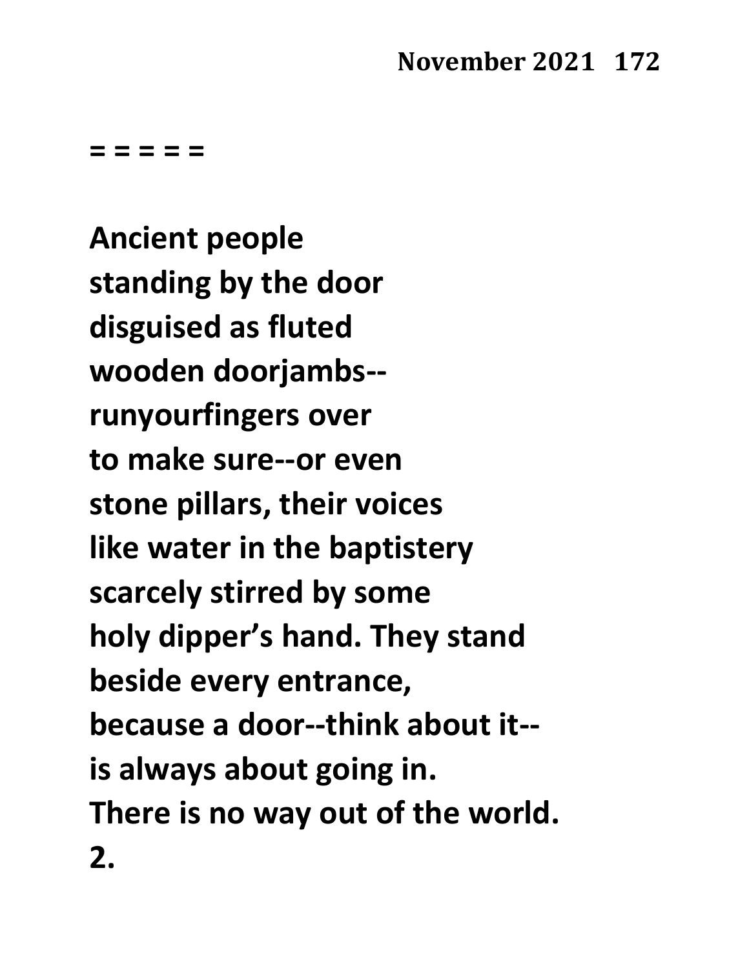**= = = = =**

**Ancient people standing by the door disguised as fluted wooden doorjambs- runyourfingers over to make sure--or even stone pillars, their voices like water in the baptistery scarcely stirred by some holy dipper's hand. They stand beside every entrance, because a door--think about it- is always about going in. There is no way out of the world. 2.**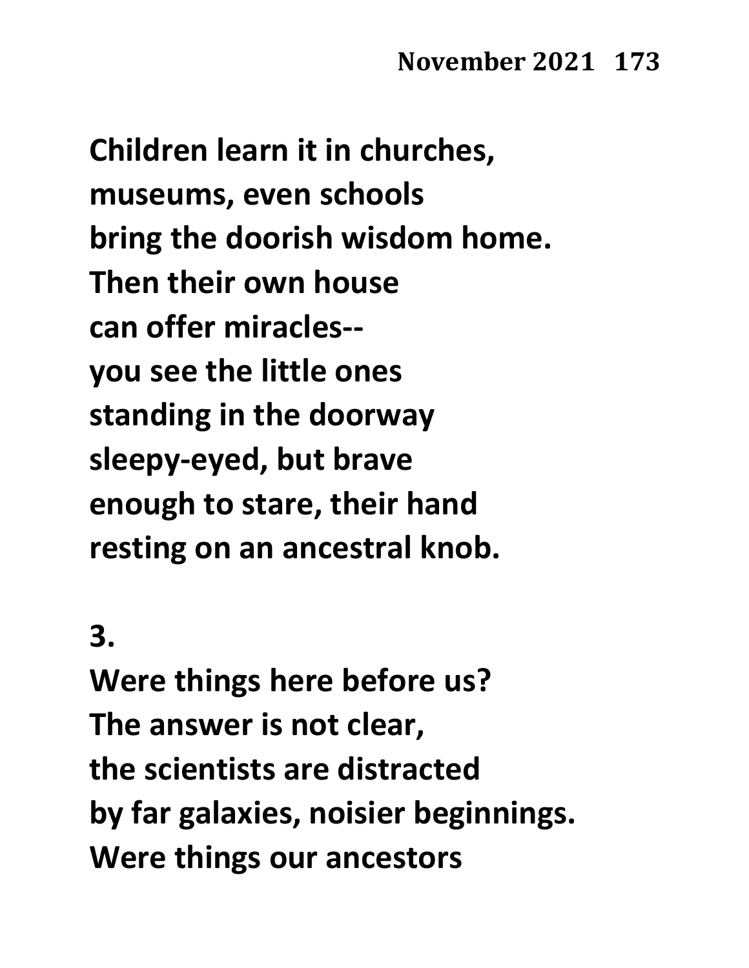**Children learn it in churches, museums, even schools bring the doorish wisdom home. Then their own house can offer miracles- you see the little ones standing in the doorway sleepy-eyed, but brave enough to stare, their hand resting on an ancestral knob.**

## **3.**

**Were things here before us? The answer is not clear, the scientists are distracted by far galaxies, noisier beginnings. Were things our ancestors**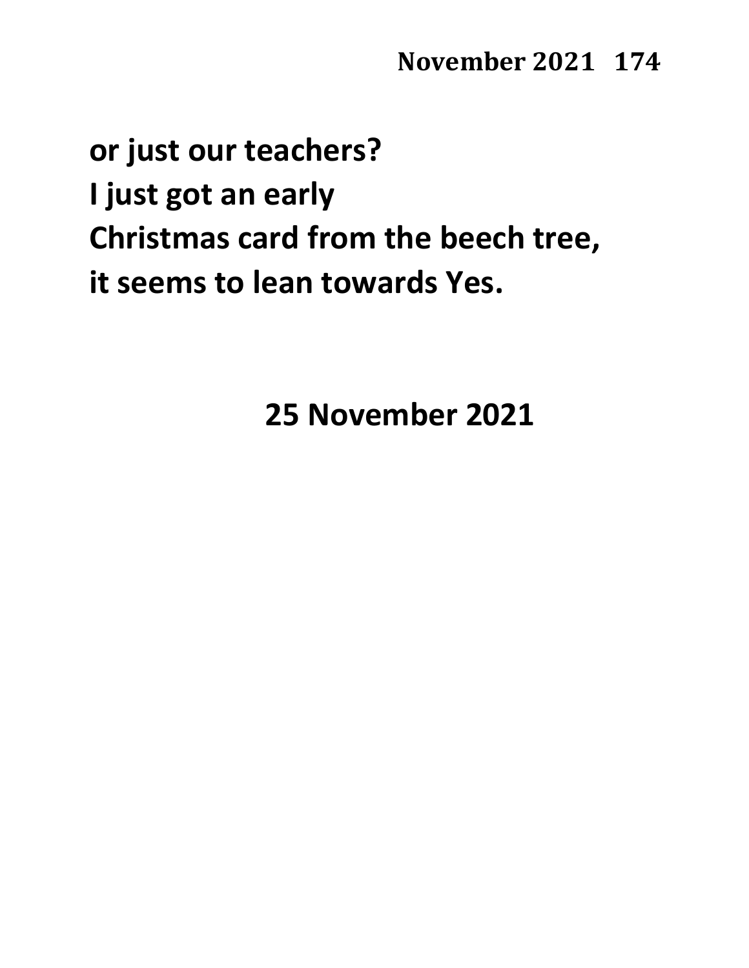**or just our teachers? I just got an early Christmas card from the beech tree, it seems to lean towards Yes.**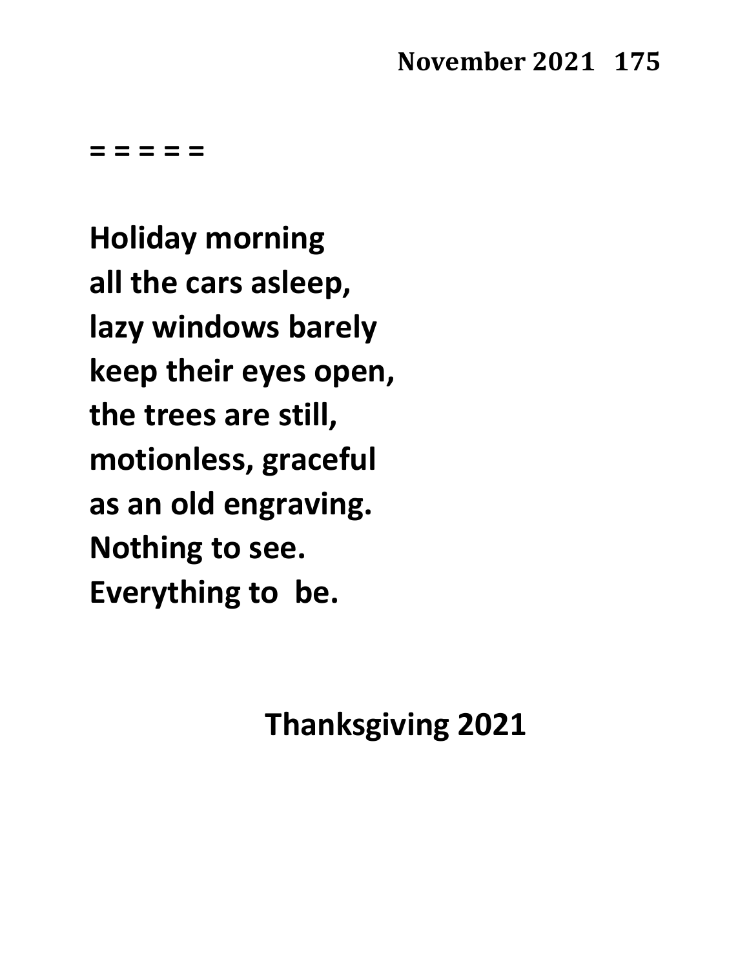**= = = = =**

**Holiday morning all the cars asleep, lazy windows barely keep their eyes open, the trees are still, motionless, graceful as an old engraving. Nothing to see. Everything to be.**

**Thanksgiving 2021**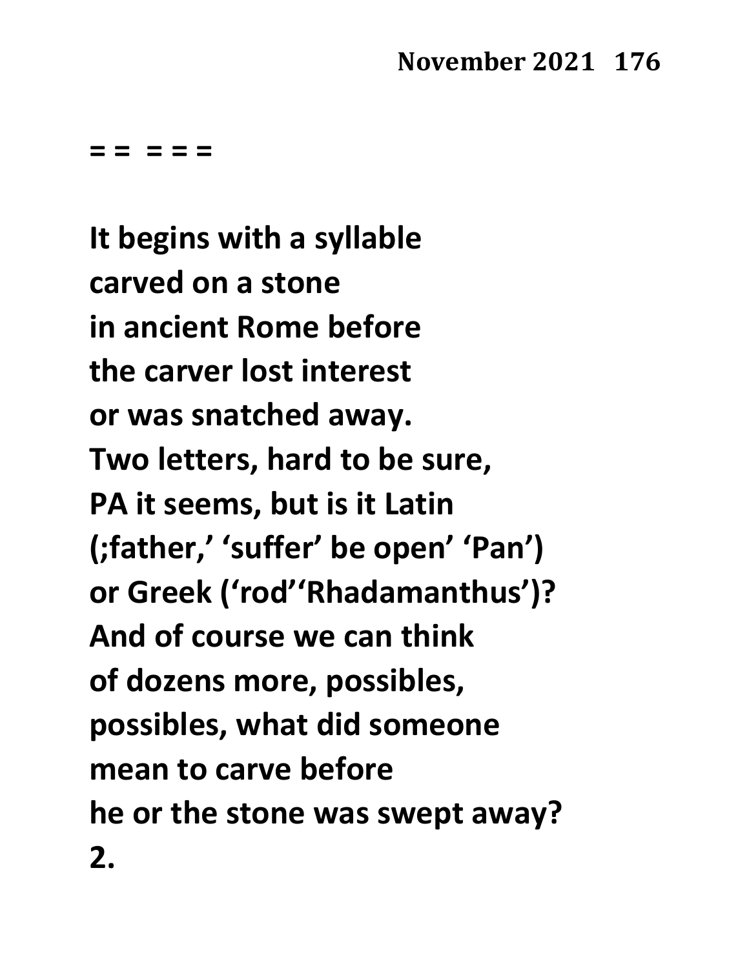**= = = = =**

**It begins with a syllable carved on a stone in ancient Rome before the carver lost interest or was snatched away. Two letters, hard to be sure, PA it seems, but is it Latin (;father,' 'suffer' be open' 'Pan') or Greek ('rod''Rhadamanthus')? And of course we can think of dozens more, possibles, possibles, what did someone mean to carve before he or the stone was swept away? 2.**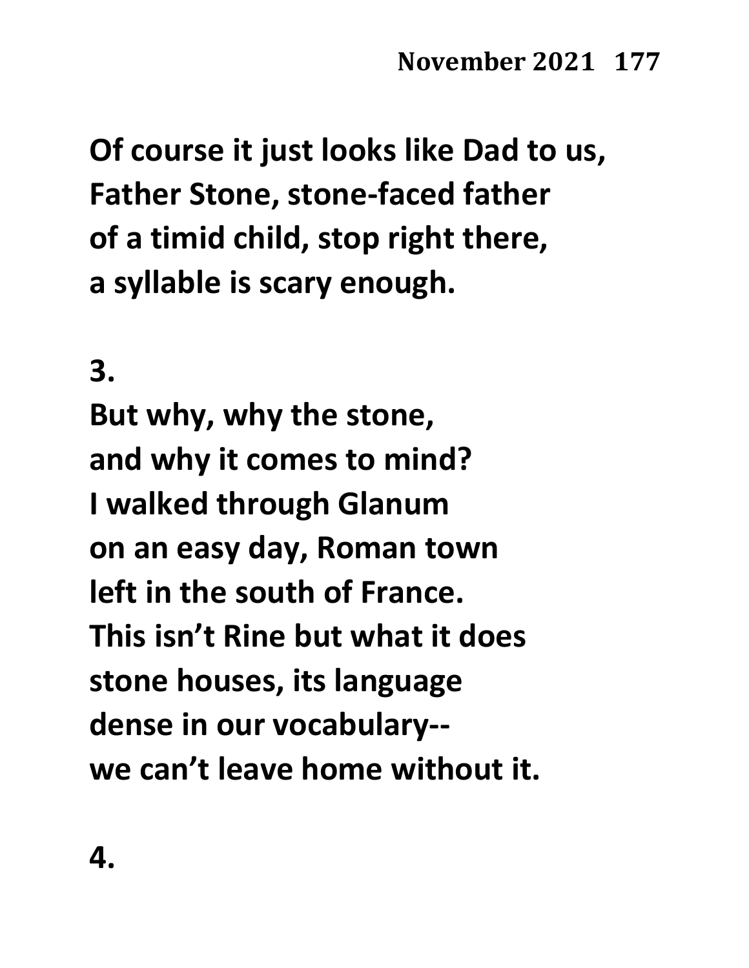**Of course it just looks like Dad to us, Father Stone, stone-faced father of a timid child, stop right there, a syllable is scary enough.**

**3.**

**But why, why the stone, and why it comes to mind? I walked through Glanum on an easy day, Roman town left in the south of France. This isn't Rine but what it does stone houses, its language dense in our vocabulary- we can't leave home without it.**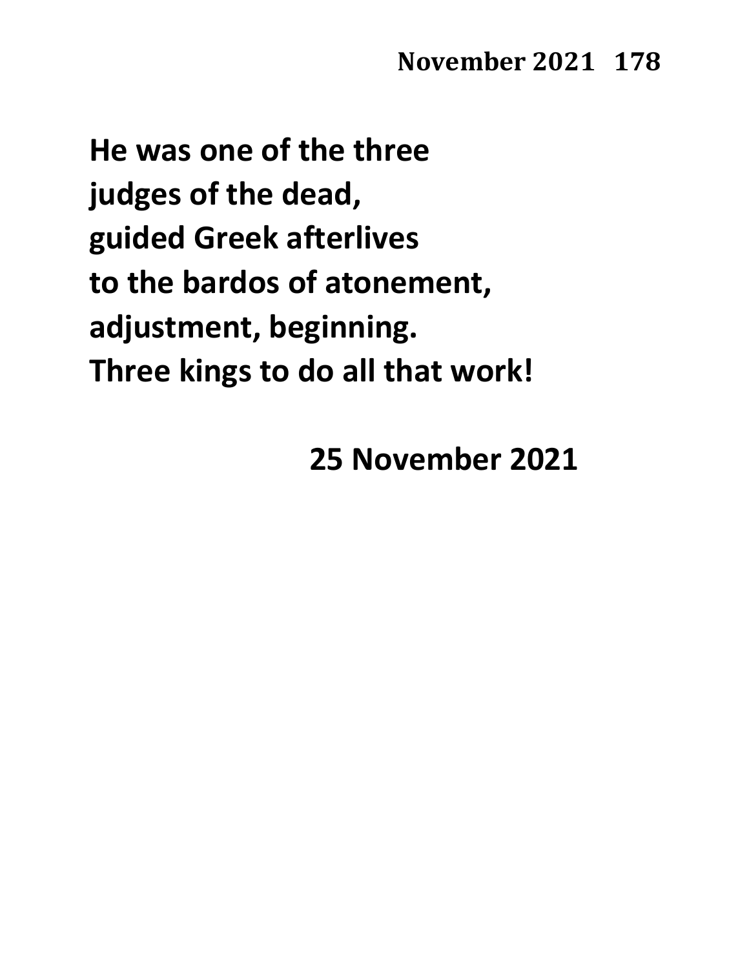**He was one of the three judges of the dead, guided Greek afterlives to the bardos of atonement, adjustment, beginning. Three kings to do all that work!**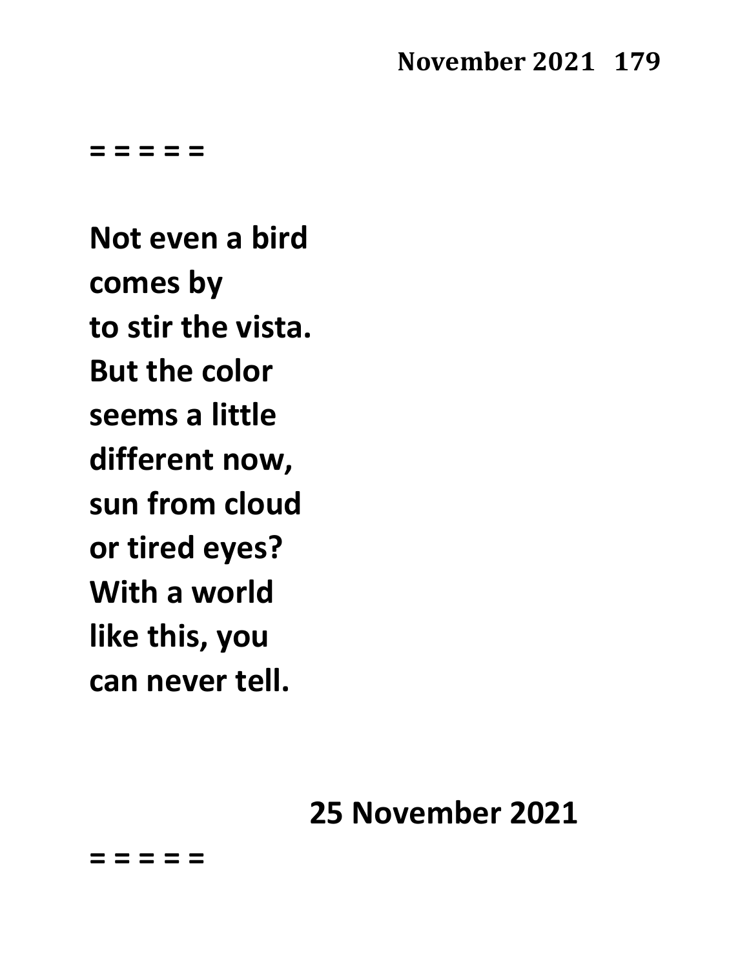## **November 2021 179**

**= = = = =**

**Not even a bird comes by to stir the vista. But the color seems a little different now, sun from cloud or tired eyes? With a world like this, you can never tell.**

# **25 November 2021**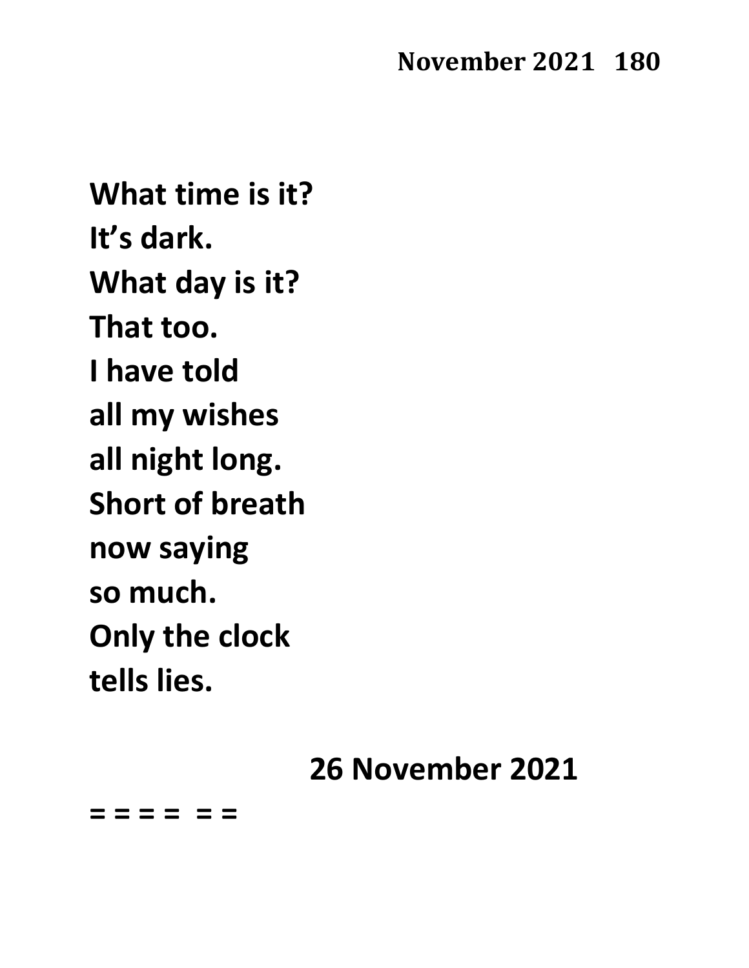**What time is it? It's dark. What day is it? That too. I have told all my wishes all night long. Short of breath now saying so much. Only the clock tells lies.**

#### **26 November 2021**

**= = = = = =**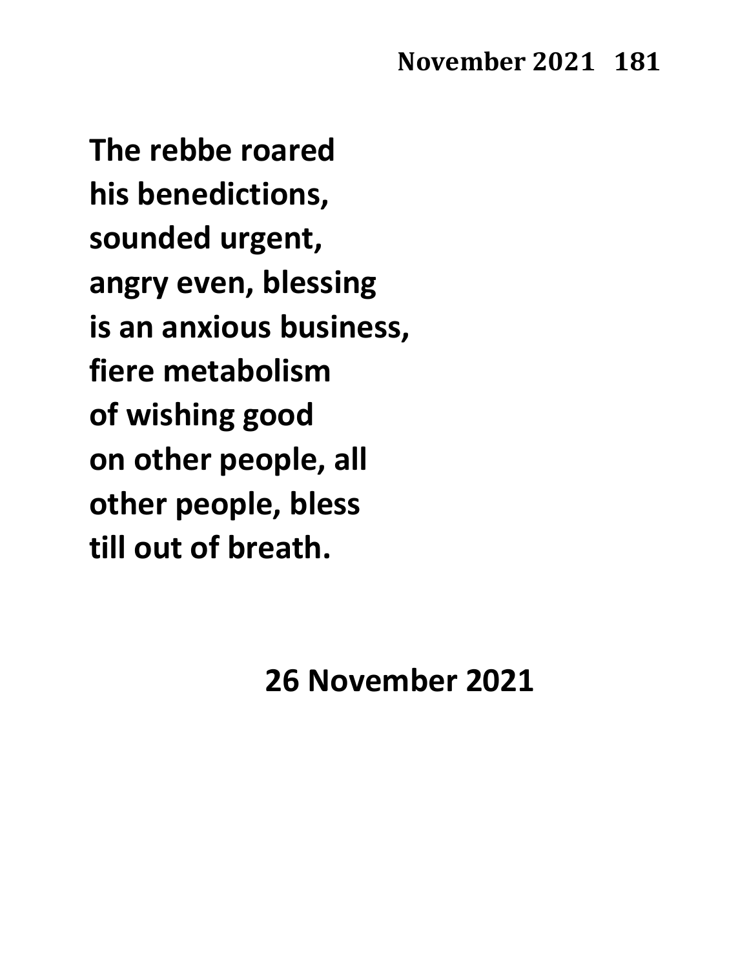**The rebbe roared his benedictions, sounded urgent, angry even, blessing is an anxious business, fiere metabolism of wishing good on other people, all other people, bless till out of breath.**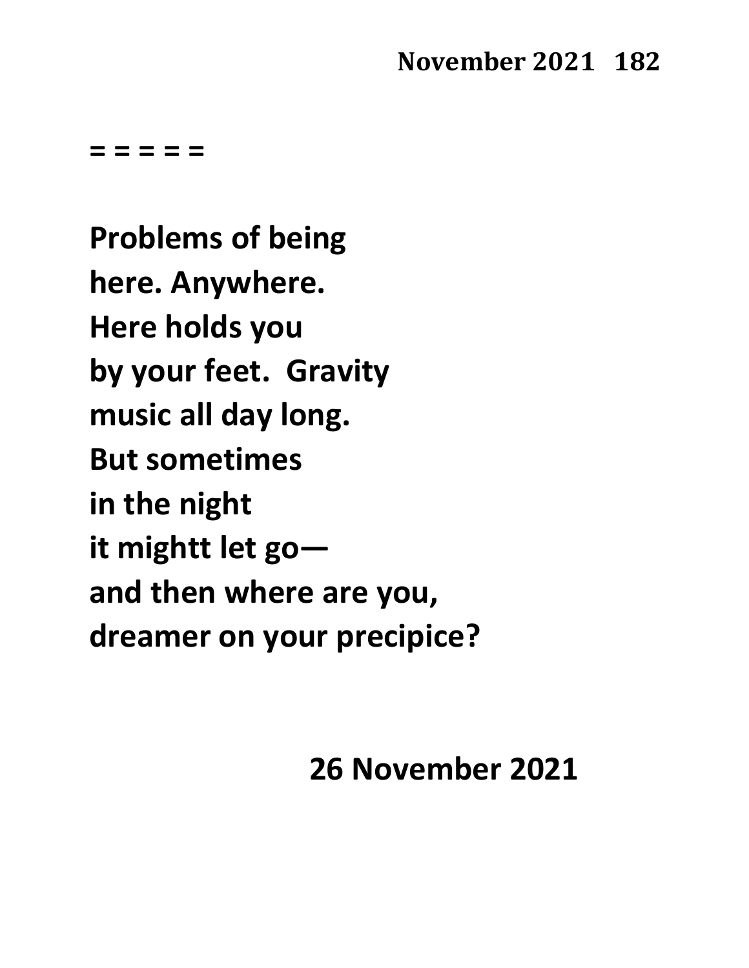**Problems of being here. Anywhere. Here holds you by your feet. Gravity music all day long. But sometimes in the night it mightt let go and then where are you, dreamer on your precipice?**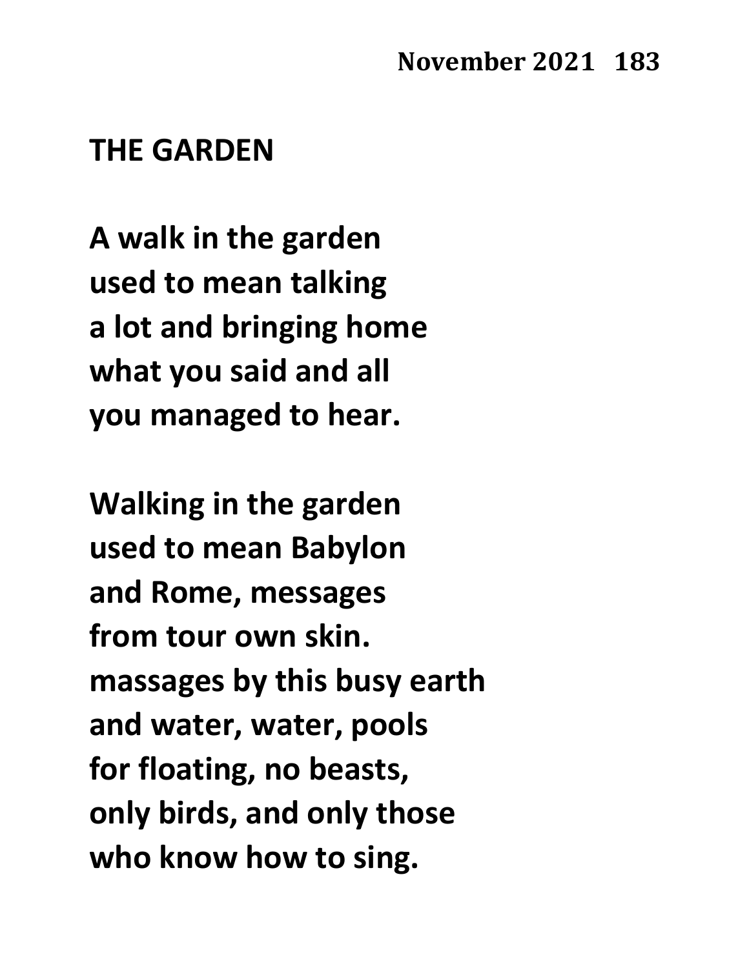#### **THE GARDEN**

**A walk in the garden used to mean talking a lot and bringing home what you said and all you managed to hear.**

**Walking in the garden used to mean Babylon and Rome, messages from tour own skin. massages by this busy earth and water, water, pools for floating, no beasts, only birds, and only those who know how to sing.**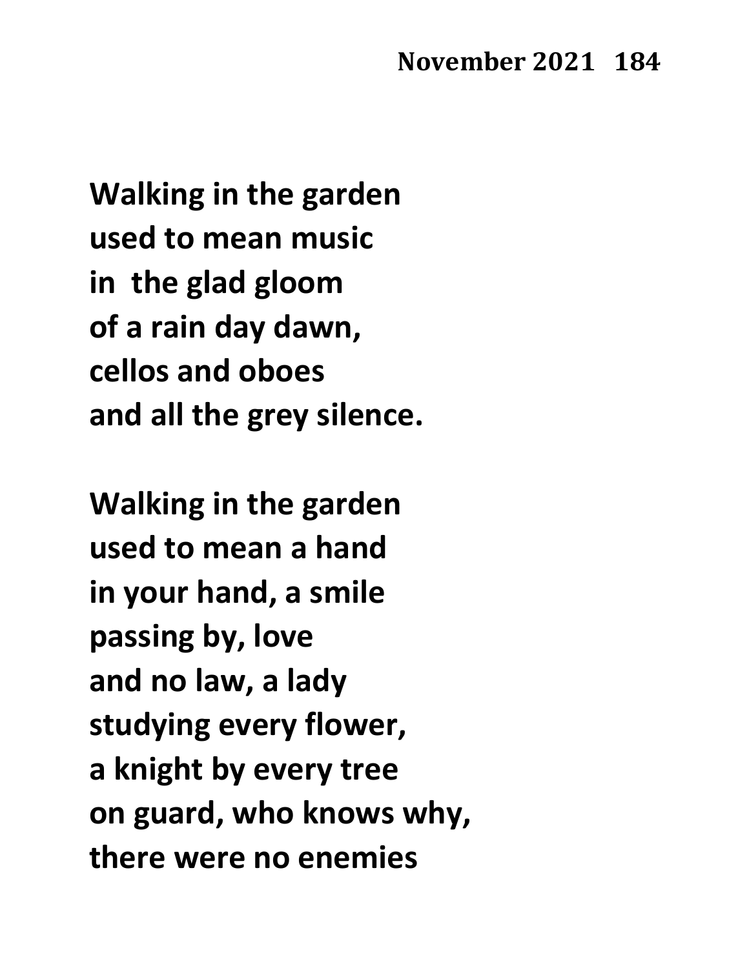**Walking in the garden used to mean music in the glad gloom of a rain day dawn, cellos and oboes and all the grey silence.**

**Walking in the garden used to mean a hand in your hand, a smile passing by, love and no law, a lady studying every flower, a knight by every tree on guard, who knows why, there were no enemies**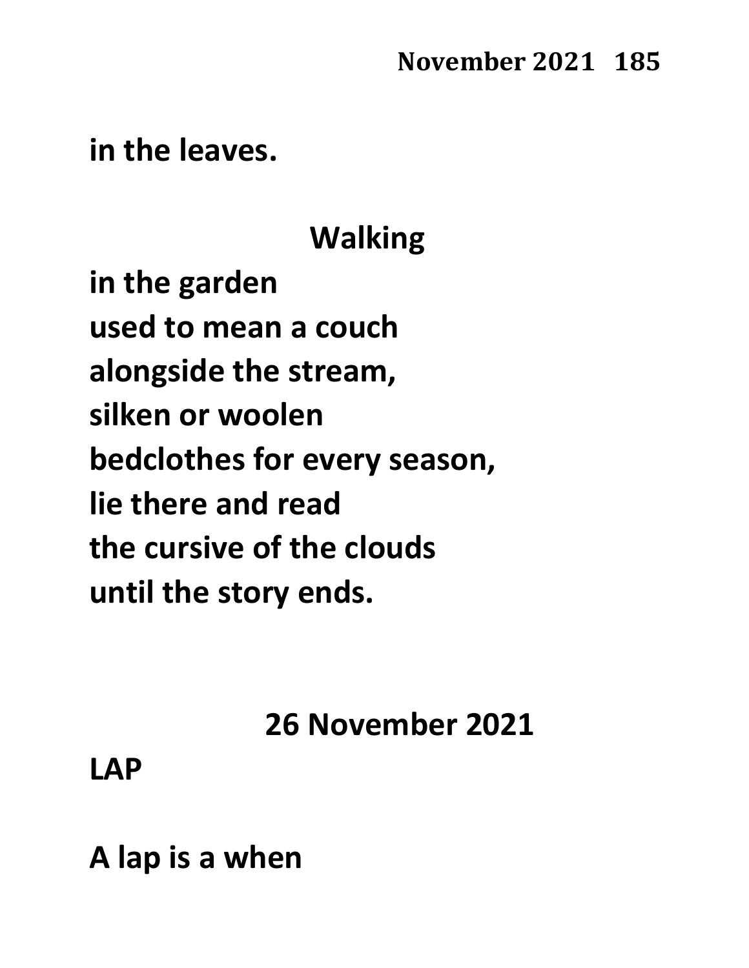## **in the leaves.**

## **Walking**

**in the garden used to mean a couch alongside the stream, silken or woolen bedclothes for every season, lie there and read the cursive of the clouds until the story ends.**

**26 November 2021**

**LAP**

**A lap is a when**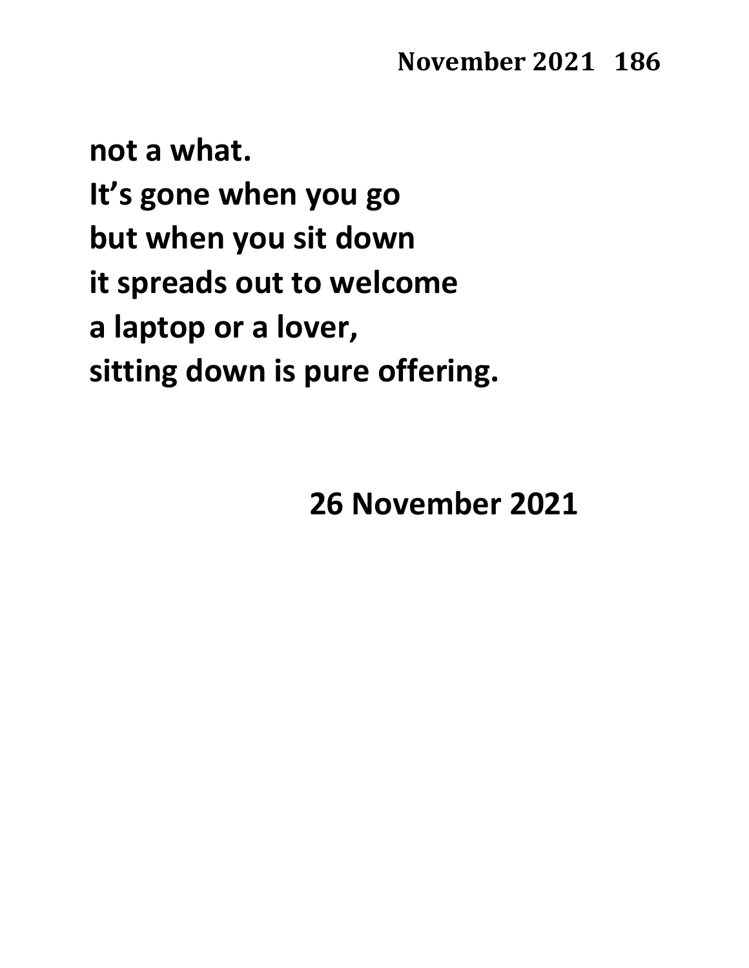**not a what. It's gone when you go but when you sit down it spreads out to welcome a laptop or a lover, sitting down is pure offering.**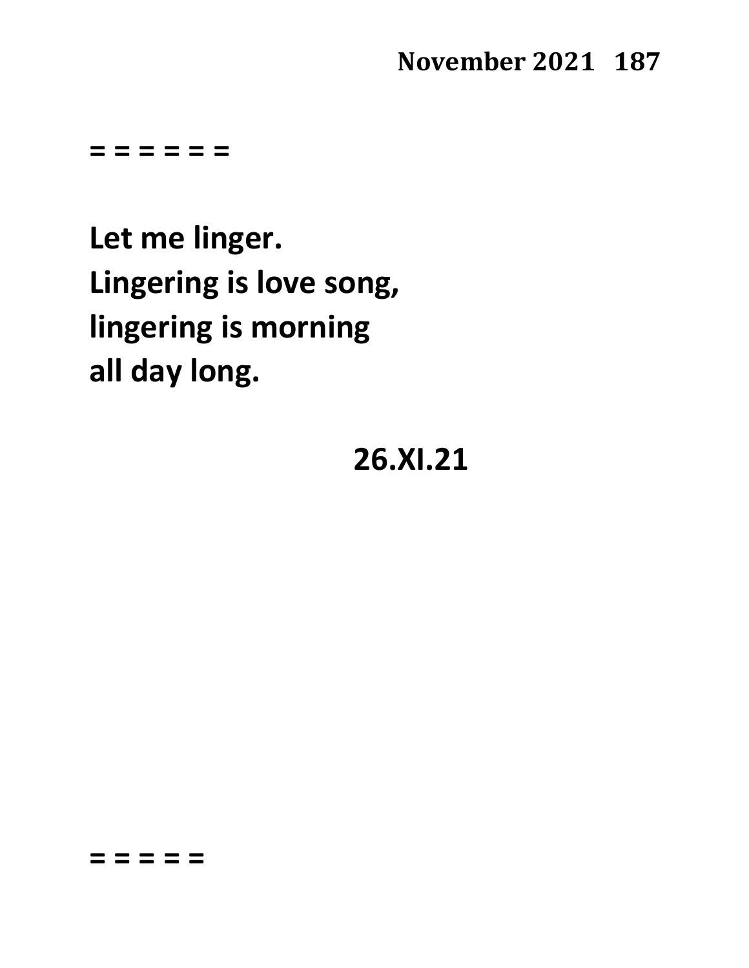**= = = = = =**

**Let me linger. Lingering is love song, lingering is morning all day long.**

# **26.XI.21**

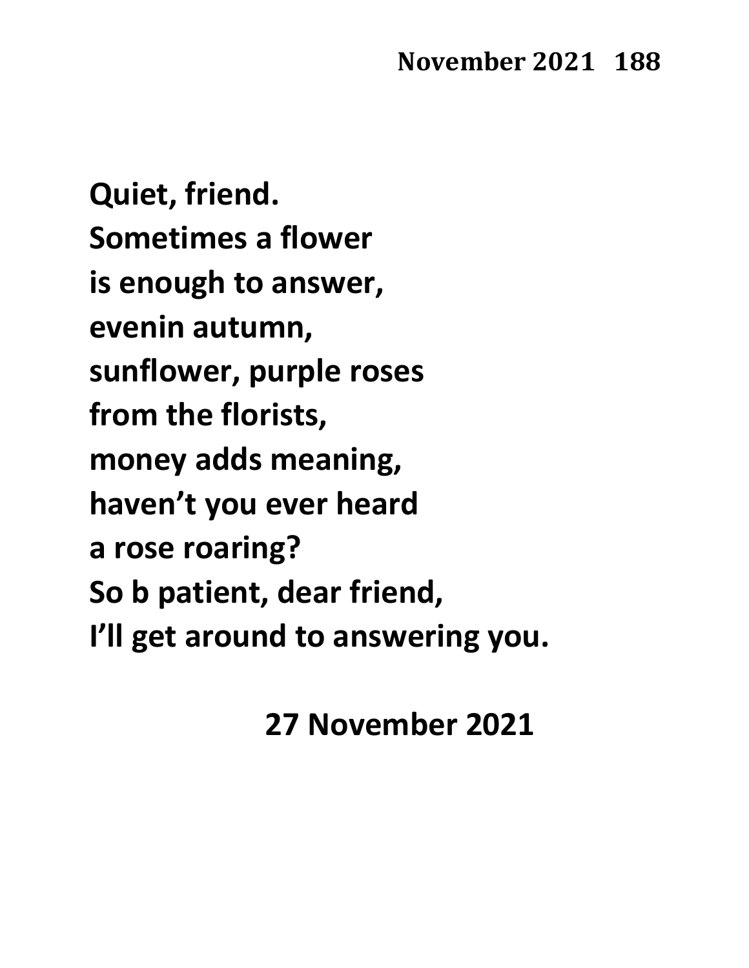**Quiet, friend. Sometimes a flower is enough to answer, evenin autumn, sunflower, purple roses from the florists, money adds meaning, haven't you ever heard a rose roaring? So b patient, dear friend, I'll get around to answering you.**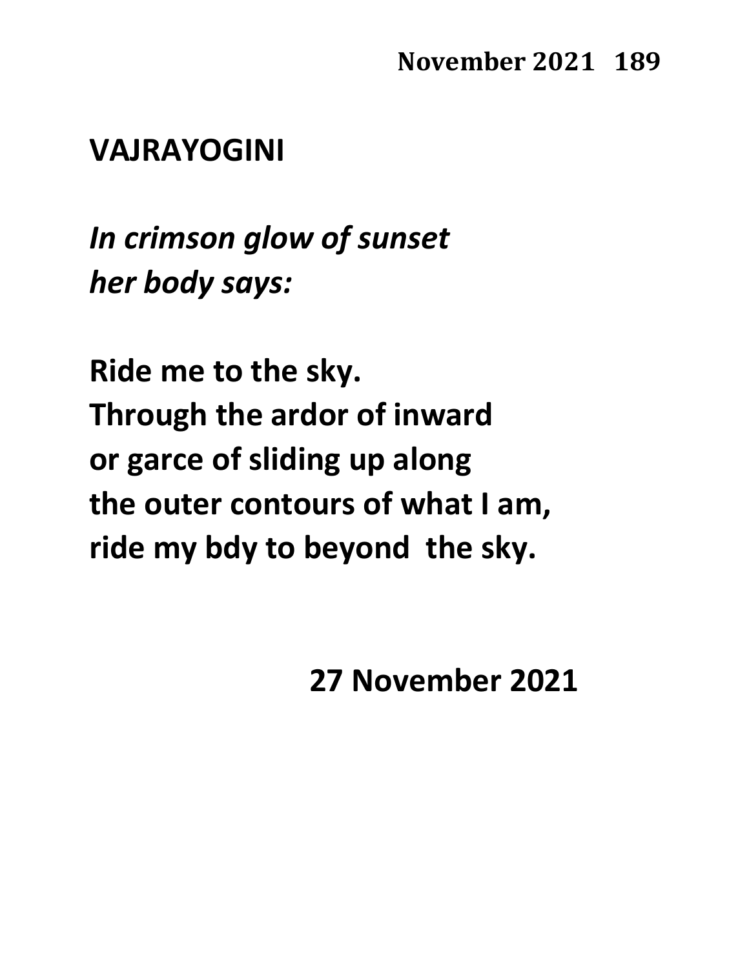#### **VAJRAYOGINI**

*In crimson glow of sunset her body says:*

**Ride me to the sky. Through the ardor of inward or garce of sliding up along the outer contours of what I am, ride my bdy to beyond the sky.**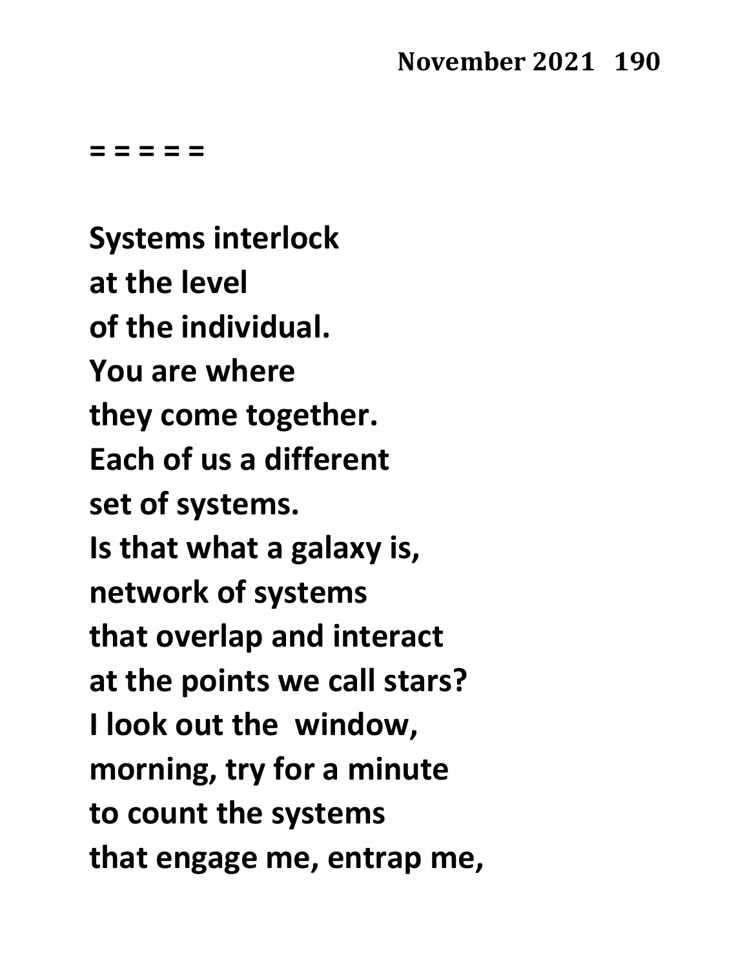**Systems interlock at the level of the individual. You are where they come together. Each of us a different set of systems. Is that what a galaxy is, network of systems that overlap and interact at the points we call stars? I look out the window, morning, try for a minute to count the systems that engage me, entrap me,**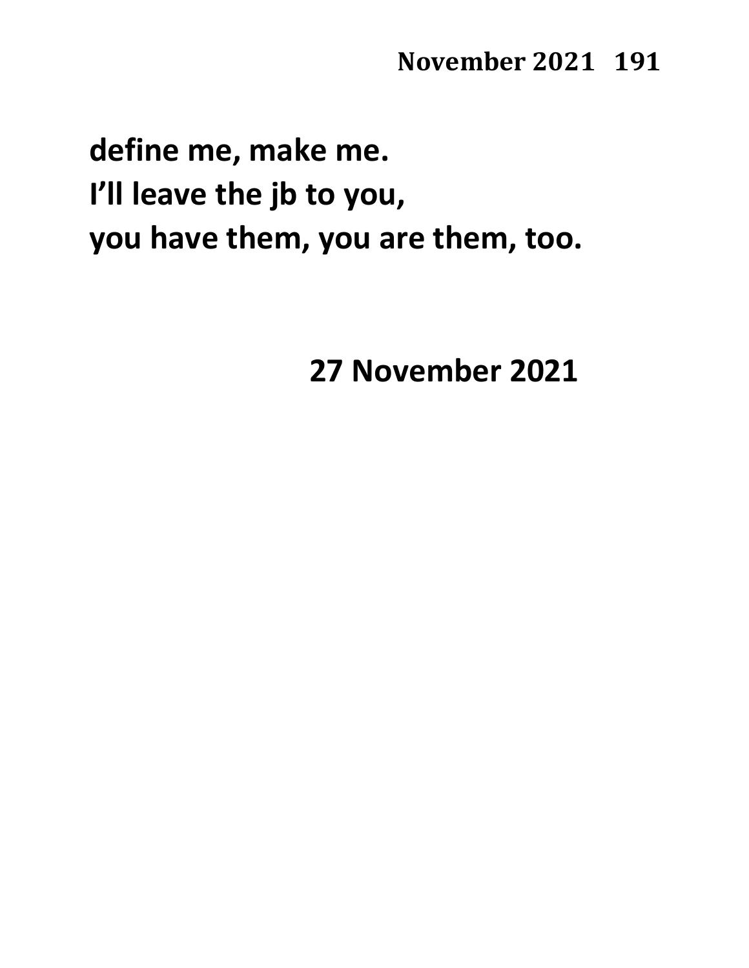# **define me, make me. I'll leave the jb to you, you have them, you are them, too.**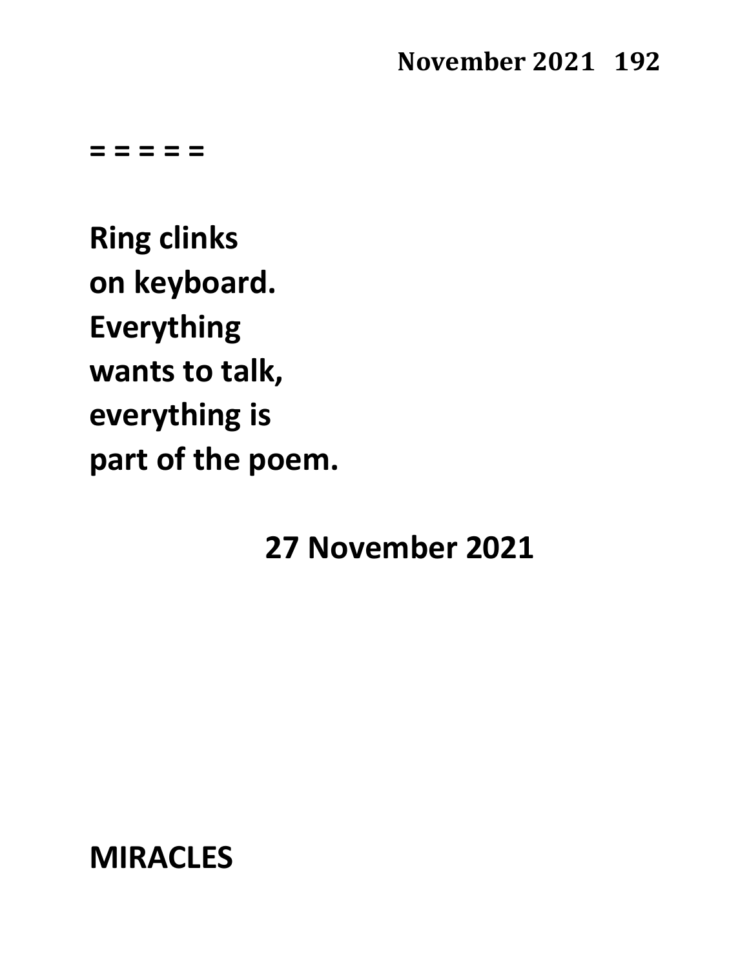**Ring clinks on keyboard. Everything wants to talk, everything is part of the poem.**

**27 November 2021**

# **MIRACLES**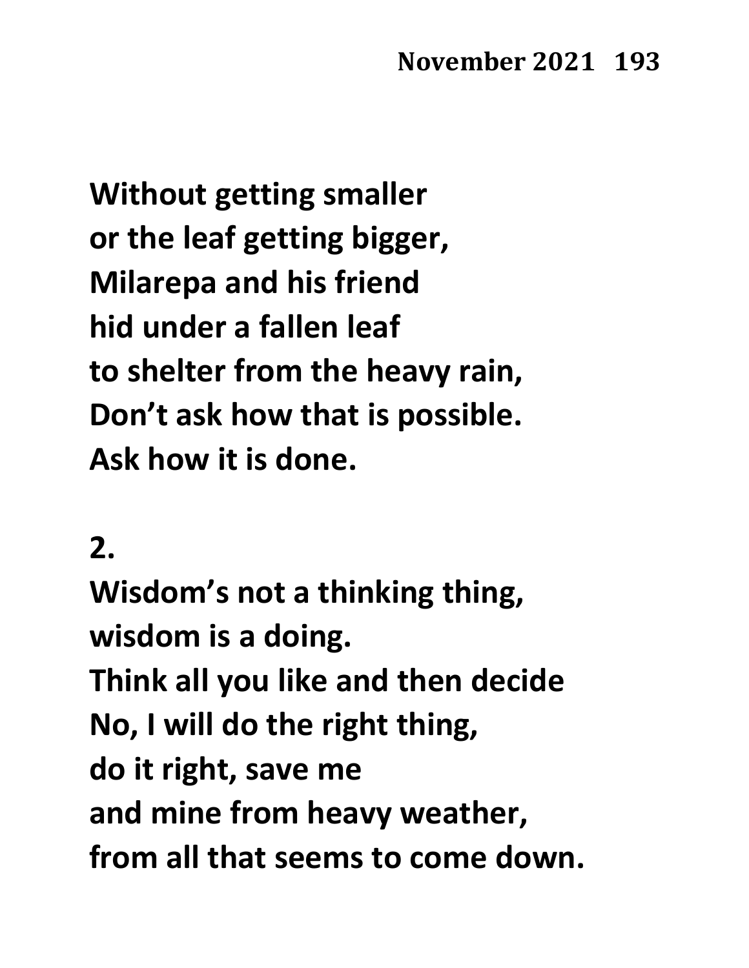**Without getting smaller or the leaf getting bigger, Milarepa and his friend hid under a fallen leaf to shelter from the heavy rain, Don't ask how that is possible. Ask how it is done.**

#### **2.**

**Wisdom's not a thinking thing, wisdom is a doing. Think all you like and then decide No, I will do the right thing, do it right, save me and mine from heavy weather, from all that seems to come down.**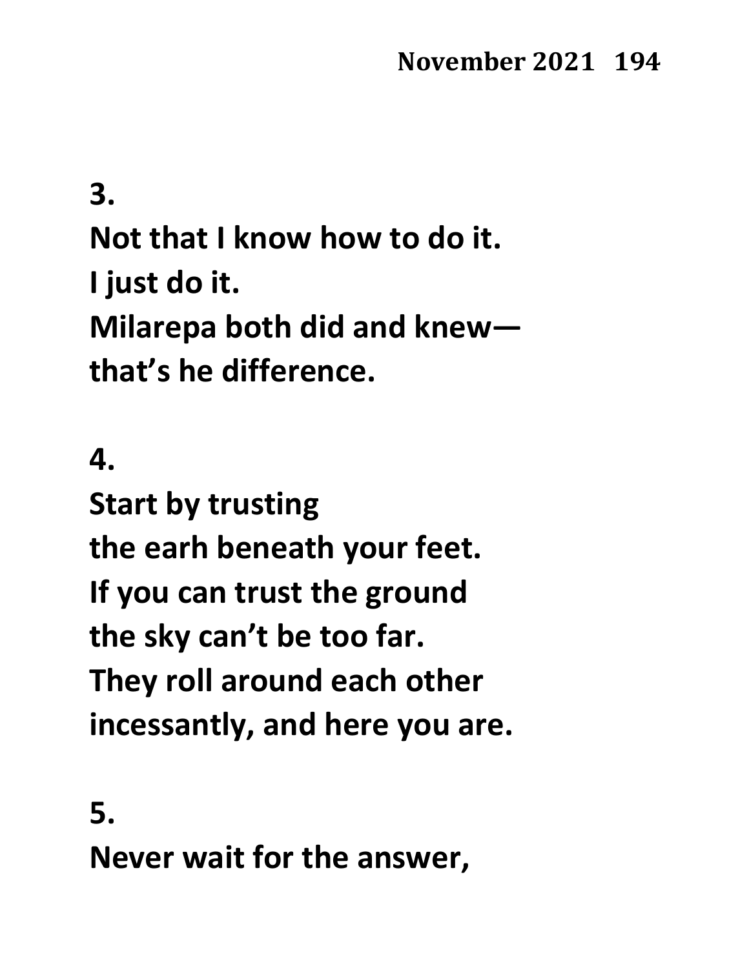**3. Not that I know how to do it. I just do it. Milarepa both did and knew that's he difference.**

## **4.**

**Start by trusting the earh beneath your feet. If you can trust the ground the sky can't be too far. They roll around each other incessantly, and here you are.**

**5.**

**Never wait for the answer,**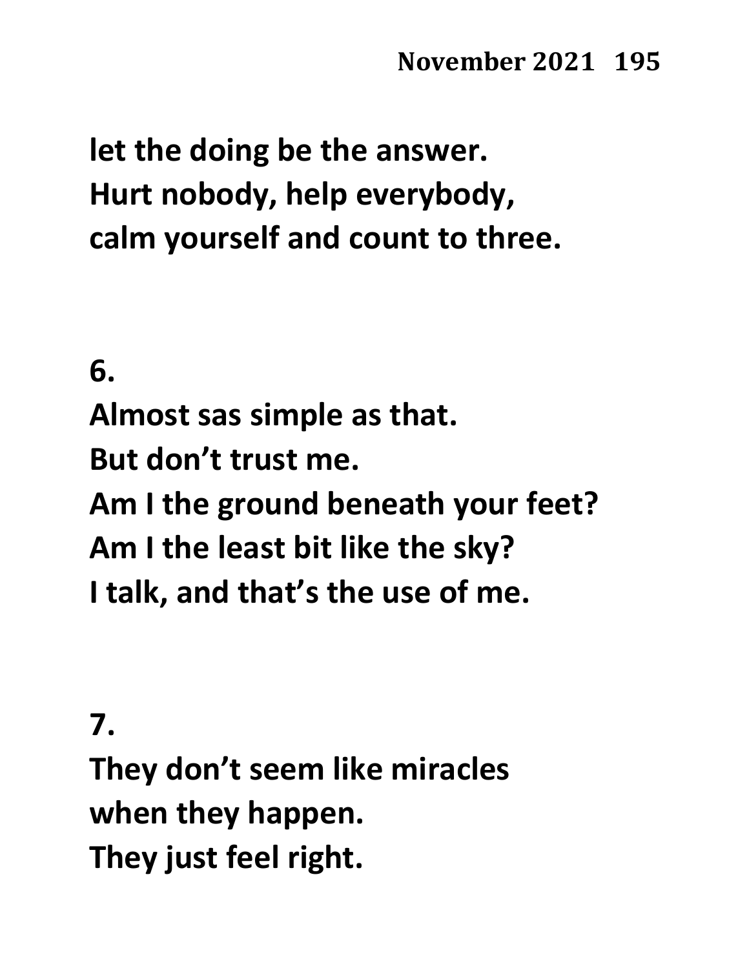**let the doing be the answer. Hurt nobody, help everybody, calm yourself and count to three.**

**6.**

**Almost sas simple as that. But don't trust me. Am I the ground beneath your feet? Am I the least bit like the sky? I talk, and that's the use of me.**

**7.**

**They don't seem like miracles when they happen. They just feel right.**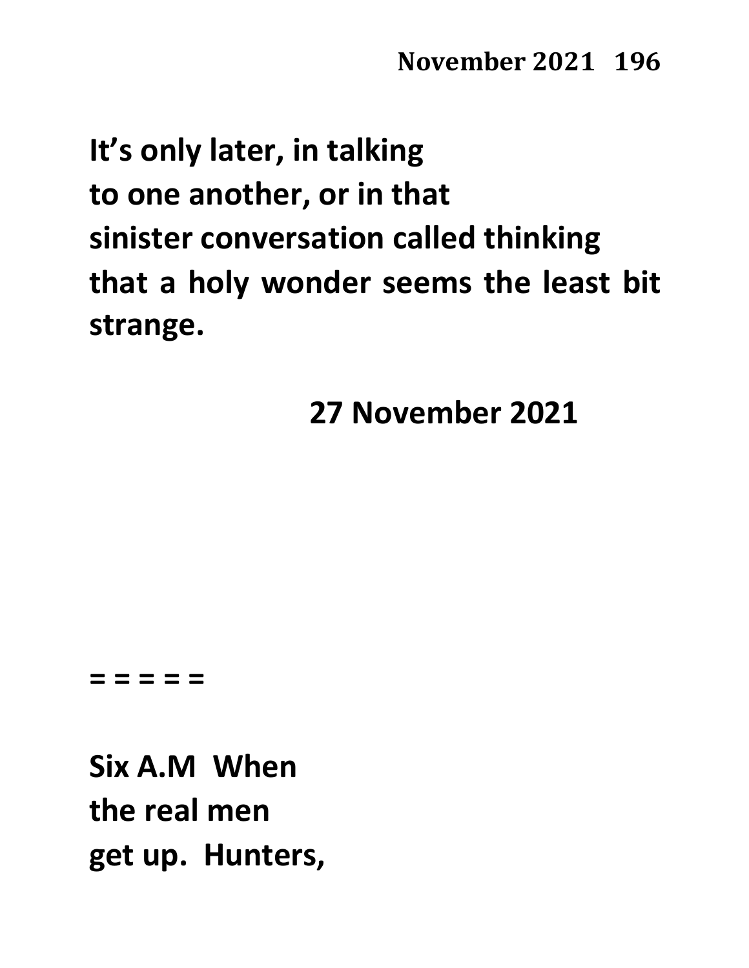**It's only later, in talking to one another, or in that sinister conversation called thinking that a holy wonder seems the least bit strange.**

# **27 November 2021**

**= = = = =**

**Six A.M When the real men get up. Hunters,**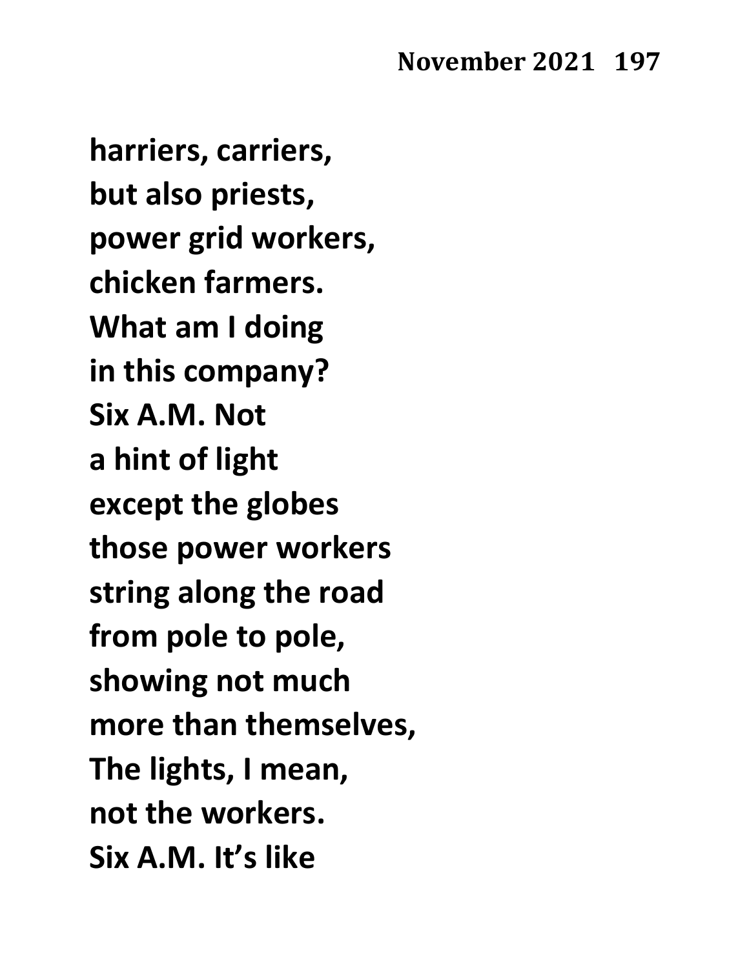**harriers, carriers, but also priests, power grid workers, chicken farmers. What am I doing in this company? Six A.M. Not a hint of light except the globes those power workers string along the road from pole to pole, showing not much more than themselves, The lights, I mean, not the workers. Six A.M. It's like**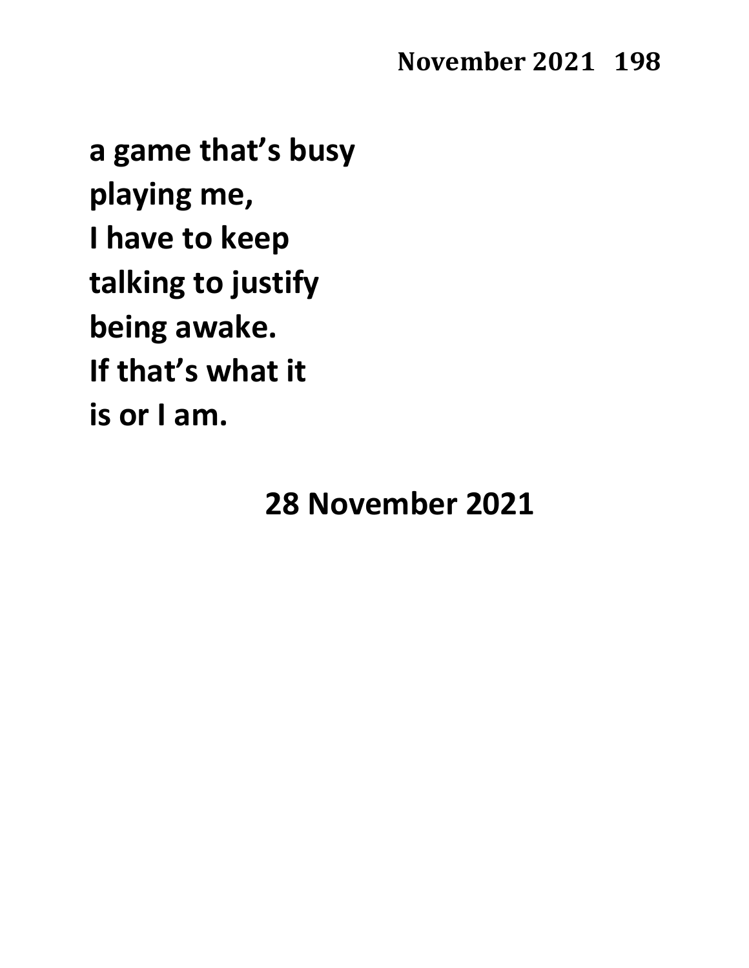**a game that's busy playing me, I have to keep talking to justify being awake. If that's what it is or I am.**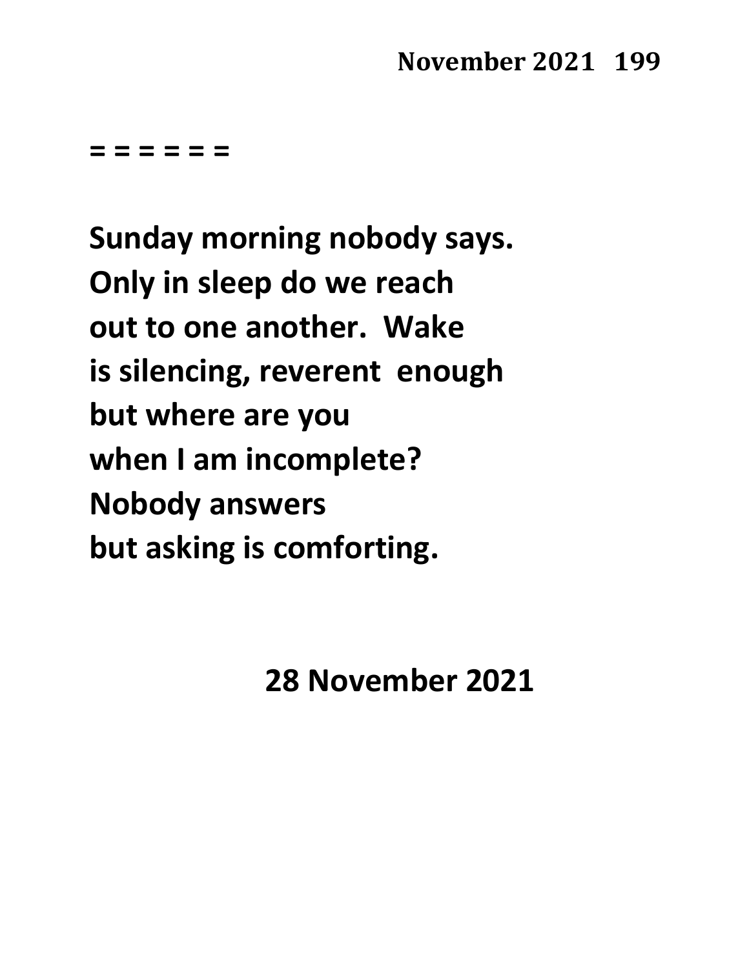**= = = = = =**

**Sunday morning nobody says. Only in sleep do we reach out to one another. Wake is silencing, reverent enough but where are you when I am incomplete? Nobody answers but asking is comforting.**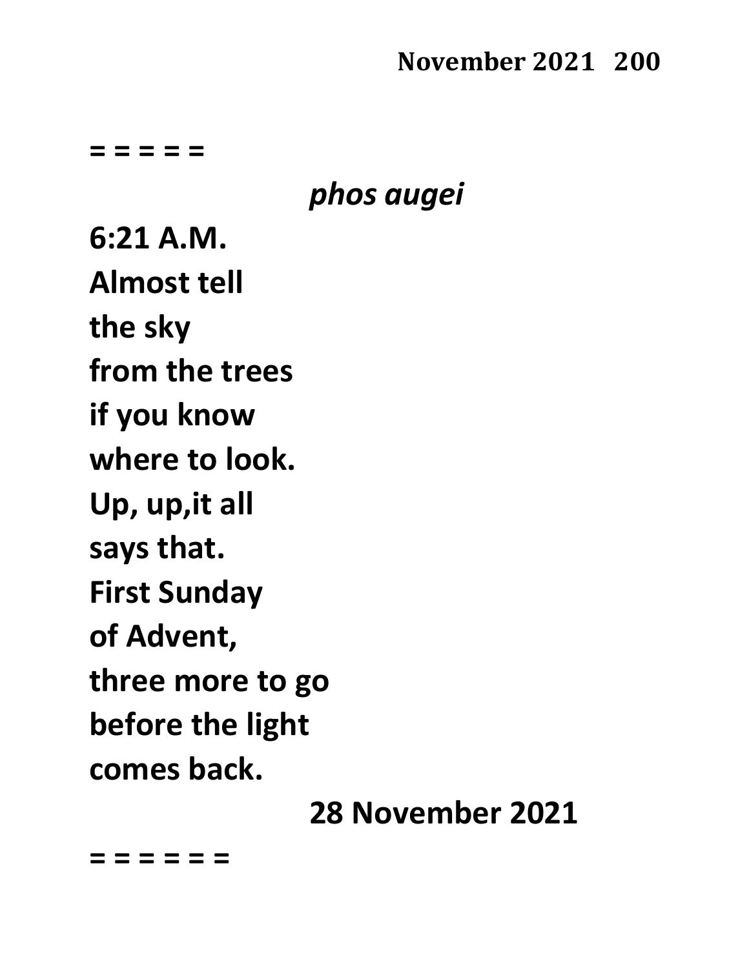**= = = = =** *phos augei* **6:21 A.M. Almost tell the sky from the trees if you know where to look. Up, up,it all says that. First Sunday of Advent, three more to go before the light comes back. 28 November 2021**

**= = = = = =**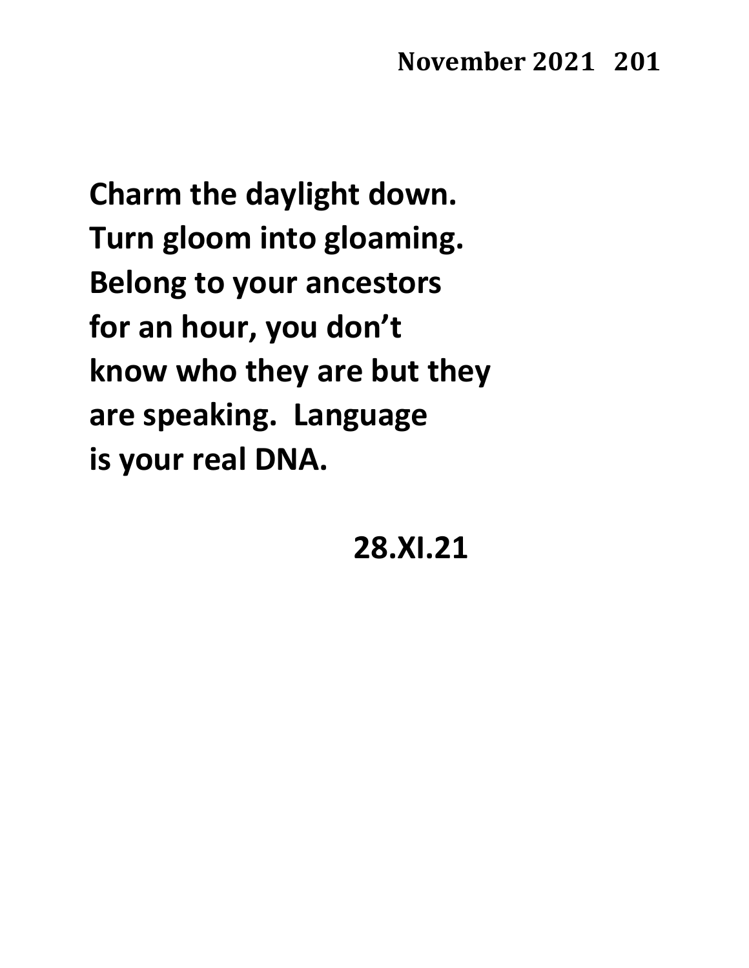**Charm the daylight down. Turn gloom into gloaming. Belong to your ancestors for an hour, you don't know who they are but they are speaking. Language is your real DNA.**

**28.XI.21**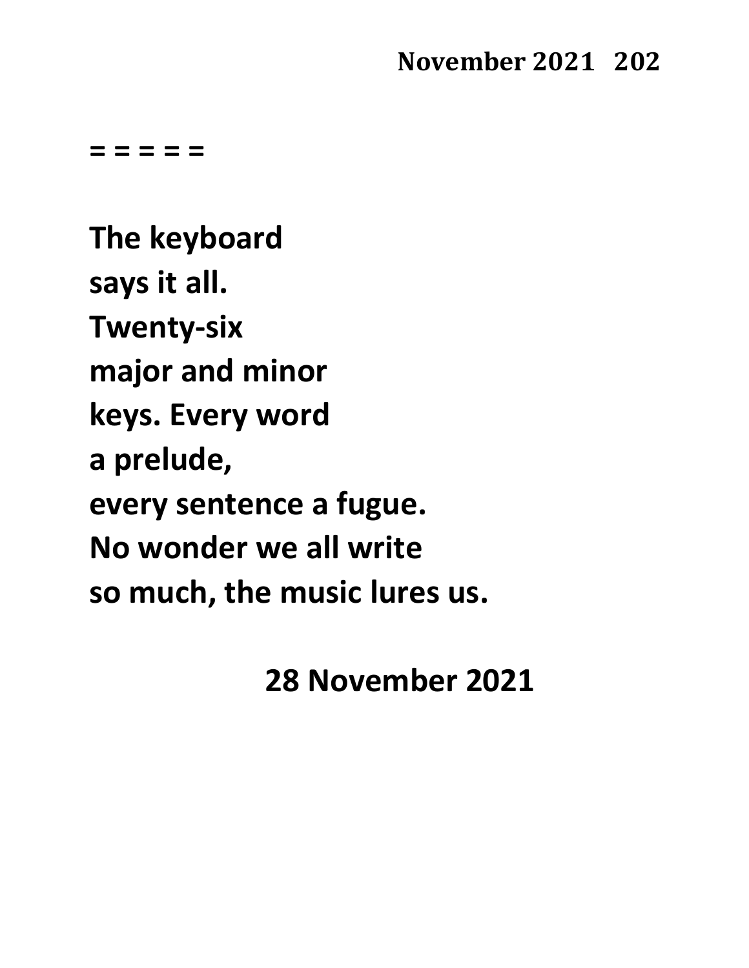**The keyboard says it all. Twenty-six major and minor keys. Every word a prelude, every sentence a fugue. No wonder we all write so much, the music lures us.**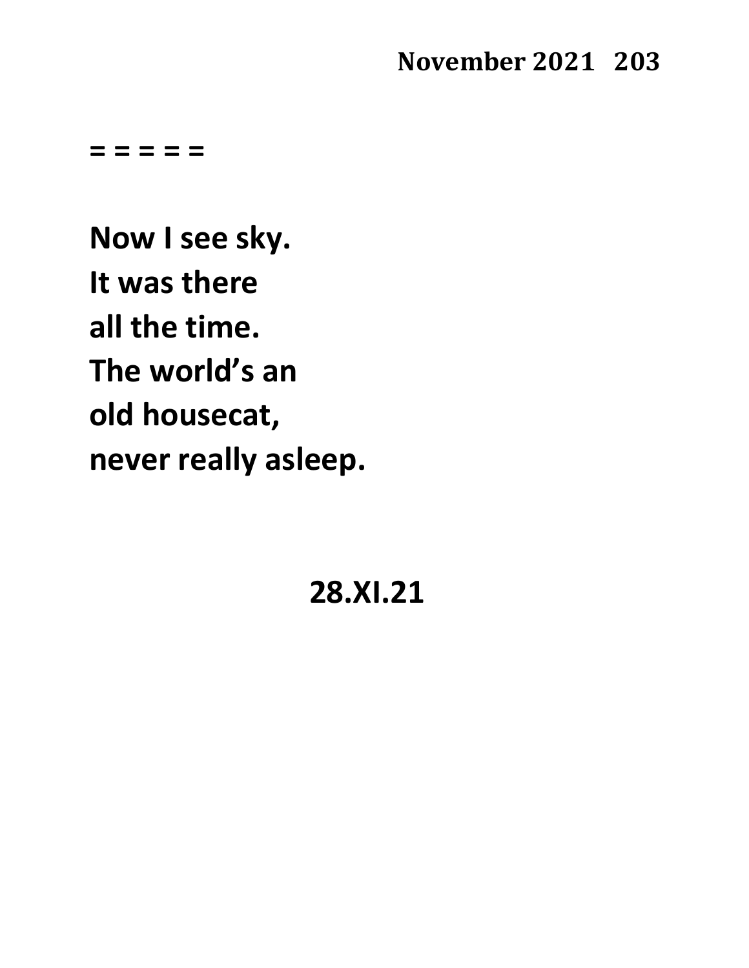**Now I see sky. It was there all the time. The world's an old housecat, never really asleep.**

### **28.XI.21**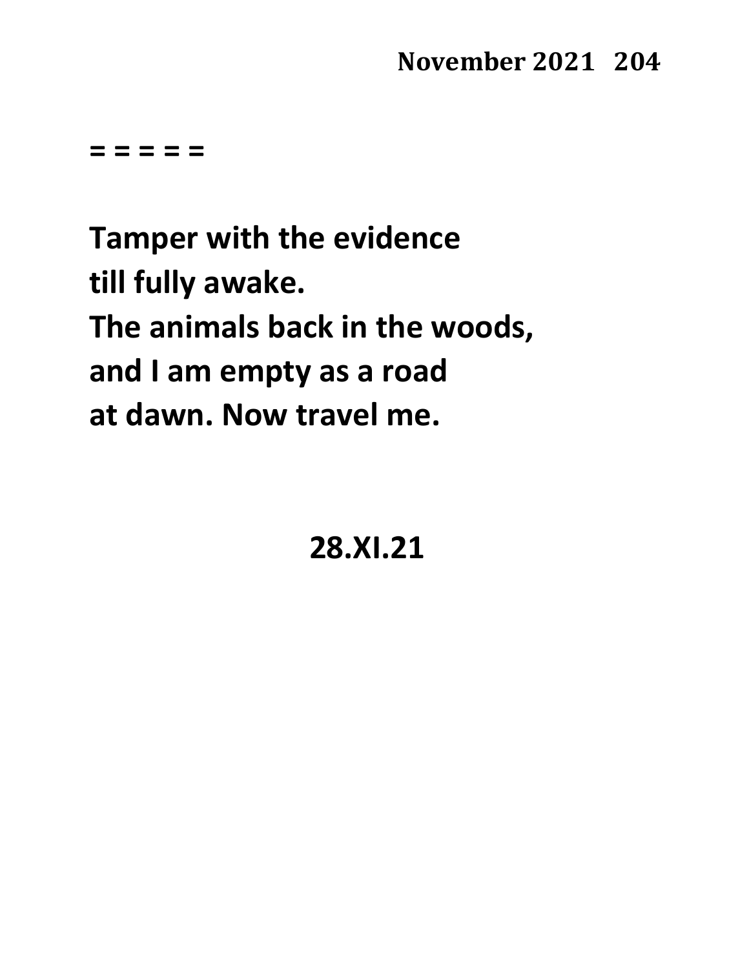**Tamper with the evidence till fully awake. The animals back in the woods, and I am empty as a road at dawn. Now travel me.**

**28.XI.21**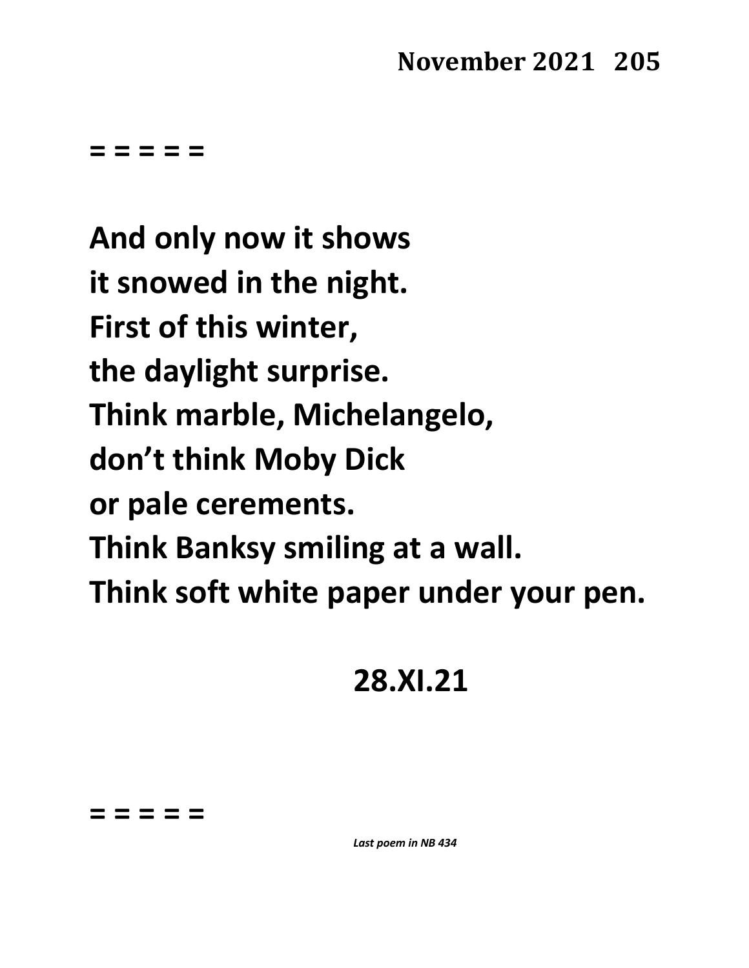**And only now it shows it snowed in the night. First of this winter, the daylight surprise. Think marble, Michelangelo, don't think Moby Dick or pale cerements. Think Banksy smiling at a wall. Think soft white paper under your pen.**

# **28.XI.21**

#### **= = = = =**

*Last poem in NB 434*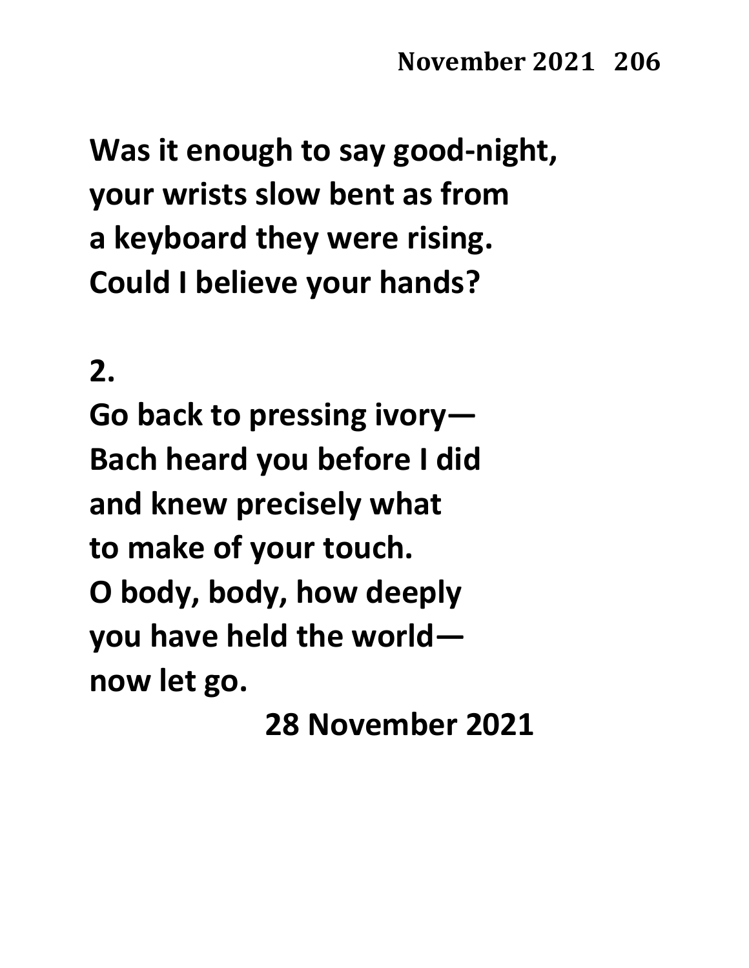**Was it enough to say good-night, your wrists slow bent as from a keyboard they were rising. Could I believe your hands?**

**2.**

**Go back to pressing ivory— Bach heard you before I did and knew precisely what to make of your touch. O body, body, how deeply you have held the world now let go.**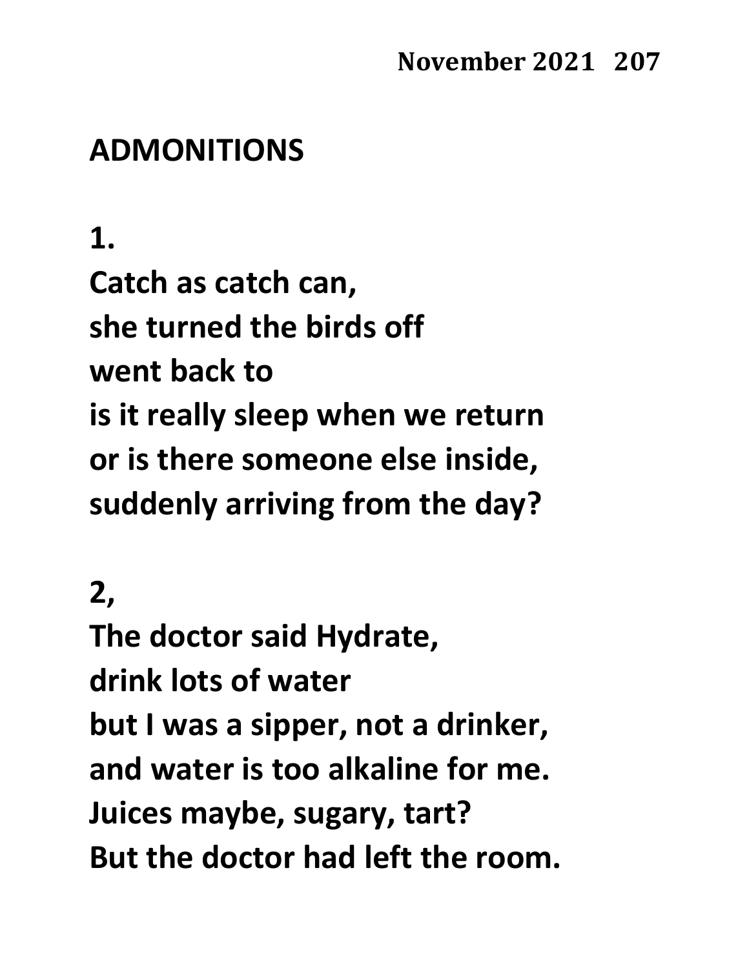## **ADMONITIONS**

**1. Catch as catch can, she turned the birds off went back to is it really sleep when we return or is there someone else inside, suddenly arriving from the day?**

### **2,**

**The doctor said Hydrate, drink lots of water but I was a sipper, not a drinker, and water is too alkaline for me. Juices maybe, sugary, tart? But the doctor had left the room.**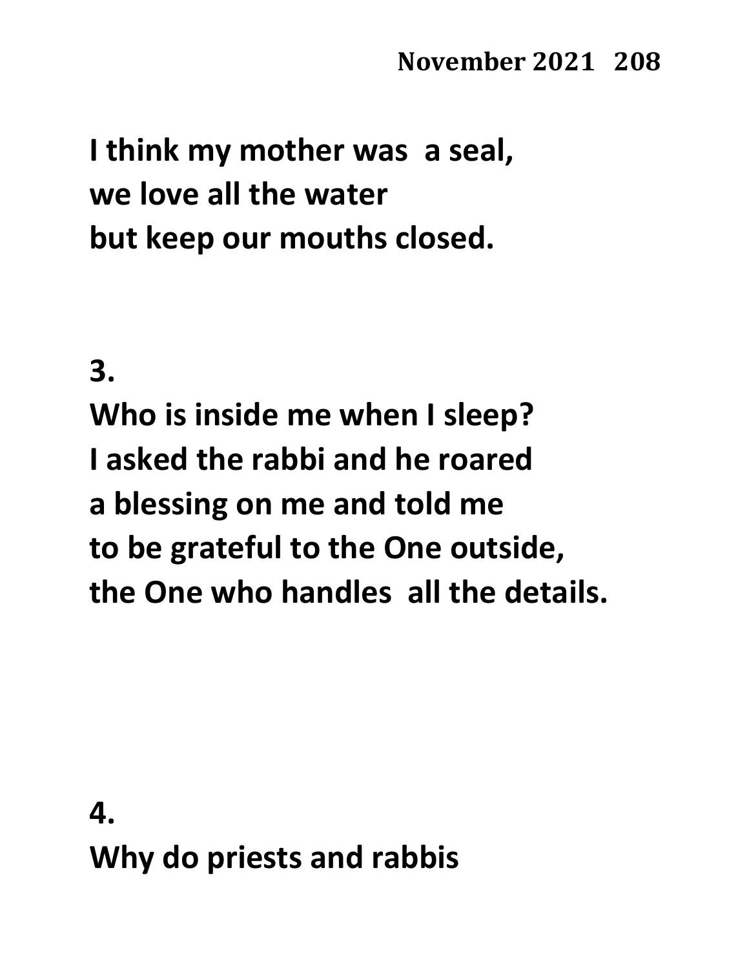**I think my mother was a seal, we love all the water but keep our mouths closed.**

**3.**

**Who is inside me when I sleep? I asked the rabbi and he roared a blessing on me and told me to be grateful to the One outside, the One who handles all the details.**

**4. Why do priests and rabbis**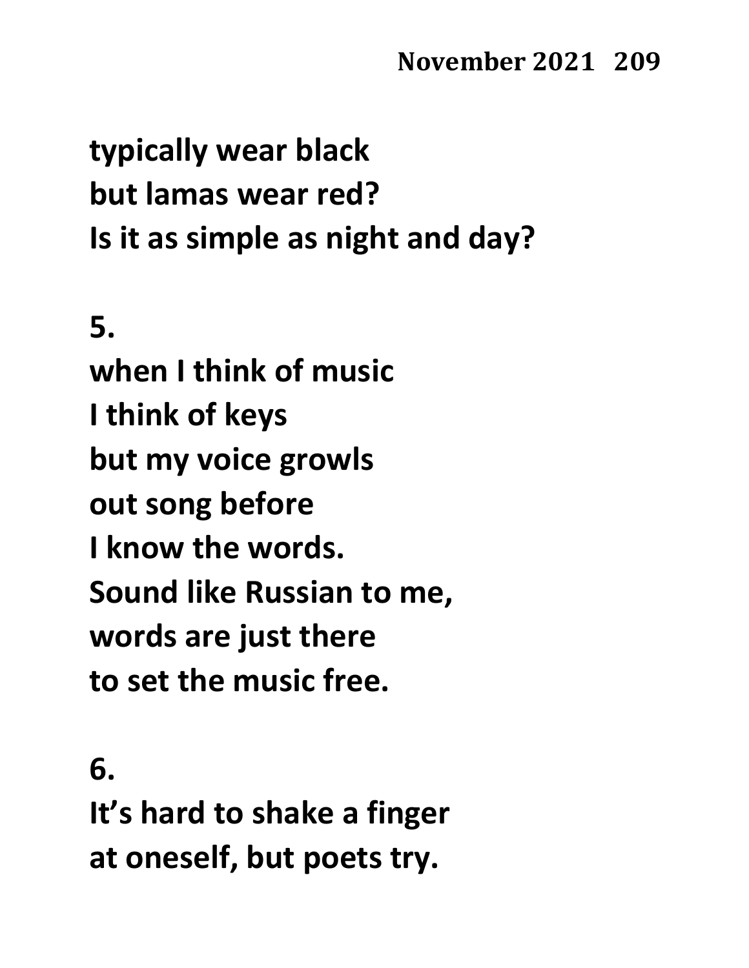**typically wear black but lamas wear red? Is it as simple as night and day?**

**5.**

**when I think of music I think of keys but my voice growls out song before I know the words. Sound like Russian to me, words are just there to set the music free.**

**6. It's hard to shake a finger at oneself, but poets try.**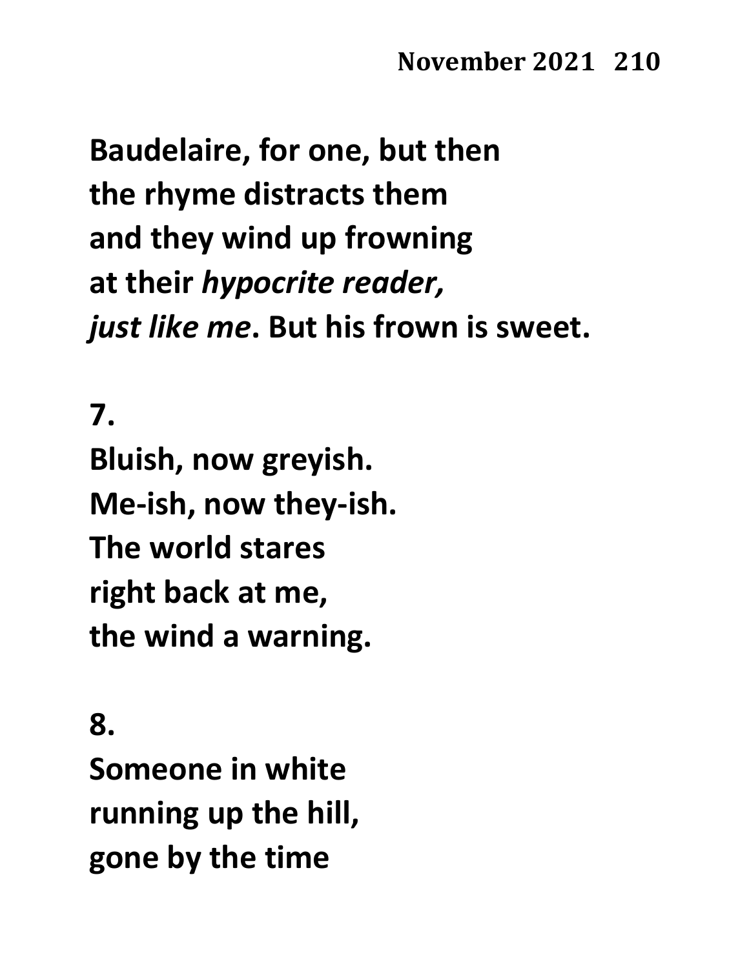**Baudelaire, for one, but then the rhyme distracts them and they wind up frowning at their** *hypocrite reader, just like me***. But his frown is sweet.**

**7.**

**Bluish, now greyish. Me-ish, now they-ish. The world stares right back at me, the wind a warning.**

**8.**

**Someone in white running up the hill, gone by the time**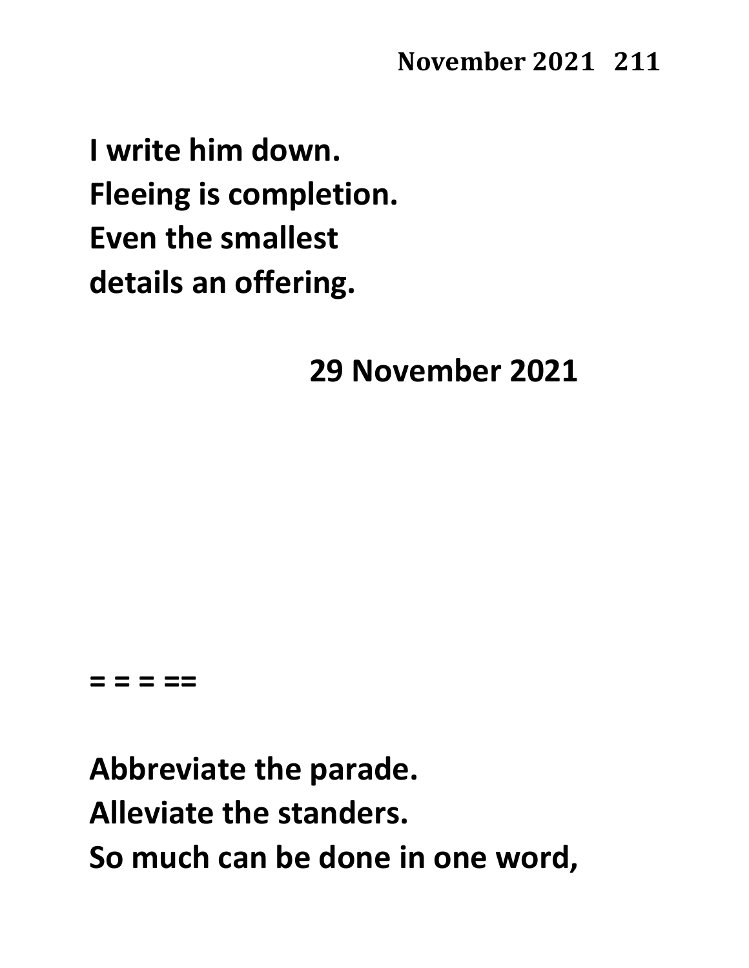**I write him down. Fleeing is completion. Even the smallest details an offering.**

**29 November 2021**

**= = = ==** 

**Abbreviate the parade. Alleviate the standers. So much can be done in one word,**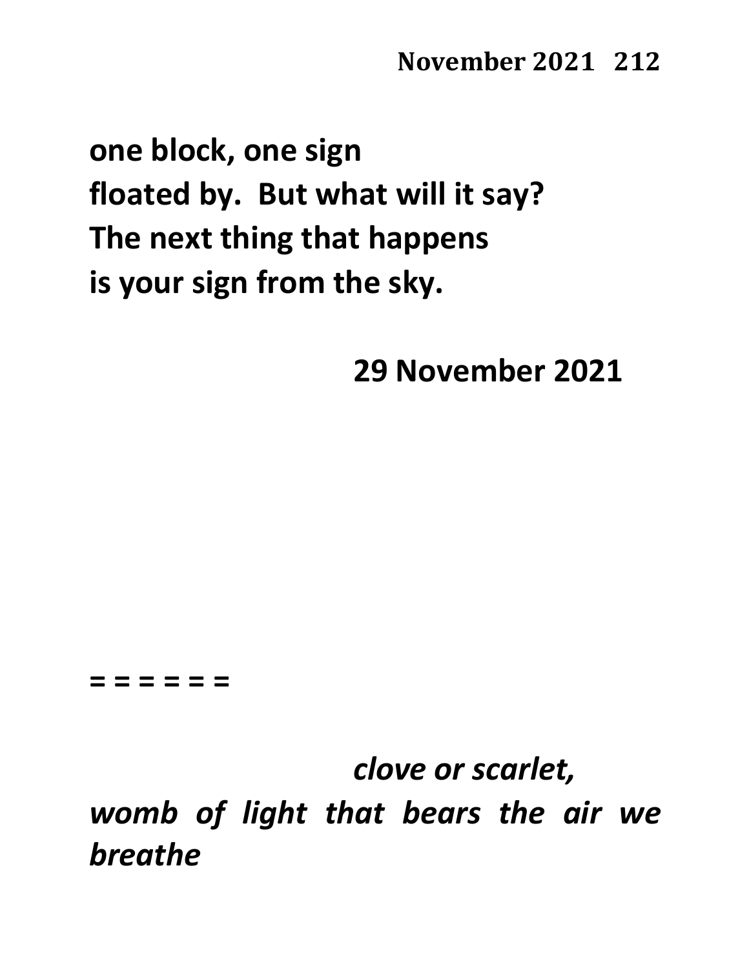**one block, one sign floated by. But what will it say? The next thing that happens is your sign from the sky.**

**29 November 2021**

#### **= = = = = =**

*clove or scarlet, womb of light that bears the air we breathe*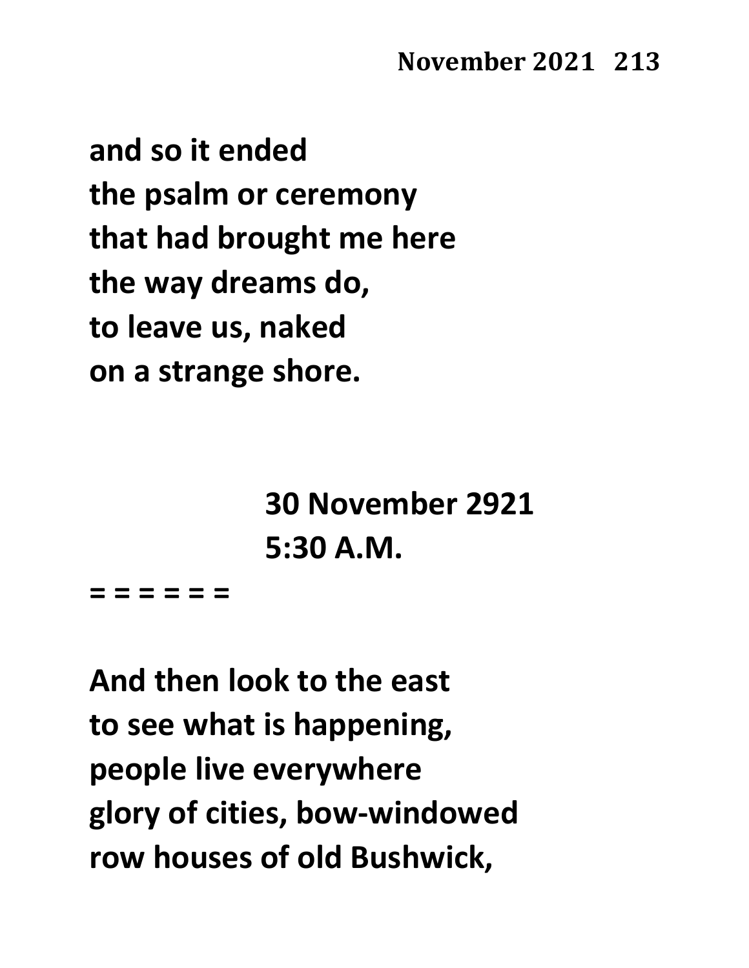**and so it ended the psalm or ceremony that had brought me here the way dreams do, to leave us, naked on a strange shore.**

> **30 November 2921 5:30 A.M.**

**= = = = = =**

**And then look to the east to see what is happening, people live everywhere glory of cities, bow-windowed row houses of old Bushwick,**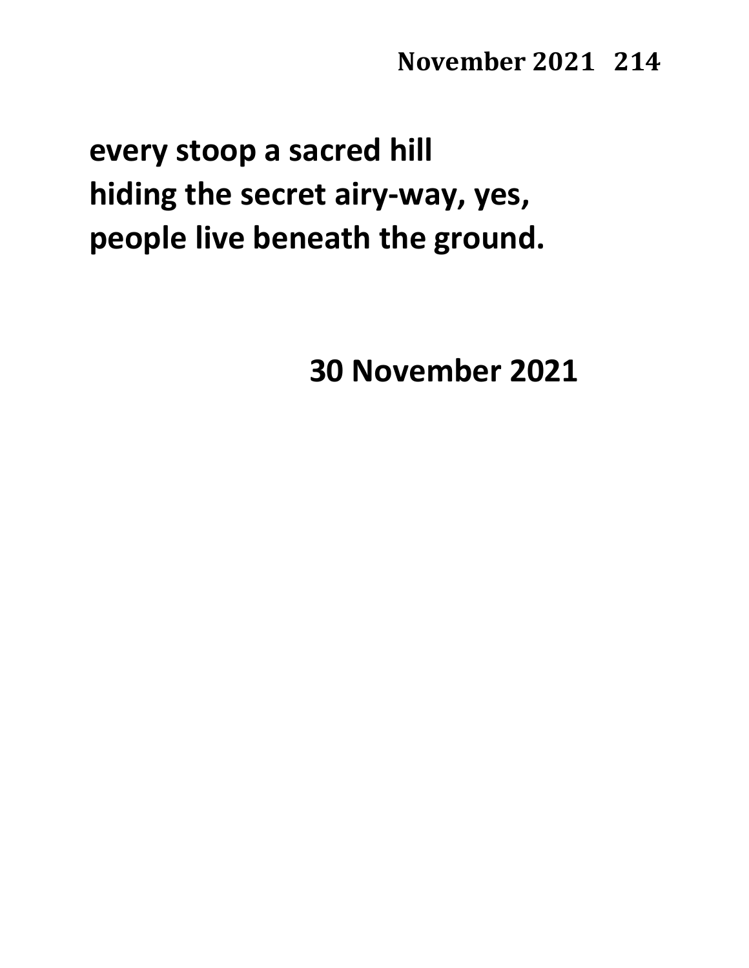# **every stoop a sacred hill hiding the secret airy-way, yes, people live beneath the ground.**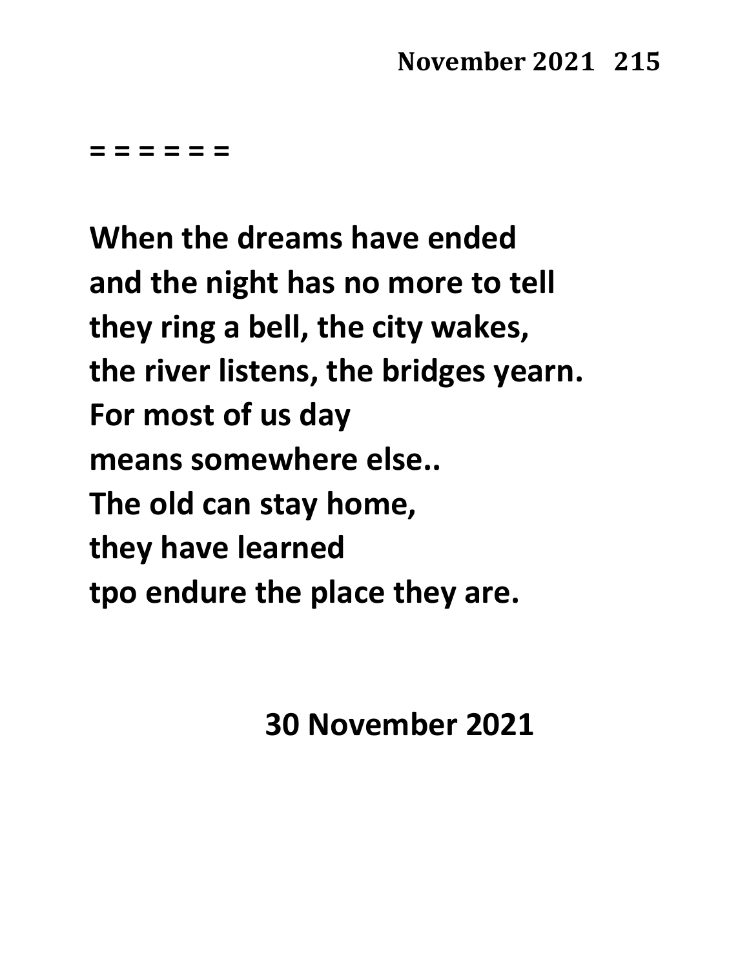**= = = = = =**

**When the dreams have ended and the night has no more to tell they ring a bell, the city wakes, the river listens, the bridges yearn. For most of us day means somewhere else.. The old can stay home, they have learned tpo endure the place they are.**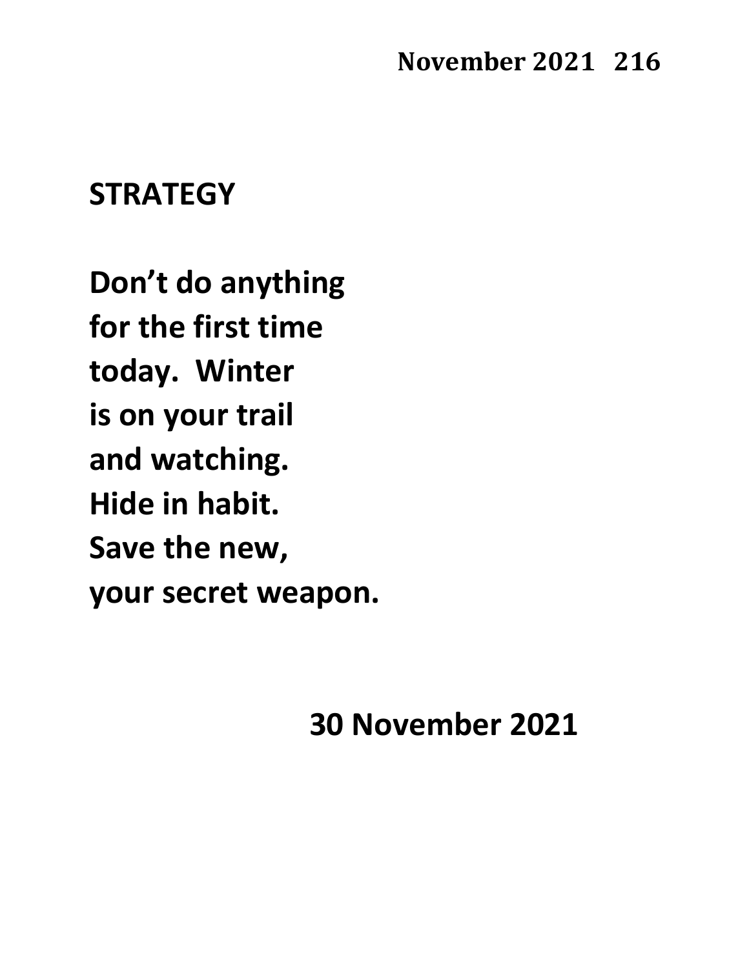## **STRATEGY**

**Don't do anything for the first time today. Winter is on your trail and watching. Hide in habit. Save the new, your secret weapon.**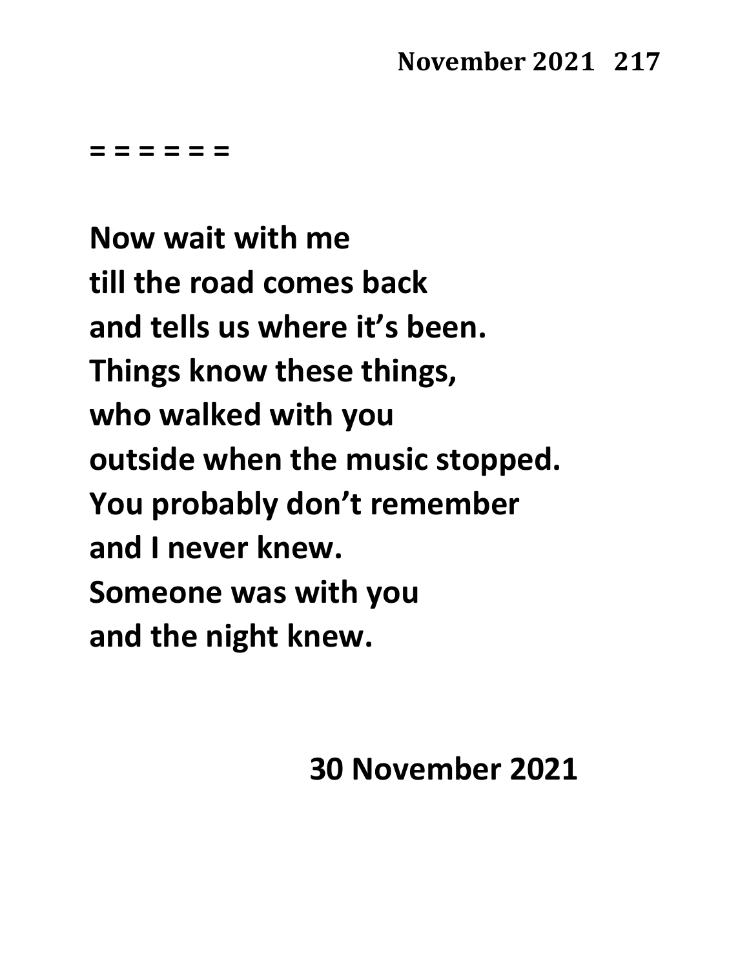**= = = = = =**

**Now wait with me till the road comes back and tells us where it's been. Things know these things, who walked with you outside when the music stopped. You probably don't remember and I never knew. Someone was with you and the night knew.**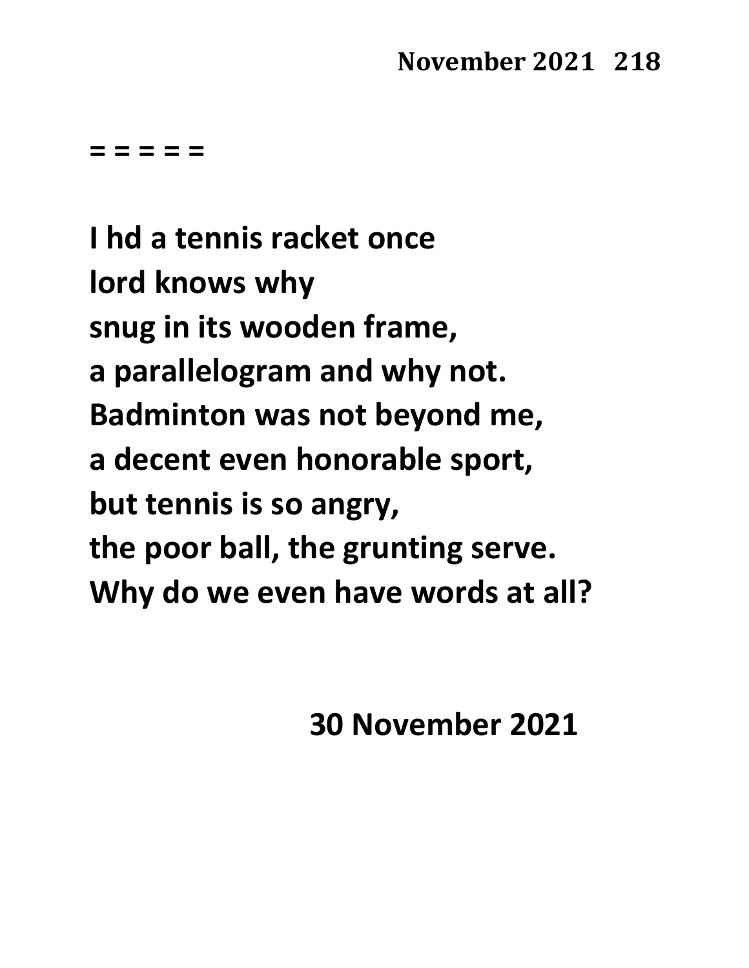**= = = = =**

**I hd a tennis racket once lord knows why snug in its wooden frame, a parallelogram and why not. Badminton was not beyond me, a decent even honorable sport, but tennis is so angry, the poor ball, the grunting serve. Why do we even have words at all?**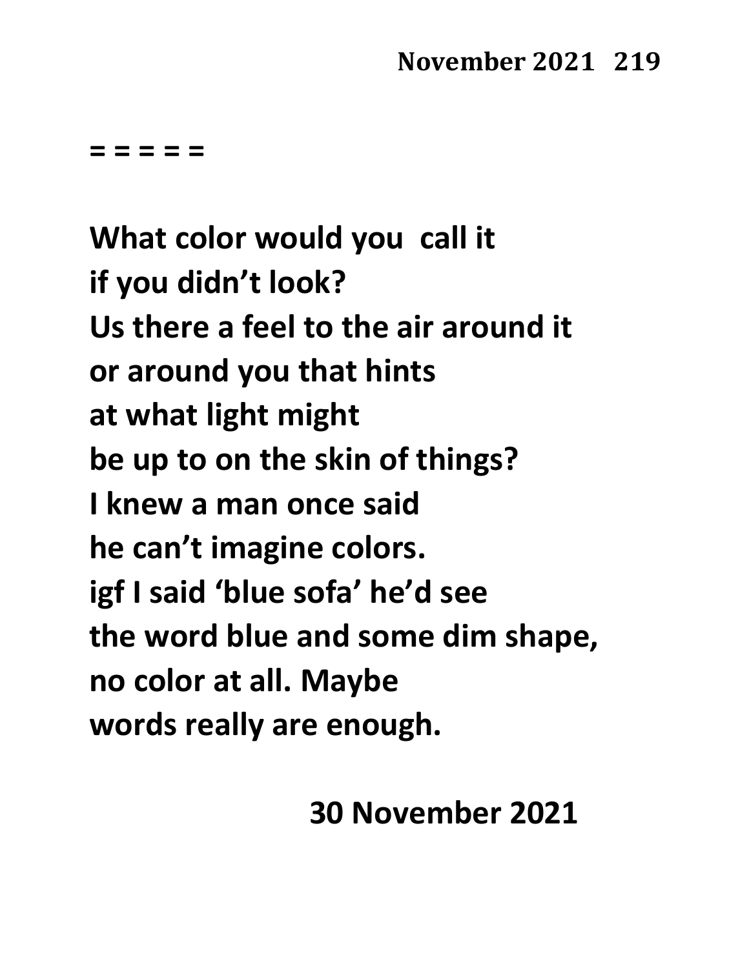**= = = = =**

**What color would you call it if you didn't look? Us there a feel to the air around it or around you that hints at what light might be up to on the skin of things? I knew a man once said he can't imagine colors. igf I said 'blue sofa' he'd see the word blue and some dim shape, no color at all. Maybe words really are enough.**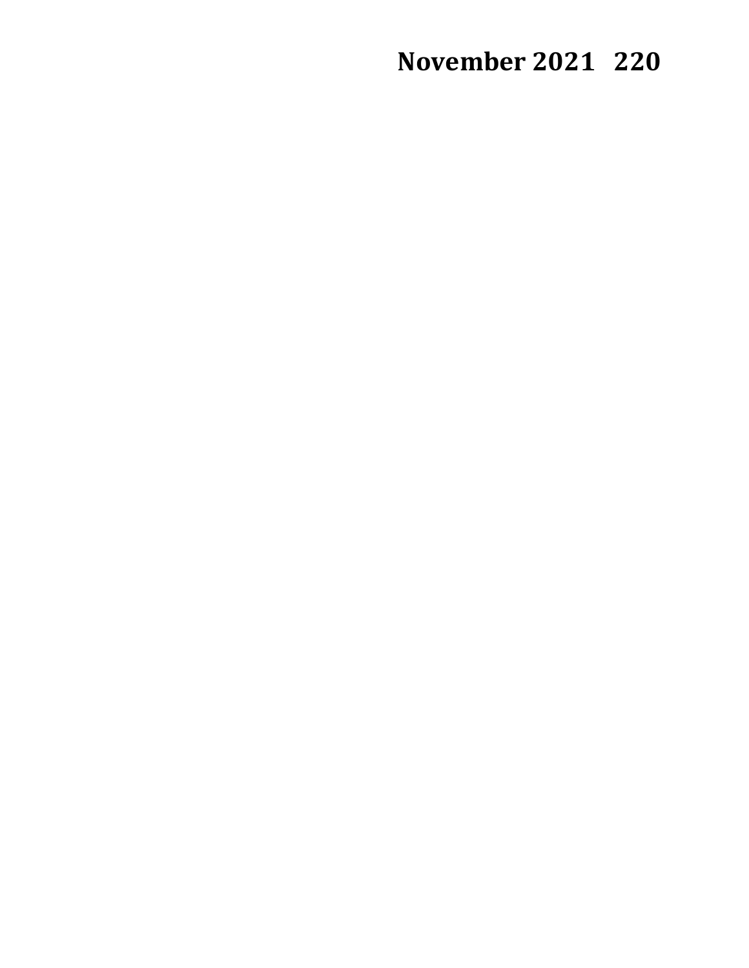## **November 2021 220**